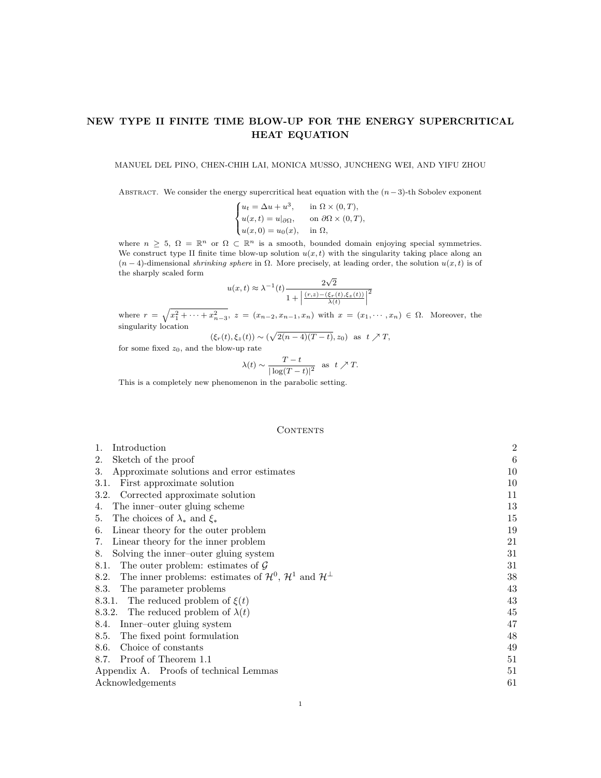# NEW TYPE II FINITE TIME BLOW-UP FOR THE ENERGY SUPERCRITICAL HEAT EQUATION

MANUEL DEL PINO, CHEN-CHIH LAI, MONICA MUSSO, JUNCHENG WEI, AND YIFU ZHOU

ABSTRACT. We consider the energy supercritical heat equation with the  $(n-3)$ -th Sobolev exponent

$$
\begin{cases} u_t = \Delta u + u^3, & \text{in } \Omega \times (0, T), \\ u(x, t) = u|_{\partial\Omega}, & \text{on } \partial\Omega \times (0, T), \\ u(x, 0) = u_0(x), & \text{in } \Omega, \end{cases}
$$

where  $n \geq 5$ ,  $\Omega = \mathbb{R}^n$  or  $\Omega \subset \mathbb{R}^n$  is a smooth, bounded domain enjoying special symmetries. We construct type II finite time blow-up solution  $u(x, t)$  with the singularity taking place along an  $(n-4)$ -dimensional shrinking sphere in  $\Omega$ . More precisely, at leading order, the solution  $u(x,t)$  is of the sharply scaled form √

$$
u(x,t) \approx \lambda^{-1}(t) \frac{2\sqrt{2}}{1 + \left| \frac{(r,z) - (\xi_r(t), \xi_z(t))}{\lambda(t)} \right|^2}
$$

where  $r = \sqrt{x_1^2 + \cdots + x_{n-3}^2}$ ,  $z = (x_{n-2}, x_{n-1}, x_n)$  with  $x = (x_1, \dots, x_n) \in \Omega$ . Moreover, the singularity location

$$
(\xi_r(t), \xi_z(t)) \sim (\sqrt{2(n-4)(T-t)}, z_0) \text{ as } t \nearrow T,
$$

for some fixed  $z_0$ , and the blow-up rate

$$
\lambda(t) \sim \frac{T-t}{|\log(T-t)|^2}
$$
 as  $t \nearrow T$ .

This is a completely new phenomenon in the parabolic setting.

#### **CONTENTS**

| Introduction<br>1.                                                                                   | $\overline{2}$ |
|------------------------------------------------------------------------------------------------------|----------------|
| Sketch of the proof<br>2.                                                                            | 6              |
| Approximate solutions and error estimates<br>3.                                                      | 10             |
| First approximate solution<br>3.1.                                                                   | 10             |
| 3.2. Corrected approximate solution                                                                  | 11             |
| The inner-outer gluing scheme<br>4.                                                                  | 13             |
| The choices of $\lambda_*$ and $\xi_*$<br>5.                                                         | 15             |
| Linear theory for the outer problem<br>6.                                                            | 19             |
| Linear theory for the inner problem<br>7.                                                            | 21             |
| Solving the inner-outer gluing system<br>8.                                                          | 31             |
| 8.1. The outer problem: estimates of $\mathcal G$                                                    | 31             |
| The inner problems: estimates of $\mathcal{H}^0$ , $\mathcal{H}^1$ and $\mathcal{H}^{\perp}$<br>8.2. | 38             |
| The parameter problems<br>8.3.                                                                       | 43             |
| 8.3.1. The reduced problem of $\xi(t)$                                                               | 43             |
| 8.3.2. The reduced problem of $\lambda(t)$                                                           | 45             |
| 8.4. Inner-outer gluing system                                                                       | 47             |
| The fixed point formulation<br>8.5.                                                                  | 48             |
| Choice of constants<br>8.6.                                                                          | 49             |
| 8.7. Proof of Theorem 1.1                                                                            | 51             |
| Appendix A. Proofs of technical Lemmas                                                               | 51             |
| Acknowledgements                                                                                     | 61             |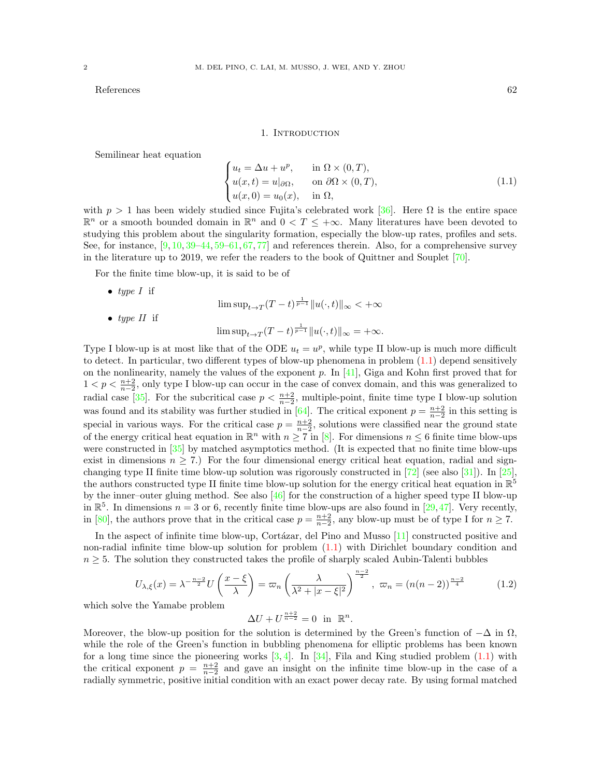$References$  62

#### 1. INTRODUCTION

<span id="page-1-0"></span>Semilinear heat equation

<span id="page-1-1"></span>
$$
\begin{cases}\n u_t = \Delta u + u^p, & \text{in } \Omega \times (0, T), \\
 u(x, t) = u|_{\partial \Omega}, & \text{on } \partial \Omega \times (0, T), \\
 u(x, 0) = u_0(x), & \text{in } \Omega,\n\end{cases}
$$
\n(1.1)

with  $p > 1$  has been widely studied since Fujita's celebrated work [\[36\]](#page-62-0). Here  $\Omega$  is the entire space  $\mathbb{R}^n$  or a smooth bounded domain in  $\mathbb{R}^n$  and  $0 < T \leq +\infty$ . Many literatures have been devoted to studying this problem about the singularity formation, especially the blow-up rates, profiles and sets. See, for instance, [\[9,](#page-61-1) [10,](#page-61-2) [39](#page-62-1)[–44,](#page-62-2) [59–](#page-62-3)[61,](#page-63-0) [67,](#page-63-1) [77\]](#page-63-2) and references therein. Also, for a comprehensive survey in the literature up to 2019, we refer the readers to the book of Quittner and Souplet [\[70\]](#page-63-3).

For the finite time blow-up, it is said to be of

• type  $I$  if  $\limsup_{t\to T} (T-t)^{\frac{1}{p-1}} \|u(\cdot,t)\|_{\infty} < +\infty$ • type  $II$  if  $\limsup_{t\to T} (T-t)^{\frac{1}{p-1}} \|u(\cdot,t)\|_{\infty} = +\infty.$ 

Type I blow-up is at most like that of the ODE  $u_t = u^p$ , while type II blow-up is much more difficult to detect. In particular, two different types of blow-up phenomena in problem [\(1.1\)](#page-1-1) depend sensitively on the nonlinearity, namely the values of the exponent p. In  $[41]$ , Giga and Kohn first proved that for  $1 < p < \frac{n+2}{n-2}$ , only type I blow-up can occur in the case of convex domain, and this was generalized to radial case [\[35\]](#page-62-5). For the subcritical case  $p < \frac{n+2}{n-2}$ , multiple-point, finite time type I blow-up solution was found and its stability was further studied in [\[64\]](#page-63-4). The critical exponent  $p = \frac{n+2}{n-2}$  in this setting is special in various ways. For the critical case  $p = \frac{n+2}{n-2}$ , solutions were classified near the ground state of the energy critical heat equation in  $\mathbb{R}^n$  with  $n \geq 7$  in [\[8\]](#page-61-3). For dimensions  $n \leq 6$  finite time blow-ups were constructed in [\[35\]](#page-62-5) by matched asymptotics method. (It is expected that no finite time blow-ups exist in dimensions  $n \geq 7$ .) For the four dimensional energy critical heat equation, radial and signchanging type II finite time blow-up solution was rigorously constructed in  $[72]$  (see also [\[31\]](#page-62-6)). In [\[25\]](#page-61-4), the authors constructed type II finite time blow-up solution for the energy critical heat equation in  $\mathbb{R}^5$ by the inner–outer gluing method. See also [\[46\]](#page-62-7) for the construction of a higher speed type II blow-up in  $\mathbb{R}^5$ . In dimensions  $n = 3$  or 6, recently finite time blow-ups are also found in [\[29,](#page-61-5)[47\]](#page-62-8). Very recently, in [\[80\]](#page-63-6), the authors prove that in the critical case  $p = \frac{n+2}{n-2}$ , any blow-up must be of type I for  $n \ge 7$ .

In the aspect of infinite time blow-up, Cortázar, del Pino and Musso  $[11]$  constructed positive and non-radial infinite time blow-up solution for problem [\(1.1\)](#page-1-1) with Dirichlet boundary condition and  $n \geq 5$ . The solution they constructed takes the profile of sharply scaled Aubin-Talenti bubbles

<span id="page-1-2"></span>
$$
U_{\lambda,\xi}(x) = \lambda^{-\frac{n-2}{2}} U\left(\frac{x-\xi}{\lambda}\right) = \varpi_n \left(\frac{\lambda}{\lambda^2 + |x-\xi|^2}\right)^{\frac{n-2}{2}}, \quad \varpi_n = (n(n-2))^{\frac{n-2}{4}} \tag{1.2}
$$

which solve the Yamabe problem

 $\Delta U + U^{\frac{n+2}{n-2}} = 0$  in  $\mathbb{R}^n$ .

Moreover, the blow-up position for the solution is determined by the Green's function of  $-\Delta$  in  $\Omega$ , while the role of the Green's function in bubbling phenomena for elliptic problems has been known for a long time since the pioneering works  $[3, 4]$  $[3, 4]$ . In  $[34]$ , Fila and King studied problem  $(1.1)$  with the critical exponent  $p = \frac{n+2}{n-2}$  and gave an insight on the infinite time blow-up in the case of a radially symmetric, positive initial condition with an exact power decay rate. By using formal matched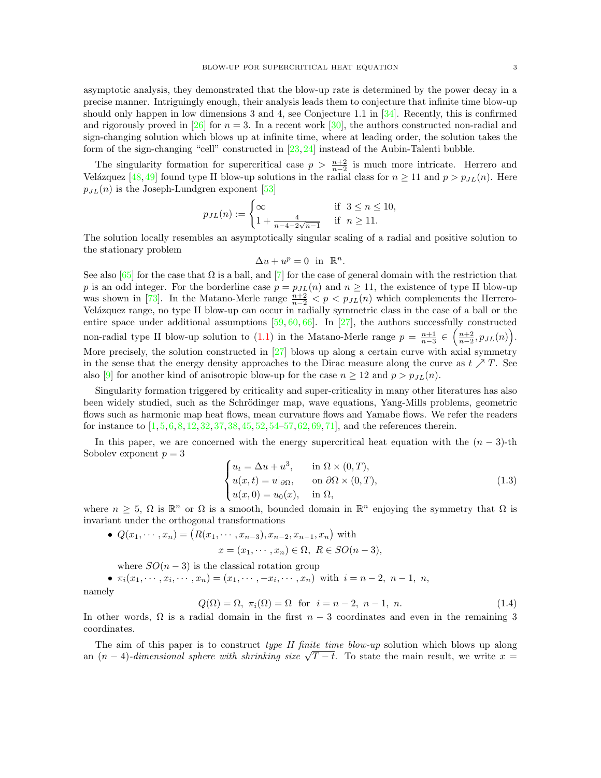asymptotic analysis, they demonstrated that the blow-up rate is determined by the power decay in a precise manner. Intriguingly enough, their analysis leads them to conjecture that infinite time blow-up should only happen in low dimensions 3 and 4, see Conjecture 1.1 in [\[34\]](#page-62-9). Recently, this is confirmed and rigorously proved in [\[26\]](#page-61-9) for  $n = 3$ . In a recent work [\[30\]](#page-61-10), the authors constructed non-radial and sign-changing solution which blows up at infinite time, where at leading order, the solution takes the form of the sign-changing "cell" constructed in [\[23,](#page-61-11) [24\]](#page-61-12) instead of the Aubin-Talenti bubble.

The singularity formation for supercritical case  $p > \frac{n+2}{n-2}$  is much more intricate. Herrero and Velázquez [\[48,](#page-62-10) [49\]](#page-62-11) found type II blow-up solutions in the radial class for  $n \ge 11$  and  $p > p_{JL}(n)$ . Here  $p_{JL}(n)$  is the Joseph-Lundgren exponent [\[53\]](#page-62-12)

$$
p_{JL}(n) := \begin{cases} \infty & \text{if } 3 \le n \le 10, \\ 1 + \frac{4}{n - 4 - 2\sqrt{n - 1}} & \text{if } n \ge 11. \end{cases}
$$

The solution locally resembles an asymptotically singular scaling of a radial and positive solution to the stationary problem

$$
\Delta u + u^p = 0 \text{ in } \mathbb{R}^n.
$$

See also  $[65]$  for the case that  $\Omega$  is a ball, and  $[7]$  for the case of general domain with the restriction that p is an odd integer. For the borderline case  $p = p_{J}(n)$  and  $n \ge 11$ , the existence of type II blow-up was shown in [\[73\]](#page-63-8). In the Matano-Merle range  $\frac{n+2}{n-2} < p < p_{J,L}(n)$  which complements the Herrero-Velázquez range, no type II blow-up can occur in radially symmetric class in the case of a ball or the entire space under additional assumptions  $[59, 60, 66]$  $[59, 60, 66]$  $[59, 60, 66]$  $[59, 60, 66]$ . In [\[27\]](#page-61-14), the authors successfully constructed non-radial type II blow-up solution to [\(1.1\)](#page-1-1) in the Matano-Merle range  $p = \frac{n+1}{n-3} \in \left(\frac{n+2}{n-2}, p_{JL}(n)\right)$ . More precisely, the solution constructed in [\[27\]](#page-61-14) blows up along a certain curve with axial symmetry in the sense that the energy density approaches to the Dirac measure along the curve as  $t \nearrow T$ . See also [\[9\]](#page-61-1) for another kind of anisotropic blow-up for the case  $n \ge 12$  and  $p > p_{JL}(n)$ .

Singularity formation triggered by criticality and super-criticality in many other literatures has also been widely studied, such as the Schrödinger map, wave equations, Yang-Mills problems, geometric flows such as harmonic map heat flows, mean curvature flows and Yamabe flows. We refer the readers for instance to  $[1, 5, 6, 8, 12, 32, 37, 38, 45, 52, 54–57, 62, 69, 71]$  $[1, 5, 6, 8, 12, 32, 37, 38, 45, 52, 54–57, 62, 69, 71]$  $[1, 5, 6, 8, 12, 32, 37, 38, 45, 52, 54–57, 62, 69, 71]$  $[1, 5, 6, 8, 12, 32, 37, 38, 45, 52, 54–57, 62, 69, 71]$  $[1, 5, 6, 8, 12, 32, 37, 38, 45, 52, 54–57, 62, 69, 71]$  $[1, 5, 6, 8, 12, 32, 37, 38, 45, 52, 54–57, 62, 69, 71]$  $[1, 5, 6, 8, 12, 32, 37, 38, 45, 52, 54–57, 62, 69, 71]$  $[1, 5, 6, 8, 12, 32, 37, 38, 45, 52, 54–57, 62, 69, 71]$  $[1, 5, 6, 8, 12, 32, 37, 38, 45, 52, 54–57, 62, 69, 71]$  $[1, 5, 6, 8, 12, 32, 37, 38, 45, 52, 54–57, 62, 69, 71]$  $[1, 5, 6, 8, 12, 32, 37, 38, 45, 52, 54–57, 62, 69, 71]$  $[1, 5, 6, 8, 12, 32, 37, 38, 45, 52, 54–57, 62, 69, 71]$  $[1, 5, 6, 8, 12, 32, 37, 38, 45, 52, 54–57, 62, 69, 71]$  $[1, 5, 6, 8, 12, 32, 37, 38, 45, 52, 54–57, 62, 69, 71]$  $[1, 5, 6, 8, 12, 32, 37, 38, 45, 52, 54–57, 62, 69, 71]$  $[1, 5, 6, 8, 12, 32, 37, 38, 45, 52, 54–57, 62, 69, 71]$  $[1, 5, 6, 8, 12, 32, 37, 38, 45, 52, 54–57, 62, 69, 71]$  $[1, 5, 6, 8, 12, 32, 37, 38, 45, 52, 54–57, 62, 69, 71]$  $[1, 5, 6, 8, 12, 32, 37, 38, 45, 52, 54–57, 62, 69, 71]$  $[1, 5, 6, 8, 12, 32, 37, 38, 45, 52, 54–57, 62, 69, 71]$  $[1, 5, 6, 8, 12, 32, 37, 38, 45, 52, 54–57, 62, 69, 71]$  $[1, 5, 6, 8, 12, 32, 37, 38, 45, 52, 54–57, 62, 69, 71]$  $[1, 5, 6, 8, 12, 32, 37, 38, 45, 52, 54–57, 62, 69, 71]$  $[1, 5, 6, 8, 12, 32, 37, 38, 45, 52, 54–57, 62, 69, 71]$  $[1, 5, 6, 8, 12, 32, 37, 38, 45, 52, 54–57, 62, 69, 71]$  $[1, 5, 6, 8, 12, 32, 37, 38, 45, 52, 54–57, 62, 69, 71]$  $[1, 5, 6, 8, 12, 32, 37, 38, 45, 52, 54–57, 62, 69, 71]$ , and the references therein.

In this paper, we are concerned with the energy supercritical heat equation with the  $(n-3)$ -th Sobolev exponent  $p = 3$ 

<span id="page-2-1"></span>
$$
\begin{cases}\n u_t = \Delta u + u^3, & \text{in } \Omega \times (0, T), \\
 u(x, t) = u|_{\partial\Omega}, & \text{on } \partial\Omega \times (0, T), \\
 u(x, 0) = u_0(x), & \text{in } \Omega,\n\end{cases}
$$
\n(1.3)

where  $n \geq 5$ ,  $\Omega$  is  $\mathbb{R}^n$  or  $\Omega$  is a smooth, bounded domain in  $\mathbb{R}^n$  enjoying the symmetry that  $\Omega$  is invariant under the orthogonal transformations

•  $Q(x_1, \dots, x_n) = (R(x_1, \dots, x_{n-3}), x_{n-2}, x_{n-1}, x_n)$  with  $x = (x_1, \dots, x_n) \in \Omega$ ,  $R \in SO(n-3)$ ,

where  $SO(n-3)$  is the classical rotation group

•  $\pi_i(x_1, \dots, x_i, \dots, x_n) = (x_1, \dots, -x_i, \dots, x_n)$  with  $i = n - 2, n - 1, n$ ,

namely

<span id="page-2-0"></span>
$$
Q(\Omega) = \Omega, \ \pi_i(\Omega) = \Omega \quad \text{for} \quad i = n - 2, \ n - 1, \ n. \tag{1.4}
$$

In other words,  $\Omega$  is a radial domain in the first  $n-3$  coordinates and even in the remaining 3 coordinates.

The aim of this paper is to construct *type II finite time blow-up* solution which blows up along The aim of this paper is to construct *type II junte time blow-up* solution which blows up along an  $(n-4)$ -dimensional sphere with shrinking size  $\sqrt{T-t}$ . To state the main result, we write  $x =$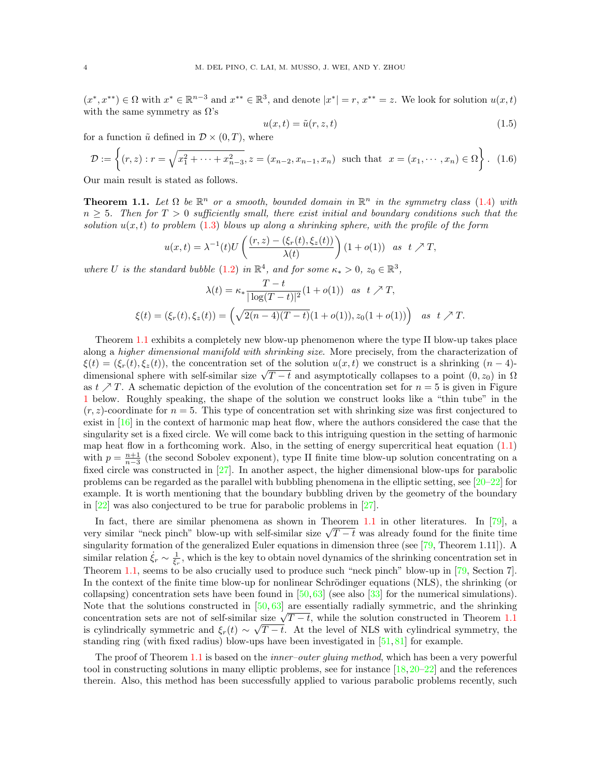$(x^*, x^{**}) \in \Omega$  with  $x^* \in \mathbb{R}^{n-3}$  and  $x^{**} \in \mathbb{R}^3$ , and denote  $|x^*| = r$ ,  $x^{**} = z$ . We look for solution  $u(x, t)$ with the same symmetry as  $\Omega$ 's

<span id="page-3-1"></span>
$$
u(x,t) = \tilde{u}(r, z, t) \tag{1.5}
$$

for a function  $\tilde{u}$  defined in  $\mathcal{D} \times (0,T)$ , where

<span id="page-3-2"></span>
$$
\mathcal{D} := \left\{ (r, z) : r = \sqrt{x_1^2 + \dots + x_{n-3}^2}, z = (x_{n-2}, x_{n-1}, x_n) \text{ such that } x = (x_1, \dots, x_n) \in \Omega \right\}. \tag{1.6}
$$

Our main result is stated as follows.

<span id="page-3-0"></span>**Theorem 1.1.** Let  $\Omega$  be  $\mathbb{R}^n$  or a smooth, bounded domain in  $\mathbb{R}^n$  in the symmetry class [\(1.4\)](#page-2-0) with  $n \geq 5$ . Then for  $T > 0$  sufficiently small, there exist initial and boundary conditions such that the solution  $u(x, t)$  to problem [\(1.3\)](#page-2-1) blows up along a shrinking sphere, with the profile of the form

$$
u(x,t) = \lambda^{-1}(t)U\left(\frac{(r,z) - (\xi_r(t), \xi_z(t))}{\lambda(t)}\right)(1 + o(1)) \text{ as } t \nearrow T,
$$

where U is the standard bubble [\(1.2\)](#page-1-2) in  $\mathbb{R}^4$ , and for some  $\kappa_* > 0$ ,  $z_0 \in \mathbb{R}^3$ ,

$$
\lambda(t) = \kappa_* \frac{T - t}{|\log(T - t)|^2} (1 + o(1)) \quad \text{as} \quad t \nearrow T,
$$
  

$$
\xi(t) = (\xi_r(t), \xi_z(t)) = \left(\sqrt{2(n - 4)(T - t)}(1 + o(1)), z_0(1 + o(1))\right) \quad \text{as} \quad t \nearrow T.
$$

Theorem [1.1](#page-3-0) exhibits a completely new blow-up phenomenon where the type II blow-up takes place along a *higher dimensional manifold with shrinking size*. More precisely, from the characterization of  $\xi(t) = (\xi_r(t), \xi_z(t))$ , the concentration set of the solution  $u(x, t)$  we construct is a shrinking  $(n-4)$ - $\zeta(t) = (\zeta_r(t), \zeta_z(t))$ , the concentration set of the solution  $u(x, t)$  we construct is a similarity  $(n-4)$ -<br>dimensional sphere with self-similar size  $\sqrt{T-t}$  and asymptotically collapses to a point  $(0, z_0)$  in  $\Omega$ as  $t \nearrow T$ . A schematic depiction of the evolution of the concentration set for  $n = 5$  is given in Figure [1](#page-4-0) below. Roughly speaking, the shape of the solution we construct looks like a "thin tube" in the  $(r, z)$ -coordinate for  $n = 5$ . This type of concentration set with shrinking size was first conjectured to exist in [\[16\]](#page-61-19) in the context of harmonic map heat flow, where the authors considered the case that the singularity set is a fixed circle. We will come back to this intriguing question in the setting of harmonic map heat flow in a forthcoming work. Also, in the setting of energy supercritical heat equation  $(1.1)$ with  $p = \frac{n+1}{n-3}$  (the second Sobolev exponent), type II finite time blow-up solution concentrating on a fixed circle was constructed in [\[27\]](#page-61-14). In another aspect, the higher dimensional blow-ups for parabolic problems can be regarded as the parallel with bubbling phenomena in the elliptic setting, see  $[20-22]$  $[20-22]$  for example. It is worth mentioning that the boundary bubbling driven by the geometry of the boundary in [\[22\]](#page-61-21) was also conjectured to be true for parabolic problems in [\[27\]](#page-61-14).

In fact, there are similar phenomena as shown in Theorem [1.1](#page-3-0) in other literatures. In [\[79\]](#page-63-13), a In fact, there are similar phenomena as shown in Theorem 1.1 in other interatures. In [19], a<br>very similar "neck pinch" blow-up with self-similar size  $\sqrt{T-t}$  was already found for the finite time singularity formation of the generalized Euler equations in dimension three (see [\[79,](#page-63-13) Theorem 1.11]). A similar relation  $\dot{\xi}_r \sim \frac{1}{\xi_r}$ , which is the key to obtain novel dynamics of the shrinking concentration set in Theorem [1.1,](#page-3-0) seems to be also crucially used to produce such "neck pinch" blow-up in [\[79,](#page-63-13) Section 7]. In the context of the finite time blow-up for nonlinear Schrödinger equations (NLS), the shrinking (or collapsing) concentration sets have been found in  $[50,63]$  $[50,63]$  (see also  $[33]$  for the numerical simulations). Note that the solutions constructed in  $[50, 63]$  $[50, 63]$  are essentially radially symmetric, and the shrinking rote that the solutions constructed in [50, 05] are essentially radially symmetric, and the shrinking concentration sets are not of self-similar size  $\sqrt{T-t}$ , while the solution constructed in Theorem [1.1](#page-3-0) is cylindrically symmetric and  $\xi_r(t) \sim \sqrt{T-t}$ . At the level of NLS with cylindrical symmetry, the standing ring (with fixed radius) blow-ups have been investigated in [\[51,](#page-62-23) [81\]](#page-63-15) for example.

The proof of Theorem [1.1](#page-3-0) is based on the *inner-outer gluing method*, which has been a very powerful tool in constructing solutions in many elliptic problems, see for instance  $[18,20-22]$  $[18,20-22]$  $[18,20-22]$  and the references therein. Also, this method has been successfully applied to various parabolic problems recently, such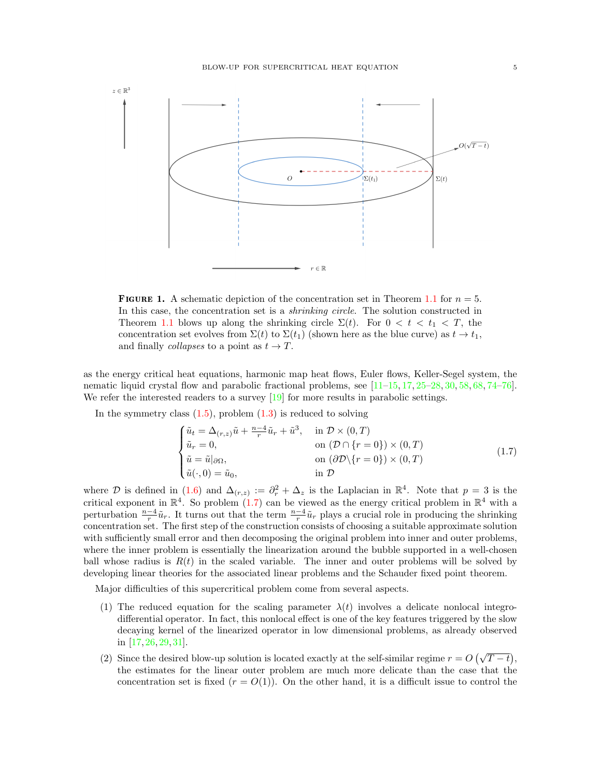<span id="page-4-0"></span>

**FIGURE 1.** A schematic depiction of the concentration set in Theorem [1.1](#page-3-0) for  $n = 5$ . In this case, the concentration set is a *shrinking circle*. The solution constructed in Theorem [1.1](#page-3-0) blows up along the shrinking circle  $\Sigma(t)$ . For  $0 < t < t_1 < T$ , the concentration set evolves from  $\Sigma(t)$  to  $\Sigma(t_1)$  (shown here as the blue curve) as  $t \to t_1$ , and finally *collapses* to a point as  $t \to T$ .

as the energy critical heat equations, harmonic map heat flows, Euler flows, Keller-Segel system, the nematic liquid crystal flow and parabolic fractional problems, see [\[11–](#page-61-6)[15,](#page-61-23) [17,](#page-61-24) [25–](#page-61-4)[28,](#page-61-25) [30,](#page-61-10) [58,](#page-62-24) [68,](#page-63-16) [74](#page-63-17)[–76\]](#page-63-18). We refer the interested readers to a survey  $[19]$  for more results in parabolic settings.

In the symmetry class  $(1.5)$ , problem  $(1.3)$  is reduced to solving

<span id="page-4-1"></span>
$$
\begin{cases}\n\tilde{u}_t = \Delta_{(r,z)}\tilde{u} + \frac{n-4}{r}\tilde{u}_r + \tilde{u}^3, & \text{in } \mathcal{D} \times (0,T) \\
\tilde{u}_r = 0, & \text{on } (\mathcal{D} \cap \{r = 0\}) \times (0,T) \\
\tilde{u} = \tilde{u}|_{\partial\Omega}, & \text{on } (\partial \mathcal{D} \backslash \{r = 0\}) \times (0,T) \\
\tilde{u}(\cdot, 0) = \tilde{u}_0, & \text{in } \mathcal{D}\n\end{cases}
$$
\n(1.7)

where D is defined in [\(1.6\)](#page-3-2) and  $\Delta(r,z) := \partial_r^2 + \Delta_z$  is the Laplacian in  $\mathbb{R}^4$ . Note that  $p = 3$  is the critical exponent in  $\mathbb{R}^4$ . So problem [\(1.7\)](#page-4-1) can be viewed as the energy critical problem in  $\mathbb{R}^4$  with a perturbation  $\frac{n-4}{r}\tilde{u}_r$ . It turns out that the term  $\frac{n-4}{r}\tilde{u}_r$  plays a crucial role in producing the shrinking concentration set. The first step of the construction consists of choosing a suitable approximate solution with sufficiently small error and then decomposing the original problem into inner and outer problems, where the inner problem is essentially the linearization around the bubble supported in a well-chosen ball whose radius is  $R(t)$  in the scaled variable. The inner and outer problems will be solved by developing linear theories for the associated linear problems and the Schauder fixed point theorem.

Major difficulties of this supercritical problem come from several aspects.

- (1) The reduced equation for the scaling parameter  $\lambda(t)$  involves a delicate nonlocal integrodifferential operator. In fact, this nonlocal effect is one of the key features triggered by the slow decaying kernel of the linearized operator in low dimensional problems, as already observed in [\[17,](#page-61-24) [26,](#page-61-9) [29,](#page-61-5) [31\]](#page-62-6).
- (2) Since the desired blow-up solution is located exactly at the self-similar regime  $r = O(\sqrt{T-t})$ , the estimates for the linear outer problem are much more delicate than the case that the concentration set is fixed  $(r = O(1))$ . On the other hand, it is a difficult issue to control the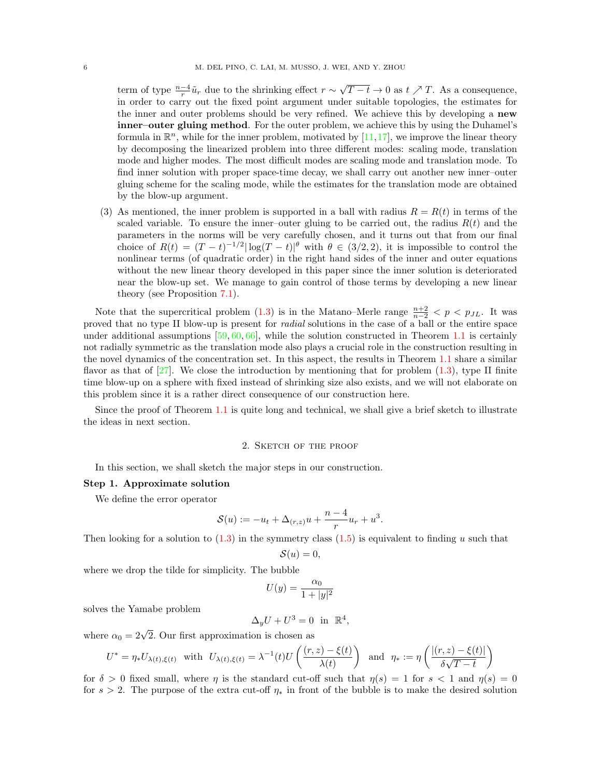term of type  $\frac{n-4}{r}\tilde{u}_r$  due to the shrinking effect  $r \sim$ √  $T-t \to 0$  as  $t \nearrow T$ . As a consequence, in order to carry out the fixed point argument under suitable topologies, the estimates for the inner and outer problems should be very refined. We achieve this by developing a new inner–outer gluing method. For the outer problem, we achieve this by using the Duhamel's formula in  $\mathbb{R}^n$ , while for the inner problem, motivated by [\[11,](#page-61-6)[17\]](#page-61-24), we improve the linear theory by decomposing the linearized problem into three different modes: scaling mode, translation mode and higher modes. The most difficult modes are scaling mode and translation mode. To find inner solution with proper space-time decay, we shall carry out another new inner–outer gluing scheme for the scaling mode, while the estimates for the translation mode are obtained by the blow-up argument.

(3) As mentioned, the inner problem is supported in a ball with radius  $R = R(t)$  in terms of the scaled variable. To ensure the inner-outer gluing to be carried out, the radius  $R(t)$  and the parameters in the norms will be very carefully chosen, and it turns out that from our final choice of  $R(t) = (T - t)^{-1/2} |\log(T - t)|^{\theta}$  with  $\theta \in (3/2, 2)$ , it is impossible to control the nonlinear terms (of quadratic order) in the right hand sides of the inner and outer equations without the new linear theory developed in this paper since the inner solution is deteriorated near the blow-up set. We manage to gain control of those terms by developing a new linear theory (see Proposition [7.1\)](#page-21-0).

Note that the supercritical problem [\(1.3\)](#page-2-1) is in the Matano–Merle range  $\frac{n+2}{n-2} < p < p_{JL}$ . It was proved that no type II blow-up is present for radial solutions in the case of a ball or the entire space under additional assumptions  $[59, 60, 66]$  $[59, 60, 66]$  $[59, 60, 66]$  $[59, 60, 66]$ , while the solution constructed in Theorem [1.1](#page-3-0) is certainly not radially symmetric as the translation mode also plays a crucial role in the construction resulting in the novel dynamics of the concentration set. In this aspect, the results in Theorem [1.1](#page-3-0) share a similar flavor as that of  $[27]$ . We close the introduction by mentioning that for problem  $(1.3)$ , type II finite time blow-up on a sphere with fixed instead of shrinking size also exists, and we will not elaborate on this problem since it is a rather direct consequence of our construction here.

Since the proof of Theorem [1.1](#page-3-0) is quite long and technical, we shall give a brief sketch to illustrate the ideas in next section.

### 2. Sketch of the proof

<span id="page-5-0"></span>In this section, we shall sketch the major steps in our construction.

#### Step 1. Approximate solution

We define the error operator

$$
S(u) := -u_t + \Delta_{(r,z)}u + \frac{n-4}{r}u_r + u^3.
$$

Then looking for a solution to  $(1.3)$  in the symmetry class  $(1.5)$  is equivalent to finding u such that

$$
\mathcal{S}(u)=0,
$$

where we drop the tilde for simplicity. The bubble

$$
U(y) = \frac{\alpha_0}{1 + |y|^2}
$$

solves the Yamabe problem

$$
\Delta_y U + U^3 = 0 \text{ in } \mathbb{R}^4,
$$

where  $\alpha_0 = 2\sqrt{2}$ . Our first approximation is chosen as

$$
U^* = \eta_* U_{\lambda(t),\xi(t)} \quad \text{with} \quad U_{\lambda(t),\xi(t)} = \lambda^{-1}(t)U\left(\frac{(r,z) - \xi(t)}{\lambda(t)}\right) \quad \text{and} \quad \eta_* := \eta\left(\frac{|(r,z) - \xi(t)|}{\delta\sqrt{T - t}}\right)
$$

for  $\delta > 0$  fixed small, where  $\eta$  is the standard cut-off such that  $\eta(s) = 1$  for  $s < 1$  and  $\eta(s) = 0$ for s > 2. The purpose of the extra cut-off  $\eta_*$  in front of the bubble is to make the desired solution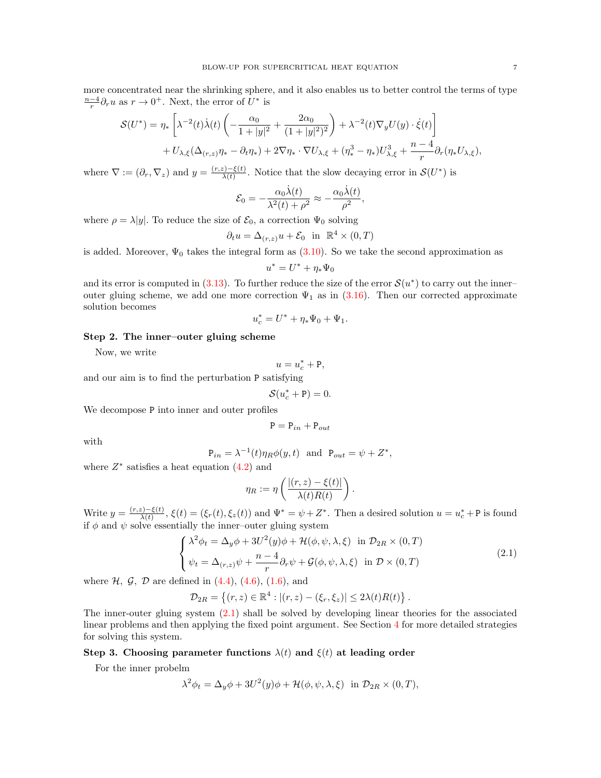more concentrated near the shrinking sphere, and it also enables us to better control the terms of type  $\frac{n-4}{r}$ ∂<sub>r</sub>u as  $r \to 0^+$ . Next, the error of  $U^*$  is

$$
\mathcal{S}(U^*) = \eta_* \left[ \lambda^{-2}(t) \dot{\lambda}(t) \left( -\frac{\alpha_0}{1+|y|^2} + \frac{2\alpha_0}{(1+|y|^2)^2} \right) + \lambda^{-2}(t) \nabla_y U(y) \cdot \dot{\xi}(t) \right] + U_{\lambda,\xi} (\Delta_{(r,z)} \eta_* - \partial_t \eta_*) + 2 \nabla \eta_* \cdot \nabla U_{\lambda,\xi} + (\eta_*^3 - \eta_*) U_{\lambda,\xi}^3 + \frac{n-4}{r} \partial_r(\eta_* U_{\lambda,\xi}),
$$

where  $\nabla := (\partial_r, \nabla_z)$  and  $y = \frac{(r, z) - \xi(t)}{\lambda(t)}$  $\frac{\zeta(-\xi(t))}{\lambda(t)}$ . Notice that the slow decaying error in  $\mathcal{S}(U^*)$  is

$$
\mathcal{E}_0 = -\frac{\alpha_0 \dot{\lambda}(t)}{\lambda^2(t) + \rho^2} \approx -\frac{\alpha_0 \dot{\lambda}(t)}{\rho^2},
$$

where  $\rho = \lambda |y|$ . To reduce the size of  $\mathcal{E}_0$ , a correction  $\Psi_0$  solving

$$
\partial_t u = \Delta_{(r,z)} u + \mathcal{E}_0 \quad \text{in} \quad \mathbb{R}^4 \times (0,T)
$$

is added. Moreover,  $\Psi_0$  takes the integral form as [\(3.10\)](#page-10-1). So we take the second approximation as

$$
u^* = U^* + \eta_* \Psi_0
$$

and its error is computed in  $(3.13)$ . To further reduce the size of the error  $\mathcal{S}(u^*)$  to carry out the innerouter gluing scheme, we add one more correction  $\Psi_1$  as in [\(3.16\)](#page-12-1). Then our corrected approximate solution becomes

$$
u_c^*=U^*+\eta_*\Psi_0+\Psi_1.
$$

### Step 2. The inner–outer gluing scheme

Now, we write

$$
u = u_c^* + \mathbf{P},
$$

and our aim is to find the perturbation P satisfying

$$
\mathcal{S}(u_c^* + \mathbf{P}) = 0.
$$

We decompose P into inner and outer profiles

$$
\mathtt{P}=\mathtt{P}_{in}+\mathtt{P}_{out}
$$

with

$$
P_{in} = \lambda^{-1}(t)\eta_R \phi(y, t) \text{ and } P_{out} = \psi + Z^*,
$$

where  $Z^*$  satisfies a heat equation  $(4.2)$  and

$$
\eta_R := \eta \left( \frac{|(r, z) - \xi(t)|}{\lambda(t) R(t)} \right).
$$

Write  $y = \frac{(r,z)-\xi(t)}{\lambda(t)}$  $\frac{\zeta(z)-\zeta(t)}{\lambda(t)}, \xi(t) = (\xi_r(t), \xi_z(t))$  and  $\Psi^* = \psi + Z^*$ . Then a desired solution  $u = u_c^* + P$  is found if  $\phi$  and  $\psi$  solve essentially the inner-outer gluing system

<span id="page-6-0"></span>
$$
\begin{cases}\n\lambda^2 \phi_t = \Delta_y \phi + 3U^2(y)\phi + \mathcal{H}(\phi, \psi, \lambda, \xi) & \text{in } \mathcal{D}_{2R} \times (0, T) \\
\psi_t = \Delta_{(r,z)} \psi + \frac{n-4}{r} \partial_r \psi + \mathcal{G}(\phi, \psi, \lambda, \xi) & \text{in } \mathcal{D} \times (0, T)\n\end{cases}
$$
\n(2.1)

where  $H$ ,  $G$ ,  $D$  are defined in  $(4.4)$ ,  $(4.6)$ ,  $(1.6)$ , and

$$
\mathcal{D}_{2R} = \{(r, z) \in \mathbb{R}^4 : |(r, z) - (\xi_r, \xi_z)| \le 2\lambda(t)R(t)\}.
$$

The inner-outer gluing system [\(2.1\)](#page-6-0) shall be solved by developing linear theories for the associated linear problems and then applying the fixed point argument. See Section [4](#page-12-0) for more detailed strategies for solving this system.

### Step 3. Choosing parameter functions  $\lambda(t)$  and  $\xi(t)$  at leading order

For the inner probelm

$$
\lambda^{2} \phi_{t} = \Delta_{y} \phi + 3U^{2}(y)\phi + \mathcal{H}(\phi, \psi, \lambda, \xi) \text{ in } \mathcal{D}_{2R} \times (0, T),
$$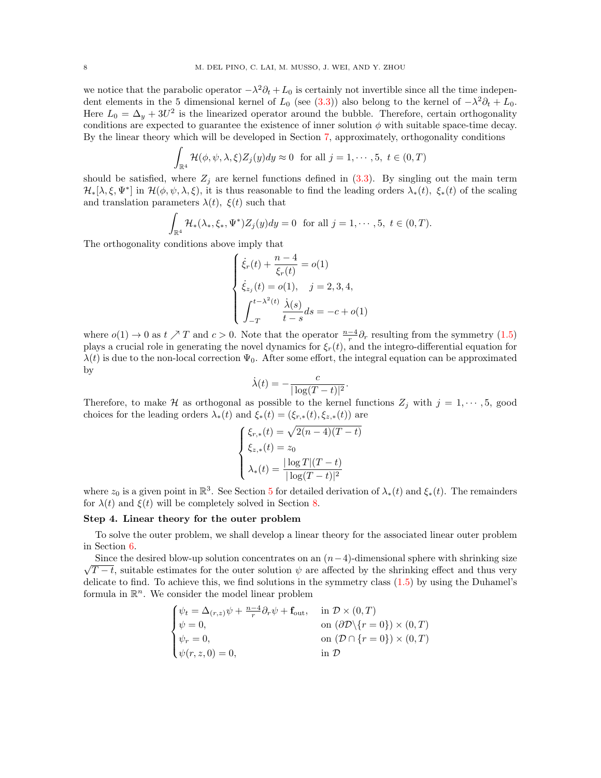we notice that the parabolic operator  $-\lambda^2 \partial_t + L_0$  is certainly not invertible since all the time independent elements in the 5 dimensional kernel of  $L_0$  (see [\(3.3\)](#page-9-2)) also belong to the kernel of  $-\lambda^2 \partial_t + L_0$ . Here  $L_0 = \Delta_y + 3U^2$  is the linearized operator around the bubble. Therefore, certain orthogonality conditions are expected to guarantee the existence of inner solution  $\phi$  with suitable space-time decay. By the linear theory which will be developed in Section [7,](#page-20-0) approximately, orthogonality conditions

$$
\int_{\mathbb{R}^4} \mathcal{H}(\phi, \psi, \lambda, \xi) Z_j(y) dy \approx 0 \text{ for all } j = 1, \cdots, 5, t \in (0, T)
$$

should be satisfied, where  $Z_j$  are kernel functions defined in [\(3.3\)](#page-9-2). By singling out the main term  $\mathcal{H}_*[\lambda,\xi,\Psi^*]$  in  $\mathcal{H}(\phi,\psi,\lambda,\xi)$ , it is thus reasonable to find the leading orders  $\lambda_*(t)$ ,  $\xi_*(t)$  of the scaling and translation parameters  $\lambda(t)$ ,  $\xi(t)$  such that

$$
\int_{\mathbb{R}^4} \mathcal{H}_*(\lambda_*, \xi_*, \Psi^*) Z_j(y) dy = 0 \text{ for all } j = 1, \cdots, 5, t \in (0, T).
$$

The orthogonality conditions above imply that

$$
\begin{cases} \dot{\xi}_r(t) + \frac{n-4}{\xi_r(t)} = o(1) \\ \dot{\xi}_{z_j}(t) = o(1), \quad j = 2, 3, 4, \\ \int_{-T}^{t - \lambda^2(t)} \frac{\dot{\lambda}(s)}{t - s} ds = -c + o(1) \end{cases}
$$

where  $o(1) \to 0$  as  $t \nearrow T$  and  $c > 0$ . Note that the operator  $\frac{n-4}{r} \partial_r$  resulting from the symmetry  $(1.5)$ plays a crucial role in generating the novel dynamics for  $\xi_r(t)$ , and the integro-differential equation for  $\lambda(t)$  is due to the non-local correction  $\Psi_0$ . After some effort, the integral equation can be approximated by

$$
\dot{\lambda}(t) = -\frac{c}{|\log(T-t)|^2}.
$$

Therefore, to make H as orthogonal as possible to the kernel functions  $Z_j$  with  $j = 1, \dots, 5$ , good choices for the leading orders  $\lambda_*(t)$  and  $\xi_*(t) = (\xi_{r,*}(t), \xi_{z,*}(t))$  are

$$
\begin{cases} \xi_{r,*}(t) = \sqrt{2(n-4)(T-t)} \\ \xi_{z,*}(t) = z_0 \\ \lambda_*(t) = \frac{|\log T|(T-t)}{|\log(T-t)|^2} \end{cases}
$$

where  $z_0$  is a given point in  $\mathbb{R}^3$ . See Section [5](#page-14-0) for detailed derivation of  $\lambda_*(t)$  and  $\xi_*(t)$ . The remainders for  $\lambda(t)$  and  $\xi(t)$  will be completely solved in Section [8.](#page-30-0)

## Step 4. Linear theory for the outer problem

To solve the outer problem, we shall develop a linear theory for the associated linear outer problem in Section [6.](#page-18-0)

Since the desired blow-up solution concentrates on an  $(n-4)$ -dimensional sphere with shrinking size √  $T-t$ , suitable estimates for the outer solution  $\psi$  are affected by the shrinking effect and thus very delicate to find. To achieve this, we find solutions in the symmetry class  $(1.5)$  by using the Duhamel's formula in  $\mathbb{R}^n$ . We consider the model linear problem

$$
\begin{cases}\n\psi_t = \Delta_{(r,z)}\psi + \frac{n-4}{r}\partial_r\psi + \mathbf{f}_{\text{out}}, & \text{in } \mathcal{D} \times (0,T) \\
\psi = 0, & \text{on } (\partial \mathcal{D}\setminus\{r=0\}) \times (0,T) \\
\psi_r = 0, & \text{on } (\mathcal{D} \cap \{r=0\}) \times (0,T) \\
\psi(r,z,0) = 0, & \text{in } \mathcal{D}\n\end{cases}
$$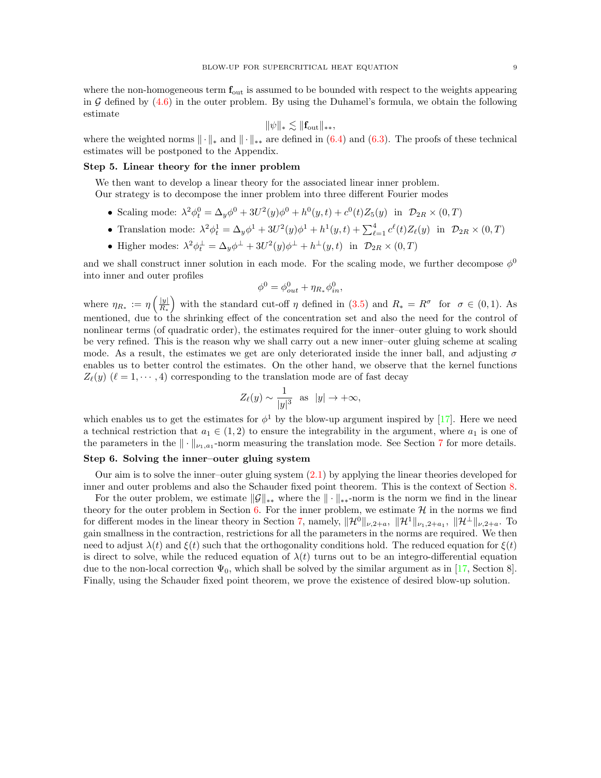where the non-homogeneous term  $f_{\text{out}}$  is assumed to be bounded with respect to the weights appearing in  $G$  defined by  $(4.6)$  in the outer problem. By using the Duhamel's formula, we obtain the following estimate

$$
\|\psi\|_{*} \lesssim \|\mathbf{f}_{\text{out}}\|_{**},
$$

where the weighted norms  $\|\cdot\|_{*}$  and  $\|\cdot\|_{**}$  are defined in [\(6.4\)](#page-18-1) and [\(6.3\)](#page-18-2). The proofs of these technical estimates will be postponed to the Appendix.

## Step 5. Linear theory for the inner problem

We then want to develop a linear theory for the associated linear inner problem.

Our strategy is to decompose the inner problem into three different Fourier modes

- Scaling mode:  $\lambda^2 \phi_t^0 = \Delta_y \phi^0 + 3U^2(y)\phi^0 + h^0(y, t) + c^0(t)Z_5(y)$  in  $\mathcal{D}_{2R} \times (0, T)$
- Translation mode:  $\lambda^2 \phi_t^1 = \Delta_y \phi^1 + 3U^2(y)\phi^1 + h^1(y, t) + \sum_{\ell=1}^4 c^{\ell}(t) Z_{\ell}(y)$  in  $\mathcal{D}_{2R} \times (0, T)$
- Higher modes:  $\lambda^2 \phi_t^{\perp} = \Delta_y \phi^{\perp} + 3U^2(y)\phi^{\perp} + h^{\perp}(y,t)$  in  $\mathcal{D}_{2R} \times (0,T)$

and we shall construct inner solution in each mode. For the scaling mode, we further decompose  $\phi^0$ into inner and outer profiles

$$
\phi^0 = \phi_{out}^0 + \eta_{R_*} \phi_{in}^0,
$$

where  $\eta_{R_*} := \eta \left( \frac{|y|}{R_*} \right)$  $\frac{|y|}{R_*}$  with the standard cut-off  $\eta$  defined in [\(3.5\)](#page-9-3) and  $R_* = R^{\sigma}$  for  $\sigma \in (0,1)$ . As mentioned, due to the shrinking effect of the concentration set and also the need for the control of nonlinear terms (of quadratic order), the estimates required for the inner–outer gluing to work should be very refined. This is the reason why we shall carry out a new inner–outer gluing scheme at scaling mode. As a result, the estimates we get are only deteriorated inside the inner ball, and adjusting  $\sigma$ enables us to better control the estimates. On the other hand, we observe that the kernel functions  $Z_{\ell}(y)$  ( $\ell = 1, \dots, 4$ ) corresponding to the translation mode are of fast decay

$$
Z_{\ell}(y) \sim \frac{1}{|y|^3}
$$
 as  $|y| \to +\infty$ ,

which enables us to get the estimates for  $\phi^1$  by the blow-up argument inspired by [\[17\]](#page-61-24). Here we need a technical restriction that  $a_1 \in (1,2)$  to ensure the integrability in the argument, where  $a_1$  is one of the parameters in the  $\|\cdot\|_{\nu_1,a_1}$ -norm measuring the translation mode. See Section [7](#page-20-0) for more details.

## Step 6. Solving the inner–outer gluing system

Our aim is to solve the inner–outer gluing system [\(2.1\)](#page-6-0) by applying the linear theories developed for inner and outer problems and also the Schauder fixed point theorem. This is the context of Section [8.](#page-30-0)

For the outer problem, we estimate  $\|\mathcal{G}\|_{**}$  where the  $\|\cdot\|_{**}$ -norm is the norm we find in the linear theory for the outer problem in Section [6.](#page-18-0) For the inner problem, we estimate  $\mathcal{H}$  in the norms we find for different modes in the linear theory in Section [7,](#page-20-0) namely,  $\|\mathcal{H}^0\|_{\nu,2+a}$ ,  $\|\mathcal{H}^1\|_{\nu,1+a_1}$ ,  $\|\mathcal{H}^{\perp}\|_{\nu,2+a}$ . To gain smallness in the contraction, restrictions for all the parameters in the norms are required. We then need to adjust  $\lambda(t)$  and  $\xi(t)$  such that the orthogonality conditions hold. The reduced equation for  $\xi(t)$ is direct to solve, while the reduced equation of  $\lambda(t)$  turns out to be an integro-differential equation due to the non-local correction  $\Psi_0$ , which shall be solved by the similar argument as in [\[17,](#page-61-24) Section 8]. Finally, using the Schauder fixed point theorem, we prove the existence of desired blow-up solution.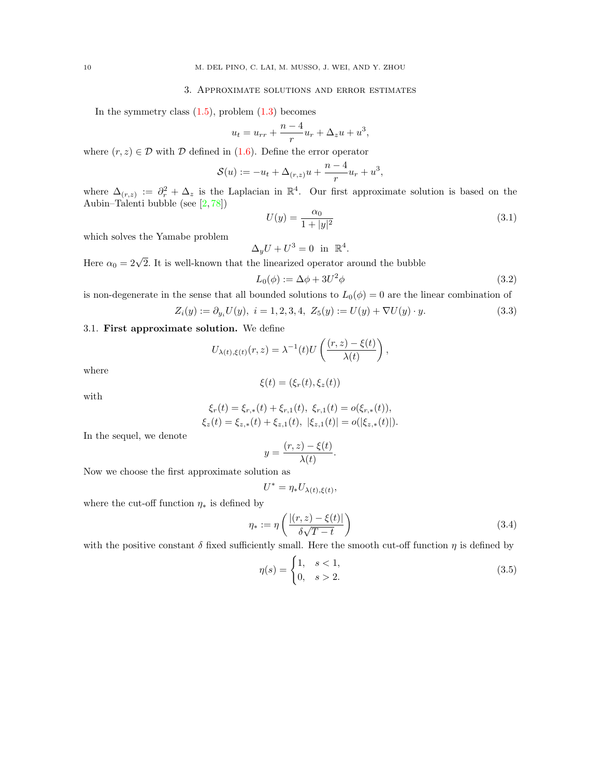#### 3. Approximate solutions and error estimates

<span id="page-9-0"></span>In the symmetry class  $(1.5)$ , problem  $(1.3)$  becomes

$$
u_t = u_{rr} + \frac{n-4}{r}u_r + \Delta_z u + u^3,
$$

where  $(r, z) \in \mathcal{D}$  with  $\mathcal D$  defined in [\(1.6\)](#page-3-2). Define the error operator

$$
S(u) := -u_t + \Delta_{(r,z)}u + \frac{n-4}{r}u_r + u^3,
$$

where  $\Delta(r,z) := \partial_r^2 + \Delta_z$  is the Laplacian in  $\mathbb{R}^4$ . Our first approximate solution is based on the Aubin–Talenti bubble (see [\[2,](#page-61-27) [78\]](#page-63-19))

<span id="page-9-5"></span>
$$
U(y) = \frac{\alpha_0}{1 + |y|^2} \tag{3.1}
$$

which solves the Yamabe problem

$$
\Delta_y U + U^3 = 0 \text{ in } \mathbb{R}^4.
$$

Here  $\alpha_0 = 2\sqrt{2}$ . It is well-known that the linearized operator around the bubble

<span id="page-9-4"></span>
$$
L_0(\phi) := \Delta \phi + 3U^2 \phi \tag{3.2}
$$

is non-degenerate in the sense that all bounded solutions to  $L_0(\phi) = 0$  are the linear combination of

<span id="page-9-2"></span>
$$
Z_i(y) := \partial_{y_i} U(y), \ i = 1, 2, 3, 4, \ Z_5(y) := U(y) + \nabla U(y) \cdot y. \tag{3.3}
$$

## <span id="page-9-1"></span>3.1. First approximate solution. We define

$$
U_{\lambda(t),\xi(t)}(r,z) = \lambda^{-1}(t)U\left(\frac{(r,z)-\xi(t)}{\lambda(t)}\right),\,
$$

where

$$
\xi(t) = (\xi_r(t), \xi_z(t))
$$

with

$$
\xi_r(t) = \xi_{r,*}(t) + \xi_{r,1}(t), \ \xi_{r,1}(t) = o(\xi_{r,*}(t)),
$$
  
\n
$$
\xi_z(t) = \xi_{z,*}(t) + \xi_{z,1}(t), \ |\xi_{z,1}(t)| = o(|\xi_{z,*}(t)|).
$$

In the sequel, we denote

$$
y = \frac{(r, z) - \xi(t)}{\lambda(t)}.
$$

.

Now we choose the first approximate solution as

$$
U^* = \eta_* U_{\lambda(t),\xi(t)},
$$

where the cut-off function  $\eta_*$  is defined by

<span id="page-9-6"></span>
$$
\eta_* := \eta \left( \frac{|(r, z) - \xi(t)|}{\delta \sqrt{T - t}} \right) \tag{3.4}
$$

with the positive constant  $\delta$  fixed sufficiently small. Here the smooth cut-off function  $\eta$  is defined by

<span id="page-9-3"></span>
$$
\eta(s) = \begin{cases} 1, & s < 1, \\ 0, & s > 2. \end{cases} \tag{3.5}
$$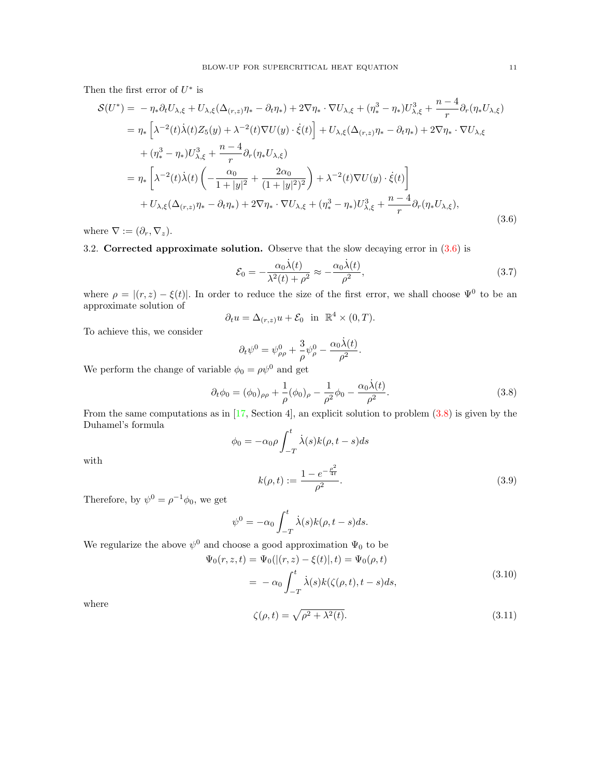Then the first error of  $U^*$  is

<span id="page-10-2"></span>
$$
\mathcal{S}(U^*) = -\eta_* \partial_t U_{\lambda,\xi} + U_{\lambda,\xi} (\Delta_{(r,z)} \eta_* - \partial_t \eta_*) + 2\nabla \eta_* \cdot \nabla U_{\lambda,\xi} + (\eta_*^3 - \eta_*) U_{\lambda,\xi}^3 + \frac{n-4}{r} \partial_r (\eta_* U_{\lambda,\xi})
$$
  
\n
$$
= \eta_* \left[ \lambda^{-2}(t) \dot{\lambda}(t) Z_5(y) + \lambda^{-2}(t) \nabla U(y) \cdot \dot{\xi}(t) \right] + U_{\lambda,\xi} (\Delta_{(r,z)} \eta_* - \partial_t \eta_*) + 2\nabla \eta_* \cdot \nabla U_{\lambda,\xi}
$$
  
\n
$$
+ (\eta_*^3 - \eta_*) U_{\lambda,\xi}^3 + \frac{n-4}{r} \partial_r (\eta_* U_{\lambda,\xi})
$$
  
\n
$$
= \eta_* \left[ \lambda^{-2}(t) \dot{\lambda}(t) \left( -\frac{\alpha_0}{1+|y|^2} + \frac{2\alpha_0}{(1+|y|^2)^2} \right) + \lambda^{-2}(t) \nabla U(y) \cdot \dot{\xi}(t) \right]
$$
  
\n
$$
+ U_{\lambda,\xi} (\Delta_{(r,z)} \eta_* - \partial_t \eta_*) + 2\nabla \eta_* \cdot \nabla U_{\lambda,\xi} + (\eta_*^3 - \eta_*) U_{\lambda,\xi}^3 + \frac{n-4}{r} \partial_r (\eta_* U_{\lambda,\xi}),
$$
\n(3.6)

where  $\nabla := (\partial_r, \nabla_z).$ 

<span id="page-10-0"></span>3.2. Corrected approximate solution. Observe that the slow decaying error in  $(3.6)$  is

<span id="page-10-5"></span>
$$
\mathcal{E}_0 = -\frac{\alpha_0 \dot{\lambda}(t)}{\lambda^2(t) + \rho^2} \approx -\frac{\alpha_0 \dot{\lambda}(t)}{\rho^2},\tag{3.7}
$$

where  $\rho = |(r, z) - \xi(t)|$ . In order to reduce the size of the first error, we shall choose  $\Psi^0$  to be an approximate solution of

$$
\partial_t u = \Delta_{(r,z)} u + \mathcal{E}_0 \quad \text{in} \quad \mathbb{R}^4 \times (0,T).
$$

To achieve this, we consider

$$
\partial_t \psi^0 = \psi^0_{\rho\rho} + \frac{3}{\rho} \psi^0_{\rho} - \frac{\alpha_0 \dot{\lambda}(t)}{\rho^2}.
$$

We perform the change of variable  $\phi_0 = \rho \psi^0$  and get

<span id="page-10-3"></span>
$$
\partial_t \phi_0 = (\phi_0)_{\rho \rho} + \frac{1}{\rho} (\phi_0)_{\rho} - \frac{1}{\rho^2} \phi_0 - \frac{\alpha_0 \dot{\lambda}(t)}{\rho^2}.
$$
 (3.8)

From the same computations as in [\[17,](#page-61-24) Section 4], an explicit solution to problem [\(3.8\)](#page-10-3) is given by the Duhamel's formula

$$
\phi_0 = -\alpha_0 \rho \int_{-T}^t \dot{\lambda}(s) k(\rho, t - s) ds
$$

$$
1 - e^{-\frac{\rho^2}{4t}}
$$

with

<span id="page-10-4"></span>
$$
k(\rho, t) := \frac{1 - e^{-\frac{\rho^2}{4t}}}{\rho^2}.
$$
\n(3.9)

Therefore, by  $\psi^0 = \rho^{-1} \phi_0$ , we get

$$
\psi^{0} = -\alpha_0 \int_{-T}^{t} \dot{\lambda}(s)k(\rho, t - s)ds.
$$

We regularize the above  $\psi^0$  and choose a good approximation  $\Psi_0$  to be

<span id="page-10-1"></span> $\Psi_0(r,$ 

$$
z, t) = \Psi_0(|(r, z) - \xi(t)|, t) = \Psi_0(\rho, t)
$$
  
= 
$$
-\alpha_0 \int_{-T}^t \dot{\lambda}(s)k(\zeta(\rho, t), t - s)ds,
$$
 (3.10)

where

$$
\zeta(\rho, t) = \sqrt{\rho^2 + \lambda^2(t)}.\tag{3.11}
$$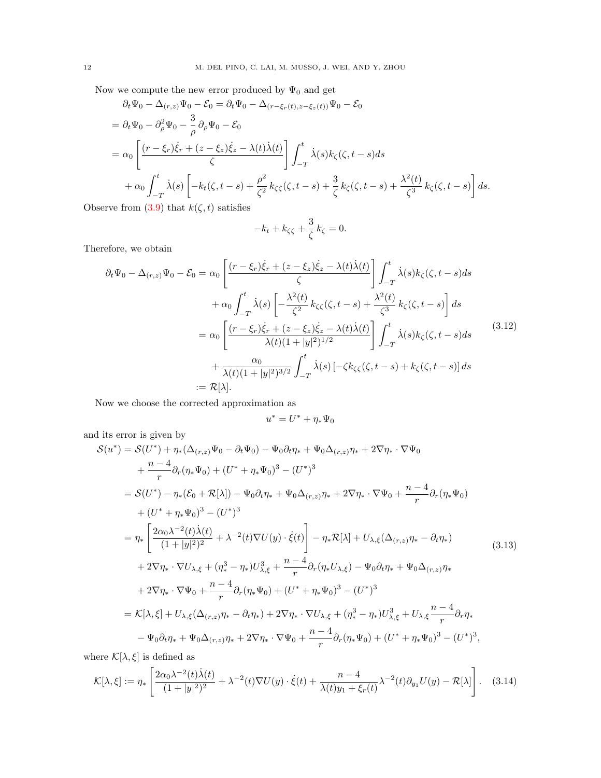Now we compute the new error produced by  $\Psi_0$  and get

$$
\partial_t \Psi_0 - \Delta_{(r,z)} \Psi_0 - \mathcal{E}_0 = \partial_t \Psi_0 - \Delta_{(r-\xi_r(t),z-\xi_z(t))} \Psi_0 - \mathcal{E}_0
$$
\n
$$
= \partial_t \Psi_0 - \partial_\rho^2 \Psi_0 - \frac{3}{\rho} \partial_\rho \Psi_0 - \mathcal{E}_0
$$
\n
$$
= \alpha_0 \left[ \frac{(r-\xi_r)\dot{\xi}_r + (z-\xi_z)\dot{\xi}_z - \lambda(t)\dot{\lambda}(t)}{\zeta} \right] \int_{-T}^t \dot{\lambda}(s) k_\zeta(\zeta, t-s) ds
$$
\n
$$
+ \alpha_0 \int_{-T}^t \dot{\lambda}(s) \left[ -k_t(\zeta, t-s) + \frac{\rho^2}{\zeta^2} k_\zeta(\zeta, t-s) + \frac{3}{\zeta} k_\zeta(\zeta, t-s) + \frac{\lambda^2(t)}{\zeta^3} k_\zeta(\zeta, t-s) \right] ds.
$$

Observe from [\(3.9\)](#page-10-4) that  $k(\zeta, t)$  satisfies

$$
-k_t + k_{\zeta\zeta} + \frac{3}{\zeta} k_{\zeta} = 0.
$$

Therefore, we obtain

<span id="page-11-2"></span>
$$
\partial_t \Psi_0 - \Delta_{(r,z)} \Psi_0 - \mathcal{E}_0 = \alpha_0 \left[ \frac{(r - \xi_r)\dot{\xi}_r + (z - \xi_z)\dot{\xi}_z - \lambda(t)\dot{\lambda}(t)}{\zeta} \right] \int_{-T}^t \dot{\lambda}(s) k_{\zeta}(\zeta, t - s) ds \n+ \alpha_0 \int_{-T}^t \dot{\lambda}(s) \left[ -\frac{\lambda^2(t)}{\zeta^2} k_{\zeta\zeta}(\zeta, t - s) + \frac{\lambda^2(t)}{\zeta^3} k_{\zeta}(\zeta, t - s) \right] ds \n= \alpha_0 \left[ \frac{(r - \xi_r)\dot{\xi}_r + (z - \xi_z)\dot{\xi}_z - \lambda(t)\dot{\lambda}(t)}{\lambda(t)(1 + |y|^2)^{1/2}} \right] \int_{-T}^t \dot{\lambda}(s) k_{\zeta}(\zeta, t - s) ds \qquad (3.12) \n+ \frac{\alpha_0}{\lambda(t)(1 + |y|^2)^{3/2}} \int_{-T}^t \dot{\lambda}(s) \left[ -\zeta k_{\zeta\zeta}(\zeta, t - s) + k_{\zeta}(\zeta, t - s) \right] ds \n:= \mathcal{R}[\lambda].
$$

Now we choose the corrected approximation as

$$
u^*=U^*+\eta_*\Psi_0
$$

and its error is given by

<span id="page-11-0"></span>
$$
S(u^*) = S(U^*) + \eta_*(\Delta_{(r,z)}\Psi_0 - \partial_t\Psi_0) - \Psi_0\partial_t\eta_* + \Psi_0\Delta_{(r,z)}\eta_* + 2\nabla\eta_* \cdot \nabla\Psi_0 + \frac{n-4}{r}\partial_r(\eta_*\Psi_0) + (U^* + \eta_*\Psi_0)^3 - (U^*)^3 = S(U^*) - \eta_*(\mathcal{E}_0 + \mathcal{R}[\lambda]) - \Psi_0\partial_t\eta_* + \Psi_0\Delta_{(r,z)}\eta_* + 2\nabla\eta_* \cdot \nabla\Psi_0 + \frac{n-4}{r}\partial_r(\eta_*\Psi_0) + (U^* + \eta_*\Psi_0)^3 - (U^*)^3 = \eta_* \left[ \frac{2\alpha_0\lambda^{-2}(t)\dot{\lambda}(t)}{(1+|y|^2)^2} + \lambda^{-2}(t)\nabla U(y) \cdot \dot{\xi}(t) \right] - \eta_*\mathcal{R}[\lambda] + U_{\lambda,\xi}(\Delta_{(r,z)}\eta_* - \partial_t\eta_*) + 2\nabla\eta_* \cdot \nabla U_{\lambda,\xi} + (\eta_*^3 - \eta_*)U_{\lambda,\xi}^3 + \frac{n-4}{r}\partial_r(\eta_*U_{\lambda,\xi}) - \Psi_0\partial_t\eta_* + \Psi_0\Delta_{(r,z)}\eta_* + 2\nabla\eta_* \cdot \nabla\Psi_0 + \frac{n-4}{r}\partial_r(\eta_*\Psi_0) + (U^* + \eta_*\Psi_0)^3 - (U^*)^3 = \mathcal{K}[\lambda,\xi] + U_{\lambda,\xi}(\Delta_{(r,z)}\eta_* - \partial_t\eta_*) + 2\nabla\eta_* \cdot \nabla U_{\lambda,\xi} + (\eta_*^3 - \eta_*)U_{\lambda,\xi}^3 + U_{\lambda,\xi}\frac{n-4}{r}\partial_r\eta_* - \Psi_0\partial_t\eta_* + \Psi_0\Delta_{(r,z)}\eta_* + 2\nabla\eta_* \cdot \nabla\Psi_0 + \frac{n-4}{r}\partial_r(\eta_*\Psi_0) + (U^* + \eta_*\Psi_0)^3 - (U^*)^3,
$$

where  $\mathcal{K}[\lambda,\xi]$  is defined as

<span id="page-11-1"></span>
$$
\mathcal{K}[\lambda,\xi] := \eta_* \left[ \frac{2\alpha_0 \lambda^{-2}(t)\dot{\lambda}(t)}{(1+|y|^2)^2} + \lambda^{-2}(t)\nabla U(y) \cdot \dot{\xi}(t) + \frac{n-4}{\lambda(t)y_1 + \xi_r(t)} \lambda^{-2}(t)\partial_{y_1} U(y) - \mathcal{R}[\lambda] \right].
$$
 (3.14)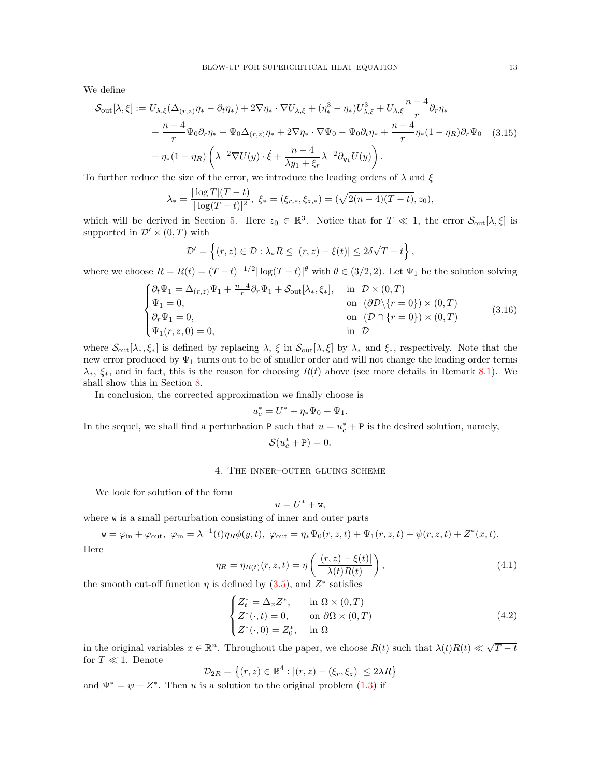We define

<span id="page-12-3"></span>
$$
\mathcal{S}_{\text{out}}[\lambda,\xi] := U_{\lambda,\xi}(\Delta_{(r,z)}\eta_* - \partial_t \eta_*) + 2\nabla \eta_* \cdot \nabla U_{\lambda,\xi} + (\eta_*^3 - \eta_*) U_{\lambda,\xi}^3 + U_{\lambda,\xi} \frac{n-4}{r} \partial_r \eta_* + \frac{n-4}{r} \Psi_0 \partial_r \eta_* + \Psi_0 \Delta_{(r,z)} \eta_* + 2\nabla \eta_* \cdot \nabla \Psi_0 - \Psi_0 \partial_t \eta_* + \frac{n-4}{r} \eta_*(1 - \eta_R) \partial_r \Psi_0
$$
(3.15)  
+  $\eta_*(1 - \eta_R) \left( \lambda^{-2} \nabla U(y) \cdot \xi + \frac{n-4}{\lambda y_1 + \xi_r} \lambda^{-2} \partial_{y_1} U(y) \right).$ 

To further reduce the size of the error, we introduce the leading orders of  $\lambda$  and  $\xi$ 

$$
\lambda_* = \frac{|\log T|(T-t)}{|\log(T-t)|^2}, \xi_* = (\xi_{r,*}, \xi_{z,*}) = (\sqrt{2(n-4)(T-t)}, z_0),
$$

which will be derived in Section [5.](#page-14-0) Here  $z_0 \in \mathbb{R}^3$ . Notice that for  $T \ll 1$ , the error  $\mathcal{S}_{\text{out}}[\lambda, \xi]$  is supported in  $\mathcal{D}' \times (0,T)$  with

$$
\mathcal{D}' = \left\{ (r, z) \in \mathcal{D} : \lambda_* R \le |(r, z) - \xi(t)| \le 2\delta\sqrt{T - t} \right\},\
$$

where we choose  $R = R(t) = (T-t)^{-1/2} |\log(T-t)|^{\theta}$  with  $\theta \in (3/2, 2)$ . Let  $\Psi_1$  be the solution solving

<span id="page-12-1"></span>
$$
\begin{cases}\n\partial_t \Psi_1 = \Delta_{(r,z)} \Psi_1 + \frac{n-4}{r} \partial_r \Psi_1 + \mathcal{S}_{\text{out}}[\lambda_*, \xi_*], & \text{in } \mathcal{D} \times (0, T) \\
\Psi_1 = 0, & \text{on } (\partial \mathcal{D} \setminus \{r = 0\}) \times (0, T) \\
\partial_r \Psi_1 = 0, & \text{on } (\mathcal{D} \cap \{r = 0\}) \times (0, T) \\
\Psi_1(r, z, 0) = 0, & \text{in } \mathcal{D}\n\end{cases}
$$
\n(3.16)

where  $\mathcal{S}_{out}[\lambda_*, \xi_*]$  is defined by replacing  $\lambda, \xi$  in  $\mathcal{S}_{out}[\lambda, \xi]$  by  $\lambda_*$  and  $\xi_*$ , respectively. Note that the new error produced by  $\Psi_1$  turns out to be of smaller order and will not change the leading order terms  $\lambda_*, \xi_*,$  and in fact, this is the reason for choosing  $R(t)$  above (see more details in Remark [8.1\)](#page-34-0). We shall show this in Section [8.](#page-30-0)

In conclusion, the corrected approximation we finally choose is

$$
u_c^* = U^* + \eta_* \Psi_0 + \Psi_1.
$$

In the sequel, we shall find a perturbation P such that  $u = u_c^* + P$  is the desired solution, namely,

$$
\mathcal{S}(u_c^* + \mathbf{P}) = 0.
$$

### 4. The inner–outer gluing scheme

<span id="page-12-0"></span>We look for solution of the form

$$
u=U^*+\mathtt{w},
$$

where **w** is a small perturbation consisting of inner and outer parts

$$
\mathbf{w} = \varphi_{\rm in} + \varphi_{\rm out}, \ \varphi_{\rm in} = \lambda^{-1}(t)\eta_R\phi(y,t), \ \varphi_{\rm out} = \eta_*\Psi_0(r,z,t) + \Psi_1(r,z,t) + \psi(r,z,t) + Z^*(x,t).
$$
  
Here

$$
\eta_R = \eta_{R(t)}(r, z, t) = \eta \left( \frac{|(r, z) - \xi(t)|}{\lambda(t) R(t)} \right),\tag{4.1}
$$

the smooth cut-off function  $\eta$  is defined by [\(3.5\)](#page-9-3), and  $Z^*$  satisfies

<span id="page-12-2"></span>
$$
\begin{cases} Z_t^* = \Delta_x Z^*, & \text{in } \Omega \times (0, T) \\ Z^*(\cdot, t) = 0, & \text{on } \partial\Omega \times (0, T) \\ Z^*(\cdot, 0) = Z_0^*, & \text{in } \Omega \end{cases}
$$
 (4.2)

in the original variables  $x \in \mathbb{R}^n$ . Throughout the paper, we choose  $R(t)$  such that  $\lambda(t)R(t) \ll \sqrt{\frac{t^2}{2\pi}}$  $T - t$ for  $T\ll 1.$  Denote

$$
\mathcal{D}_{2R} = \{(r, z) \in \mathbb{R}^4 : |(r, z) - (\xi_r, \xi_z)| \le 2\lambda R\}
$$

and  $\Psi^* = \psi + Z^*$ . Then u is a solution to the original problem [\(1.3\)](#page-2-1) if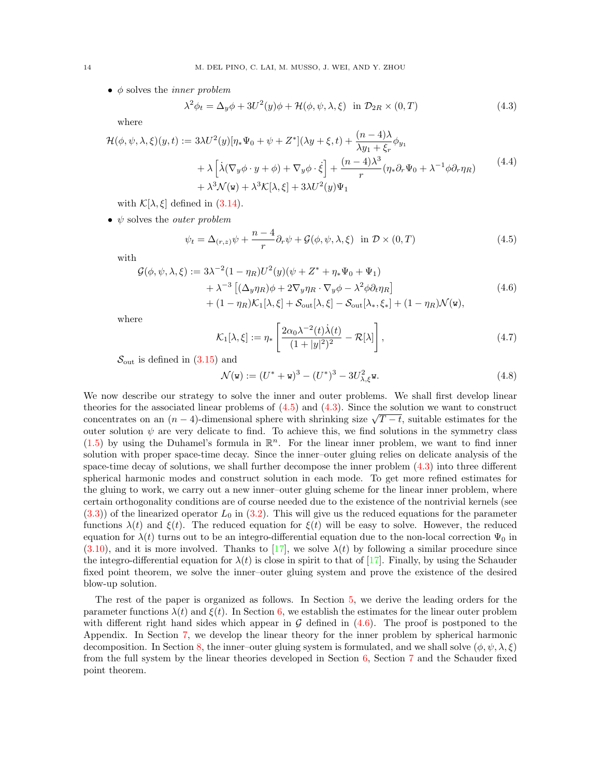$\bullet$   $\phi$  solves the *inner problem* 

<span id="page-13-3"></span>
$$
\lambda^2 \phi_t = \Delta_y \phi + 3U^2(y)\phi + \mathcal{H}(\phi, \psi, \lambda, \xi) \quad \text{in } \mathcal{D}_{2R} \times (0, T) \tag{4.3}
$$

where

<span id="page-13-0"></span>
$$
\mathcal{H}(\phi, \psi, \lambda, \xi)(y, t) := 3\lambda U^2(y)[\eta_* \Psi_0 + \psi + Z^*](\lambda y + \xi, t) + \frac{(n-4)\lambda}{\lambda y_1 + \xi_r} \phi_{y_1} \n+ \lambda \left[ \lambda (\nabla_y \phi \cdot y + \phi) + \nabla_y \phi \cdot \dot{\xi} \right] + \frac{(n-4)\lambda^3}{r} (\eta_* \partial_r \Psi_0 + \lambda^{-1} \phi \partial_r \eta_R) \n+ \lambda^3 \mathcal{N}(\mathbf{w}) + \lambda^3 \mathcal{K}[\lambda, \xi] + 3\lambda U^2(y)\Psi_1
$$
\n(4.4)

with  $\mathcal{K}[\lambda, \xi]$  defined in [\(3.14\)](#page-11-1).

• 
$$
\psi
$$
 solves the *outer problem*

<span id="page-13-2"></span>
$$
\psi_t = \Delta_{(r,z)} \psi + \frac{n-4}{r} \partial_r \psi + \mathcal{G}(\phi, \psi, \lambda, \xi) \quad \text{in } \mathcal{D} \times (0, T) \tag{4.5}
$$

with

<span id="page-13-1"></span>
$$
\mathcal{G}(\phi, \psi, \lambda, \xi) := 3\lambda^{-2} (1 - \eta_R) U^2(y) (\psi + Z^* + \eta_* \Psi_0 + \Psi_1)
$$
  
+  $\lambda^{-3} [(\Delta_y \eta_R) \phi + 2\nabla_y \eta_R \cdot \nabla_y \phi - \lambda^2 \phi \partial_t \eta_R]$   
+  $(1 - \eta_R) \mathcal{K}_1[\lambda, \xi] + \mathcal{S}_{\text{out}}[\lambda, \xi] - \mathcal{S}_{\text{out}}[\lambda_*, \xi_*] + (1 - \eta_R) \mathcal{N}(\mathbf{w}),$  (4.6)

where

<span id="page-13-4"></span>
$$
\mathcal{K}_1[\lambda,\xi] := \eta_* \left[ \frac{2\alpha_0 \lambda^{-2}(t)\dot{\lambda}(t)}{(1+|y|^2)^2} - \mathcal{R}[\lambda] \right],\tag{4.7}
$$

 $\mathcal{S}_{\text{out}}$  is defined in  $(3.15)$  and

$$
\mathcal{N}(\mathbf{w}) := (U^* + \mathbf{w})^3 - (U^*)^3 - 3U_{\lambda, \xi}^2 \mathbf{w}.
$$
\n(4.8)

We now describe our strategy to solve the inner and outer problems. We shall first develop linear theories for the associated linear problems of  $(4.5)$  and  $(4.3)$ . Since the solution we want to construct theories for the associated linear problems of (4.5) and (4.3). Since the solution we want to construct concentrates on an  $(n-4)$ -dimensional sphere with shrinking size  $\sqrt{T-t}$ , suitable estimates for the outer solution  $\psi$  are very delicate to find. To achieve this, we find solutions in the symmetry class  $(1.5)$  by using the Duhamel's formula in  $\mathbb{R}^n$ . For the linear inner problem, we want to find inner solution with proper space-time decay. Since the inner–outer gluing relies on delicate analysis of the space-time decay of solutions, we shall further decompose the inner problem [\(4.3\)](#page-13-3) into three different spherical harmonic modes and construct solution in each mode. To get more refined estimates for the gluing to work, we carry out a new inner–outer gluing scheme for the linear inner problem, where certain orthogonality conditions are of course needed due to the existence of the nontrivial kernels (see  $(3.3)$  of the linearized operator  $L_0$  in  $(3.2)$ . This will give us the reduced equations for the parameter functions  $\lambda(t)$  and  $\xi(t)$ . The reduced equation for  $\xi(t)$  will be easy to solve. However, the reduced equation for  $\lambda(t)$  turns out to be an integro-differential equation due to the non-local correction  $\Psi_0$  in  $(3.10)$ , and it is more involved. Thanks to [\[17\]](#page-61-24), we solve  $\lambda(t)$  by following a similar procedure since the integro-differential equation for  $\lambda(t)$  is close in spirit to that of [\[17\]](#page-61-24). Finally, by using the Schauder fixed point theorem, we solve the inner–outer gluing system and prove the existence of the desired blow-up solution.

The rest of the paper is organized as follows. In Section [5,](#page-14-0) we derive the leading orders for the parameter functions  $\lambda(t)$  and  $\xi(t)$ . In Section [6,](#page-18-0) we establish the estimates for the linear outer problem with different right hand sides which appear in  $G$  defined in  $(4.6)$ . The proof is postponed to the Appendix. In Section [7,](#page-20-0) we develop the linear theory for the inner problem by spherical harmonic decomposition. In Section [8,](#page-30-0) the inner–outer gluing system is formulated, and we shall solve  $(\phi, \psi, \lambda, \xi)$ from the full system by the linear theories developed in Section  $6$ , Section [7](#page-20-0) and the Schauder fixed point theorem.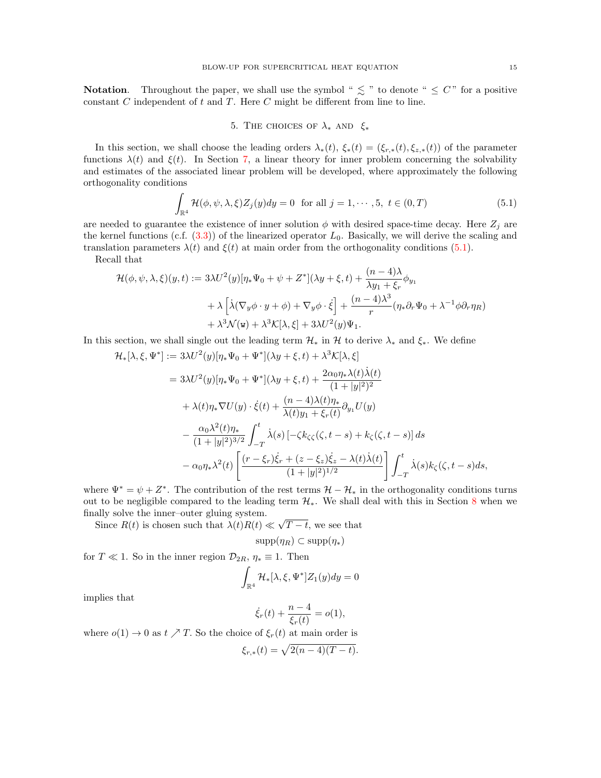**Notation.** Throughout the paper, we shall use the symbol "  $\lesssim$  " to denote "  $\leq C$ " for a positive constant  $C$  independent of  $t$  and  $T$ . Here  $C$  might be different from line to line.

# 5. THE CHOICES OF  $\lambda_*$  AND  $\xi_*$

<span id="page-14-0"></span>In this section, we shall choose the leading orders  $\lambda_*(t)$ ,  $\xi_*(t) = (\xi_{r,*}(t), \xi_{z,*}(t))$  of the parameter functions  $\lambda(t)$  and  $\xi(t)$ . In Section [7,](#page-20-0) a linear theory for inner problem concerning the solvability and estimates of the associated linear problem will be developed, where approximately the following orthogonality conditions

<span id="page-14-1"></span>
$$
\int_{\mathbb{R}^4} \mathcal{H}(\phi, \psi, \lambda, \xi) Z_j(y) dy = 0 \text{ for all } j = 1, \cdots, 5, t \in (0, T)
$$
\n(5.1)

are needed to guarantee the existence of inner solution  $\phi$  with desired space-time decay. Here  $Z_j$  are the kernel functions (c.f.  $(3.3)$ ) of the linearized operator  $L_0$ . Basically, we will derive the scaling and translation parameters  $\lambda(t)$  and  $\xi(t)$  at main order from the orthogonality conditions [\(5.1\)](#page-14-1).

Recall that

$$
\mathcal{H}(\phi, \psi, \lambda, \xi)(y, t) := 3\lambda U^2(y)[\eta_* \Psi_0 + \psi + Z^*](\lambda y + \xi, t) + \frac{(n-4)\lambda}{\lambda y_1 + \xi_r} \phi_{y_1}
$$
  
+  $\lambda \left[ \lambda (\nabla_y \phi \cdot y + \phi) + \nabla_y \phi \cdot \dot{\xi} \right] + \frac{(n-4)\lambda^3}{r} (\eta_* \partial_r \Psi_0 + \lambda^{-1} \phi \partial_r \eta_R)$   
+  $\lambda^3 \mathcal{N}(\mathbf{w}) + \lambda^3 \mathcal{K}[\lambda, \xi] + 3\lambda U^2(y)\Psi_1.$ 

In this section, we shall single out the leading term  $\mathcal{H}_*$  in  $\mathcal{H}$  to derive  $\lambda_*$  and  $\xi_*$ . We define

$$
\mathcal{H}_{*}[\lambda,\xi,\Psi^{*}] := 3\lambda U^{2}(y)[\eta_{*}\Psi_{0} + \Psi^{*}](\lambda y + \xi,t) + \lambda^{3}\mathcal{K}[\lambda,\xi]
$$
\n
$$
= 3\lambda U^{2}(y)[\eta_{*}\Psi_{0} + \Psi^{*}](\lambda y + \xi,t) + \frac{2\alpha_{0}\eta_{*}\lambda(t)\dot{\lambda}(t)}{(1+|y|^{2})^{2}}
$$
\n
$$
+ \lambda(t)\eta_{*}\nabla U(y) \cdot \dot{\xi}(t) + \frac{(n-4)\lambda(t)\eta_{*}}{\lambda(t)y_{1} + \xi_{r}(t)} \partial_{y_{1}}U(y)
$$
\n
$$
- \frac{\alpha_{0}\lambda^{2}(t)\eta_{*}}{(1+|y|^{2})^{3/2}} \int_{-T}^{t} \dot{\lambda}(s) \left[ -\zeta k_{\zeta\zeta}(\zeta,t-s) + k_{\zeta}(\zeta,t-s) \right] ds
$$
\n
$$
- \alpha_{0}\eta_{*}\lambda^{2}(t) \left[ \frac{(r-\xi_{r})\dot{\xi}_{r} + (z-\xi_{z})\dot{\xi}_{z} - \lambda(t)\dot{\lambda}(t)}{(1+|y|^{2})^{1/2}} \right] \int_{-T}^{t} \dot{\lambda}(s)k_{\zeta}(\zeta,t-s)ds,
$$

where  $\Psi^* = \psi + Z^*$ . The contribution of the rest terms  $\mathcal{H} - \mathcal{H}_*$  in the orthogonality conditions turns out to be negligible compared to the leading term  $\mathcal{H}_*$ . We shall deal with this in Section [8](#page-30-0) when we finally solve the inner–outer gluing system. √

Since  $R(t)$  is chosen such that  $\lambda(t)R(t) \ll$  $T-t$ , we see that

$$
supp(\eta_R) \subset supp(\eta_*)
$$

for  $T \ll 1$ . So in the inner region  $\mathcal{D}_{2R}$ ,  $\eta_* \equiv 1$ . Then

$$
\int_{\mathbb{R}^4} \mathcal{H}_*[\lambda, \xi, \Psi^*] Z_1(y) dy = 0
$$

implies that

$$
\dot{\xi}_r(t) + \frac{n-4}{\xi_r(t)} = o(1),
$$

where  $o(1) \rightarrow 0$  as  $t \nearrow T$ . So the choice of  $\xi_r(t)$  at main order is

$$
\xi_{r,*}(t) = \sqrt{2(n-4)(T-t)}.
$$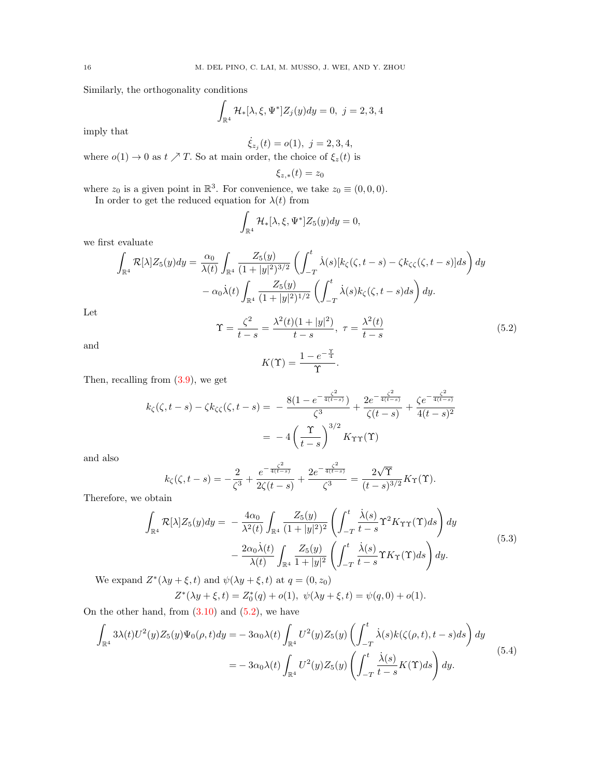Similarly, the orthogonality conditions

$$
\int_{\mathbb{R}^4} \mathcal{H}_*[\lambda, \xi, \Psi^*] Z_j(y) dy = 0, \ j = 2, 3, 4
$$

imply that

$$
\dot{\xi}_{z_j}(t) = o(1), \ j = 2, 3, 4,
$$

where  $o(1) \to 0$  as  $t \nearrow T$ . So at main order, the choice of  $\xi_z(t)$  is

$$
\xi_{z,*}(t)=z_0
$$

where  $z_0$  is a given point in  $\mathbb{R}^3$ . For convenience, we take  $z_0 \equiv (0,0,0)$ .

In order to get the reduced equation for  $\lambda(t)$  from

$$
\int_{\mathbb{R}^4} \mathcal{H}_*[\lambda, \xi, \Psi^*] Z_5(y) dy = 0,
$$

we first evaluate

$$
\int_{\mathbb{R}^4} \mathcal{R}[\lambda] Z_5(y) dy = \frac{\alpha_0}{\lambda(t)} \int_{\mathbb{R}^4} \frac{Z_5(y)}{(1+|y|^2)^{3/2}} \left( \int_{-T}^t \dot{\lambda}(s) [k_\zeta(\zeta, t-s) - \zeta k_\zeta(\zeta, t-s)] ds \right) dy
$$

$$
- \alpha_0 \dot{\lambda}(t) \int_{\mathbb{R}^4} \frac{Z_5(y)}{(1+|y|^2)^{1/2}} \left( \int_{-T}^t \dot{\lambda}(s) k_\zeta(\zeta, t-s) ds \right) dy.
$$

$$
\propto \frac{\zeta^2}{\lambda^2(t)(1+|y|^2)} = \frac{\lambda^2(t)}{\lambda^2(t)} \tag{5.3}
$$

Let

<span id="page-15-0"></span>
$$
\Upsilon = \frac{\zeta^2}{t - s} = \frac{\lambda^2(t)(1 + |y|^2)}{t - s}, \ \tau = \frac{\lambda^2(t)}{t - s}
$$
(5.2)

.

and

$$
K(\Upsilon) = \frac{1 - e^{-\frac{\Upsilon}{4}}}{\Upsilon}
$$

Then, recalling from  $(3.9)$ , we get

$$
k_{\zeta}(\zeta, t-s) - \zeta k_{\zeta\zeta}(\zeta, t-s) = -\frac{8(1 - e^{-\frac{\zeta^2}{4(t-s)}})}{\zeta^3} + \frac{2e^{-\frac{\zeta^2}{4(t-s)}}}{\zeta(t-s)} + \frac{\zeta e^{-\frac{\zeta^2}{4(t-s)}}}{4(t-s)^2}
$$

$$
= -4\left(\frac{\Upsilon}{t-s}\right)^{3/2} K_{\Upsilon\Upsilon}(\Upsilon)
$$

and also

$$
k_{\zeta}(\zeta,t-s) = -\frac{2}{\zeta^3} + \frac{e^{-\frac{\zeta^2}{4(t-s)}}}{2\zeta(t-s)} + \frac{2e^{-\frac{\zeta^2}{4(t-s)}}}{\zeta^3} = \frac{2\sqrt{\Upsilon}}{(t-s)^{3/2}}K_{\Upsilon}(\Upsilon).
$$

Therefore, we obtain

<span id="page-15-1"></span>
$$
\int_{\mathbb{R}^4} \mathcal{R}[\lambda] Z_5(y) dy = -\frac{4\alpha_0}{\lambda^2(t)} \int_{\mathbb{R}^4} \frac{Z_5(y)}{(1+|y|^2)^2} \left( \int_{-T}^t \frac{\dot{\lambda}(s)}{t-s} \Upsilon^2 K_{\Upsilon \Upsilon}(\Upsilon) ds \right) dy \n- \frac{2\alpha_0 \dot{\lambda}(t)}{\lambda(t)} \int_{\mathbb{R}^4} \frac{Z_5(y)}{1+|y|^2} \left( \int_{-T}^t \frac{\dot{\lambda}(s)}{t-s} \Upsilon K_{\Upsilon}(\Upsilon) ds \right) dy.
$$
\n(5.3)

We expand  $Z^*(\lambda y + \xi, t)$  and  $\psi(\lambda y + \xi, t)$  at  $q = (0, z_0)$ 

$$
Z^*(\lambda y + \xi, t) = Z_0^*(q) + o(1), \ \psi(\lambda y + \xi, t) = \psi(q, 0) + o(1).
$$

On the other hand, from  $(3.10)$  and  $(5.2)$ , we have

<span id="page-15-2"></span>
$$
\int_{\mathbb{R}^4} 3\lambda(t)U^2(y)Z_5(y)\Psi_0(\rho,t)dy = -3\alpha_0\lambda(t)\int_{\mathbb{R}^4} U^2(y)Z_5(y)\left(\int_{-T}^t \dot{\lambda}(s)k(\zeta(\rho,t),t-s)ds\right)dy
$$
  

$$
= -3\alpha_0\lambda(t)\int_{\mathbb{R}^4} U^2(y)Z_5(y)\left(\int_{-T}^t \frac{\dot{\lambda}(s)}{t-s}K(\Upsilon)ds\right)dy.
$$
 (5.4)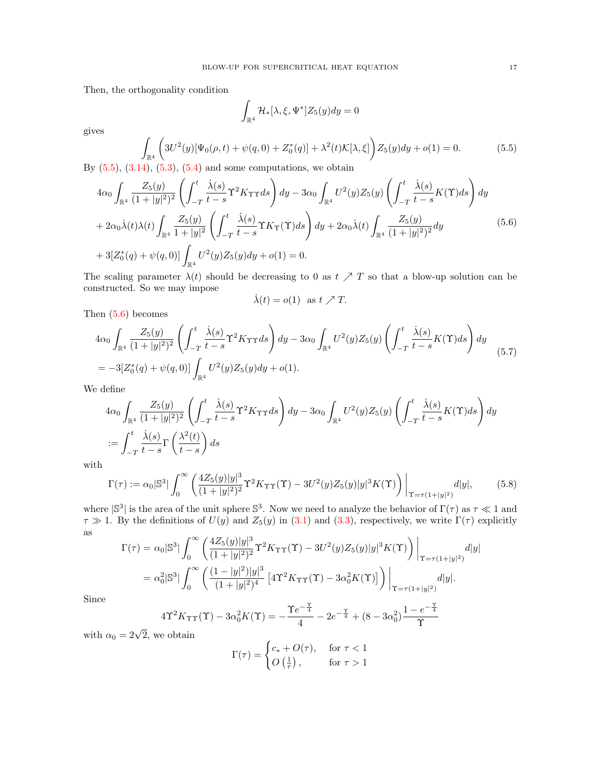Then, the orthogonality condition

$$
\int_{\mathbb{R}^4} \mathcal{H}_*[\lambda,\xi,\Psi^*]Z_5(y)dy=0
$$

gives

<span id="page-16-0"></span>
$$
\int_{\mathbb{R}^4} \left( 3U^2(y)[\Psi_0(\rho, t) + \psi(q, 0) + Z_0^*(q)] + \lambda^2(t)\mathcal{K}[\lambda, \xi] \right) Z_5(y) dy + o(1) = 0.
$$
\n(5.5)

By  $(5.5)$ ,  $(3.14)$ ,  $(5.3)$ ,  $(5.4)$  and some computations, we obtain

<span id="page-16-1"></span>
$$
4\alpha_0 \int_{\mathbb{R}^4} \frac{Z_5(y)}{(1+|y|^2)^2} \left( \int_{-T}^t \frac{\dot{\lambda}(s)}{t-s} \Upsilon^2 K_{\Upsilon \Upsilon} ds \right) dy - 3\alpha_0 \int_{\mathbb{R}^4} U^2(y) Z_5(y) \left( \int_{-T}^t \frac{\dot{\lambda}(s)}{t-s} K(\Upsilon) ds \right) dy + 2\alpha_0 \dot{\lambda}(t) \lambda(t) \int_{\mathbb{R}^4} \frac{Z_5(y)}{1+|y|^2} \left( \int_{-T}^t \frac{\dot{\lambda}(s)}{t-s} \Upsilon K_{\Upsilon}(\Upsilon) ds \right) dy + 2\alpha_0 \dot{\lambda}(t) \int_{\mathbb{R}^4} \frac{Z_5(y)}{(1+|y|^2)^2} dy + 3[Z_0^*(q) + \psi(q, 0)] \int_{\mathbb{R}^4} U^2(y) Z_5(y) dy + o(1) = 0.
$$
\n(5.6)

The scaling parameter  $\lambda(t)$  should be decreasing to 0 as  $t \nearrow T$  so that a blow-up solution can be constructed. So we may impose

$$
\dot{\lambda}(t) = o(1) \text{ as } t \nearrow T.
$$

Then  $(5.6)$  becomes

<span id="page-16-2"></span>
$$
4\alpha_0 \int_{\mathbb{R}^4} \frac{Z_5(y)}{(1+|y|^2)^2} \left( \int_{-T}^t \frac{\dot{\lambda}(s)}{t-s} \Upsilon^2 K_{\Upsilon \Upsilon} ds \right) dy - 3\alpha_0 \int_{\mathbb{R}^4} U^2(y) Z_5(y) \left( \int_{-T}^t \frac{\dot{\lambda}(s)}{t-s} K(\Upsilon) ds \right) dy
$$
  
=  $-3[Z_0^*(q) + \psi(q, 0)] \int_{\mathbb{R}^4} U^2(y) Z_5(y) dy + o(1).$ 

We define

$$
4\alpha_0 \int_{\mathbb{R}^4} \frac{Z_5(y)}{(1+|y|^2)^2} \left( \int_{-T}^t \frac{\dot{\lambda}(s)}{t-s} \Upsilon^2 K_{\Upsilon \Upsilon} ds \right) dy - 3\alpha_0 \int_{\mathbb{R}^4} U^2(y) Z_5(y) \left( \int_{-T}^t \frac{\dot{\lambda}(s)}{t-s} K(\Upsilon) ds \right) dy
$$
  
:= 
$$
\int_{-T}^t \frac{\dot{\lambda}(s)}{t-s} \Gamma\left(\frac{\lambda^2(t)}{t-s}\right) ds
$$

with

$$
\Gamma(\tau) := \alpha_0 |\mathbb{S}^3| \int_0^\infty \left( \frac{4Z_5(y)|y|^3}{(1+|y|^2)^2} \Upsilon^2 K_{\Upsilon \Upsilon}(\Upsilon) - 3U^2(y) Z_5(y) |y|^3 K(\Upsilon) \right) \Big|_{\Upsilon = \tau(1+|y|^2)} d|y|, \tag{5.8}
$$

where  $|S^3|$  is the area of the unit sphere  $S^3$ . Now we need to analyze the behavior of  $\Gamma(\tau)$  as  $\tau \ll 1$  and  $\tau \gg 1$ . By the definitions of  $U(y)$  and  $Z_5(y)$  in [\(3.1\)](#page-9-5) and [\(3.3\)](#page-9-2), respectively, we write  $\Gamma(\tau)$  explicitly as  $\overline{1}$  $\frac{1}{3}$ 

$$
\Gamma(\tau) = \alpha_0 |\mathbb{S}^3| \int_0^\infty \left( \frac{4Z_5(y)|y|^3}{(1+|y|^2)^2} \Upsilon^2 K_{\Upsilon\Upsilon}(\Upsilon) - 3U^2(y)Z_5(y)|y|^3 K(\Upsilon) \right) \Big|_{\Upsilon = \tau(1+|y|^2)} dy
$$
  
=  $\alpha_0^2 |\mathbb{S}^3| \int_0^\infty \left( \frac{(1-|y|^2)|y|^3}{(1+|y|^2)^4} \left[ 4\Upsilon^2 K_{\Upsilon\Upsilon}(\Upsilon) - 3\alpha_0^2 K(\Upsilon) \right] \right) \Big|_{\Upsilon = \tau(1+|y|^2)} dy$ .

Since

$$
4\Upsilon^2 K_{\Upsilon\Upsilon}(\Upsilon) - 3\alpha_0^2 K(\Upsilon) = -\frac{\Upsilon e^{-\frac{\Upsilon}{4}}}{4} - 2e^{-\frac{\Upsilon}{4}} + (8 - 3\alpha_0^2) \frac{1 - e^{-\frac{\Upsilon}{4}}}{\Upsilon}
$$

with  $\alpha_0 = 2\sqrt{2}$ , we obtain

$$
\Gamma(\tau) = \begin{cases} c_* + O(\tau), & \text{for } \tau < 1 \\ O\left(\frac{1}{\tau}\right), & \text{for } \tau > 1 \end{cases}
$$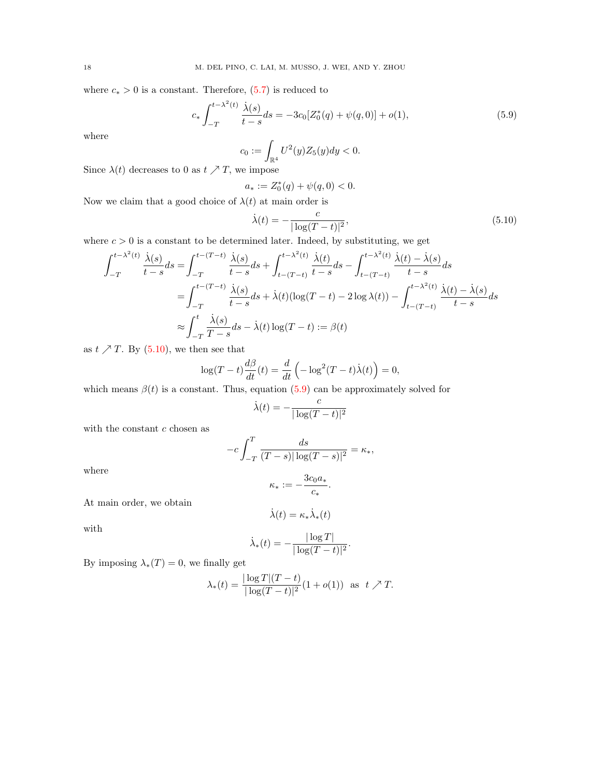where  $c_* > 0$  is a constant. Therefore, [\(5.7\)](#page-16-2) is reduced to

<span id="page-17-1"></span>
$$
c_* \int_{-T}^{t - \lambda^2(t)} \frac{\dot{\lambda}(s)}{t - s} ds = -3c_0 \left[ Z_0^*(q) + \psi(q, 0) \right] + o(1), \tag{5.9}
$$

where

$$
c_0 := \int_{\mathbb{R}^4} U^2(y) Z_5(y) dy < 0.
$$

Since  $\lambda(t)$  decreases to 0 as  $t \nearrow T$ , we impose

$$
a_*:=Z_0^*(q)+\psi(q,0)<0.
$$

Now we claim that a good choice of  $\lambda(t)$  at main order is

<span id="page-17-0"></span>
$$
\dot{\lambda}(t) = -\frac{c}{|\log(T - t)|^2},\tag{5.10}
$$

where  $c > 0$  is a constant to be determined later. Indeed, by substituting, we get

$$
\int_{-T}^{t-\lambda^2(t)} \frac{\dot{\lambda}(s)}{t-s} ds = \int_{-T}^{t-(T-t)} \frac{\dot{\lambda}(s)}{t-s} ds + \int_{t-(T-t)}^{t-\lambda^2(t)} \frac{\dot{\lambda}(t)}{t-s} ds - \int_{t-(T-t)}^{t-\lambda^2(t)} \frac{\dot{\lambda}(t) - \dot{\lambda}(s)}{t-s} ds
$$

$$
= \int_{-T}^{t-(T-t)} \frac{\dot{\lambda}(s)}{t-s} ds + \dot{\lambda}(t) (\log(T-t) - 2 \log \lambda(t)) - \int_{t-(T-t)}^{t-\lambda^2(t)} \frac{\dot{\lambda}(t) - \dot{\lambda}(s)}{t-s} ds
$$

$$
\approx \int_{-T}^{t} \frac{\dot{\lambda}(s)}{T-s} ds - \dot{\lambda}(t) \log(T-t) := \beta(t)
$$

as  $t \nearrow T$ . By [\(5.10\)](#page-17-0), we then see that

$$
\log(T-t)\frac{d\beta}{dt}(t) = \frac{d}{dt}\left(-\log^2(T-t)\dot{\lambda}(t)\right) = 0,
$$

which means  $\beta(t)$  is a constant. Thus, equation [\(5.9\)](#page-17-1) can be approximately solved for

$$
\dot{\lambda}(t) = -\frac{c}{|\log(T-t)|^2}
$$

with the constant  $c$  chosen as

$$
-c\int_{-T}^{T} \frac{ds}{(T-s)|\log(T-s)|^2} = \kappa_*,
$$

where

$$
\kappa_* := -\frac{3c_0a_*}{c_*}.
$$

At main order, we obtain

$$
\dot{\lambda}(t) = \kappa_* \dot{\lambda}_*(t)
$$

with

$$
\dot{\lambda}_*(t) = -\frac{|\log T|}{|\log(T-t)|^2}.
$$

By imposing  $\lambda_*(T) = 0$ , we finally get

$$
\lambda_*(t) = \frac{|\log T|(T-t)}{|\log(T-t)|^2} (1+o(1)) \text{ as } t \nearrow T.
$$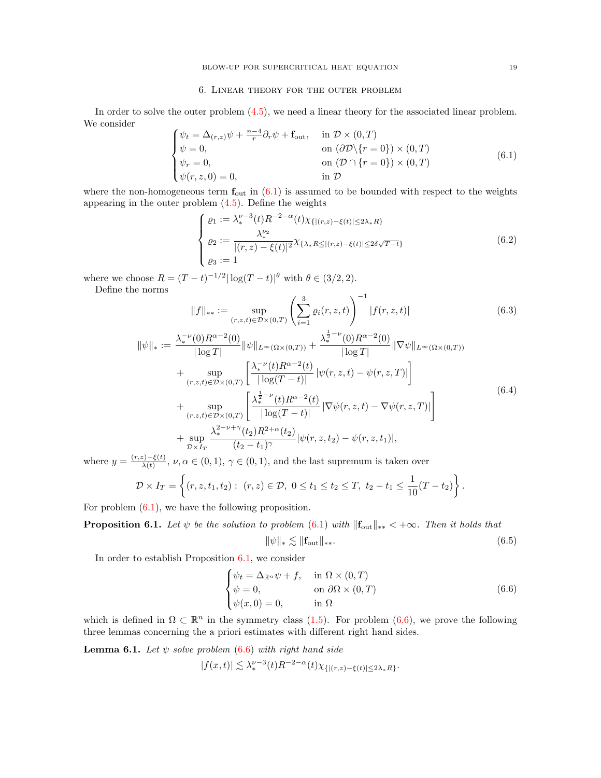#### 6. Linear theory for the outer problem

<span id="page-18-0"></span>In order to solve the outer problem  $(4.5)$ , we need a linear theory for the associated linear problem. We consider

<span id="page-18-3"></span>
$$
\begin{cases}\n\psi_t = \Delta_{(r,z)}\psi + \frac{n-4}{r}\partial_r\psi + \mathbf{f}_{\text{out}}, & \text{in } \mathcal{D} \times (0,T) \\
\psi = 0, & \text{on } (\partial \mathcal{D} \setminus \{r = 0\}) \times (0,T) \\
\psi_r = 0, & \text{on } (\mathcal{D} \cap \{r = 0\}) \times (0,T) \\
\psi(r,z,0) = 0, & \text{in } \mathcal{D}\n\end{cases}
$$
\n(6.1)

where the non-homogeneous term  $f_{\text{out}}$  in  $(6.1)$  is assumed to be bounded with respect to the weights appearing in the outer problem  $(4.5)$ . Define the weights

<span id="page-18-8"></span>
$$
\begin{cases}\n\varrho_1 := \lambda_*^{\nu-3}(t) R^{-2-\alpha}(t) \chi_{\{|(r,z) - \xi(t)| \le 2\lambda_* R\}} \\
\varrho_2 := \frac{\lambda_*^{\nu_2}}{|(r,z) - \xi(t)|^2} \chi_{\{\lambda_* R \le |(r,z) - \xi(t)| \le 2\delta\sqrt{T-t}\}} \\
\varrho_3 := 1\n\end{cases} \tag{6.2}
$$

where we choose  $R = (T - t)^{-1/2} |\log(T - t)|^{\theta}$  with  $\theta \in (3/2, 2)$ . Define the norms

<span id="page-18-2"></span>
$$
||f||_{**} := \sup_{(r,z,t)\in\mathcal{D}\times(0,T)} \left(\sum_{i=1}^3 \varrho_i(r,z,t)\right)^{-1} |f(r,z,t)| \tag{6.3}
$$

<span id="page-18-1"></span>
$$
\|\psi\|_{*} := \frac{\lambda_{*}^{-\nu}(0)R^{\alpha-2}(0)}{|\log T|} \|\psi\|_{L^{\infty}(\Omega \times (0,T))} + \frac{\lambda_{*}^{\frac{1}{2}-\nu}(0)R^{\alpha-2}(0)}{|\log T|} \|\nabla \psi\|_{L^{\infty}(\Omega \times (0,T))} \n+ \sup_{(r,z,t) \in \mathcal{D} \times (0,T)} \left[ \frac{\lambda_{*}^{-\nu}(t)R^{\alpha-2}(t)}{|\log(T-t)|} |\psi(r,z,t) - \psi(r,z,T)| \right] \n+ \sup_{(r,z,t) \in \mathcal{D} \times (0,T)} \left[ \frac{\lambda_{*}^{\frac{1}{2}-\nu}(t)R^{\alpha-2}(t)}{|\log(T-t)|} |\nabla \psi(r,z,t) - \nabla \psi(r,z,T)| \right] \n+ \sup_{\mathcal{D} \times I_{T}} \frac{\lambda_{*}^{2-\nu+\gamma}(t_{2})R^{2+\alpha}(t_{2})}{(t_{2}-t_{1})^{\gamma}} |\psi(r,z,t_{2}) - \psi(r,z,t_{1})|, \tag{6.4}
$$

where  $y = \frac{(r,z)-\xi(t)}{\lambda(t)}$  $\frac{\zeta(t)-\zeta(t)}{\lambda(t)}, \nu, \alpha \in (0,1), \gamma \in (0,1),$  and the last supremum is taken over

$$
\mathcal{D} \times I_T = \left\{ (r, z, t_1, t_2) : (r, z) \in \mathcal{D}, 0 \le t_1 \le t_2 \le T, t_2 - t_1 \le \frac{1}{10}(T - t_2) \right\}.
$$

For problem  $(6.1)$ , we have the following proposition.

<span id="page-18-4"></span>**Proposition 6.1.** Let  $\psi$  be the solution to problem [\(6.1\)](#page-18-3) with  $||\mathbf{f}_{\text{out}}||_{**} < +\infty$ . Then it holds that  $\|\psi\|_{*} \lesssim \|f_{\text{out}}\|_{**}.$  (6.5)

In order to establish Proposition  $6.1$ , we consider

<span id="page-18-7"></span><span id="page-18-5"></span>
$$
\begin{cases}\n\psi_t = \Delta_{\mathbb{R}^n} \psi + f, & \text{in } \Omega \times (0, T) \\
\psi = 0, & \text{on } \partial \Omega \times (0, T) \\
\psi(x, 0) = 0, & \text{in } \Omega\n\end{cases}
$$
\n(6.6)

which is defined in  $\Omega \subset \mathbb{R}^n$  in the symmetry class [\(1.5\)](#page-3-1). For problem [\(6.6\)](#page-18-5), we prove the following three lemmas concerning the a priori estimates with different right hand sides.

<span id="page-18-6"></span>**Lemma 6.1.** Let  $\psi$  solve problem [\(6.6\)](#page-18-5) with right hand side

$$
|f(x,t)| \lesssim \lambda_*^{\nu-3}(t) R^{-2-\alpha}(t) \chi_{\{|(r,z)-\xi(t)| \le 2\lambda_* R\}}.
$$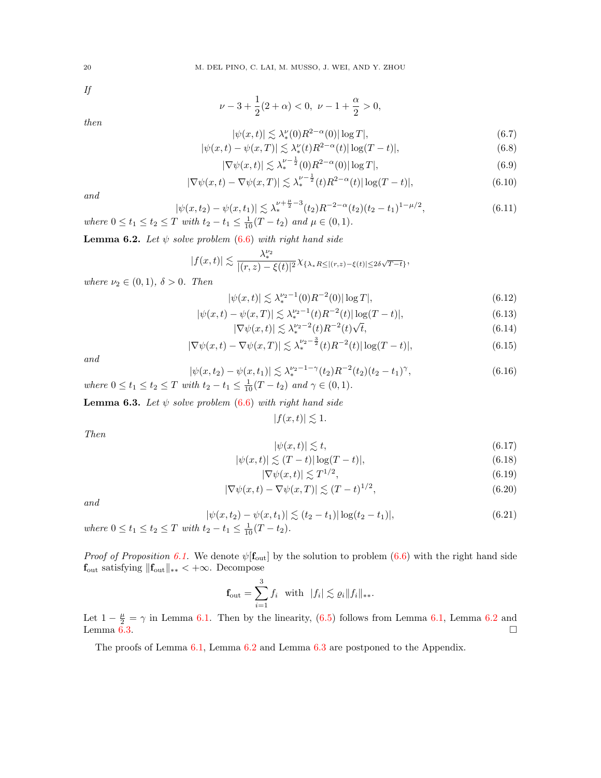If

$$
\nu - 3 + \frac{1}{2}(2 + \alpha) < 0, \ \nu - 1 + \frac{\alpha}{2} > 0,
$$

then

<span id="page-19-2"></span>
$$
|\psi(x,t)| \lesssim \lambda_*^{\nu}(0) R^{2-\alpha}(0) |\log T|,\tag{6.7}
$$

<span id="page-19-4"></span>
$$
|\psi(x,t) - \psi(x,T)| \lesssim \lambda_*^{\nu}(t) R^{2-\alpha}(t) |\log(T-t)|,
$$
\n(6.8)

<span id="page-19-5"></span>
$$
|\nabla \psi(x,t)| \lesssim \lambda_*^{\nu - \frac{1}{2}}(0)R^{2-\alpha}(0)|\log T|,\tag{6.9}
$$

<span id="page-19-6"></span><span id="page-19-3"></span>
$$
|\nabla \psi(x,t) - \nabla \psi(x,T)| \lesssim \lambda_*^{\nu - \frac{1}{2}}(t) R^{2-\alpha}(t) |\log(T-t)|,
$$
\n(6.10)

and

where 
$$
0 \le t_1 \le t_2 \le T
$$
 with  $t_2 - t_1 \le \frac{1}{10}(T - t_2)$  and  $\mu \in (0, 1)$ .  
\nwhere  $0 \le t_1 \le t_2 \le T$  with  $t_2 - t_1 \le \frac{1}{10}(T - t_2)$  and  $\mu \in (0, 1)$ .

<span id="page-19-0"></span>**Lemma 6.2.** Let  $\psi$  solve problem [\(6.6\)](#page-18-5) with right hand side

$$
|f(x,t)|\lesssim \frac{\lambda_*^{\nu_2}}{|(r,z)-\xi(t)|^2}\chi_{\{\lambda_*R\le |(r,z)-\xi(t)|\le 2\delta\sqrt{T-t}\}},
$$

where  $\nu_2 \in (0,1)$ ,  $\delta > 0$ . Then

<span id="page-19-7"></span>
$$
|\psi(x,t)| \lesssim \lambda_*^{\nu_2 - 1}(0) R^{-2}(0) |\log T|,\tag{6.12}
$$

<span id="page-19-10"></span>
$$
|\psi(x,t) - \psi(x,T)| \lesssim \lambda_*^{\nu_2 - 1}(t) R^{-2}(t) |\log(T - t)|,
$$
\n(6.13)

<span id="page-19-8"></span>
$$
|\nabla \psi(x,t)| \lesssim \lambda_*^{\nu_2 - 2}(t) R^{-2}(t) \sqrt{t},\tag{6.14}
$$

<span id="page-19-11"></span><span id="page-19-9"></span>
$$
|\nabla \psi(x,t) - \nabla \psi(x,T)| \lesssim \lambda_*^{\nu_2 - \frac{3}{2}}(t) R^{-2}(t) |\log(T - t)|,
$$
\n(6.15)

and

$$
|\psi(x, t_2) - \psi(x, t_1)| \lesssim \lambda_*^{\nu_2 - 1 - \gamma}(t_2) R^{-2}(t_2) (t_2 - t_1)^\gamma,
$$
\n(6.16)

\n
$$
where \ 0 \le t_1 \le t_2 \le T \ with \ t_2 - t_1 \le \frac{1}{10}(T - t_2) \ and \ \gamma \in (0, 1).
$$

<span id="page-19-1"></span>**Lemma 6.3.** Let  $\psi$  solve problem [\(6.6\)](#page-18-5) with right hand side

 $|f(x, t)| \lesssim 1.$ 

Then

$$
|\psi(x,t)| \lesssim t,\tag{6.17}
$$

<span id="page-19-12"></span>
$$
|\psi(x,t)| \lesssim (T-t)|\log(T-t)|,\tag{6.18}
$$

$$
|\nabla \psi(x,t)| \lesssim T^{1/2},\tag{6.19}
$$

<span id="page-19-13"></span>
$$
|\nabla \psi(x,t) - \nabla \psi(x,T)| \lesssim (T-t)^{1/2},\tag{6.20}
$$

and

<span id="page-19-14"></span>
$$
|\psi(x, t_2) - \psi(x, t_1)| \lesssim (t_2 - t_1) |\log(t_2 - t_1)|,
$$
\n(6.21)

where  $0 \le t_1 \le t_2 \le T$  with  $t_2 - t_1 \le \frac{1}{10}(T - t_2)$ .

*Proof of Proposition [6.1.](#page-18-4)* We denote  $\psi[\mathbf{f}_{\text{out}}]$  by the solution to problem [\(6.6\)](#page-18-5) with the right hand side  $\mathbf{f}_{\text{out}}$  satisfying  $\|\mathbf{f}_{\text{out}}\|_{**} < +\infty$ . Decompose

$$
\mathbf{f}_{\text{out}} = \sum_{i=1}^{3} f_i \quad \text{with} \quad |f_i| \lesssim \varrho_i \|f_i\|_{**}.
$$

Let  $1 - \frac{\mu}{2} = \gamma$  in Lemma [6.1.](#page-18-6) Then by the linearity, [\(6.5\)](#page-18-7) follows from Lemma [6.1,](#page-18-6) Lemma [6.2](#page-19-0) and Lemma  $\vec{6.3}$ .

The proofs of Lemma [6.1,](#page-18-6) Lemma [6.2](#page-19-0) and Lemma [6.3](#page-19-1) are postponed to the Appendix.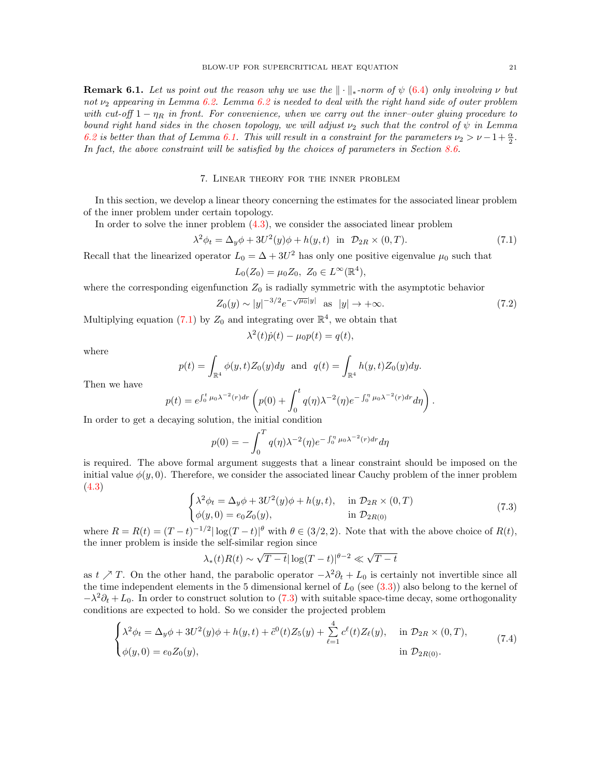<span id="page-20-5"></span>**Remark 6.1.** Let us point out the reason why we use the  $\|\cdot\|_*$ -norm of  $\psi$  [\(6.4\)](#page-18-1) only involving  $\nu$  but not  $\nu_2$  appearing in Lemma [6.2.](#page-19-0) Lemma [6.2](#page-19-0) is needed to deal with the right hand side of outer problem with cut-off  $1 - \eta_R$  in front. For convenience, when we carry out the inner-outer gluing procedure to bound right hand sides in the chosen topology, we will adjust  $\nu_2$  such that the control of  $\psi$  in Lemma [6.2](#page-19-0) is better than that of Lemma [6.1.](#page-18-6) This will result in a constraint for the parameters  $\nu_2 > \nu - 1 + \frac{\alpha}{2}$ . In fact, the above constraint will be satisfied by the choices of parameters in Section [8.6.](#page-48-0)

### 7. Linear theory for the inner problem

<span id="page-20-0"></span>In this section, we develop a linear theory concerning the estimates for the associated linear problem of the inner problem under certain topology.

In order to solve the inner problem [\(4.3\)](#page-13-3), we consider the associated linear problem

<span id="page-20-1"></span>
$$
\lambda^2 \phi_t = \Delta_y \phi + 3U^2(y)\phi + h(y, t) \quad \text{in} \quad \mathcal{D}_{2R} \times (0, T). \tag{7.1}
$$

Recall that the linearized operator  $L_0 = \Delta + 3U^2$  has only one positive eigenvalue  $\mu_0$  such that  $L_0(Z_0) = \mu_0 Z_0, Z_0 \in L^{\infty}(\mathbb{R}^4),$ 

$$
L_0(Z_0) - \mu_0 Z_0, \quad Z_0 \in L \quad (\mathbb{R})
$$

where the corresponding eigenfunction  $Z_0$  is radially symmetric with the asymptotic behavior

<span id="page-20-4"></span>
$$
Z_0(y) \sim |y|^{-3/2} e^{-\sqrt{\mu_0}|y|} \quad \text{as} \quad |y| \to +\infty. \tag{7.2}
$$

Multiplying equation [\(7.1\)](#page-20-1) by  $Z_0$  and integrating over  $\mathbb{R}^4$ , we obtain that

$$
\lambda^{2}(t)\dot{p}(t) - \mu_{0}p(t) = q(t),
$$

where

$$
p(t) = \int_{\mathbb{R}^4} \phi(y, t) Z_0(y) dy
$$
 and  $q(t) = \int_{\mathbb{R}^4} h(y, t) Z_0(y) dy$ .

Then we have

$$
p(t) = e^{\int_0^t \mu_0 \lambda^{-2}(r) dr} \left( p(0) + \int_0^t q(\eta) \lambda^{-2}(\eta) e^{-\int_0^{\eta} \mu_0 \lambda^{-2}(r) dr} d\eta \right).
$$

In order to get a decaying solution, the initial condition

$$
p(0) = -\int_0^T q(\eta) \lambda^{-2}(\eta) e^{-\int_0^{\eta} \mu_0 \lambda^{-2}(r) dr} d\eta
$$

is required. The above formal argument suggests that a linear constraint should be imposed on the initial value  $\phi(y, 0)$ . Therefore, we consider the associated linear Cauchy problem of the inner problem [\(4.3\)](#page-13-3)

<span id="page-20-2"></span>
$$
\begin{cases}\n\lambda^2 \phi_t = \Delta_y \phi + 3U^2(y)\phi + h(y, t), & \text{in } \mathcal{D}_{2R} \times (0, T) \\
\phi(y, 0) = e_0 Z_0(y), & \text{in } \mathcal{D}_{2R(0)}\n\end{cases}
$$
\n(7.3)

where  $R = R(t) = (T - t)^{-1/2} |\log(T - t)|^{\theta}$  with  $\theta \in (3/2, 2)$ . Note that with the above choice of  $R(t)$ , the inner problem is inside the self-similar region since

$$
\lambda_*(t)R(t) \sim \sqrt{T-t}|\log(T-t)|^{\theta-2} \ll \sqrt{T-t}
$$

as  $t \nearrow T$ . On the other hand, the parabolic operator  $-\lambda^2 \partial_t + L_0$  is certainly not invertible since all the time independent elements in the 5 dimensional kernel of  $L_0$  (see  $(3.3)$ ) also belong to the kernel of  $-\lambda^2 \partial_t + L_0$ . In order to construct solution to [\(7.3\)](#page-20-2) with suitable space-time decay, some orthogonality conditions are expected to hold. So we consider the projected problem

<span id="page-20-3"></span>
$$
\begin{cases}\n\lambda^2 \phi_t = \Delta_y \phi + 3U^2(y)\phi + h(y, t) + \tilde{c}^0(t)Z_5(y) + \sum_{\ell=1}^4 c^{\ell}(t)Z_{\ell}(y), & \text{in } \mathcal{D}_{2R} \times (0, T), \\
\phi(y, 0) = e_0 Z_0(y), & \text{in } \mathcal{D}_{2R(0)}.\n\end{cases}
$$
\n(7.4)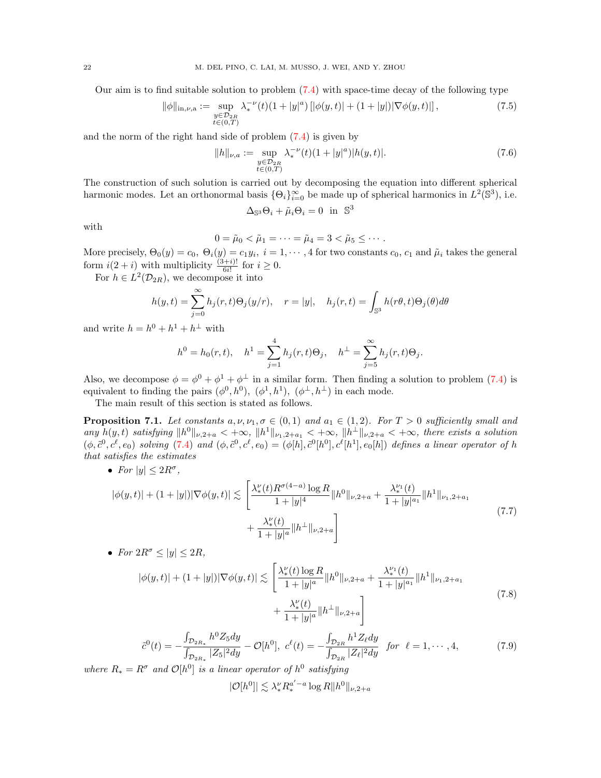Our aim is to find suitable solution to problem [\(7.4\)](#page-20-3) with space-time decay of the following type

<span id="page-21-1"></span>
$$
\|\phi\|_{\text{in},\nu,\text{a}} := \sup_{\substack{y \in \mathcal{D}_{2R} \\ t \in (0,T)}} \lambda_*^{-\nu}(t)(1+|y|^a) \left[|\phi(y,t)| + (1+|y|)|\nabla\phi(y,t)|\right],\tag{7.5}
$$

and the norm of the right hand side of problem [\(7.4\)](#page-20-3) is given by

$$
||h||_{\nu,a} := \sup_{\substack{y \in \mathcal{D}_{2R} \\ t \in (0,T)}} \lambda_*^{-\nu}(t)(1+|y|^a)|h(y,t)|. \tag{7.6}
$$

The construction of such solution is carried out by decomposing the equation into different spherical harmonic modes. Let an orthonormal basis  $\{\Theta_i\}_{i=0}^{\infty}$  be made up of spherical harmonics in  $L^2(\mathbb{S}^3)$ , i.e.

$$
\Delta_{\mathbb{S}^3} \Theta_i + \tilde{\mu}_i \Theta_i = 0 \text{ in } \mathbb{S}^3
$$

with

$$
0=\tilde{\mu}_0<\tilde{\mu}_1=\cdots=\tilde{\mu}_4=3<\tilde{\mu}_5\leq\cdots.
$$

More precisely,  $\Theta_0(y) = c_0, \ \Theta_i(y) = c_1y_i, \ i = 1, \cdots, 4$  for two constants  $c_0, c_1$  and  $\tilde{\mu}_i$  takes the general form  $i(2+i)$  with multiplicity  $\frac{(3+i)!}{6i!}$  for  $i \geq 0$ .

For  $h \in L^2(\mathcal{D}_{2R})$ , we decompose it into

$$
h(y,t) = \sum_{j=0}^{\infty} h_j(r,t)\Theta_j(y/r), \quad r = |y|, \quad h_j(r,t) = \int_{\mathbb{S}^3} h(r\theta,t)\Theta_j(\theta)d\theta
$$

and write  $h = h^0 + h^1 + h^{\perp}$  with

$$
h^{0} = h_{0}(r, t), \quad h^{1} = \sum_{j=1}^{4} h_{j}(r, t) \Theta_{j}, \quad h^{\perp} = \sum_{j=5}^{\infty} h_{j}(r, t) \Theta_{j}.
$$

Also, we decompose  $\phi = \phi^0 + \phi^1 + \phi^{\perp}$  in a similar form. Then finding a solution to problem [\(7.4\)](#page-20-3) is equivalent to finding the pairs  $(\phi^0, h^0)$ ,  $(\phi^1, h^1)$ ,  $(\phi^{\perp}, h^{\perp})$  in each mode.

The main result of this section is stated as follows.

<span id="page-21-0"></span>**Proposition 7.1.** Let constants  $a, \nu, \nu_1, \sigma \in (0,1)$  and  $a_1 \in (1,2)$ . For  $T > 0$  sufficiently small and any  $h(y,t)$  satisfying  $||h^0||_{\nu,2+a} < +\infty$ ,  $||h^1||_{\nu,2+a} < +\infty$ ,  $||h^{\perp}||_{\nu,2+a} < +\infty$ , there exists a solution  $(\phi, \tilde{c}^0, c^{\ell}, e_0)$  solving [\(7.4\)](#page-20-3) and  $(\phi, \tilde{c}^0, c^{\ell}, e_0) = (\phi[h], \tilde{c}^0[h^0], c^{\ell}[h^1], e_0[h])$  defines a linear operator of h that satisfies the estimates

• For 
$$
|y| \leq 2R^{\sigma}
$$
,

$$
|\phi(y,t)| + (1+|y|)|\nabla\phi(y,t)| \lesssim \left[\frac{\lambda_*^{\nu}(t)R^{\sigma(4-a)}\log R}{1+|y|^4}\|h^0\|_{\nu,2+a} + \frac{\lambda_*^{\nu_1}(t)}{1+|y|^a}\|h^1\|_{\nu_1,2+a_1} + \frac{\lambda_*^{\nu}(t)}{1+|y|^a}\|h^{\perp}\|_{\nu,2+a}\right]
$$
\n(7.7)

• For 
$$
2R^{\sigma} \le |y| \le 2R
$$
,

$$
|\phi(y,t)| + (1+|y|)|\nabla\phi(y,t)| \lesssim \left[\frac{\lambda_*^{\nu}(t)\log R}{1+|y|^a} \|h^0\|_{\nu,2+a} + \frac{\lambda_*^{\nu_1}(t)}{1+|y|^{a_1}} \|h^1\|_{\nu_1,2+a_1} + \frac{\lambda_*^{\nu}(t)}{1+|y|^a} \|h^{\perp}\|_{\nu,2+a}\right]
$$
\n(7.8)

$$
\tilde{c}^{0}(t) = -\frac{\int_{\mathcal{D}_{2R_{*}}} h^{0} Z_{5} dy}{\int_{\mathcal{D}_{2R_{*}}} |Z_{5}|^{2} dy} - \mathcal{O}[h^{0}], \ c^{\ell}(t) = -\frac{\int_{\mathcal{D}_{2R}} h^{1} Z_{\ell} dy}{\int_{\mathcal{D}_{2R}} |Z_{\ell}|^{2} dy} \ \text{for} \ \ell = 1, \cdots, 4,
$$
\n(7.9)

where  $R_* = R^{\sigma}$  and  $\mathcal{O}[h^0]$  is a linear operator of  $h^0$  satisfying

$$
|\mathcal{O}[h^0]| \lesssim \lambda_*^\nu R_*^{a'-a} \log R \|h^0\|_{\nu,2+a}
$$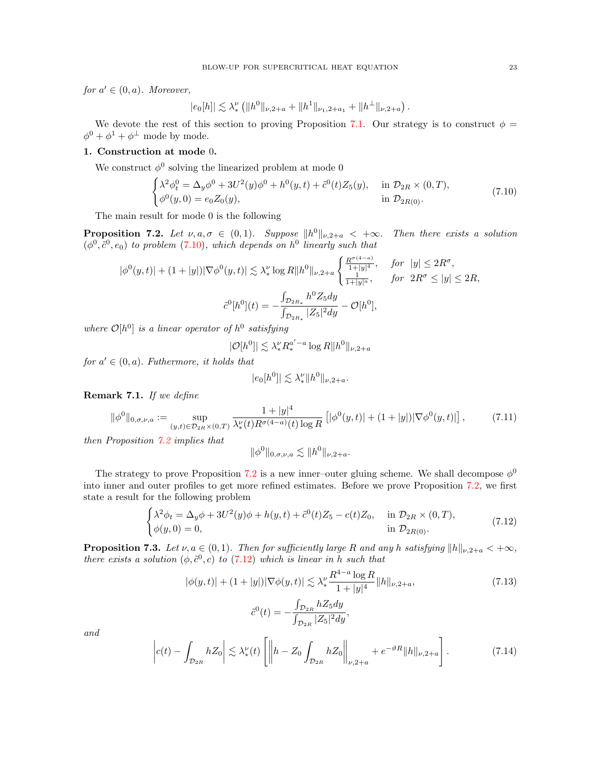for  $a' \in (0, a)$ . Moreover,

$$
|e_0[h]| \lesssim \lambda_*^{\nu} (||h^0||_{\nu,2+a} + ||h^1||_{\nu_1,2+a_1} + ||h^{\perp}||_{\nu,2+a}).
$$

We devote the rest of this section to proving Proposition [7.1.](#page-21-0) Our strategy is to construct  $\phi =$  $\phi^0 + \phi^1 + \phi^\perp$  mode by mode.

# 1. Construction at mode 0.

We construct  $\phi^0$  solving the linearized problem at mode 0

<span id="page-22-0"></span>
$$
\begin{cases} \lambda^2 \phi_t^0 = \Delta_y \phi^0 + 3U^2(y)\phi^0 + h^0(y, t) + \tilde{c}^0(t)Z_5(y), & \text{in } \mathcal{D}_{2R} \times (0, T), \\ \phi^0(y, 0) = e_0 Z_0(y), & \text{in } \mathcal{D}_{2R(0)}. \end{cases}
$$
(7.10)

The main result for mode 0 is the following

<span id="page-22-1"></span>**Proposition 7.2.** Let  $\nu, a, \sigma \in (0,1)$ . Suppose  $||h^0||_{\nu,2+a} < +\infty$ . Then there exists a solution  $(\phi^0, \tilde{c}^0, e_0)$  to problem [\(7.10\)](#page-22-0), which depends on  $h^0$  linearly such that

$$
|\phi^{0}(y,t)| + (1+|y|)|\nabla\phi^{0}(y,t)| \lesssim \lambda_{*}^{\nu}\log R||h^{0}||_{\nu,2+a} \begin{cases} \frac{R^{\sigma(4-a)}}{1+|y|^{4}}, & \text{for } |y| \le 2R^{\sigma}, \\ \frac{1}{1+|y|^a}, & \text{for } 2R^{\sigma} \le |y| \le 2R, \end{cases}
$$

$$
\tilde{c}^{0}[h^{0}](t) = -\frac{\int_{\mathcal{D}_{2R_{*}}} h^{0}Z_{5}dy}{\int_{\mathcal{D}_{2R_{*}}} |Z_{5}|^{2}dy} - \mathcal{O}[h^{0}],
$$

where  $\mathcal{O}[h^0]$  is a linear operator of  $h^0$  satisfying

$$
|\mathcal{O}[h^0]| \lesssim \lambda_*^{\nu} R_*^{a'-a} \log R ||h^0||_{\nu, 2+a}
$$

for  $a' \in (0, a)$ . Futhermore, it holds that

$$
|e_0[h^0]| \lesssim \lambda_*^\nu \|h^0\|_{\nu,2+a}.
$$

Remark 7.1. If we define

<span id="page-22-6"></span>
$$
\|\phi^0\|_{0,\sigma,\nu,a} := \sup_{(y,t)\in\mathcal{D}_{2R}\times(0,T)} \frac{1+|y|^4}{\lambda_*^{\nu}(t)R^{\sigma(4-a)}(t)\log R} \left[ |\phi^0(y,t)| + (1+|y|) |\nabla \phi^0(y,t)| \right],\tag{7.11}
$$

then Proposition [7.2](#page-22-1) implies that

$$
\|\phi^0\|_{0,\sigma,\nu,a} \lesssim \|h^0\|_{\nu,2+a}.
$$

The strategy to prove Proposition [7.2](#page-22-1) is a new inner-outer gluing scheme. We shall decompose  $\phi^0$ into inner and outer profiles to get more refined estimates. Before we prove Proposition [7.2,](#page-22-1) we first state a result for the following problem

<span id="page-22-2"></span>
$$
\begin{cases} \lambda^2 \phi_t = \Delta_y \phi + 3U^2(y)\phi + h(y, t) + \tilde{c}^0(t)Z_5 - c(t)Z_0, & \text{in } \mathcal{D}_{2R} \times (0, T), \\ \phi(y, 0) = 0, & \text{in } \mathcal{D}_{2R(0)}. \end{cases}
$$
\n(7.12)

<span id="page-22-3"></span>**Proposition 7.3.** Let  $\nu, a \in (0, 1)$ . Then for sufficiently large R and any h satisfying  $||h||_{\nu,2+a} < +\infty$ , there exists a solution  $(\phi, \tilde{c}^0, c)$  to [\(7.12\)](#page-22-2) which is linear in h such that

<span id="page-22-5"></span>
$$
|\phi(y,t)| + (1+|y|)|\nabla\phi(y,t)| \lesssim \lambda_*^{\nu} \frac{R^{4-a} \log R}{1+|y|^4} \|h\|_{\nu,2+a},\tag{7.13}
$$

$$
\tilde{c}^{0}(t) = -\frac{\int_{\mathcal{D}_{2R}} hZ_{5}dy}{\int_{\mathcal{D}_{2R}} |Z_{5}|^{2}dy},
$$

and

<span id="page-22-4"></span>
$$
\left| c(t) - \int_{\mathcal{D}_{2R}} hZ_0 \right| \lesssim \lambda_*^{\nu}(t) \left[ \left\| h - Z_0 \int_{\mathcal{D}_{2R}} hZ_0 \right\|_{\nu,2+a} + e^{-\vartheta R} \|h\|_{\nu,2+a} \right]. \tag{7.14}
$$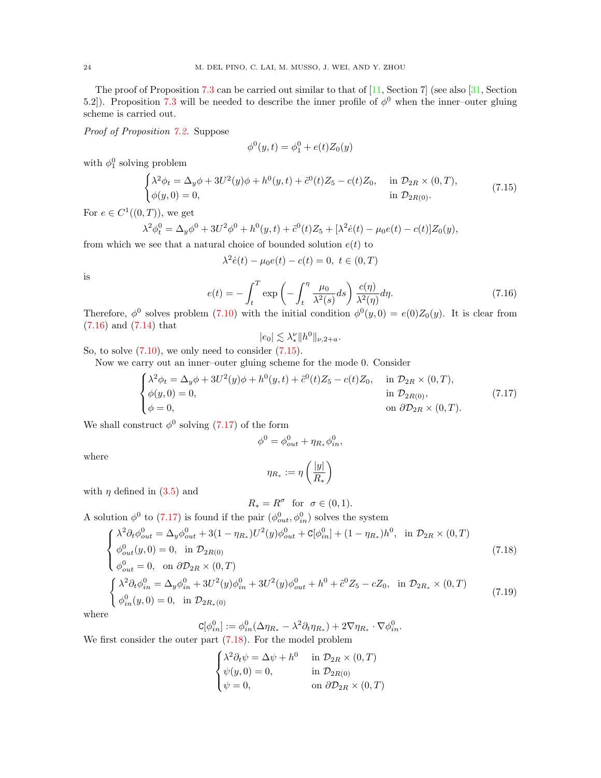The proof of Proposition [7.3](#page-22-3) can be carried out similar to that of  $[11, Section 7]$  (see also  $[31, Section 7]$ ) 5.2.]). Proposition [7.3](#page-22-3) will be needed to describe the inner profile of  $\phi^0$  when the inner-outer gluing scheme is carried out.

Proof of Proposition [7.2.](#page-22-1) Suppose

$$
\phi^{0}(y,t) = \phi_{1}^{0} + e(t)Z_{0}(y)
$$

with  $\phi_1^0$  solving problem

<span id="page-23-1"></span>
$$
\begin{cases} \lambda^2 \phi_t = \Delta_y \phi + 3U^2(y)\phi + h^0(y, t) + \tilde{c}^0(t)Z_5 - c(t)Z_0, & \text{in } \mathcal{D}_{2R} \times (0, T), \\ \phi(y, 0) = 0, & \text{in } \mathcal{D}_{2R(0)}. \end{cases}
$$
(7.15)

For  $e \in C^1((0,T))$ , we get

$$
\lambda^2 \phi_t^0 = \Delta_y \phi^0 + 3U^2 \phi^0 + h^0(y, t) + \tilde{c}^0(t) Z_5 + [\lambda^2 \dot{e}(t) - \mu_0 e(t) - c(t)] Z_0(y),
$$

from which we see that a natural choice of bounded solution  $e(t)$  to

$$
\lambda^2 \dot{e}(t) - \mu_0 e(t) - c(t) = 0, \ t \in (0, T)
$$

is

<span id="page-23-0"></span>
$$
e(t) = -\int_{t}^{T} \exp\left(-\int_{t}^{\eta} \frac{\mu_{0}}{\lambda^{2}(s)} ds\right) \frac{c(\eta)}{\lambda^{2}(\eta)} d\eta.
$$
 (7.16)

Therefore,  $\phi^0$  solves problem [\(7.10\)](#page-22-0) with the initial condition  $\phi^0(y,0) = e(0)Z_0(y)$ . It is clear from [\(7.16\)](#page-23-0) and [\(7.14\)](#page-22-4) that

$$
|e_0| \lesssim \lambda_*^{\nu} \|h^0\|_{\nu, 2+a}.
$$

So, to solve  $(7.10)$ , we only need to consider  $(7.15)$ .

Now we carry out an inner–outer gluing scheme for the mode 0. Consider

<span id="page-23-2"></span>
$$
\begin{cases}\n\lambda^2 \phi_t = \Delta_y \phi + 3U^2(y)\phi + h^0(y, t) + \tilde{c}^0(t)Z_5 - c(t)Z_0, & \text{in } \mathcal{D}_{2R} \times (0, T), \\
\phi(y, 0) = 0, & \text{in } \mathcal{D}_{2R(0)}, \\
\phi = 0, & \text{on } \partial \mathcal{D}_{2R} \times (0, T).\n\end{cases}
$$
\n(7.17)

We shall construct  $\phi^0$  solving [\(7.17\)](#page-23-2) of the form

$$
\phi^0=\phi_{out}^0+\eta_{R*}\phi_{in}^0,
$$

where

$$
\eta_{R_*}:=\eta\left(\frac{|y|}{R_*}\right)
$$

with  $\eta$  defined in [\(3.5\)](#page-9-3) and

$$
R_*=R^\sigma\ \ \text{for}\ \ \sigma\in(0,1).
$$

A solution  $\phi^0$  to [\(7.17\)](#page-23-2) is found if the pair  $(\phi_{out}^0, \phi_{in}^0)$  solves the system

<span id="page-23-3"></span>
$$
\begin{cases}\n\lambda^2 \partial_t \phi_{out}^0 = \Delta_y \phi_{out}^0 + 3(1 - \eta_{R_*}) U^2(y) \phi_{out}^0 + C[\phi_{in}^0] + (1 - \eta_{R_*}) h^0, & \text{in } \mathcal{D}_{2R} \times (0, T) \\
\phi_{out}^0(y, 0) = 0, & \text{in } \mathcal{D}_{2R(0)} \\
\phi_{out}^0 = 0, & \text{on } \partial \mathcal{D}_{2R} \times (0, T)\n\end{cases}
$$
\n(7.18)

$$
\begin{cases}\n\lambda^2 \partial_t \phi_{in}^0 = \Delta_y \phi_{in}^0 + 3U^2(y)\phi_{in}^0 + 3U^2(y)\phi_{out}^0 + h^0 + \tilde{c}^0 Z_5 - cZ_0, & \text{in } \mathcal{D}_{2R_*} \times (0, T) \\
\phi_{in}^0(y, 0) = 0, & \text{in } \mathcal{D}_{2R_* (0)}\n\end{cases}
$$
\n(7.19)

where

$$
\mathtt{C}[\phi_{in}^{0}]:=\phi_{in}^{0}(\Delta\eta_{R_{*}}-\lambda^{2}\partial_{t}\eta_{R_{*}})+2\nabla\eta_{R_{*}}\cdot\nabla\phi_{in}^{0}.
$$

We first consider the outer part  $(7.18)$ . For the model problem

$$
\begin{cases}\n\lambda^2 \partial_t \psi = \Delta \psi + h^0 & \text{in } \mathcal{D}_{2R} \times (0, T) \\
\psi(y, 0) = 0, & \text{in } \mathcal{D}_{2R(0)} \\
\psi = 0, & \text{on } \partial \mathcal{D}_{2R} \times (0, T)\n\end{cases}
$$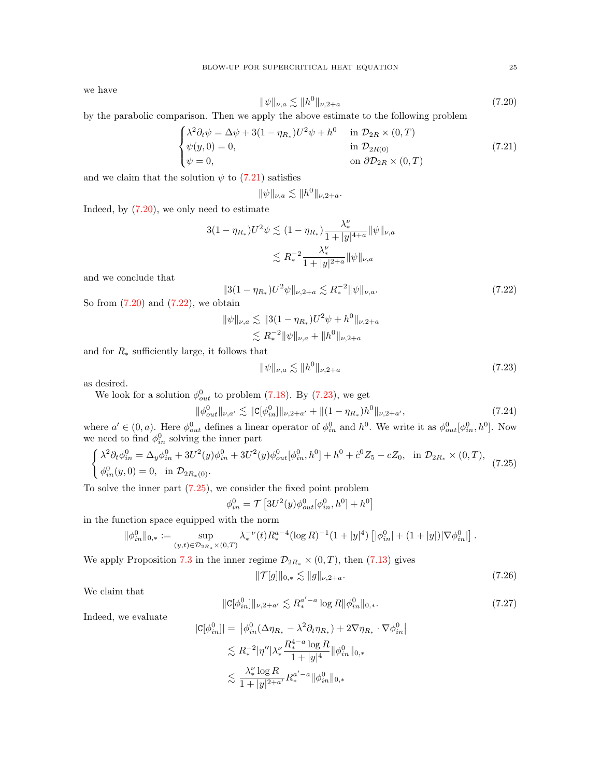we have

<span id="page-24-1"></span>
$$
\|\psi\|_{\nu,a} \lesssim \|h^0\|_{\nu,2+a} \tag{7.20}
$$

by the parabolic comparison. Then we apply the above estimate to the following problem

<span id="page-24-0"></span>
$$
\begin{cases}\n\lambda^2 \partial_t \psi = \Delta \psi + 3(1 - \eta_{R_*}) U^2 \psi + h^0 & \text{in } \mathcal{D}_{2R} \times (0, T) \\
\psi(y, 0) = 0, & \text{in } \mathcal{D}_{2R(0)} \\
\psi = 0, & \text{on } \partial \mathcal{D}_{2R} \times (0, T)\n\end{cases}
$$
\n(7.21)

and we claim that the solution  $\psi$  to [\(7.21\)](#page-24-0) satisfies

$$
\|\psi\|_{\nu,a} \lesssim \|h^0\|_{\nu,2+a}.
$$

Indeed, by [\(7.20\)](#page-24-1), we only need to estimate

$$
3(1 - \eta_{R_*})U^2 \psi \lesssim (1 - \eta_{R_*}) \frac{\lambda_*^{\nu}}{1 + |y|^{4+a}} \|\psi\|_{\nu,a}
$$

$$
\lesssim R_*^{-2} \frac{\lambda_*^{\nu}}{1 + |y|^{2+a}} \|\psi\|_{\nu,a}
$$

and we conclude that

<span id="page-24-2"></span>
$$
||3(1 - \eta_{R_*})U^2 \psi||_{\nu, 2+a} \lesssim R_*^{-2} ||\psi||_{\nu, a}.
$$
\n(7.22)

So from  $(7.20)$  and  $(7.22)$ , we obtain

$$
\|\psi\|_{\nu,a} \lesssim \|3(1 - \eta_{R_*})U^2\psi + h^0\|_{\nu,2+a}
$$
  

$$
\lesssim R_*^{-2} \|\psi\|_{\nu,a} + \|h^0\|_{\nu,2+a}
$$

and for  $R_*$  sufficiently large, it follows that

<span id="page-24-3"></span>
$$
\|\psi\|_{\nu,a} \lesssim \|h^0\|_{\nu,2+a} \tag{7.23}
$$

as desired.

We look for a solution  $\phi_{out}^0$  to problem [\(7.18\)](#page-23-3). By [\(7.23\)](#page-24-3), we get

<span id="page-24-6"></span>
$$
\|\phi_{out}^0\|_{\nu,a'} \lesssim \|C[\phi_{in}^0]\|_{\nu,2+a'} + \|(1-\eta_{R_*})h^0\|_{\nu,2+a'},\tag{7.24}
$$

where  $a' \in (0, a)$ . Here  $\phi_{out}^0$  defines a linear operator of  $\phi_{in}^0$  and  $h^0$ . We write it as  $\phi_{out}^0[\phi_{in}^0, h^0]$ . Now we need to find  $\phi_{in}^0$  solving the inner part

<span id="page-24-4"></span>
$$
\begin{cases} \lambda^2 \partial_t \phi_{in}^0 = \Delta_y \phi_{in}^0 + 3U^2(y)\phi_{in}^0 + 3U^2(y)\phi_{out}^0[\phi_{in}^0, h^0] + h^0 + \tilde{c}^0 Z_5 - cZ_0, & \text{in } \mathcal{D}_{2R_*} \times (0, T), \\ \phi_{in}^0(y, 0) = 0, & \text{in } \mathcal{D}_{2R_*(0)}. \end{cases}
$$
 (7.25)

To solve the inner part [\(7.25\)](#page-24-4), we consider the fixed point problem

$$
\phi_{in}^{0} = \mathcal{T} \left[ 3U^{2}(y)\phi_{out}^{0}[\phi_{in}^{0}, h^{0}] + h^{0} \right]
$$

in the function space equipped with the norm

$$
\|\phi^0_{in}\|_{0,*}:=\sup_{(y,t)\in\mathcal{D}_{2R_*}\times(0,T)}\lambda_*^{-\nu}(t)R_*^{a-4}(\log R)^{-1}(1+|y|^4)\left[|\phi^0_{in}|+(1+|y|)|\nabla\phi^0_{in}|\right].
$$

We apply Proposition [7.3](#page-22-3) in the inner regime  $\mathcal{D}_{2R_*} \times (0,T)$ , then [\(7.13\)](#page-22-5) gives

<span id="page-24-7"></span>
$$
\|\mathcal{T}[g]\|_{0,*} \lesssim \|g\|_{\nu,2+a}.\tag{7.26}
$$

We claim that

<span id="page-24-5"></span>
$$
\|\mathbf{C}[\phi_{in}^0]\|_{\nu,2+a'} \lesssim R_*^{a'-a} \log R \|\phi_{in}^0\|_{0,*}.\tag{7.27}
$$

Indeed, we evaluate

$$
|\mathbf{C}[\phi_{in}^0]| = |\phi_{in}^0(\Delta\eta_{R_*} - \lambda^2 \partial_t \eta_{R_*}) + 2\nabla \eta_{R_*} \cdot \nabla \phi_{in}^0|
$$
  

$$
\lesssim R_*^{-2} |\eta''|\lambda_*^{\nu} \frac{R_*^{4-a} \log R}{1+|y|^4} ||\phi_{in}^0||_{0,*}
$$
  

$$
\lesssim \frac{\lambda_*^{\nu} \log R}{1+|y|^{2+a'}} R_*^{a'-a} ||\phi_{in}^0||_{0,*}
$$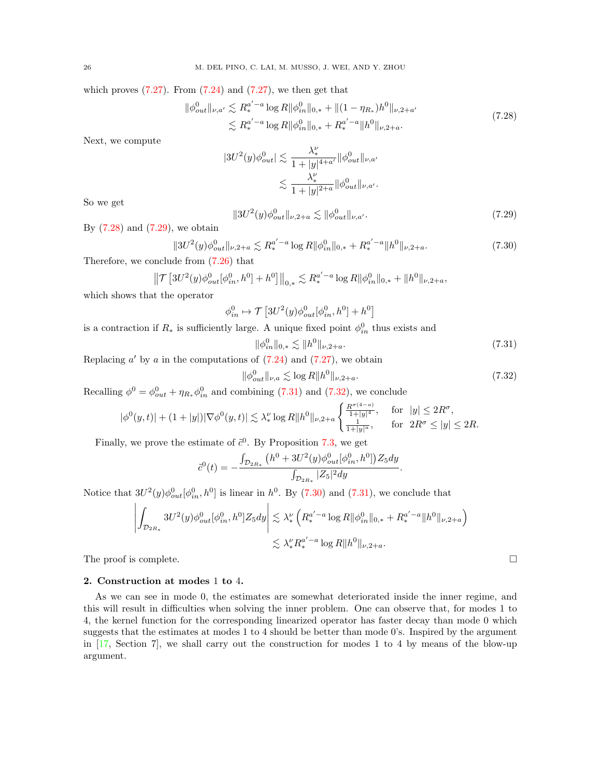which proves  $(7.27)$ . From  $(7.24)$  and  $(7.27)$ , we then get that

<span id="page-25-0"></span>
$$
\|\phi_{out}^{0}\|_{\nu,a'} \lesssim R_{*}^{a'-a} \log R \|\phi_{in}^{0}\|_{0,*} + \|(1 - \eta_{R_{*}})h^{0}\|_{\nu,2+a'}
$$
  

$$
\lesssim R_{*}^{a'-a} \log R \|\phi_{in}^{0}\|_{0,*} + R_{*}^{a'-a} \|h^{0}\|_{\nu,2+a}.
$$
 (7.28)

Next, we compute

$$
|3U^2(y)\phi_{out}^0| \lesssim \frac{\lambda_\star^\nu}{1+|y|^{4+a'}} \|\phi_{out}^0\|_{\nu,a'}
$$

$$
\lesssim \frac{\lambda_\star^\nu}{1+|y|^{2+a}} \|\phi_{out}^0\|_{\nu,a'}.
$$

So we get

<span id="page-25-1"></span>
$$
||3U^{2}(y)\phi_{out}^{0}||_{\nu,2+a} \lesssim ||\phi_{out}^{0}||_{\nu,a'}.
$$
\n(7.29)

By  $(7.28)$  and  $(7.29)$ , we obtain

<span id="page-25-4"></span>
$$
||3U^{2}(y)\phi_{out}^{0}||_{\nu,2+a} \lesssim R_{*}^{a'-a}\log R||\phi_{in}^{0}||_{0,*} + R_{*}^{a'-a}||h^{0}||_{\nu,2+a}.
$$
\n(7.30)

Therefore, we conclude from [\(7.26\)](#page-24-7) that

$$
\left\|\mathcal{T}\left[3U^2(y)\phi_{out}^0[\phi_{in}^0,h^0]+h^0\right]\right\|_{0,*} \lesssim R_*^{a'-a}\log R\|\phi_{in}^0\|_{0,*}+\|h^0\|_{\nu,2+a},
$$

which shows that the operator

$$
\phi_{in}^0 \mapsto \mathcal{T}\left[3U^2(y)\phi_{out}^0[\phi_{in}^0, h^0] + h^0\right]
$$

is a contraction if  $R_*$  is sufficiently large. A unique fixed point  $\phi_{in}^0$  thus exists and

<span id="page-25-2"></span>
$$
\|\phi_{in}^0\|_{0,*} \lesssim \|h^0\|_{\nu,2+a}.\tag{7.31}
$$

Replacing  $a'$  by  $a$  in the computations of  $(7.24)$  and  $(7.27)$ , we obtain

<span id="page-25-3"></span>
$$
\|\phi_{out}^{0}\|_{\nu,a} \lesssim \log R \|h^{0}\|_{\nu,2+a}.\tag{7.32}
$$

Recalling  $\phi^0 = \phi_{out}^0 + \eta_{R_*} \phi_{in}^0$  and combining [\(7.31\)](#page-25-2) and [\(7.32\)](#page-25-3), we conclude

$$
|\phi^{0}(y,t)| + (1+|y|) |\nabla \phi^{0}(y,t)| \lesssim \lambda_{*}^{\nu} \log R \|h^{0}\|_{\nu,2+a} \begin{cases} \frac{R^{\sigma(4-a)}}{1+|y|^{4}}, & \text{for } |y| \leq 2R^{\sigma}, \\ \frac{1}{1+|y|^a}, & \text{for } 2R^{\sigma} \leq |y| \leq 2R. \end{cases}
$$

Finally, we prove the estimate of  $\tilde{c}^0$ . By Proposition [7.3,](#page-22-3) we get

$$
\tilde{c}^{0}(t) = -\frac{\int_{\mathcal{D}_{2R_*}} \left( h^{0} + 3U^{2}(y)\phi_{out}^{0}[\phi_{in}^{0}, h^{0}]\right) Z_{5}dy}{\int_{\mathcal{D}_{2R_*}} |Z_{5}|^{2}dy}.
$$

Notice that  $3U^2(y)\phi_{out}^0[\phi_{in}^0, h^0]$  is linear in  $h^0$ . By [\(7.30\)](#page-25-4) and [\(7.31\)](#page-25-2), we conclude that

$$
\left| \int_{\mathcal{D}_{2R_*}} 3U^2(y) \phi_{out}^0[\phi_{in}^0, h^0] Z_5 dy \right| \lesssim \lambda_*^{\nu} \left( R_*^{a' - a} \log R \|\phi_{in}^0\|_{0,*} + R_*^{a' - a} \|h^0\|_{\nu, 2+a} \right)
$$
  

$$
\lesssim \lambda_*^{\nu} R_*^{a' - a} \log R \|h^0\|_{\nu, 2+a}.
$$

The proof is complete.  $\Box$ 

### 2. Construction at modes 1 to 4.

As we can see in mode 0, the estimates are somewhat deteriorated inside the inner regime, and this will result in difficulties when solving the inner problem. One can observe that, for modes 1 to 4, the kernel function for the corresponding linearized operator has faster decay than mode 0 which suggests that the estimates at modes 1 to 4 should be better than mode 0's. Inspired by the argument in [\[17,](#page-61-24) Section 7], we shall carry out the construction for modes 1 to 4 by means of the blow-up argument.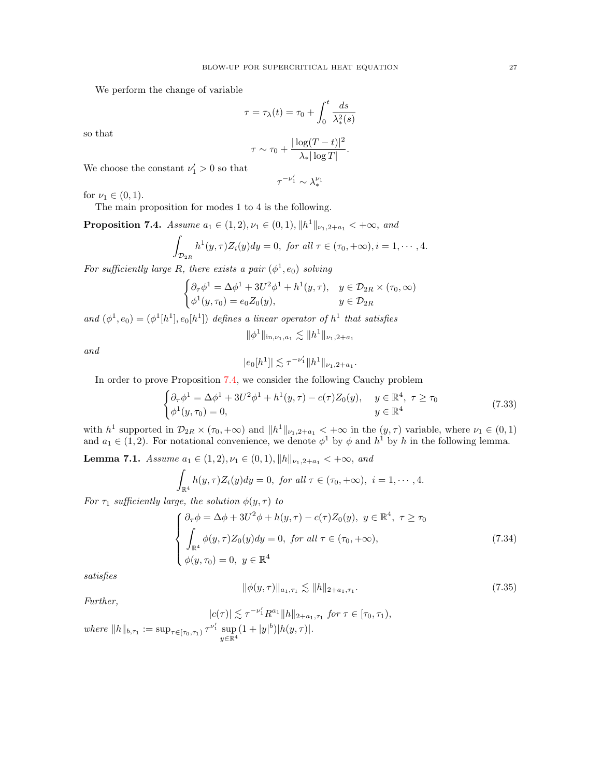We perform the change of variable

$$
\tau = \tau_{\lambda}(t) = \tau_0 + \int_0^t \frac{ds}{\lambda_*^2(s)}
$$

$$
\tau \sim \tau_0 + \frac{|\log(T - t)|^2}{\lambda_*^2(s)}.
$$

 $\tau^{-\nu_1'}\sim \lambda_*^{\nu_1}$ 

so that

$$
\tau \sim \tau_0 + \frac{|\log(T - t)|}{\lambda_* |\log T|}
$$

We choose the constant  $\nu'_1 > 0$  so that

for  $\nu_1 \in (0, 1)$ .

The main proposition for modes 1 to 4 is the following.

<span id="page-26-0"></span>**Proposition 7.4.** Assume  $a_1 \in (1, 2), \nu_1 \in (0, 1), \|h^1\|_{\nu_1, 2+a_1} < +\infty$ , and

$$
\int_{\mathcal{D}_{2R}} h^1(y,\tau)Z_i(y)dy = 0, \text{ for all } \tau \in (\tau_0,+\infty), i = 1,\cdots, 4.
$$

For sufficiently large R, there exists a pair  $(\phi^1, e_0)$  solving

$$
\begin{cases} \partial_{\tau} \phi^1 = \Delta \phi^1 + 3U^2 \phi^1 + h^1(y, \tau), & y \in \mathcal{D}_{2R} \times (\tau_0, \infty) \\ \phi^1(y, \tau_0) = e_0 Z_0(y), & y \in \mathcal{D}_{2R} \end{cases}
$$

and  $(\phi^1, e_0) = (\phi^1[h^1], e_0[h^1])$  defines a linear operator of  $h^1$  that satisfies

$$
\|\phi^1\|_{\text{in},\nu_1,a_1}\lesssim \|h^1\|_{\nu_1,2+a_1}
$$

and

$$
|e_0[h^1]| \lesssim \tau^{-\nu_1'} \|h^1\|_{\nu_1,2+a_1}.
$$

In order to prove Proposition [7.4,](#page-26-0) we consider the following Cauchy problem

<span id="page-26-2"></span>
$$
\begin{cases} \partial_{\tau} \phi^1 = \Delta \phi^1 + 3U^2 \phi^1 + h^1(y, \tau) - c(\tau) Z_0(y), & y \in \mathbb{R}^4, \ \tau \ge \tau_0 \\ \phi^1(y, \tau_0) = 0, & y \in \mathbb{R}^4 \end{cases}
$$
(7.33)

with  $h^1$  supported in  $\mathcal{D}_{2R} \times (\tau_0, +\infty)$  and  $||h^1||_{\nu_1,2+a_1} < +\infty$  in the  $(y, \tau)$  variable, where  $\nu_1 \in (0, 1)$ and  $a_1 \in (1,2)$ . For notational convenience, we denote  $\phi^1$  by  $\phi$  and  $h^1$  by h in the following lemma.

<span id="page-26-4"></span>Lemma 7.1. Assume  $a_1 \in (1, 2), \nu_1 \in (0, 1), ||h||_{\nu_1, 2+a_1} < +\infty$ , and

$$
\int_{\mathbb{R}^4} h(y,\tau)Z_i(y)dy = 0, \text{ for all } \tau \in (\tau_0,+\infty), \ i = 1,\cdots,4.
$$

For  $\tau_1$  sufficiently large, the solution  $\phi(y, \tau)$  to

<span id="page-26-1"></span>
$$
\begin{cases}\n\partial_{\tau}\phi = \Delta\phi + 3U^2\phi + h(y,\tau) - c(\tau)Z_0(y), \ y \in \mathbb{R}^4, \ \tau \ge \tau_0 \\
\int_{\mathbb{R}^4} \phi(y,\tau)Z_0(y)dy = 0, \text{ for all } \tau \in (\tau_0, +\infty), \\
\phi(y,\tau_0) = 0, \ y \in \mathbb{R}^4\n\end{cases}
$$
\n(7.34)

satisfies

<span id="page-26-3"></span>
$$
\|\phi(y,\tau)\|_{a_1,\tau_1} \lesssim \|h\|_{2+a_1,\tau_1}.\tag{7.35}
$$

Further,

$$
|c(\tau)| \lesssim \tau^{-\nu_1'} R^{a_1} \|h\|_{2+a_1,\tau_1} \text{ for } \tau \in [\tau_0, \tau_1],
$$
  
where  $||h||_{b,\tau_1} := \sup_{\tau \in [\tau_0, \tau_1)} \tau^{\nu_1'} \sup_{y \in \mathbb{R}^4} (1+|y|^b) |h(y, \tau)|.$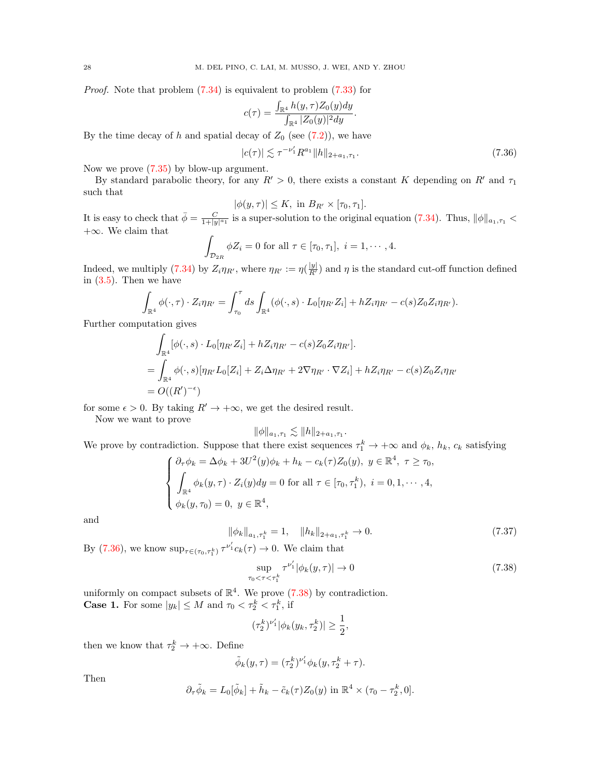Proof. Note that problem [\(7.34\)](#page-26-1) is equivalent to problem [\(7.33\)](#page-26-2) for

$$
c(\tau) = \frac{\int_{\mathbb{R}^4} h(y, \tau) Z_0(y) dy}{\int_{\mathbb{R}^4} |Z_0(y)|^2 dy}
$$

By the time decay of h and spatial decay of  $Z_0$  (see [\(7.2\)](#page-20-4)), we have

<span id="page-27-0"></span>
$$
|c(\tau)| \lesssim \tau^{-\nu_1'} R^{a_1} \|h\|_{2+a_1,\tau_1}.
$$
 (7.36)

.

Now we prove [\(7.35\)](#page-26-3) by blow-up argument.

By standard parabolic theory, for any  $R' > 0$ , there exists a constant K depending on R' and  $\tau_1$ such that

$$
|\phi(y,\tau)| \leq K, \text{ in } B_{R'} \times [\tau_0, \tau_1].
$$

It is easy to check that  $\bar{\phi} = \frac{C}{1+|y|^{\alpha_1}}$  is a super-solution to the original equation [\(7.34\)](#page-26-1). Thus,  $\|\phi\|_{a_1,\tau_1}$  <  $+\infty$ . We claim that

$$
\int_{\mathcal{D}_{2R}} \phi Z_i = 0 \text{ for all } \tau \in [\tau_0, \tau_1], i = 1, \cdots, 4.
$$

Indeed, we multiply [\(7.34\)](#page-26-1) by  $Z_i \eta_{R'}$ , where  $\eta_{R'} := \eta(\frac{|y|}{R'})$  and  $\eta$  is the standard cut-off function defined in  $(3.5)$ . Then we have

$$
\int_{\mathbb{R}^4} \phi(\cdot, \tau) \cdot Z_i \eta_{R'} = \int_{\tau_0}^{\tau} ds \int_{\mathbb{R}^4} (\phi(\cdot, s) \cdot L_0[\eta_{R'} Z_i] + h Z_i \eta_{R'} - c(s) Z_0 Z_i \eta_{R'}).
$$

Further computation gives

$$
\int_{\mathbb{R}^4} [\phi(\cdot, s) \cdot L_0[\eta_{R'} Z_i] + h Z_i \eta_{R'} - c(s) Z_0 Z_i \eta_{R'}].
$$
\n
$$
= \int_{\mathbb{R}^4} \phi(\cdot, s) [\eta_{R'} L_0[Z_i] + Z_i \Delta \eta_{R'} + 2 \nabla \eta_{R'} \cdot \nabla Z_i] + h Z_i \eta_{R'} - c(s) Z_0 Z_i \eta_{R'}
$$
\n
$$
= O((R')^{-\epsilon})
$$

for some  $\epsilon > 0$ . By taking  $R' \to +\infty$ , we get the desired result.

Now we want to prove

$$
\|\phi\|_{a_1,\tau_1} \lesssim \|h\|_{2+a_1,\tau_1}.
$$

We prove by contradiction. Suppose that there exist sequences  $\tau_1^k \to +\infty$  and  $\phi_k$ ,  $h_k$ ,  $c_k$  satisfying

$$
\begin{cases}\n\partial_{\tau}\phi_k = \Delta\phi_k + 3U^2(y)\phi_k + h_k - c_k(\tau)Z_0(y), \ y \in \mathbb{R}^4, \ \tau \ge \tau_0, \\
\int_{\mathbb{R}^4} \phi_k(y,\tau) \cdot Z_i(y)dy = 0 \text{ for all } \tau \in [\tau_0, \tau_1^k), \ i = 0, 1, \cdots, 4, \\
\phi_k(y,\tau_0) = 0, \ y \in \mathbb{R}^4,\n\end{cases}
$$

and

$$
\|\phi_k\|_{a_1,\tau_1^k} = 1, \quad \|h_k\|_{2+a_1,\tau_1^k} \to 0. \tag{7.37}
$$

By [\(7.36\)](#page-27-0), we know  $\sup_{\tau \in (\tau_0, \tau_1^k)} \tau^{\nu'_1} c_k(\tau) \to 0$ . We claim that

<span id="page-27-1"></span>
$$
\sup_{\tau_0 < \tau < \tau_1^k} \tau^{\nu_1'} |\phi_k(y, \tau)| \to 0 \tag{7.38}
$$

uniformly on compact subsets of  $\mathbb{R}^4$ . We prove [\(7.38\)](#page-27-1) by contradiction. **Case 1.** For some  $|y_k| \leq M$  and  $\tau_0 < \tau_2^k < \tau_1^k$ , if

$$
(\tau_2^k)^{\nu_1'} |\phi_k(y_k, \tau_2^k)| \ge \frac{1}{2},
$$

then we know that  $\tau_2^k \to +\infty$ . Define

$$
\tilde{\phi}_k(y,\tau) = (\tau_2^k)^{\nu_1'} \phi_k(y,\tau_2^k + \tau).
$$

Then

$$
\partial_{\tau}\tilde{\phi}_k = L_0[\tilde{\phi}_k] + \tilde{h}_k - \tilde{c}_k(\tau)Z_0(y) \text{ in } \mathbb{R}^4 \times (\tau_0 - \tau_2^k, 0].
$$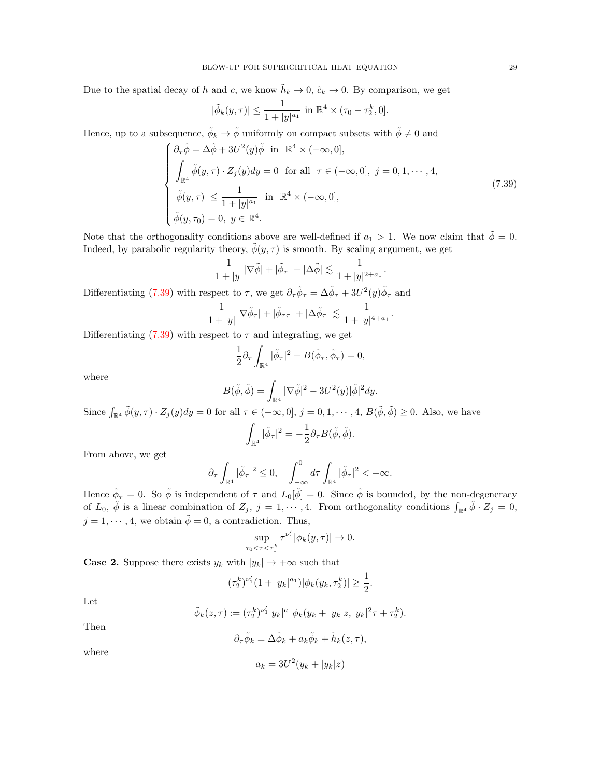Due to the spatial decay of h and c, we know  $\tilde{h}_k \to 0$ ,  $\tilde{c}_k \to 0$ . By comparison, we get

$$
|\tilde{\phi}_k(y,\tau)| \le \frac{1}{1+|y|^{a_1}} \text{ in } \mathbb{R}^4 \times (\tau_0 - \tau_2^k, 0].
$$

Hence, up to a subsequence,  $\tilde{\phi}_k \to \tilde{\phi}$  uniformly on compact subsets with  $\tilde{\phi} \neq 0$  and

<span id="page-28-0"></span>
$$
\begin{cases}\n\partial_{\tau}\tilde{\phi} = \Delta\tilde{\phi} + 3U^{2}(y)\tilde{\phi} & \text{in } \mathbb{R}^{4} \times (-\infty, 0], \\
\int_{\mathbb{R}^{4}} \tilde{\phi}(y, \tau) \cdot Z_{j}(y)dy = 0 & \text{for all } \tau \in (-\infty, 0], j = 0, 1, \dots, 4, \\
|\tilde{\phi}(y, \tau)| \leq \frac{1}{1 + |y|^{a_{1}}} & \text{in } \mathbb{R}^{4} \times (-\infty, 0], \\
\tilde{\phi}(y, \tau_{0}) = 0, y \in \mathbb{R}^{4}.\n\end{cases}
$$
\n(7.39)

Note that the orthogonality conditions above are well-defined if  $a_1 > 1$ . We now claim that  $\tilde{\phi} = 0$ . Indeed, by parabolic regularity theory,  $\phi(y, \tau)$  is smooth. By scaling argument, we get

$$
\frac{1}{1+|y|}|\nabla\tilde{\phi}|+|\tilde{\phi}_{\tau}|+|\Delta\tilde{\phi}|\lesssim \frac{1}{1+|y|^{2+a_1}}.
$$

Differentiating [\(7.39\)](#page-28-0) with respect to  $\tau$ , we get  $\partial_{\tau}\tilde{\phi}_{\tau} = \Delta\tilde{\phi}_{\tau} + 3U^2(y)\tilde{\phi}_{\tau}$  and

$$
\frac{1}{1+|y|}|\nabla \tilde{\phi}_{\tau}|+|\tilde{\phi}_{\tau\tau}|+|\Delta \tilde{\phi}_{\tau}|\lesssim \frac{1}{1+|y|^{4+a_1}}.
$$

Differentiating  $(7.39)$  with respect to  $\tau$  and integrating, we get

$$
\frac{1}{2}\partial_{\tau}\int_{\mathbb{R}^{4}}|\tilde{\phi}_{\tau}|^{2} + B(\tilde{\phi}_{\tau}, \tilde{\phi}_{\tau}) = 0,
$$

where

$$
B(\tilde{\phi}, \tilde{\phi}) = \int_{\mathbb{R}^4} |\nabla \tilde{\phi}|^2 - 3U^2(y)|\tilde{\phi}|^2 dy.
$$

Since  $\int_{\mathbb{R}^4} \tilde{\phi}(y,\tau) \cdot Z_j(y) dy = 0$  for all  $\tau \in (-\infty,0], j = 0,1,\dots,4, B(\tilde{\phi},\tilde{\phi}) \geq 0$ . Also, we have

$$
\int_{\mathbb{R}^4} |\tilde{\phi}_\tau|^2 = -\frac{1}{2} \partial_\tau B(\tilde{\phi}, \tilde{\phi}).
$$

From above, we get

$$
\partial_{\tau}\int_{\mathbb{R}^{4}}|\tilde{\phi}_{\tau}|^{2}\leq 0,\quad \int_{-\infty}^{0}d\tau\int_{\mathbb{R}^{4}}|\tilde{\phi}_{\tau}|^{2}<+\infty.
$$

Hence  $\tilde{\phi}_{\tau} = 0$ . So  $\tilde{\phi}$  is independent of  $\tau$  and  $L_0[\tilde{\phi}] = 0$ . Since  $\tilde{\phi}$  is bounded, by the non-degeneracy of  $L_0$ ,  $\tilde{\phi}$  is a linear combination of  $Z_j$ ,  $j = 1, \dots, 4$ . From orthogonality conditions  $\int_{\mathbb{R}^4} \tilde{\phi} \cdot Z_j = 0$ ,  $j = 1, \dots, 4$ , we obtain  $\tilde{\phi} = 0$ , a contradiction. Thus,

$$
\sup_{0\leq t\leq \tau_1^k}\tau^{\nu_1'}|\phi_k(y,\tau)|\to 0.
$$

**Case 2.** Suppose there exists  $y_k$  with  $|y_k| \to +\infty$  such that

 $\tau_0$ 

$$
(\tau_2^k)^{\nu_1'}(1+|y_k|^{a_1})|\phi_k(y_k,\tau_2^k)| \geq \frac{1}{2}.
$$

Let

$$
\tilde{\phi}_k(z,\tau) := (\tau_2^k)^{\nu_1'} |y_k|^{a_1} \phi_k(y_k + |y_k|z, |y_k|^2 \tau + \tau_2^k).
$$

Then

$$
\partial_{\tau}\tilde{\phi}_k = \Delta \tilde{\phi}_k + a_k \tilde{\phi}_k + \tilde{h}_k(z,\tau),
$$

where

$$
a_k = 3U^2(y_k + |y_k|z)
$$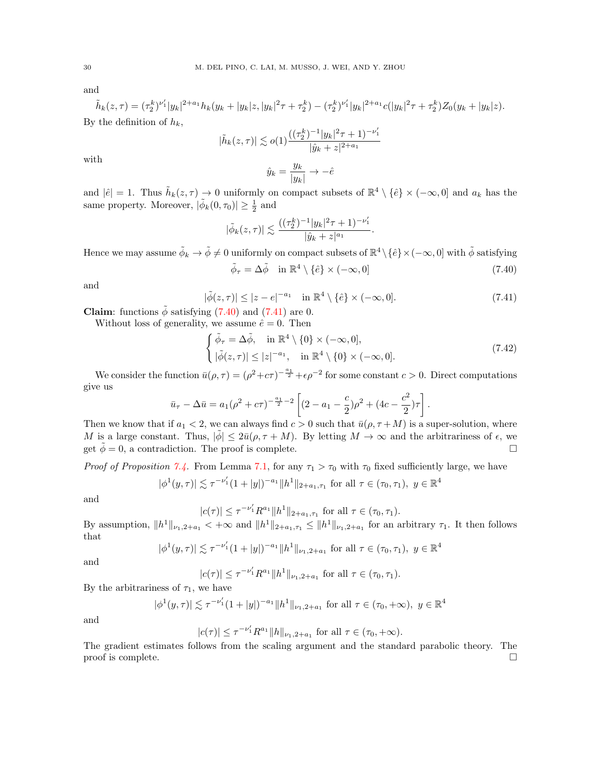and

$$
\tilde{h}_k(z,\tau) = (\tau_2^k)^{\nu_1'} |y_k|^{2+a_1} h_k(y_k + |y_k|z, |y_k|^2 \tau + \tau_2^k) - (\tau_2^k)^{\nu_1'} |y_k|^{2+a_1} c(|y_k|^2 \tau + \tau_2^k) Z_0(y_k + |y_k|z).
$$
  
By the definition of  $h_k$ ,

$$
|\tilde{h}_k(z,\tau)| \lesssim o(1) \frac{((\tau_2^k)^{-1}|y_k|^2 \tau + 1)^{-\nu_1'}}{|\hat{y}_k + z|^{2+a_1}}
$$

$$
\hat{y}_k = \frac{y_k}{|y_k|} \to -\hat{e}
$$

with

and  $|\hat{e}| = 1$ . Thus  $\tilde{h}_k(z,\tau) \to 0$  uniformly on compact subsets of  $\mathbb{R}^4 \setminus {\hat{e}} \times (-\infty,0]$  and  $a_k$  has the same property. Moreover,  $|\tilde{\phi}_k(0, \tau_0)| \geq \frac{1}{2}$  and

 $\frac{g_k}{|y_k|} \rightarrow -\hat{e}$ 

$$
|\tilde{\phi}_k(z,\tau)| \lesssim \frac{((\tau_2^k)^{-1}|y_k|^2\tau + 1)^{-\nu_1'}}{|\hat{y}_k + z|^{a_1}}
$$

Hence we may assume  $\tilde{\phi}_k \to \tilde{\phi} \neq 0$  uniformly on compact subsets of  $\mathbb{R}^4 \setminus {\hat{e}} \times (-\infty, 0]$  with  $\tilde{\phi}$  satisfying

<span id="page-29-0"></span>
$$
\tilde{\phi}_{\tau} = \Delta \tilde{\phi} \quad \text{in } \mathbb{R}^4 \setminus \{\hat{e}\} \times (-\infty, 0] \tag{7.40}
$$

.

and

<span id="page-29-1"></span>
$$
|\tilde{\phi}(z,\tau)| \le |z - e|^{-a_1} \quad \text{in } \mathbb{R}^4 \setminus \{\hat{e}\} \times (-\infty, 0]. \tag{7.41}
$$

**Claim:** functions  $\phi$  satisfying [\(7.40\)](#page-29-0) and [\(7.41\)](#page-29-1) are 0.

Without loss of generality, we assume  $\hat{e} = 0$ . Then

$$
\begin{cases} \tilde{\phi}_{\tau} = \Delta \tilde{\phi}, & \text{in } \mathbb{R}^4 \setminus \{0\} \times (-\infty, 0], \\ |\tilde{\phi}(z, \tau)| \le |z|^{-a_1}, & \text{in } \mathbb{R}^4 \setminus \{0\} \times (-\infty, 0]. \end{cases}
$$
\n(7.42)

We consider the function  $\bar{u}(\rho, \tau) = (\rho^2 + c\tau)^{-\frac{a_1}{2}} + \epsilon \rho^{-2}$  for some constant  $c > 0$ . Direct computations give us

$$
\bar{u}_{\tau} - \Delta \bar{u} = a_1 (\rho^2 + c\tau)^{-\frac{a_1}{2} - 2} \left[ (2 - a_1 - \frac{c}{2}) \rho^2 + (4c - \frac{c^2}{2})\tau \right].
$$

Then we know that if  $a_1 < 2$ , we can always find  $c > 0$  such that  $\bar{u}(\rho, \tau + M)$  is a super-solution, where M is a large constant. Thus,  $|\tilde{\phi}| \leq 2\bar{u}(\rho, \tau + M)$ . By letting  $M \to \infty$  and the arbitrariness of  $\epsilon$ , we get  $\phi = 0$ , a contradiction. The proof is complete.

*Proof of Proposition [7.4.](#page-26-0)* From Lemma [7.1,](#page-26-4) for any  $\tau_1 > \tau_0$  with  $\tau_0$  fixed sufficiently large, we have

$$
|\phi^1(y,\tau)| \lesssim \tau^{-\nu_1'} (1+|y|)^{-a_1} \|h^1\|_{2+a_1,\tau_1} \text{ for all } \tau \in (\tau_0,\tau_1), \ y \in \mathbb{R}^4
$$

and

$$
|c(\tau)| \le \tau^{-\nu'_1} R^{a_1} \|h^1\|_{2+a_1,\tau_1} \text{ for all } \tau \in (\tau_0, \tau_1).
$$

By assumption,  $||h^1||_{\nu_1,2+a_1} < +\infty$  and  $||h^1||_{2+a_1,\tau_1} \leq ||h^1||_{\nu_1,2+a_1}$  for an arbitrary  $\tau_1$ . It then follows that

$$
|\phi^1(y,\tau)| \lesssim \tau^{-\nu_1'} (1+|y|)^{-a_1} \|h^1\|_{\nu_1,2+a_1} \text{ for all } \tau \in (\tau_0,\tau_1), \ y \in \mathbb{R}^4
$$

and

$$
|c(\tau)| \le \tau^{-\nu_1'} R^{a_1} \|h^1\|_{\nu_1, 2+a_1} \text{ for all } \tau \in (\tau_0, \tau_1).
$$

By the arbitrariness of  $\tau_1$ , we have

$$
|\phi^1(y,\tau)| \lesssim \tau^{-\nu_1'} (1+|y|)^{-a_1} \|h^1\|_{\nu_1,2+a_1} \text{ for all } \tau \in (\tau_0,+\infty), \ y \in \mathbb{R}^4
$$

and

 $|c(\tau)| \leq \tau^{-\nu'_1} R^{a_1} ||h||_{\nu_1,2+a_1}$  for all  $\tau \in (\tau_0,+\infty)$ .

The gradient estimates follows from the scaling argument and the standard parabolic theory. The proof is complete.  $\Box$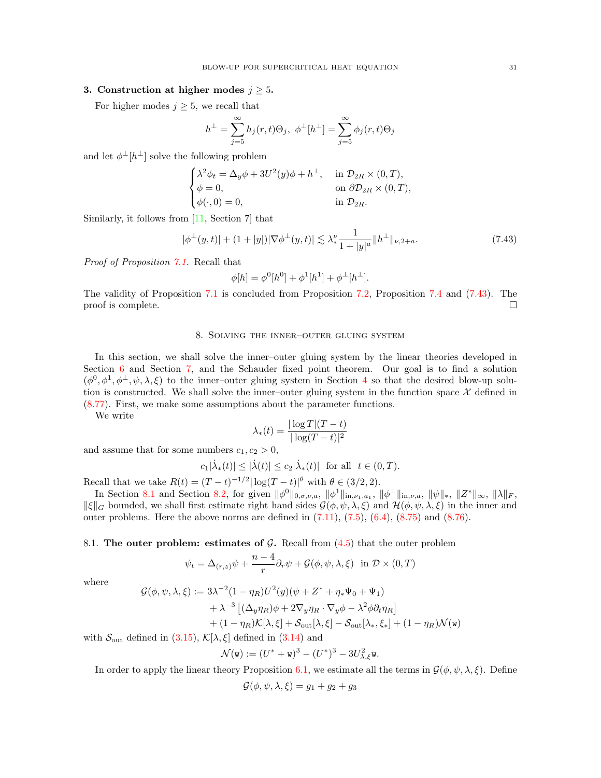## 3. Construction at higher modes  $j \geq 5$ .

For higher modes  $j \geq 5$ , we recall that

$$
h^{\perp} = \sum_{j=5}^{\infty} h_j(r, t)\Theta_j, \ \phi^{\perp}[h^{\perp}] = \sum_{j=5}^{\infty} \phi_j(r, t)\Theta_j
$$

and let  $\phi^{\perp}[h^{\perp}]$  solve the following problem

$$
\begin{cases}\n\lambda^2 \phi_t = \Delta_y \phi + 3U^2(y)\phi + h^\perp, & \text{in } \mathcal{D}_{2R} \times (0, T), \\
\phi = 0, & \text{on } \partial \mathcal{D}_{2R} \times (0, T), \\
\phi(\cdot, 0) = 0, & \text{in } \mathcal{D}_{2R}.\n\end{cases}
$$

Similarly, it follows from [\[11,](#page-61-6) Section 7] that

<span id="page-30-2"></span>
$$
|\phi^{\perp}(y,t)| + (1+|y|)|\nabla\phi^{\perp}(y,t)| \lesssim \lambda_*^{\nu} \frac{1}{1+|y|^a} \|h^{\perp}\|_{\nu,2+a}.
$$
 (7.43)

Proof of Proposition [7.1.](#page-21-0) Recall that

$$
\phi[h] = \phi^0[h^0] + \phi^1[h^1] + \phi^{\perp}[h^{\perp}].
$$

The validity of Proposition [7.1](#page-21-0) is concluded from Proposition [7.2,](#page-22-1) Proposition [7.4](#page-26-0) and [\(7.43\)](#page-30-2). The proof is complete.  $\Box$ 

## 8. Solving the inner–outer gluing system

<span id="page-30-0"></span>In this section, we shall solve the inner–outer gluing system by the linear theories developed in Section [6](#page-18-0) and Section [7,](#page-20-0) and the Schauder fixed point theorem. Our goal is to find a solution  $(\phi^0, \phi^1, \phi^{\perp}, \psi, \lambda, \xi)$  to the inner-outer gluing system in Section [4](#page-12-0) so that the desired blow-up solution is constructed. We shall solve the inner–outer gluing system in the function space  $\mathcal X$  defined in [\(8.77\)](#page-48-1). First, we make some assumptions about the parameter functions.

We write

$$
\lambda_*(t) = \frac{|\log T|(T-t)}{|\log(T-t)|^2}
$$

and assume that for some numbers  $c_1, c_2 > 0$ ,

$$
c_1|\dot{\lambda}_*(t)| \leq |\dot{\lambda}(t)| \leq c_2|\dot{\lambda}_*(t)| \ \ \text{for all} \ \ t\in (0,T).
$$

Recall that we take  $R(t) = (T - t)^{-1/2} |\log(T - t)|^{\theta}$  with  $\theta \in (3/2, 2)$ .

In Section [8.1](#page-30-1) and Section [8.2,](#page-37-0) for given  $\|\phi^0\|_{0,\sigma,\nu,a}$ ,  $\|\phi^1\|_{\text{in},\nu_1,a_1}$ ,  $\|\phi^\perp\|_{\text{in},\nu,a}$ ,  $\|\psi\|_*,$   $\|Z^*\|_{\infty}$ ,  $\|\lambda\|_F$ ,  $\|\xi\|_G$  bounded, we shall first estimate right hand sides  $\mathcal{G}(\phi, \psi, \lambda, \xi)$  and  $\mathcal{H}(\phi, \psi, \lambda, \xi)$  in the inner and outer problems. Here the above norms are defined in  $(7.11)$ ,  $(7.5)$ ,  $(6.4)$ ,  $(8.75)$  and  $(8.76)$ .

<span id="page-30-1"></span>8.1. The outer problem: estimates of  $G$ . Recall from  $(4.5)$  that the outer problem

$$
\psi_t = \Delta_{(r,z)}\psi + \frac{n-4}{r}\partial_r\psi + \mathcal{G}(\phi,\psi,\lambda,\xi) \text{ in } \mathcal{D} \times (0,T)
$$

where

$$
\mathcal{G}(\phi, \psi, \lambda, \xi) := 3\lambda^{-2} (1 - \eta_R) U^2(y) (\psi + Z^* + \eta_* \Psi_0 + \Psi_1)
$$
  
+  $\lambda^{-3} [(\Delta_y \eta_R) \phi + 2\nabla_y \eta_R \cdot \nabla_y \phi - \lambda^2 \phi \partial_t \eta_R]$   
+  $(1 - \eta_R) \mathcal{K}[\lambda, \xi] + \mathcal{S}_{\text{out}}[\lambda, \xi] - \mathcal{S}_{\text{out}}[\lambda_*, \xi_*] + (1 - \eta_R) \mathcal{N}(\mathbf{w})$ 

with  $\mathcal{S}_{\text{out}}$  defined in [\(3.15\)](#page-12-3),  $\mathcal{K}[\lambda,\xi]$  defined in [\(3.14\)](#page-11-1) and

$$
\mathcal{N}(\mathbf{w}) := (U^* + \mathbf{w})^3 - (U^*)^3 - 3U_{\lambda, \xi}^2 \mathbf{w}.
$$

In order to apply the linear theory Proposition [6.1,](#page-18-4) we estimate all the terms in  $\mathcal{G}(\phi, \psi, \lambda, \xi)$ . Define

$$
\mathcal{G}(\phi, \psi, \lambda, \xi) = g_1 + g_2 + g_3
$$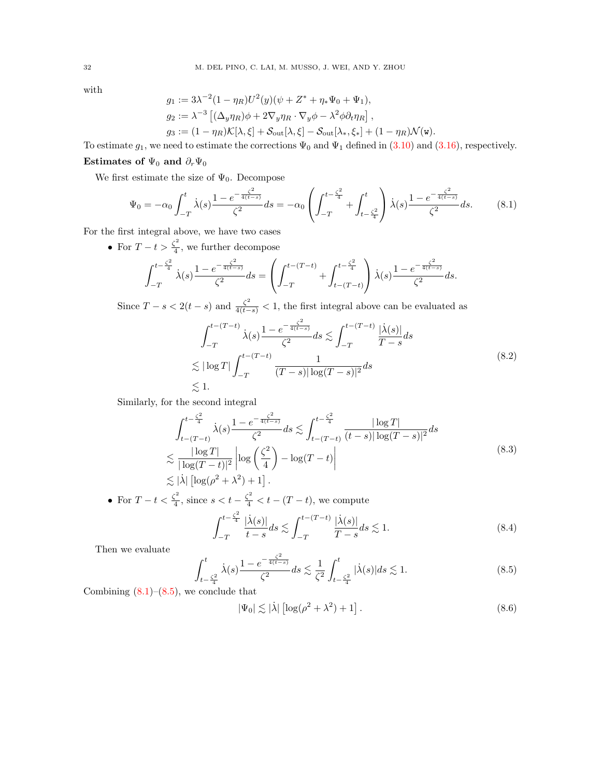with

$$
g_1 := 3\lambda^{-2} (1 - \eta_R) U^2(y) (\psi + Z^* + \eta_* \Psi_0 + \Psi_1),
$$
  
\n
$$
g_2 := \lambda^{-3} [(\Delta_y \eta_R) \phi + 2\nabla_y \eta_R \cdot \nabla_y \phi - \lambda^2 \phi \partial_t \eta_R],
$$
  
\n
$$
g_3 := (1 - \eta_R) \mathcal{K}[\lambda, \xi] + \mathcal{S}_{\text{out}}[\lambda, \xi] - \mathcal{S}_{\text{out}}[\lambda_*, \xi_*] + (1 - \eta_R) \mathcal{N}(\mathbf{w}).
$$

To estimate  $g_1$ , we need to estimate the corrections  $\Psi_0$  and  $\Psi_1$  defined in [\(3.10\)](#page-10-1) and [\(3.16\)](#page-12-1), respectively. Estimates of  $\Psi_0$  and  $\partial_r \Psi_0$ 

We first estimate the size of  $\Psi_0$ . Decompose

<span id="page-31-0"></span>
$$
\Psi_0 = -\alpha_0 \int_{-T}^t \dot{\lambda}(s) \frac{1 - e^{-\frac{\zeta^2}{4(t-s)}}}{\zeta^2} ds = -\alpha_0 \left( \int_{-T}^{t-\frac{\zeta^2}{4}} + \int_{t-\frac{\zeta^2}{4}}^t \dot{\lambda}(s) \frac{1 - e^{-\frac{\zeta^2}{4(t-s)}}}{\zeta^2} ds. \tag{8.1}
$$

For the first integral above, we have two cases

• For  $T-t > \frac{\zeta^2}{4}$  $\frac{1}{4}$ , we further decompose

$$
\int_{-T}^{t-\frac{\zeta^2}{4}} \dot{\lambda}(s) \frac{1 - e^{-\frac{\zeta^2}{4(t-s)}}}{\zeta^2} ds = \left( \int_{-T}^{t-(T-t)} + \int_{t-(T-t)}^{t-\frac{\zeta^2}{4}} \dot{\lambda}(s) \frac{1 - e^{-\frac{\zeta^2}{4(t-s)}}}{\zeta^2} ds \right).
$$

Since  $T - s < 2(t - s)$  and  $\frac{\zeta^2}{4(t - s)} < 1$ , the first integral above can be evaluated as

$$
\int_{-T}^{t-(T-t)} \dot{\lambda}(s) \frac{1 - e^{-\frac{\zeta^2}{4(t-s)}}}{\zeta^2} ds \lesssim \int_{-T}^{t-(T-t)} \frac{|\dot{\lambda}(s)|}{T-s} ds
$$
  

$$
\lesssim |\log T| \int_{-T}^{t-(T-t)} \frac{1}{(T-s)|\log(T-s)|^2} ds
$$
  

$$
\lesssim 1.
$$
 (8.2)

Similarly, for the second integral

$$
\int_{t-(T-t)}^{t-\frac{\zeta^2}{4}} \dot{\lambda}(s) \frac{1-e^{-\frac{\zeta^2}{4(t-s)}}}{\zeta^2} ds \lesssim \int_{t-(T-t)}^{t-\frac{\zeta^2}{4}} \frac{|\log T|}{(t-s)|\log(T-s)|^2} ds
$$
  

$$
\lesssim \frac{|\log T|}{|\log(T-t)|^2} \left| \log \left(\frac{\zeta^2}{4}\right) - \log(T-t) \right|
$$
  

$$
\lesssim |\dot{\lambda}| \left[ \log(\rho^2 + \lambda^2) + 1 \right].
$$
 (8.3)

• For 
$$
T - t < \frac{\zeta^2}{4}
$$
, since  $s < t - \frac{\zeta^2}{4} < t - (T - t)$ , we compute\n
$$
\int_{-T}^{t - \frac{\zeta^2}{4}} \frac{|\dot{\lambda}(s)|}{t - s} ds \lesssim \int_{-T}^{t - (T - t)} \frac{|\dot{\lambda}(s)|}{T - s} ds \lesssim 1.
$$
\n\n(8.4)\n\nThen we evaluate

Then we evaluate

<span id="page-31-1"></span>
$$
\int_{t-\frac{\zeta^2}{4}}^{t} \dot{\lambda}(s) \frac{1 - e^{-\frac{\zeta^2}{4(t-s)}}}{\zeta^2} ds \lesssim \frac{1}{\zeta^2} \int_{t-\frac{\zeta^2}{4}}^{t} |\dot{\lambda}(s)| ds \lesssim 1.
$$
 (8.5)

Combining  $(8.1)$ – $(8.5)$ , we conclude that

<span id="page-31-2"></span>
$$
|\Psi_0| \lesssim |\dot{\lambda}| \left[ \log(\rho^2 + \lambda^2) + 1 \right]. \tag{8.6}
$$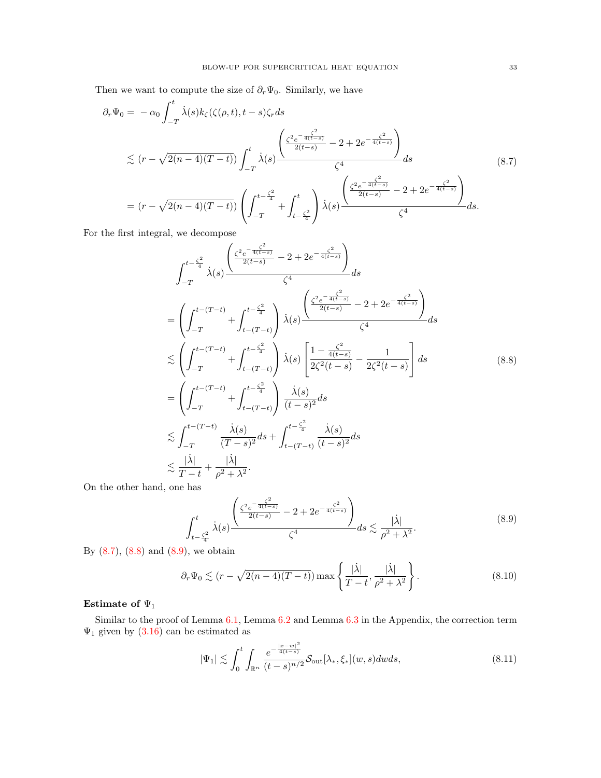Then we want to compute the size of  $\partial_r \Psi_0$ . Similarly, we have

<span id="page-32-0"></span>
$$
\partial_r \Psi_0 = -\alpha_0 \int_{-T}^t \dot{\lambda}(s) k_{\zeta}(\zeta(\rho, t), t - s) \zeta_r ds
$$
\n
$$
\lesssim (r - \sqrt{2(n-4)(T-t)}) \int_{-T}^t \dot{\lambda}(s) \frac{\left(\frac{\zeta^2 e^{-\frac{\zeta^2}{4(t-s)}}}{2(t-s)} - 2 + 2e^{-\frac{\zeta^2}{4(t-s)}}\right)}{\zeta^4} ds
$$
\n
$$
= (r - \sqrt{2(n-4)(T-t)}) \left(\int_{-T}^{t - \frac{\zeta^2}{4}} + \int_{t - \frac{\zeta^2}{4}}^t \dot{\lambda}(s) \frac{\left(\frac{\zeta^2 e^{-\frac{\zeta^2}{4(t-s)}}}{2(t-s)} - 2 + 2e^{-\frac{\zeta^2}{4(t-s)}}\right)}{\zeta^4} ds.
$$
\n
$$
(8.7)
$$

For the first integral, we decompose

<span id="page-32-1"></span>
$$
\int_{-T}^{t-\frac{\zeta^2}{4}} \dot{\lambda}(s) \frac{\left(\frac{\zeta^2 e^{-\frac{\zeta^2}{4(t-s)}}}{2(t-s)} - 2 + 2e^{-\frac{\zeta^2}{4(t-s)}}\right)}{\zeta^4} ds
$$
\n
$$
= \left(\int_{-T}^{t-(T-t)} + \int_{t-(T-t)}^{t-\frac{\zeta^2}{4}} \dot{\lambda}(s) \frac{\left(\frac{\zeta^2 e^{-\frac{\zeta^2}{4(t-s)}}}{2(t-s)} - 2 + 2e^{-\frac{\zeta^2}{4(t-s)}}\right)}{\zeta^4} ds
$$
\n
$$
\lesssim \left(\int_{-T}^{t-(T-t)} + \int_{t-(T-t)}^{t-\frac{\zeta^2}{4}} \dot{\lambda}(s) \left[\frac{1-\frac{\zeta^2}{4(t-s)}}{2\zeta^2(t-s)} - \frac{1}{2\zeta^2(t-s)}\right] ds
$$
\n
$$
= \left(\int_{-T}^{t-(T-t)} + \int_{t-(T-t)}^{t-\frac{\zeta^2}{4}} \dot{\lambda}(s) \frac{\dot{\lambda}(s)}{(t-s)^2} ds \right)
$$
\n
$$
\lesssim \int_{-T}^{t-(T-t)} \frac{\dot{\lambda}(s)}{(T-s)^2} ds + \int_{t-(T-t)}^{t-\frac{\zeta^2}{4}} \frac{\dot{\lambda}(s)}{(t-s)^2} ds
$$
\n
$$
\lesssim \frac{|\dot{\lambda}|}{T-t} + \frac{|\dot{\lambda}|}{\rho^2 + \lambda^2}.
$$
\n(12.12)

On the other hand, one has

<span id="page-32-2"></span>
$$
\int_{t-\frac{\zeta^2}{4}}^{t} \dot{\lambda}(s) \frac{\left(\frac{\zeta^2 e^{-\frac{\zeta^2}{4(t-s)}}}{2(t-s)} - 2 + 2e^{-\frac{\zeta^2}{4(t-s)}}\right)}{\zeta^4} ds \lesssim \frac{|\dot{\lambda}|}{\rho^2 + \lambda^2}.
$$
\n(8.9)

By  $(8.7)$ ,  $(8.8)$  and  $(8.9)$ , we obtain

<span id="page-32-3"></span>
$$
\partial_r \Psi_0 \lesssim (r - \sqrt{2(n-4)(T-t)}) \max \left\{ \frac{|\dot{\lambda}|}{T-t}, \frac{|\dot{\lambda}|}{\rho^2 + \lambda^2} \right\}.
$$
 (8.10)

# Estimate of  $\Psi_1$

Similar to the proof of Lemma [6.1,](#page-18-6) Lemma [6.2](#page-19-0) and Lemma [6.3](#page-19-1) in the Appendix, the correction term  $\Psi_1$  given by [\(3.16\)](#page-12-1) can be estimated as 2

<span id="page-32-4"></span>
$$
|\Psi_1| \lesssim \int_0^t \int_{\mathbb{R}^n} \frac{e^{-\frac{|x-w|^2}{4(t-s)}}}{(t-s)^{n/2}} \mathcal{S}_{\text{out}}[\lambda_*, \xi_*](w, s) dw ds, \tag{8.11}
$$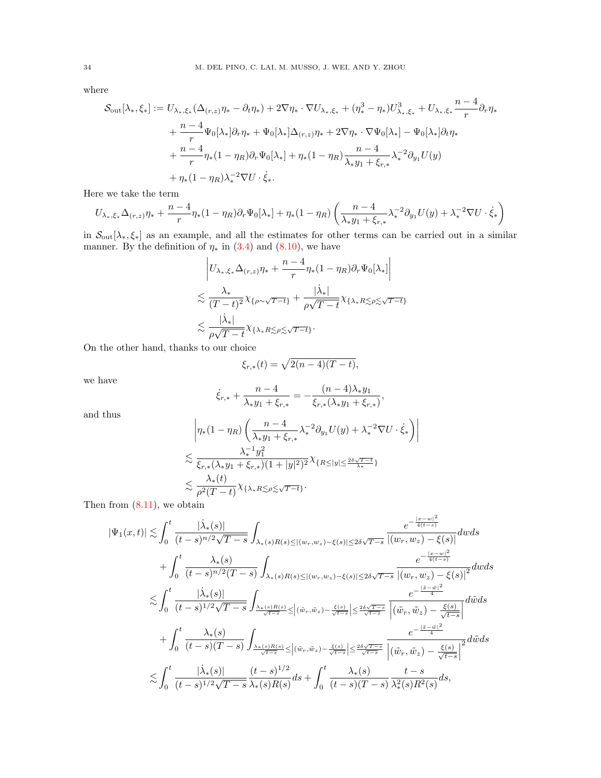where

$$
\mathcal{S}_{\text{out}}[\lambda_*, \xi_*] := U_{\lambda_*, \xi_*}(\Delta_{(r,z)}\eta_* - \partial_t \eta_*) + 2\nabla \eta_* \cdot \nabla U_{\lambda_*, \xi_*} + (\eta_*^3 - \eta_*) U_{\lambda_*, \xi_*}^3 + U_{\lambda_*, \xi_*} \frac{n-4}{r} \partial_r \eta_* + \frac{n-4}{r} \Psi_0[\lambda_*] \partial_r \eta_* + \Psi_0[\lambda_*] \Delta_{(r,z)} \eta_* + 2\nabla \eta_* \cdot \nabla \Psi_0[\lambda_*] - \Psi_0[\lambda_*] \partial_t \eta_* + \frac{n-4}{r} \eta_*(1 - \eta_R) \partial_r \Psi_0[\lambda_*] + \eta_*(1 - \eta_R) \frac{n-4}{\lambda_* y_1 + \xi_{r,*}} \lambda_*^{-2} \partial_{y_1} U(y) + \eta_*(1 - \eta_R) \lambda_*^{-2} \nabla U \cdot \dot{\xi}_*.
$$

Here we take the term

$$
U_{\lambda_*,\xi_*}\Delta_{(r,z)}\eta_* + \frac{n-4}{r}\eta_*(1-\eta_R)\partial_r\Psi_0[\lambda_*] + \eta_*(1-\eta_R)\left(\frac{n-4}{\lambda_*y_1+\xi_{r,*}}\lambda_*^{-2}\partial_{y_1}U(y) + \lambda_*^{-2}\nabla U \cdot \dot{\xi}_*\right)
$$

in  $\mathcal{S}_{\text{out}}[\lambda_*, \xi_*]$  as an example, and all the estimates for other terms can be carried out in a similar manner. By the definition of  $\eta_*$  in [\(3.4\)](#page-9-6) and [\(8.10\)](#page-32-3), we have

$$
\left| U_{\lambda_*,\xi_*} \Delta_{(r,z)} \eta_* + \frac{n-4}{r} \eta_* (1 - \eta_R) \partial_r \Psi_0[\lambda_*] \right|
$$
  

$$
\lesssim \frac{\lambda_*}{(T-t)^2} \chi_{\{\rho \sim \sqrt{T-t}\}} + \frac{|\dot{\lambda}_*|}{\rho \sqrt{T-t}} \chi_{\{\lambda_* R \lesssim \rho \lesssim \sqrt{T-t}\}}
$$
  

$$
\lesssim \frac{|\dot{\lambda}_*|}{\rho \sqrt{T-t}} \chi_{\{\lambda_* R \lesssim \rho \lesssim \sqrt{T-t}\}}.
$$

On the other hand, thanks to our choice

$$
\xi_{r,*}(t) = \sqrt{2(n-4)(T-t)},
$$

we have

$$
\dot{\xi}_{r,*} + \frac{n-4}{\lambda_* y_1 + \xi_{r,*}} = -\frac{(n-4)\lambda_* y_1}{\xi_{r,*}(\lambda_* y_1 + \xi_{r,*})},
$$

and thus

$$
\begin{split} & \left| \eta_*(1-\eta_R)\left( \frac{n-4}{\lambda_*y_1+\xi_{r,*}}\lambda_*^{-2}\partial_{y_1}U(y)+\lambda_*^{-2}\nabla U\cdot \dot{\xi}_* \right) \right| \\ & \lesssim \frac{\lambda_*^{-1}y_1^2}{\xi_{r,*}(\lambda_*y_1+\xi_{r,*})(1+|y|^2)^2}\chi_{\{R\leq |y|\leq \frac{2\delta\sqrt{T-t}}{\lambda_*}\}} \\ & \lesssim \frac{\lambda_*(t)}{\rho^2(T-t)}\chi_{\{\lambda_*R\lesssim \rho \lesssim \sqrt{T-t}\}}. \end{split}
$$

Then from  $(8.11)$ , we obtain

$$
|\Psi_{1}(x,t)| \lesssim \int_{0}^{t} \frac{|\dot{\lambda}_{*}(s)|}{(t-s)^{n/2}\sqrt{T-s}} \int_{\lambda_{*}(s)R(s) \leq |(w_{r},w_{z})-\xi(s)| \leq 2\delta\sqrt{T-s}} \frac{e^{-\frac{|x-w|^{2}}{4(t-s)}}|(w_{r},w_{z})-\xi(s)|^{2}}{|(w_{r},w_{z})-\xi(s)|^{2}} dwds
$$
  
+ 
$$
\int_{0}^{t} \frac{\lambda_{*}(s)}{(t-s)^{n/2}(T-s)} \int_{\lambda_{*}(s)R(s) \leq |(w_{r},w_{z})-\xi(s)| \leq 2\delta\sqrt{T-s}} \frac{e^{-\frac{|x-w|^{2}}{4(t-s)}}|(w_{r},w_{z})-\xi(s)|^{2}}{|(w_{r},w_{z})-\xi(s)|^{2}} dwds
$$
  

$$
\lesssim \int_{0}^{t} \frac{|\dot{\lambda}_{*}(s)|}{(t-s)^{1/2}\sqrt{T-s}} \int_{\frac{\lambda_{*}(s)R(s)}{\sqrt{t-s}} \leq |(\tilde{w}_{r},\tilde{w}_{z})-\frac{\xi(s)}{\sqrt{t-s}}| \leq \frac{2\delta\sqrt{T-s}}{\sqrt{t-s}}} \frac{e^{-\frac{|\tilde{x}-\tilde{w}|^{2}}{4}}}{|(w_{r},\tilde{w}_{z})-\frac{\xi(s)}{\sqrt{t-s}}|} dwds
$$
  

$$
\lesssim \int_{0}^{t} \frac{|\dot{\lambda}_{*}(s)|}{(t-s)(T-s)} \frac{(t-s)^{1/2}}{\lambda_{*}(s)R(s)} ds + \int_{0}^{t} \frac{\lambda_{*}(s)}{(t-s)(T-s)} \frac{t-s}{\lambda_{*}(s)R^{2}(s)} ds,
$$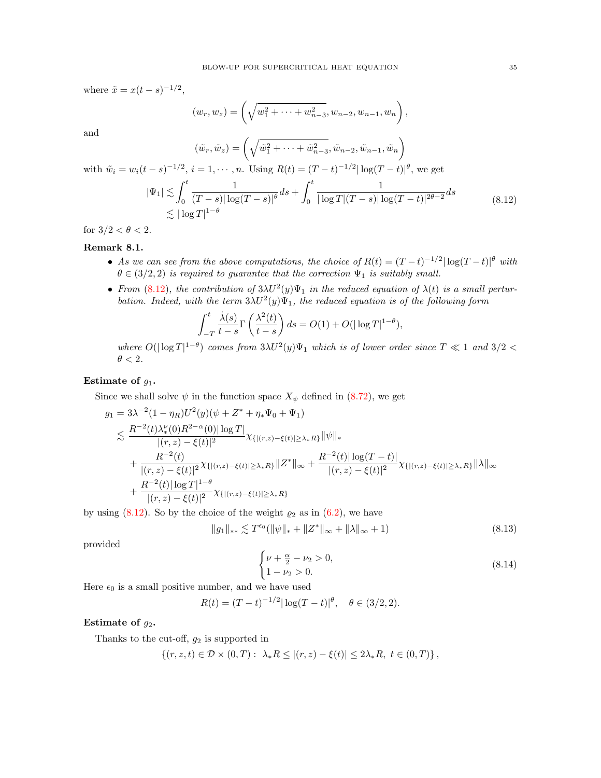where  $\tilde{x} = x(t-s)^{-1/2}$ ,

$$
(w_r, w_z) = \left(\sqrt{w_1^2 + \dots + w_{n-3}^2}, w_{n-2}, w_{n-1}, w_n\right),
$$

and

$$
(\tilde{w}_r, \tilde{w}_z) = \left(\sqrt{\tilde{w}_1^2 + \dots + \tilde{w}_{n-3}^2}, \tilde{w}_{n-2}, \tilde{w}_{n-1}, \tilde{w}_n\right)
$$
  
with  $\tilde{w}_i = w_i(t-s)^{-1/2}$ ,  $i = 1, \dots, n$ . Using  $R(t) = (T-t)^{-1/2} |\log(T-t)|^{\theta}$ , we get  

$$
|\Psi_1| \lesssim \int_0^t \frac{1}{(T-s)|\log(T-s)|^{\theta}} ds + \int_0^t \frac{1}{|\log T|(T-s)|\log(T-t)|^{2\theta-2}} ds
$$

$$
\lesssim |\log T|^{1-\theta}
$$
(8.12)

<span id="page-34-1"></span>for  $3/2 < \theta < 2$ .

# <span id="page-34-0"></span>Remark 8.1.

- As we can see from the above computations, the choice of  $R(t) = (T-t)^{-1/2} |\log(T-t)|^{\theta}$  with  $\theta \in (3/2, 2)$  is required to guarantee that the correction  $\Psi_1$  is suitably small.
- From [\(8.12\)](#page-34-1), the contribution of  $3\lambda U^2(y)\Psi_1$  in the reduced equation of  $\lambda(t)$  is a small perturbation. Indeed, with the term  $3\lambda U^2(y)\Psi_1$ , the reduced equation is of the following form

$$
\int_{-T}^{t} \frac{\dot{\lambda}(s)}{t-s} \Gamma\left(\frac{\lambda^2(t)}{t-s}\right) ds = O(1) + O(|\log T|^{1-\theta}),
$$

where  $O(|\log T|^{1-\theta})$  comes from  $3\lambda U^2(y)\Psi_1$  which is of lower order since  $T \ll 1$  and  $3/2 <$  $\theta < 2$ .

## Estimate of  $g_1$ .

Since we shall solve  $\psi$  in the function space  $X_{\psi}$  defined in [\(8.72\)](#page-47-2), we get

$$
g_1 = 3\lambda^{-2} (1 - \eta_R) U^2(y) (\psi + Z^* + \eta_* \Psi_0 + \Psi_1)
$$
  
\n
$$
\lesssim \frac{R^{-2}(t)\lambda_*^{\nu}(0) R^{2-\alpha}(0) |\log T|}{|(r, z) - \xi(t)|^2} \chi_{\{| (r, z) - \xi(t) | \ge \lambda_* R\}} \|\psi\|_*
$$
  
\n
$$
+ \frac{R^{-2}(t)}{|(r, z) - \xi(t)|^2} \chi_{\{| (r, z) - \xi(t) | \ge \lambda_* R\}} \|Z^* \|_{\infty} + \frac{R^{-2}(t) |\log(T - t)|}{|(r, z) - \xi(t)|^2} \chi_{\{| (r, z) - \xi(t) | \ge \lambda_* R\}} \|\lambda\|_{\infty}
$$
  
\n
$$
+ \frac{R^{-2}(t) |\log T|^{1-\theta}}{|(r, z) - \xi(t)|^2} \chi_{\{| (r, z) - \xi(t) | \ge \lambda_* R\}}
$$

by using [\(8.12\)](#page-34-1). So by the choice of the weight  $\varrho_2$  as in [\(6.2\)](#page-18-8), we have

<span id="page-34-2"></span>
$$
||g_1||_{**} \lesssim T^{\epsilon_0}(||\psi||_{*} + ||Z^*||_{\infty} + ||\lambda||_{\infty} + 1)
$$
\n(8.13)

provided

<span id="page-34-3"></span>
$$
\begin{cases} \nu + \frac{\alpha}{2} - \nu_2 > 0, \\ 1 - \nu_2 > 0. \end{cases}
$$
 (8.14)

Here  $\epsilon_0$  is a small positive number, and we have used

$$
R(t) = (T - t)^{-1/2} |\log(T - t)|^{\theta}, \quad \theta \in (3/2, 2).
$$

#### Estimate of  $g_2$ .

Thanks to the cut-off,  $g_2$  is supported in

$$
\{(r, z, t) \in \mathcal{D} \times (0, T) : \lambda_* R \le |(r, z) - \xi(t)| \le 2\lambda_* R, \ t \in (0, T) \},
$$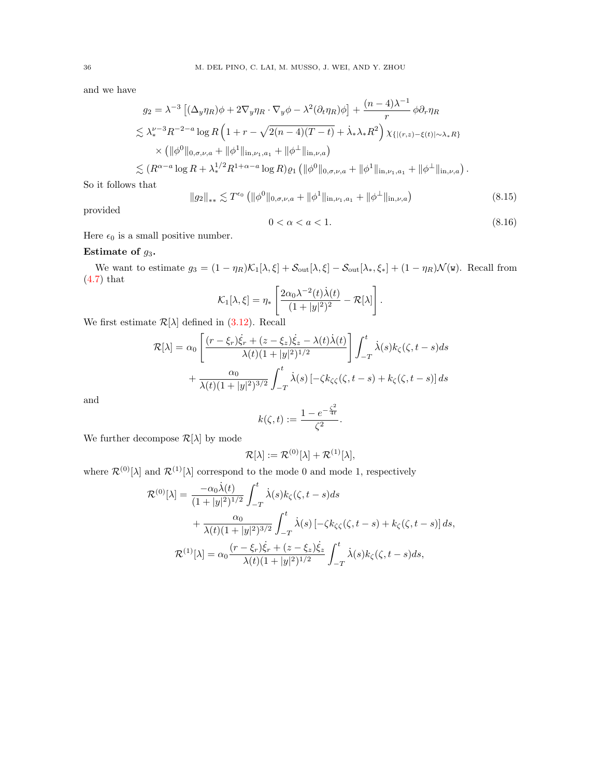and we have

$$
g_2 = \lambda^{-3} \left[ (\Delta_y \eta_R) \phi + 2\nabla_y \eta_R \cdot \nabla_y \phi - \lambda^2 (\partial_t \eta_R) \phi \right] + \frac{(n-4)\lambda^{-1}}{r} \phi \partial_r \eta_R
$$
  

$$
\lesssim \lambda_*^{\nu-3} R^{-2-a} \log R \left( 1 + r - \sqrt{2(n-4)(T-t)} + \lambda_* \lambda_* R^2 \right) \chi_{\{| (r,z) - \xi(t) | \sim \lambda_* R \}} \times \left( \| \phi^0 \|_{0, \sigma, \nu, a} + \| \phi^1 \|_{\text{in}, \nu_{1, a_1}} + \| \phi^{\perp} \|_{\text{in}, \nu, a} \right)
$$
  

$$
\lesssim (R^{\alpha-a} \log R + \lambda_*^{1/2} R^{1+\alpha-a} \log R) \varrho_1 \left( \| \phi^0 \|_{0, \sigma, \nu, a} + \| \phi^1 \|_{\text{in}, \nu_{1, a_1}} + \| \phi^{\perp} \|_{\text{in}, \nu, a} \right).
$$

So it follows that

<span id="page-35-0"></span>
$$
||g_2||_{**} \lesssim T^{\epsilon_0} \left( ||\phi^0||_{0,\sigma,\nu,a} + ||\phi^1||_{\text{in},\nu_1,a_1} + ||\phi^\perp||_{\text{in},\nu,a} \right) \tag{8.15}
$$

provided

<span id="page-35-1"></span>
$$
0 < \alpha < a < 1. \tag{8.16}
$$

Here  $\epsilon_0$  is a small positive number.

# Estimate of  $g_3$ .

We want to estimate  $g_3 = (1 - \eta_R)\mathcal{K}_1[\lambda, \xi] + \mathcal{S}_{\text{out}}[\lambda, \xi] - \mathcal{S}_{\text{out}}[\lambda_*, \xi_*] + (1 - \eta_R)\mathcal{N}(\mathbf{w})$ . Recall from [\(4.7\)](#page-13-4) that

$$
\mathcal{K}_1[\lambda,\xi] = \eta_* \left[ \frac{2\alpha_0 \lambda^{-2}(t)\dot{\lambda}(t)}{(1+|y|^2)^2} - \mathcal{R}[\lambda] \right].
$$

We first estimate  $\mathcal{R}[\lambda]$  defined in [\(3.12\)](#page-11-2). Recall

$$
\mathcal{R}[\lambda] = \alpha_0 \left[ \frac{(r - \xi_r)\dot{\xi}_r + (z - \xi_z)\dot{\xi}_z - \lambda(t)\dot{\lambda}(t)}{\lambda(t)(1 + |y|^2)^{1/2}} \right] \int_{-T}^t \dot{\lambda}(s)k_{\zeta}(\zeta, t - s)ds
$$

$$
+ \frac{\alpha_0}{\lambda(t)(1 + |y|^2)^{3/2}} \int_{-T}^t \dot{\lambda}(s) \left[ -\zeta k_{\zeta\zeta}(\zeta, t - s) + k_{\zeta}(\zeta, t - s) \right] ds
$$

and

$$
k(\zeta, t) := \frac{1 - e^{-\frac{\zeta^2}{4t}}}{\zeta^2}.
$$

We further decompose  $\mathcal{R}[\lambda]$  by mode

$$
\mathcal{R}[\lambda] := \mathcal{R}^{(0)}[\lambda] + \mathcal{R}^{(1)}[\lambda],
$$

where  $\mathcal{R}^{(0)}[\lambda]$  and  $\mathcal{R}^{(1)}[\lambda]$  correspond to the mode 0 and mode 1, respectively

$$
\mathcal{R}^{(0)}[\lambda] = \frac{-\alpha_0 \dot{\lambda}(t)}{(1+|y|^2)^{1/2}} \int_{-T}^t \dot{\lambda}(s) k_{\zeta}(\zeta, t-s) ds \n+ \frac{\alpha_0}{\lambda(t)(1+|y|^2)^{3/2}} \int_{-T}^t \dot{\lambda}(s) \left[ -\zeta k_{\zeta\zeta}(\zeta, t-s) + k_{\zeta}(\zeta, t-s) \right] ds, \n\mathcal{R}^{(1)}[\lambda] = \alpha_0 \frac{(r-\xi_r)\dot{\xi}_r + (z-\xi_z)\dot{\xi}_z}{\lambda(t)(1+|y|^2)^{1/2}} \int_{-T}^t \dot{\lambda}(s) k_{\zeta}(\zeta, t-s) ds,
$$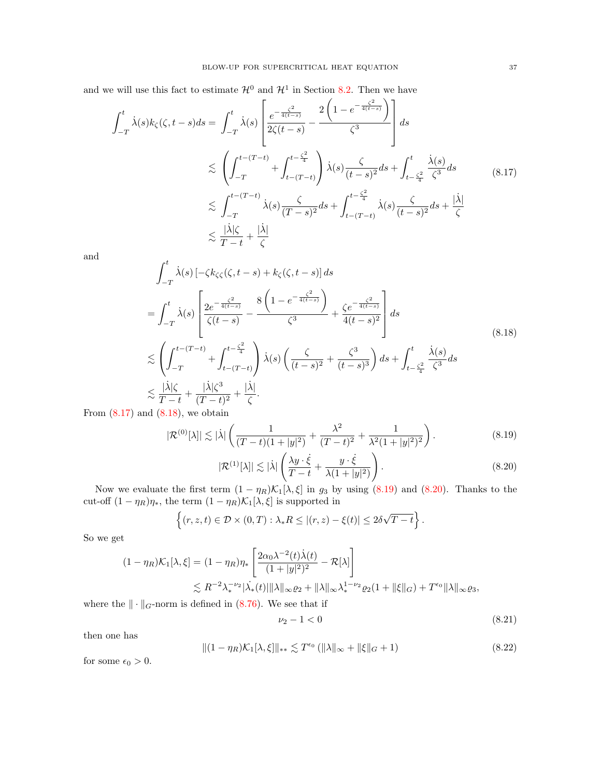and we will use this fact to estimate  $\mathcal{H}^0$  and  $\mathcal{H}^1$  in Section [8.2.](#page-37-0) Then we have

<span id="page-36-0"></span>
$$
\int_{-T}^{t} \dot{\lambda}(s)k_{\zeta}(\zeta,t-s)ds = \int_{-T}^{t} \dot{\lambda}(s) \left[ \frac{e^{-\frac{\zeta^{2}}{4(t-s)}}}{2\zeta(t-s)} - \frac{2\left(1-e^{-\frac{\zeta^{2}}{4(t-s)}}\right)}{\zeta^{3}} \right] ds
$$
  

$$
\lesssim \left( \int_{-T}^{t-(T-t)} + \int_{t-(T-t)}^{t-\frac{\zeta^{2}}{4}} \dot{\lambda}(s) \frac{\zeta}{(t-s)^{2}} ds + \int_{t-\frac{\zeta^{2}}{4}}^{t} \frac{\dot{\lambda}(s)}{\zeta^{3}} ds
$$
(8.17)  

$$
\lesssim \int_{-T}^{t-(T-t)} \dot{\lambda}(s) \frac{\zeta}{(T-s)^{2}} ds + \int_{t-(T-t)}^{t-\frac{\zeta^{2}}{4}} \dot{\lambda}(s) \frac{\zeta}{(t-s)^{2}} ds + \frac{|\dot{\lambda}|}{\zeta}
$$
  

$$
\lesssim \frac{|\dot{\lambda}|\zeta}{T-t} + \frac{|\dot{\lambda}|}{\zeta}
$$

and

<span id="page-36-1"></span>
$$
\int_{-T}^{t} \dot{\lambda}(s) \left[ -\zeta k_{\zeta\zeta}(\zeta, t-s) + k_{\zeta}(\zeta, t-s) \right] ds
$$
\n
$$
= \int_{-T}^{t} \dot{\lambda}(s) \left[ \frac{2e^{-\frac{\zeta^2}{4(t-s)}}}{\zeta(t-s)} - \frac{8\left(1 - e^{-\frac{\zeta^2}{4(t-s)}}\right)}{\zeta^3} + \frac{\zeta e^{-\frac{\zeta^2}{4(t-s)}}}{4(t-s)^2} \right] ds
$$
\n
$$
\lesssim \left( \int_{-T}^{t-(T-t)} + \int_{t-(T-t)}^{t-\frac{\zeta^2}{4}} \dot{\lambda}(s) \left( \frac{\zeta}{(t-s)^2} + \frac{\zeta^3}{(t-s)^3} \right) ds + \int_{t-\frac{\zeta^2}{4}}^{t} \frac{\dot{\lambda}(s)}{\zeta^3} ds
$$
\n
$$
\lesssim \frac{|\dot{\lambda}|\zeta}{T-t} + \frac{|\dot{\lambda}|\zeta^3}{(T-t)^2} + \frac{|\dot{\lambda}|}{\zeta}.
$$
\n(d (8.18), we obtain

From  $(8.17)$  and  $(8.18)$ ,

<span id="page-36-2"></span>
$$
|\mathcal{R}^{(0)}[\lambda]| \lesssim |\dot{\lambda}| \left( \frac{1}{(T-t)(1+|y|^2)} + \frac{\lambda^2}{(T-t)^2} + \frac{1}{\lambda^2 (1+|y|^2)^2} \right). \tag{8.19}
$$

<span id="page-36-3"></span>
$$
|\mathcal{R}^{(1)}[\lambda]| \lesssim |\lambda| \left(\frac{\lambda y \cdot \dot{\xi}}{T-t} + \frac{y \cdot \dot{\xi}}{\lambda(1+|y|^2)}\right). \tag{8.20}
$$

Now we evaluate the first term  $(1 - \eta_R) \mathcal{K}_1[\lambda, \xi]$  in  $g_3$  by using [\(8.19\)](#page-36-2) and [\(8.20\)](#page-36-3). Thanks to the cut-off  $(1 - \eta_R)\eta_*$ , the term  $(1 - \eta_R)\mathcal{K}_1[\lambda, \xi]$  is supported in

$$
\left\{(r,z,t)\in\mathcal{D}\times(0,T):\lambda_*R\leq|(r,z)-\xi(t)|\leq 2\delta\sqrt{T-t}\right\}.
$$

So we get

$$
(1 - \eta_R)\mathcal{K}_1[\lambda, \xi] = (1 - \eta_R)\eta_* \left[ \frac{2\alpha_0 \lambda^{-2}(t)\dot{\lambda}(t)}{(1 + |y|^2)^2} - \mathcal{R}[\lambda] \right]
$$
  

$$
\lesssim R^{-2} \lambda_*^{-\nu_2} |\dot{\lambda}_*(t)| \|\lambda\|_{\infty} \varrho_2 + \|\lambda\|_{\infty} \lambda_*^{1 - \nu_2} \varrho_2 (1 + \|\xi\|_G) + T^{\epsilon_0} \|\lambda\|_{\infty} \varrho_3,
$$

where the  $\|\cdot\|_G$ -norm is defined in [\(8.76\)](#page-48-2). We see that if

<span id="page-36-5"></span>
$$
\nu_2 - 1 < 0 \tag{8.21}
$$

then one has

<span id="page-36-4"></span>
$$
||(1 - \eta_R)\mathcal{K}_1[\lambda, \xi]||_{**} \lesssim T^{\epsilon_0} (||\lambda||_{\infty} + ||\xi||_G + 1)
$$
\n(8.22)

for some  $\epsilon_0 > 0.$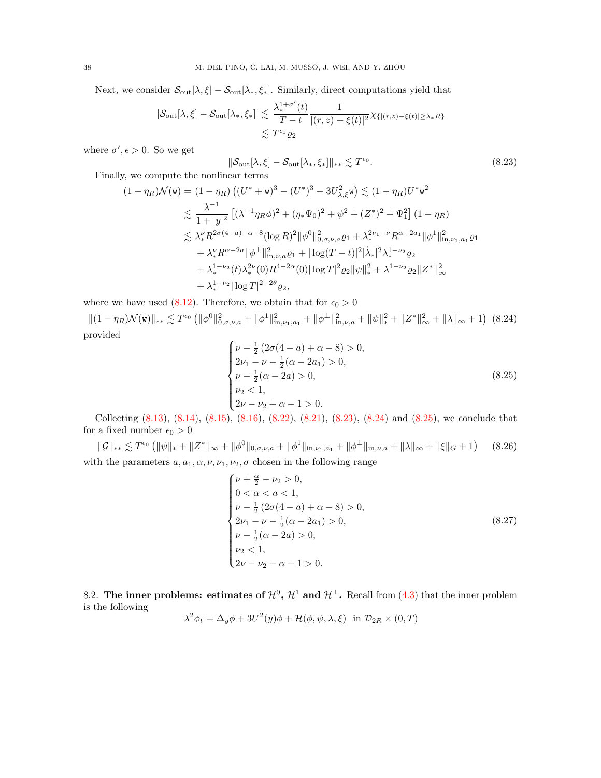Next, we consider  $\mathcal{S}_{out}[\lambda, \xi] - \mathcal{S}_{out}[\lambda_*, \xi_*]$ . Similarly, direct computations yield that

$$
|\mathcal{S}_{\text{out}}[\lambda,\xi] - \mathcal{S}_{\text{out}}[\lambda_*,\xi_*]| \lesssim \frac{\lambda_*^{1+\sigma'}(t)}{T-t} \frac{1}{|(r,z)-\xi(t)|^2} \chi_{\{|(r,z)-\xi(t)| \ge \lambda_* R\}} \\
\lesssim T^{\epsilon_0} \varrho_2
$$

where  $\sigma', \epsilon > 0$ . So we get

$$
[\lambda, \xi] - \mathcal{S}_{\text{out}}[\lambda_*, \xi_*] \|_{**} \lesssim T^{\epsilon_0}.
$$
\n(8.23)

Finally, we compute the nonlinear terms

$$
(1 - \eta_R)\mathcal{N}(\mathbf{w}) = (1 - \eta_R) \left( (U^* + \mathbf{w})^3 - (U^*)^3 - 3U_{\lambda,\xi}^2 \mathbf{w} \right) \lesssim (1 - \eta_R)U^* \mathbf{w}^2
$$
  
\n
$$
\lesssim \frac{\lambda^{-1}}{1 + |y|^2} \left[ (\lambda^{-1} \eta_R \phi)^2 + (\eta_* \Psi_0)^2 + \psi^2 + (Z^*)^2 + \Psi_1^2 \right] (1 - \eta_R)
$$
  
\n
$$
\lesssim \lambda_*^{\nu} R^{2\sigma(4 - a) + \alpha - 8} (\log R)^2 \|\phi^0\|_{0,\sigma,\nu,a}^2 \varrho_1 + \lambda_*^{2\nu_1 - \nu} R^{\alpha - 2a_1} \|\phi^1\|_{\text{in},\nu_1,a_1}^2 \varrho_1
$$
  
\n
$$
+ \lambda_*^{\nu} R^{\alpha - 2a} \|\phi^{\perp}\|_{\text{in},\nu,a}^2 \varrho_1 + |\log(T - t)|^2 |\dot{\lambda}_*|^2 \lambda_*^{1 - \nu_2} \varrho_2
$$
  
\n
$$
+ \lambda_*^{1 - \nu_2} (t) \lambda_*^{2\nu} (0) R^{4 - 2\alpha} (0) |\log T|^2 \varrho_2 \|\psi\|_*^2 + \lambda^{1 - \nu_2} \varrho_2 \|Z^*\|_{\infty}^2
$$
  
\n
$$
+ \lambda_*^{1 - \nu_2} |\log T|^{2 - 2\theta} \varrho_2,
$$

where we have used [\(8.12\)](#page-34-1). Therefore, we obtain that for  $\epsilon_0 > 0$ 

<span id="page-37-1"></span> $\|\mathcal{S}_{\text{out}}\|$ 

<span id="page-37-2"></span> $||(1 - \eta_R)\mathcal{N}(\mathbf{w})||_{**} \lesssim T^{\epsilon_0} (||\phi^0||^2_{0,\sigma,\nu,a} + ||\phi^1||^2_{\text{in},\nu,a} + ||\phi^\perp||^2_{\text{in},\nu,a} + ||\psi||^2_* + ||Z^*||^2_{\infty} + ||\lambda||_{\infty} + 1)$  (8.24) provided

<span id="page-37-3"></span>
$$
\begin{cases}\n\nu - \frac{1}{2} (2\sigma(4 - a) + \alpha - 8) > 0, \\
2\nu_1 - \nu - \frac{1}{2} (\alpha - 2a_1) > 0, \\
\nu - \frac{1}{2} (\alpha - 2a) > 0, \\
\nu_2 < 1, \\
2\nu - \nu_2 + \alpha - 1 > 0.\n\end{cases} \tag{8.25}
$$

Collecting  $(8.13)$ ,  $(8.14)$ ,  $(8.15)$ ,  $(8.16)$ ,  $(8.22)$ ,  $(8.21)$ ,  $(8.23)$ ,  $(8.24)$  and  $(8.25)$ , we conclude that for a fixed number  $\epsilon_0 > 0$ 

<span id="page-37-4"></span> $\|\mathcal{G}\|_{**}\lesssim T^{\epsilon_0}\left(\|\psi\|_{*}+\|Z^*\|_{\infty}+\|\phi^0\|_{0,\sigma,\nu,a}+\|\phi^1\|_{\text{in},\nu_1,a_1}+\|\phi^{\perp}\|_{\text{in},\nu,a}+\|\lambda\|_{\infty}+\|\xi\|_{G}+1\right)$ (8.26) with the parameters  $a, a_1, \alpha, \nu, \nu_1, \nu_2, \sigma$  chosen in the following range

$$
\begin{cases}\n\nu + \frac{\alpha}{2} - \nu_2 > 0, \\
0 < \alpha < a < 1, \\
\nu - \frac{1}{2} \left( 2\sigma (4 - a) + \alpha - 8 \right) > 0, \\
2\nu_1 - \nu - \frac{1}{2} (\alpha - 2a_1) > 0, \\
\nu - \frac{1}{2} (\alpha - 2a) > 0, \\
\nu_2 < 1, \\
2\nu - \nu_2 + \alpha - 1 > 0.\n\end{cases} \tag{8.27}
$$

<span id="page-37-0"></span>8.2. The inner problems: estimates of  $\mathcal{H}^0$ ,  $\mathcal{H}^1$  and  $\mathcal{H}^\perp$ . Recall from [\(4.3\)](#page-13-3) that the inner problem is the following

$$
\lambda^{2} \phi_{t} = \Delta_{y} \phi + 3U^{2}(y)\phi + \mathcal{H}(\phi, \psi, \lambda, \xi) \text{ in } \mathcal{D}_{2R} \times (0, T)
$$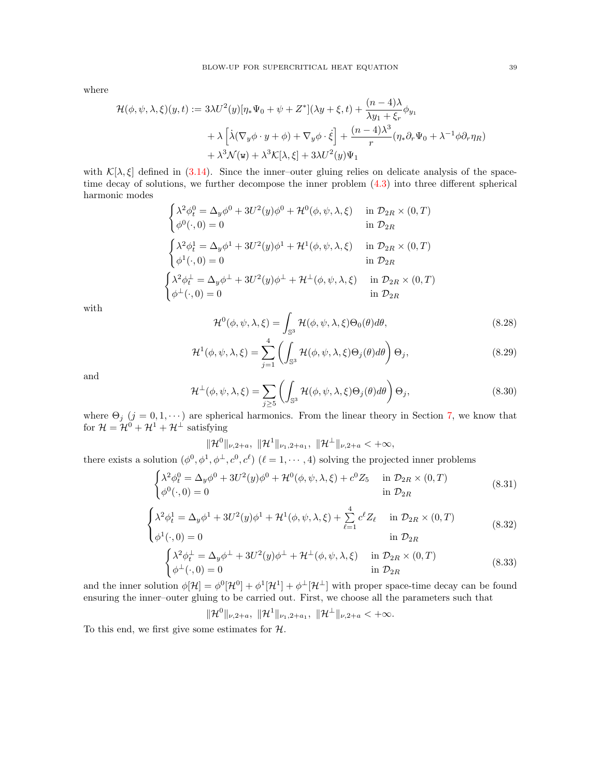where

$$
\mathcal{H}(\phi, \psi, \lambda, \xi)(y, t) := 3\lambda U^2(y)[\eta_* \Psi_0 + \psi + Z^*](\lambda y + \xi, t) + \frac{(n-4)\lambda}{\lambda y_1 + \xi_r} \phi_{y_1}
$$
  
+  $\lambda \left[ \lambda (\nabla_y \phi \cdot y + \phi) + \nabla_y \phi \cdot \dot{\xi} \right] + \frac{(n-4)\lambda^3}{r} (\eta_* \partial_r \Psi_0 + \lambda^{-1} \phi \partial_r \eta_R)$   
+  $\lambda^3 \mathcal{N}(\mathbf{w}) + \lambda^3 \mathcal{K}[\lambda, \xi] + 3\lambda U^2(y)\Psi_1$ 

with  $\mathcal{K}[\lambda,\xi]$  defined in [\(3.14\)](#page-11-1). Since the inner-outer gluing relies on delicate analysis of the spacetime decay of solutions, we further decompose the inner problem [\(4.3\)](#page-13-3) into three different spherical harmonic modes

$$
\begin{cases}\n\lambda^2 \phi_t^0 = \Delta_y \phi^0 + 3U^2(y)\phi^0 + \mathcal{H}^0(\phi, \psi, \lambda, \xi) & \text{in } \mathcal{D}_{2R} \times (0, T) \\
\phi^0(\cdot, 0) = 0 & \text{in } \mathcal{D}_{2R}\n\end{cases}
$$
\n
$$
\begin{cases}\n\lambda^2 \phi_t^1 = \Delta_y \phi^1 + 3U^2(y)\phi^1 + \mathcal{H}^1(\phi, \psi, \lambda, \xi) & \text{in } \mathcal{D}_{2R} \times (0, T) \\
\phi^1(\cdot, 0) = 0 & \text{in } \mathcal{D}_{2R}\n\end{cases}
$$
\n
$$
\begin{cases}\n\lambda^2 \phi_t^1 = \Delta_y \phi^1 + 3U^2(y)\phi^1 + \mathcal{H}^{\perp}(\phi, \psi, \lambda, \xi) & \text{in } \mathcal{D}_{2R} \times (0, T) \\
\phi^{\perp}(\cdot, 0) = 0 & \text{in } \mathcal{D}_{2R}\n\end{cases}
$$

with

<span id="page-38-2"></span>
$$
\mathcal{H}^0(\phi, \psi, \lambda, \xi) = \int_{\mathbb{S}^3} \mathcal{H}(\phi, \psi, \lambda, \xi) \Theta_0(\theta) d\theta,\tag{8.28}
$$

$$
\mathcal{H}^{1}(\phi,\psi,\lambda,\xi) = \sum_{j=1}^{4} \left( \int_{\mathbb{S}^{3}} \mathcal{H}(\phi,\psi,\lambda,\xi) \Theta_{j}(\theta) d\theta \right) \Theta_{j}, \tag{8.29}
$$

and

<span id="page-38-3"></span>
$$
\mathcal{H}^{\perp}(\phi,\psi,\lambda,\xi) = \sum_{j\geq 5} \left( \int_{\mathbb{S}^3} \mathcal{H}(\phi,\psi,\lambda,\xi) \Theta_j(\theta) d\theta \right) \Theta_j, \tag{8.30}
$$

where  $\Theta_j$  (j = 0, 1,  $\cdots$ ) are spherical harmonics. From the linear theory in Section [7,](#page-20-0) we know that for  $\mathcal{H} = \mathcal{H}^0 + \mathcal{H}^1 + \mathcal{H}^\perp$  satisfying

 $\|\mathcal{H}^0\|_{\nu,2+a},\ \|\mathcal{H}^1\|_{\nu_1,2+a_1},\ \|\mathcal{H}^{\perp}\|_{\nu,2+a}<+\infty,$ 

there exists a solution  $(\phi^0, \phi^1, \phi^\perp, c^0, c^\ell)$   $(\ell = 1, \dots, 4)$  solving the projected inner problems

<span id="page-38-0"></span>
$$
\begin{cases}\n\lambda^2 \phi_t^0 = \Delta_y \phi^0 + 3U^2(y)\phi^0 + \mathcal{H}^0(\phi, \psi, \lambda, \xi) + c^0 Z_5 & \text{in } \mathcal{D}_{2R} \times (0, T) \\
\phi^0(\cdot, 0) = 0 & \text{in } \mathcal{D}_{2R}\n\end{cases}
$$
\n(8.31)

$$
\begin{cases} \lambda^2 \phi_t^1 = \Delta_y \phi^1 + 3U^2(y)\phi^1 + \mathcal{H}^1(\phi, \psi, \lambda, \xi) + \sum_{\ell=1}^4 c^\ell Z_\ell & \text{in } \mathcal{D}_{2R} \times (0, T) \\ \phi^1(\cdot, 0) = 0 & \text{in } \mathcal{D}_{2R} \end{cases}
$$
 (8.32)

<span id="page-38-1"></span>
$$
\begin{cases}\n\lambda^2 \phi_t^{\perp} = \Delta_y \phi^{\perp} + 3U^2(y)\phi^{\perp} + \mathcal{H}^{\perp}(\phi, \psi, \lambda, \xi) & \text{in } \mathcal{D}_{2R} \times (0, T) \\
\phi^{\perp}(\cdot, 0) = 0 & \text{in } \mathcal{D}_{2R}\n\end{cases}
$$
\n(8.33)

and the inner solution  $\phi[\mathcal{H}] = \phi^0[\mathcal{H}^0] + \phi^1[\mathcal{H}^1] + \phi^{\perp}[\mathcal{H}^{\perp}]$  with proper space-time decay can be found ensuring the inner–outer gluing to be carried out. First, we choose all the parameters such that

$$
\|\mathcal{H}^0\|_{\nu,2+a},\ \|\mathcal{H}^1\|_{\nu_1,2+a_1},\ \|\mathcal{H}^{\perp}\|_{\nu,2+a}<+\infty.
$$

To this end, we first give some estimates for  $H$ .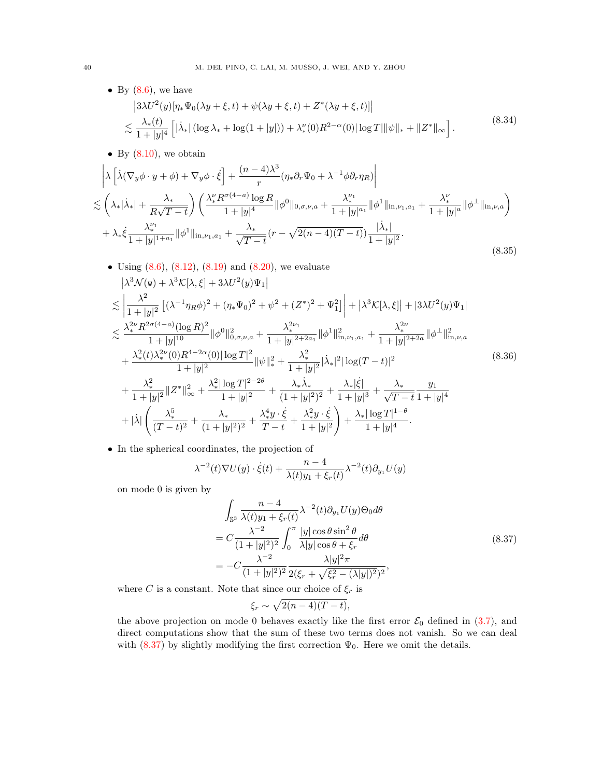- <span id="page-39-1"></span>• By  $(8.6)$ , we have  $(3\lambda U^2(y)[\eta_* \Psi_0(\lambda y + \xi, t) + \psi(\lambda y + \xi, t) + Z^*(\lambda y + \xi, t)]$  $\leq \frac{\lambda_*(t)}{t}$  $\frac{\lambda_*(t)}{1+|y|^4}\left[|\dot \lambda_*| \left(\log \lambda_* + \log (1+|y|)\right) + \lambda_*^{\nu}(0)R^{2-\alpha}(0)|\log T| \|\psi\|_* + \|Z^*\|_{\infty} \right].$ (8.34)
- By  $(8.10)$ , we obtain

<span id="page-39-2"></span>
$$
\begin{split}\n&\left|\lambda\left[\dot{\lambda}(\nabla_y\phi\cdot y+\phi)+\nabla_y\phi\cdot\dot{\xi}\right]+\frac{(n-4)\lambda^3}{r}(\eta_*\partial_r\Psi_0+\lambda^{-1}\phi\partial_r\eta_R)\right| \\
&\lesssim \left(\lambda_*|\dot{\lambda}_*|+\frac{\lambda_*}{R\sqrt{T-t}}\right)\left(\frac{\lambda_*^{\nu}R^{\sigma(4-a)}\log R}{1+|y|^4}\|\phi^0\|_{0,\sigma,\nu,a}+\frac{\lambda_*^{\nu_1}}{1+|y|^a}\|\phi^1\|_{\text{in},\nu_1,a_1}+\frac{\lambda_*^{\nu}}{1+|y|^a}\|\phi^{\perp}\|_{\text{in},\nu,a}\right) \\
&+\lambda_*\dot{\xi}\frac{\lambda_*^{\nu_1}}{1+|y|^{1+a_1}}\|\phi^1\|_{\text{in},\nu_1,a_1}+\frac{\lambda_*}{\sqrt{T-t}}(r-\sqrt{2(n-4)(T-t)})\frac{|\dot{\lambda}_*|}{1+|y|^2}.\n\end{split} \tag{8.35}
$$

- <span id="page-39-3"></span>• Using  $(8.6)$ ,  $(8.12)$ ,  $(8.19)$  and  $(8.20)$ , we evaluate  $\left|\lambda^{3} \mathcal{N}(\mathbf{w}) + \lambda^{3} \mathcal{K}[\lambda, \xi] + 3\lambda U^{2}(y) \Psi_{1}\right|$  $\leq$  $\lambda^2$  $\frac{\lambda^2}{1+|y|^2} \left[ (\lambda^{-1}\eta_R\phi)^2 + (\eta_*\Psi_0)^2 + \psi^2 + (Z^*)^2 + \Psi_1^2 \right]$ +  $\left|\lambda^{3}\mathcal{K}[\lambda,\xi]\right|$  +  $|3\lambda U^{2}(y)\Psi_{1}|$  $\leq \frac{\lambda_*^{2\nu} R^{2\sigma(4-a)}(\log R)^2}{\lambda_*^2}$  $\frac{\lambda^{2\nu_1}}{1+|y|^{10}} \|\phi^0\|_{0,\sigma,\nu,a}^2 + \frac{\lambda_*^{2\nu_1}}{1+|y|^2}.$  $\frac{\lambda_*^{2\nu_1}}{1+|y|^{2+2a_1}} \|\phi^1\|^2_{\text{in},\nu_1,a_1} + \frac{\lambda_*^{2\nu}}{1+|y|^2}$  $\frac{\lambda_{*}}{1+|y|^{2+2a}}\|\phi^{\perp}\|_{\text{in},\nu,a}^{2}$  $+\frac{\lambda_*^2(t)\lambda_*^{2\nu}(0)R^{4-2\alpha}(0)|\log T|^2}{1+|z|^2}$  $\frac{|R^{4-2\alpha}(0)|\log T|^2}{1+|y|^2} \|\psi\|_*^2 + \frac{\lambda_*^2}{1+|y|^2}$  $\frac{\lambda_*^-}{1+|y|^2}|\dot{\lambda}_*|^2|\log(T-t)|^2$  $+\frac{\lambda_*^2}{1-\lambda_*^2}$  $\frac{\lambda_*^2}{1+|y|^2} \|Z^*\|_{\infty}^2 + \frac{\lambda_*^2 |\log T|^{2-2\theta}}{1+|y|^2}$  $\frac{\log T|^{2-2\theta}}{1+|y|^2} + \frac{\lambda_*\dot{\lambda}_*}{(1+|y|)}$  $\frac{\lambda_* \dot{\lambda}_*}{(1+|y|^2)^2} + \frac{\lambda_* |\dot{\xi}|}{1+|y|}$  $\frac{\lambda_*|\xi|}{1+|y|^3}+\frac{\lambda_*}{\sqrt{T}}$  $T - t$  $y_1$  $1 + |y|^4$  $+|\dot{\lambda}|$  $\left( \begin{array}{c} \lambda_*^5 \end{array} \right)$  $\frac{\lambda_*^5}{(T-t)^2} + \frac{\lambda_*}{(1+|y|)}$  $\frac{\lambda_{*}}{(1+|y|^{2})^{2}} + \frac{\lambda_{*}^{4}y \cdot \dot{\xi}}{T-t}$  $\frac{\lambda_*^4 y \cdot \dot{\xi}}{T-t} + \frac{\lambda_*^2 y \cdot \dot{\xi}}{1+|y|^2}$  $1 + |y|^2$  $\setminus$  $+\frac{\lambda_*|\log T|^{1-\theta}}{1+|\cdot|^{1-\theta}}$  $\frac{1 + \log |y|}{1 + |y|^4}$ . (8.36)
- In the spherical coordinates, the projection of

$$
\lambda^{-2}(t)\nabla U(y) \cdot \dot{\xi}(t) + \frac{n-4}{\lambda(t)y_1 + \xi_r(t)} \lambda^{-2}(t)\partial_{y_1}U(y)
$$

on mode 0 is given by

<span id="page-39-0"></span>
$$
\int_{\mathbb{S}^3} \frac{n-4}{\lambda(t)y_1 + \xi_r(t)} \lambda^{-2}(t) \partial_{y_1} U(y) \Theta_0 d\theta
$$
\n
$$
= C \frac{\lambda^{-2}}{(1+|y|^2)^2} \int_0^\pi \frac{|y| \cos \theta \sin^2 \theta}{\lambda |y| \cos \theta + \xi_r} d\theta
$$
\n
$$
= -C \frac{\lambda^{-2}}{(1+|y|^2)^2} \frac{\lambda |y|^2 \pi}{2(\xi_r + \sqrt{\xi_r^2 - (\lambda |y|)^2})^2},
$$
\n
$$
\text{N.t. } \text{d.e. } \lambda \text{ is a.e. } \lambda \text{ is a.e. } \lambda \text{ is a.e. } \lambda \text{ is a.e. } \lambda \text{ is a.e. } \lambda \text{ is a.e. } \lambda \text{ is a.e. } \lambda \text{ is a.e. } \lambda \text{ is a.e. } \lambda \text{ is a.e. } \lambda \text{ is a.e. } \lambda \text{ is a.e. } \lambda \text{ is a.e. } \lambda \text{ is a.e. } \lambda \text{ is a.e. } \lambda \text{ is a.e. } \lambda \text{ is a.e. } \lambda \text{ is a.e. } \lambda \text{ is a.e. } \lambda \text{ is a.e. } \lambda \text{ is a.e. } \lambda \text{ is a.e. } \lambda \text{ is a.e. } \lambda \text{ is a.e. } \lambda \text{ is a.e. } \lambda \text{ is a.e. } \lambda \text{ is a.e. } \lambda \text{ is a.e. } \lambda \text{ is a.e. } \lambda \text{ is a.e. } \lambda \text{ is a.e. } \lambda \text{ is a.e. } \lambda \text{ is a.e. } \lambda \text{ is a.e. } \lambda \text{ is a.e. } \lambda \text{ is a.e. } \lambda \text{ is a.e. } \lambda \text{ is a.e. } \lambda \text{ is a.e. } \lambda \text{ is a.e. } \lambda \text{ is a.e. } \lambda \text{ is a.e. } \lambda \text{ is a.e. } \lambda \text{ is a.e. } \lambda \text{ is a.e. } \lambda \text{ is a.e. } \lambda \text{ is a.e. } \lambda \text{ is a.e. } \lambda \text{ is a.e. } \lambda \text{ is a.e. } \lambda \text{ is a.e. } \lambda \text{ is a.e. } \lambda \text{ is a.e. } \lambda \text{ is a.e. } \lambda \text{ is a.e. }
$$

where C is a constant. Note that since our choice of  $\xi_r$  is

$$
\xi_r \sim \sqrt{2(n-4)(T-t)},
$$

the above projection on mode 0 behaves exactly like the first error  $\mathcal{E}_0$  defined in [\(3.7\)](#page-10-5), and direct computations show that the sum of these two terms does not vanish. So we can deal with  $(8.37)$  by slightly modifying the first correction  $\Psi_0$ . Here we omit the details.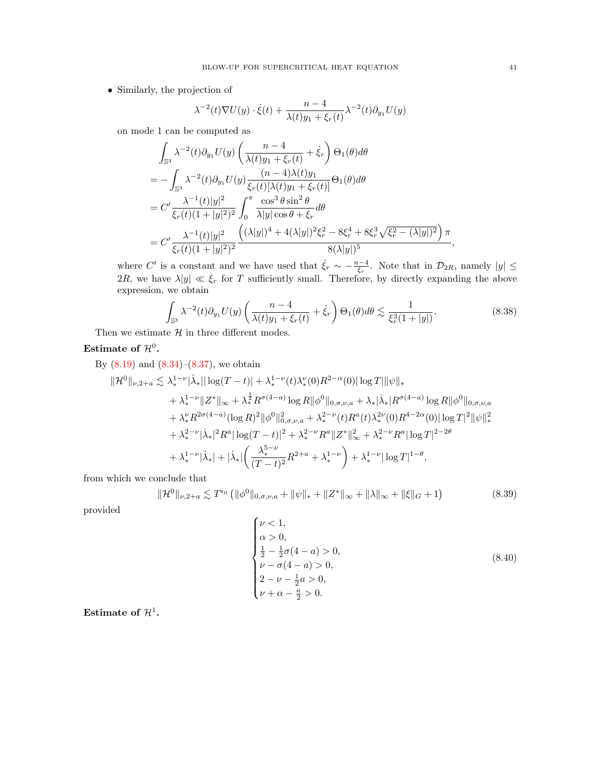• Similarly, the projection of

$$
\lambda^{-2}(t)\nabla U(y) \cdot \dot{\xi}(t) + \frac{n-4}{\lambda(t)y_1 + \xi_r(t)} \lambda^{-2}(t)\partial_{y_1}U(y)
$$

on mode 1 can be computed as

$$
\int_{\mathbb{S}^3} \lambda^{-2}(t) \partial_{y_1} U(y) \left( \frac{n-4}{\lambda(t)y_1 + \xi_r(t)} + \dot{\xi}_r \right) \Theta_1(\theta) d\theta \n= - \int_{\mathbb{S}^3} \lambda^{-2}(t) \partial_{y_1} U(y) \frac{(n-4)\lambda(t)y_1}{\xi_r(t)[\lambda(t)y_1 + \xi_r(t)]} \Theta_1(\theta) d\theta \n= C' \frac{\lambda^{-1}(t)|y|^2}{\xi_r(t)(1+|y|^2)^2} \int_0^{\pi} \frac{\cos^3 \theta \sin^2 \theta}{\lambda |y| \cos \theta + \xi_r} d\theta \n= C' \frac{\lambda^{-1}(t)|y|^2}{\xi_r(t)(1+|y|^2)^2} \frac{((\lambda|y|)^4 + 4(\lambda|y|)^2 \xi_r^2 - 8\xi_r^4 + 8\xi_r^3 \sqrt{\xi_r^2 - (\lambda|y|)^2}) \pi}{8(\lambda|y|)^5},
$$

where C' is a constant and we have used that  $\dot{\xi}_r \sim -\frac{n-4}{\xi_r}$ . Note that in  $\mathcal{D}_{2R}$ , namely  $|y| \leq$ 2R, we have  $\lambda |y| \ll \xi_r$  for T sufficiently small. Therefore, by directly expanding the above expression, we obtain

<span id="page-40-0"></span>
$$
\int_{\mathbb{S}^3} \lambda^{-2}(t) \partial_{y_1} U(y) \left( \frac{n-4}{\lambda(t)y_1 + \xi_r(t)} + \dot{\xi}_r \right) \Theta_1(\theta) d\theta \lesssim \frac{1}{\xi_r^3 (1+|y|)}.
$$
\n(8.38)

Then we estimate  $H$  in three different modes.

# Estimate of  $\mathcal{H}^0$ .

By  $(8.19)$  and  $(8.34)$ – $(8.37)$ , we obtain

$$
\|\mathcal{H}^{0}\|_{\nu,2+a} \lesssim \lambda_{*}^{1-\nu}|\dot{\lambda}_{*}||\log(T-t)| + \lambda_{*}^{1-\nu}(t)\lambda_{*}^{\nu}(0)R^{2-\alpha}(0)|\log T||\psi\|_{*} \n+ \lambda_{*}^{1-\nu}\|Z^{*}\|_{\infty} + \lambda_{*}^{\frac{1}{2}}R^{\sigma(4-a)}\log R\|\phi^{0}\|_{0,\sigma,\nu,a} + \lambda_{*}|\dot{\lambda}_{*}|R^{\sigma(4-a)}\log R\|\phi^{0}\|_{0,\sigma,\nu,a} \n+ \lambda_{*}^{\nu}R^{2\sigma(4-a)}(\log R)^{2}\|\phi^{0}\|_{0,\sigma,\nu,a}^{2} + \lambda_{*}^{2-\nu}(t)R^{a}(t)\lambda_{*}^{2\nu}(0)R^{4-2\alpha}(0)|\log T|^{2}\|\psi\|_{*}^{2} \n+ \lambda_{*}^{2-\nu}|\dot{\lambda}_{*}|^{2}R^{a}|\log(T-t)|^{2} + \lambda_{*}^{2-\nu}R^{a}\|Z^{*}\|_{\infty}^{2} + \lambda_{*}^{2-\nu}R^{a}|\log T|^{2-2\theta} \n+ \lambda_{*}^{1-\nu}|\dot{\lambda}_{*}| + |\dot{\lambda}_{*}|\left(\frac{\lambda_{*}^{5-\nu}}{(T-t)^{2}}R^{2+a} + \lambda_{*}^{1-\nu}\right) + \lambda_{*}^{1-\nu}|\log T|^{1-\theta},
$$

from which we conclude that

<span id="page-40-1"></span>
$$
\|\mathcal{H}^{0}\|_{\nu,2+a} \lesssim T^{\epsilon_{0}} \left( \|\phi^{0}\|_{0,\sigma,\nu,a} + \|\psi\|_{*} + \|Z^{*}\|_{\infty} + \|\lambda\|_{\infty} + \|\xi\|_{G} + 1 \right) \tag{8.39}
$$

provided

$$
\begin{cases}\n\nu < 1, \\
\alpha > 0, \\
\frac{1}{2} - \frac{1}{2}\sigma(4 - a) > 0, \\
\nu - \sigma(4 - a) > 0, \\
2 - \nu - \frac{1}{2}a > 0, \\
\nu + \alpha - \frac{a}{2} > 0.\n\end{cases} \tag{8.40}
$$

Estimate of  $\mathcal{H}^1$ .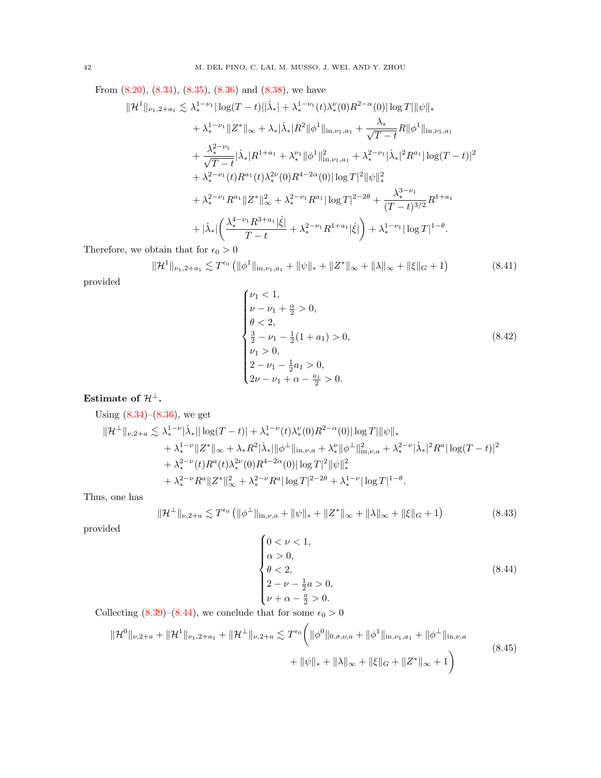From [\(8.20\)](#page-36-3), [\(8.34\)](#page-39-1), [\(8.35\)](#page-39-2), [\(8.36\)](#page-39-3) and [\(8.38\)](#page-40-0), we have

$$
\|\mathcal{H}^{1}\|_{\nu_{1},2+a_{1}} \lesssim \lambda_{*}^{1-\nu_{1}}|\log(T-t)||\dot{\lambda}_{*}| + \lambda_{*}^{1-\nu_{1}}(t)\lambda_{*}^{\nu}(0)R^{2-\alpha}(0)|\log T||\psi\|_{*} \n+ \lambda_{*}^{1-\nu_{1}}\|Z^{*}\|_{\infty} + \lambda_{*}|\dot{\lambda}_{*}|R^{2}||\phi^{1}\|_{\text{in},\nu_{1},a_{1}} + \frac{\lambda_{*}}{\sqrt{T-t}}R||\phi^{1}\|_{\text{in},\nu_{1},a_{1}} \n+ \frac{\lambda_{*}^{2-\nu_{1}}}{\sqrt{T-t}}|\dot{\lambda}_{*}|R^{1+a_{1}} + \lambda_{*}^{\nu_{1}}||\phi^{1}\|_{\text{in},\nu_{1},a_{1}}^{2} + \lambda_{*}^{2-\nu_{1}}|\dot{\lambda}_{*}|^{2}R^{a_{1}}|\log(T-t)|^{2} \n+ \lambda_{*}^{2-\nu_{1}}(t)R^{a_{1}}(t)\lambda_{*}^{2\nu}(0)R^{4-2\alpha}(0)|\log T|^{2}||\psi||_{*}^{2} \n+ \lambda_{*}^{2-\nu_{1}}R^{a_{1}}\|Z^{*}\|_{\infty}^{2} + \lambda_{*}^{2-\nu_{1}}R^{a_{1}}|\log T|^{2-2\theta} + \frac{\lambda_{*}^{3-\nu_{1}}}{(T-t)^{3/2}}R^{1+a_{1}} \n+ |\dot{\lambda}_{*}|\left(\frac{\lambda_{*}^{4-\nu_{1}}R^{3+a_{1}}|\dot{\xi}|}{T-t} + \lambda_{*}^{2-\nu_{1}}R^{1+a_{1}}|\dot{\xi}|\right) + \lambda_{*}^{1-\nu_{1}}|\log T|^{1-\theta}.
$$

Therefore, we obtain that for  $\epsilon_0 > 0$ 

<span id="page-41-1"></span>
$$
\|\mathcal{H}^1\|_{\nu_1,2+a_1} \lesssim T^{\epsilon_0} \left( \|\phi^1\|_{\mathrm{in},\nu_1,a_1} + \|\psi\|_{*} + \|Z^*\|_{\infty} + \|\lambda\|_{\infty} + \|\xi\|_{G} + 1 \right) \tag{8.41}
$$

provided

$$
\begin{cases}\n\nu_1 < 1, \\
\nu - \nu_1 + \frac{\alpha}{2} > 0, \\
\theta < 2, \\
\frac{3}{2} - \nu_1 - \frac{1}{2}(1 + a_1) > 0, \\
\nu_1 > 0, \\
2 - \nu_1 - \frac{1}{2}a_1 > 0, \\
2\nu - \nu_1 + \alpha - \frac{a_1}{2} > 0.\n\end{cases} \tag{8.42}
$$

# Estimate of  $\mathcal{H}^{\perp}$ .

Using  $(8.34)$ – $(8.36)$ , we get  $\|\mathcal{H}^{\perp}\|_{\nu,2+a} \lesssim \lambda_*^{1-\nu}|\dot{\lambda}_*||\log(T-t)| + \lambda_*^{1-\nu}(t)\lambda_*^{\nu}(0)R^{2-\alpha}(0)|\log T|\|\psi\|_*$  $+ \lambda_*^{1-\nu} \|Z^*\|_\infty + \lambda_* R^2 |\dot{\lambda}_*| \|\phi^\perp\|_{{\rm in},\nu,a}^1 + \lambda_*^\nu \|\phi^\perp\|_{{\rm in},\nu,a}^2 + \lambda_*^{2-\nu} |\dot{\lambda}_*|^2 R^a |\log (T-t)|^2$ +  $\lambda_*^{2-\nu}(t)R^a(t)\lambda_*^{2\nu}(0)R^{4-2\alpha}(0)|\log T|^2 \|\psi\|_*^2$  $+\lambda_*^{2-\nu} R^a \|Z^*\|_\infty^2 + \lambda_*^{2-\nu} R^a |\log T|^{2-2\theta} + \lambda_*^{1-\nu} |\log T|^{1-\theta}.$ 

Thus, one has

<span id="page-41-2"></span>
$$
\|\mathcal{H}^{\perp}\|_{\nu,2+a} \lesssim T^{\epsilon_0} \left( \|\phi^{\perp}\|_{\mathrm{in},\nu,a} + \|\psi\|_{*} + \|Z^*\|_{\infty} + \|\lambda\|_{\infty} + \|\xi\|_{G} + 1 \right) \tag{8.43}
$$

provided

<span id="page-41-0"></span>
$$
\begin{cases}\n0 < \nu < 1, \\
\alpha > 0, \\
\theta < 2, \\
2 - \nu - \frac{1}{2}a > 0, \\
\nu + \alpha - \frac{a}{2} > 0.\n\end{cases} \tag{8.44}
$$

Collecting [\(8.39\)](#page-40-1)–[\(8.44\)](#page-41-0), we conclude that for some  $\epsilon_0 > 0$ 

$$
\|\mathcal{H}^{0}\|_{\nu,2+a} + \|\mathcal{H}^{1}\|_{\nu_{1},2+a_{1}} + \|\mathcal{H}^{\perp}\|_{\nu,2+a} \lesssim T^{\epsilon_{0}} \bigg(\|\phi^{0}\|_{0,\sigma,\nu,a} + \|\phi^{1}\|_{\text{in},\nu_{1},a_{1}} + \|\phi^{\perp}\|_{\text{in},\nu,a} + \|\psi\|_{*} + \|\lambda\|_{\infty} + \|\xi\|_{G} + \|Z^{*}\|_{\infty} + 1\bigg)
$$
\n(8.45)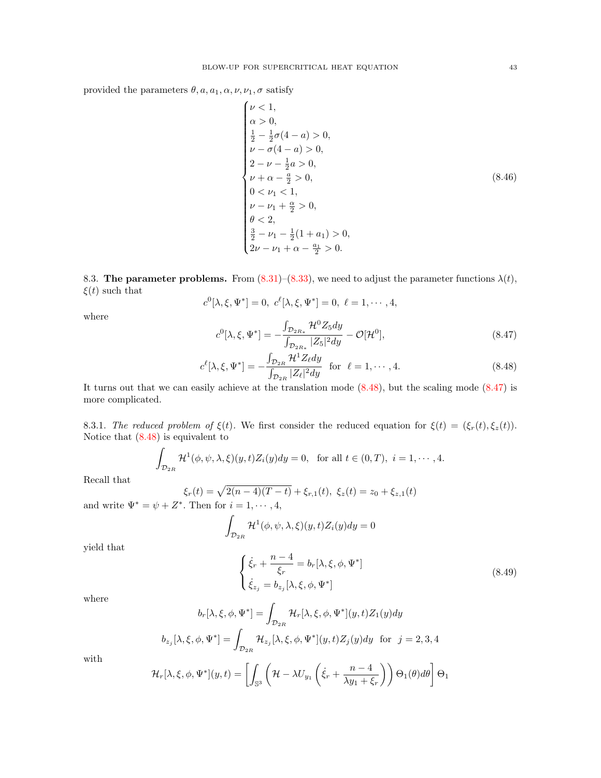provided the parameters  $\theta$ ,  $a$ ,  $a_1$ ,  $\alpha$ ,  $\nu$ ,  $\nu_1$ ,  $\sigma$  satisfy

$$
\begin{cases}\n\nu < 1, \\
\alpha > 0, \\
\frac{1}{2} - \frac{1}{2}\sigma(4 - a) > 0, \\
\nu - \sigma(4 - a) > 0, \\
2 - \nu - \frac{1}{2}a > 0, \\
\nu + \alpha - \frac{a}{2} > 0, \\
0 < \nu_1 < 1, \\
\nu - \nu_1 + \frac{\alpha}{2} > 0, \\
\theta < 2, \\
\frac{3}{2} - \nu_1 - \frac{1}{2}(1 + a_1) > 0, \\
2\nu - \nu_1 + \alpha - \frac{a_1}{2} > 0.\n\end{cases} \tag{8.46}
$$

<span id="page-42-0"></span>8.3. The parameter problems. From  $(8.31)$ – $(8.33)$ , we need to adjust the parameter functions  $\lambda(t)$ ,  $\xi(t)$  such that

$$
c^{0}[\lambda, \xi, \Psi^*] = 0, c^{\ell}[\lambda, \xi, \Psi^*] = 0, \ell = 1, \cdots, 4,
$$

where

<span id="page-42-3"></span>
$$
c^{0}[\lambda, \xi, \Psi^*] = -\frac{\int_{\mathcal{D}_{2R_*}} \mathcal{H}^0 Z_5 dy}{\int_{\mathcal{D}_{2R_*}} |Z_5|^2 dy} - \mathcal{O}[\mathcal{H}^0],\tag{8.47}
$$

<span id="page-42-2"></span>
$$
c^{\ell}[\lambda, \xi, \Psi^*] = -\frac{\int_{\mathcal{D}_{2R}} \mathcal{H}^1 Z_{\ell} dy}{\int_{\mathcal{D}_{2R}} |Z_{\ell}|^2 dy} \quad \text{for} \quad \ell = 1, \cdots, 4. \tag{8.48}
$$

It turns out that we can easily achieve at the translation mode [\(8.48\)](#page-42-2), but the scaling mode [\(8.47\)](#page-42-3) is more complicated.

<span id="page-42-1"></span>8.3.1. The reduced problem of  $\xi(t)$ . We first consider the reduced equation for  $\xi(t) = (\xi_r(t), \xi_z(t))$ . Notice that [\(8.48\)](#page-42-2) is equivalent to

$$
\int_{\mathcal{D}_{2R}}\mathcal{H}^1(\phi,\psi,\lambda,\xi)(y,t)Z_i(y)dy=0, \text{ for all } t\in(0,T), i=1,\cdots,4.
$$

Recall that

$$
\xi_r(t) = \sqrt{2(n-4)(T-t)} + \xi_{r,1}(t), \ \xi_z(t) = z_0 + \xi_{z,1}(t)
$$
  
Z<sup>\*</sup>. Then for  $i = 1, \dots, 4$ .

and write  $\Psi^* = \psi + Z$ hen for  $i = 1, \dots, 4$ ,

$$
\int_{\mathcal{D}_{2R}}\mathcal{H}^1(\phi,\psi,\lambda,\xi)(y,t)Z_i(y)dy=0
$$

yield that

<span id="page-42-4"></span>
$$
\begin{cases}\n\dot{\xi}_r + \frac{n-4}{\xi_r} = b_r[\lambda, \xi, \phi, \Psi^*] \\
\dot{\xi}_{z_j} = b_{z_j}[\lambda, \xi, \phi, \Psi^*]\n\end{cases}
$$
\n(8.49)

where

$$
b_r[\lambda, \xi, \phi, \Psi^*] = \int_{\mathcal{D}_{2R}} \mathcal{H}_r[\lambda, \xi, \phi, \Psi^*](y, t) Z_1(y) dy
$$
  

$$
b_{z_j}[\lambda, \xi, \phi, \Psi^*] = \int_{\mathcal{D}_{2R}} \mathcal{H}_{z_j}[\lambda, \xi, \phi, \Psi^*](y, t) Z_j(y) dy \text{ for } j = 2, 3, 4
$$

with

$$
\mathcal{H}_r[\lambda,\xi,\phi,\Psi^*](y,t) = \left[ \int_{\mathbb{S}^3} \left( \mathcal{H} - \lambda U_{y_1} \left( \dot{\xi}_r + \frac{n-4}{\lambda y_1 + \xi_r} \right) \right) \Theta_1(\theta) d\theta \right] \Theta_1
$$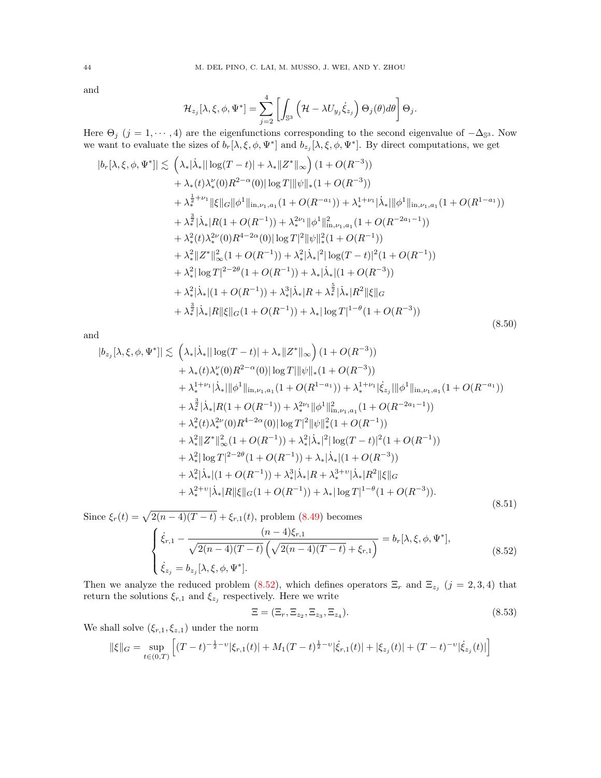and

$$
\mathcal{H}_{z_j}[\lambda,\xi,\phi,\Psi^*] = \sum_{j=2}^4 \left[ \int_{\mathbb{S}^3} \left( \mathcal{H} - \lambda U_{y_j} \dot{\xi}_{z_j} \right) \Theta_j(\theta) d\theta \right] \Theta_j.
$$

Here  $\Theta_j$  (j = 1,  $\dots$ , 4) are the eigenfunctions corresponding to the second eigenvalue of  $-\Delta_{\mathbb{S}^3}$ . Now we want to evaluate the sizes of  $b_r[\lambda, \xi, \phi, \Psi^*]$  and  $b_{z_j}[\lambda, \xi, \phi, \Psi^*]$ . By direct computations, we get

<span id="page-43-1"></span>
$$
|b_r[\lambda, \xi, \phi, \Psi^*]| \lesssim \left(\lambda_*|\dot{\lambda}_*||\log(T-t)| + \lambda_*||Z^*||_{\infty}\right)(1+O(R^{-3}))
$$
  
+  $\lambda_*(t)\lambda_*^{\nu}(0)R^{2-\alpha}(0)|\log T||\psi||_*(1+O(R^{-3}))$   
+  $\lambda_*^{\frac{1}{2}+\nu_1}||\xi||_G||\phi^1||_{\text{in},\nu_1,a_1}(1+O(R^{-a_1})) + \lambda_*^{1+\nu_1}|\dot{\lambda}_*||\phi^1||_{\text{in},\nu_1,a_1}(1+O(R^{1-a_1}))$   
+  $\lambda_*^{\frac{3}{2}}|\dot{\lambda}_*|R(1+O(R^{-1})) + \lambda_*^{2\nu_1}||\phi^1||_{\text{in},\nu_1,a_1}^2(1+O(R^{-2a_1-1}))$   
+  $\lambda_*^2(t)\lambda_*^{2\nu}(0)R^{4-2\alpha}(0)|\log T|^2||\psi||_*^2(1+O(R^{-1}))$   
+  $\lambda_*^2||Z^*||_{\infty}^2(1+O(R^{-1})) + \lambda_*^2|\dot{\lambda}_*|^2|\log(T-t)|^2(1+O(R^{-1}))$   
+  $\lambda_*^2|\log T|^{2-2\theta}(1+O(R^{-1})) + \lambda_*|\dot{\lambda}_*|(1+O(R^{-3}))$   
+  $\lambda_*^2|\dot{\lambda}_*|(1+O(R^{-1})) + \lambda_*^3|\dot{\lambda}_*|R + \lambda_*^{\frac{5}{2}}|\dot{\lambda}_*|R^2||\xi||_G$   
+  $\lambda_*^{\frac{3}{2}}|\dot{\lambda}_*|R||\xi||_G(1+O(R^{-1})) + \lambda_*|\log T|^{1-\theta}(1+O(R^{-3}))$  (8.50)

and

<span id="page-43-2"></span>
$$
|b_{z_j}[\lambda, \xi, \phi, \Psi^*]| \lesssim \left(\lambda_*|\dot{\lambda}_*||\log(T-t)| + \lambda_*||Z^*||_{\infty}\right)(1+O(R^{-3}))
$$
  
+  $\lambda_*(t)\lambda_*^{\nu}(0)R^{2-\alpha}(0)|\log T||\psi||_*(1+O(R^{-3}))$   
+  $\lambda_*^{1+\nu_1}|\dot{\lambda}_*||\phi^1||_{\text{in},\nu_1,a_1}(1+O(R^{1-a_1})) + \lambda_*^{1+\nu_1}|\dot{\xi}_{z_j}||\phi^1||_{\text{in},\nu_1,a_1}(1+O(R^{-a_1}))$   
+  $\lambda_*^{\frac{3}{2}}|\dot{\lambda}_*|R(1+O(R^{-1})) + \lambda_*^{2\nu_1}||\phi^1||_{\text{in},\nu_1,a_1}(1+O(R^{-2a_1-1}))$   
+  $\lambda_*^2(t)\lambda_*^{2\nu}(0)R^{4-2\alpha}(0)|\log T|^2||\psi||_*^2(1+O(R^{-1}))$   
+  $\lambda_*^2||Z^*||_{\infty}^2(1+O(R^{-1})) + \lambda_*^2|\dot{\lambda}_*|^2|\log(T-t)|^2(1+O(R^{-1}))$   
+  $\lambda_*^2|\log T|^{2-2\theta}(1+O(R^{-1})) + \lambda_*|\dot{\lambda}_*|(1+O(R^{-3}))$   
+  $\lambda_*^2|\dot{\lambda}_*|(1+O(R^{-1})) + \lambda_*^3|\dot{\lambda}_*|R + \lambda_*^{3+\nu}|\dot{\lambda}_*|R^2||\xi||_G$   
+  $\lambda_*^{2+\nu}|\dot{\lambda}_*|R||\xi||_G(1+O(R^{-1})) + \lambda_*|\log T|^{1-\theta}(1+O(R^{-3})).$  (8.51)

Since  $\xi_r(t) = \sqrt{2(n-4)(T-t)} + \xi_{r,1}(t)$ , problem [\(8.49\)](#page-42-4) becomes

<span id="page-43-0"></span>
$$
\begin{cases} \dot{\xi}_{r,1} - \frac{(n-4)\xi_{r,1}}{\sqrt{2(n-4)(T-t)}} \left(\sqrt{2(n-4)(T-t)} + \xi_{r,1}\right) = b_r[\lambda, \xi, \phi, \Psi^*],\\ \dot{\xi}_{z_j} = b_{z_j}[\lambda, \xi, \phi, \Psi^*]. \end{cases}
$$
(8.52)

Then we analyze the reduced problem [\(8.52\)](#page-43-0), which defines operators  $\Xi_r$  and  $\Xi_{z_j}$  ( $j = 2,3,4$ ) that return the solutions  $\xi_{r,1}$  and  $\xi_{z_j}$  respectively. Here we write

<span id="page-43-3"></span>
$$
\Xi = (\Xi_r, \Xi_{z_2}, \Xi_{z_3}, \Xi_{z_4}). \tag{8.53}
$$

We shall solve  $(\xi_{r,1}, \xi_{z,1})$  under the norm

$$
\|\xi\|_G = \sup_{t \in (0,T)} \left[ (T-t)^{-\frac{1}{2}-\nu} |\xi_{r,1}(t)| + M_1 (T-t)^{\frac{1}{2}-\nu} |\dot{\xi}_{r,1}(t)| + |\xi_{z_j}(t)| + (T-t)^{-\nu} |\dot{\xi}_{z_j}(t)| \right]
$$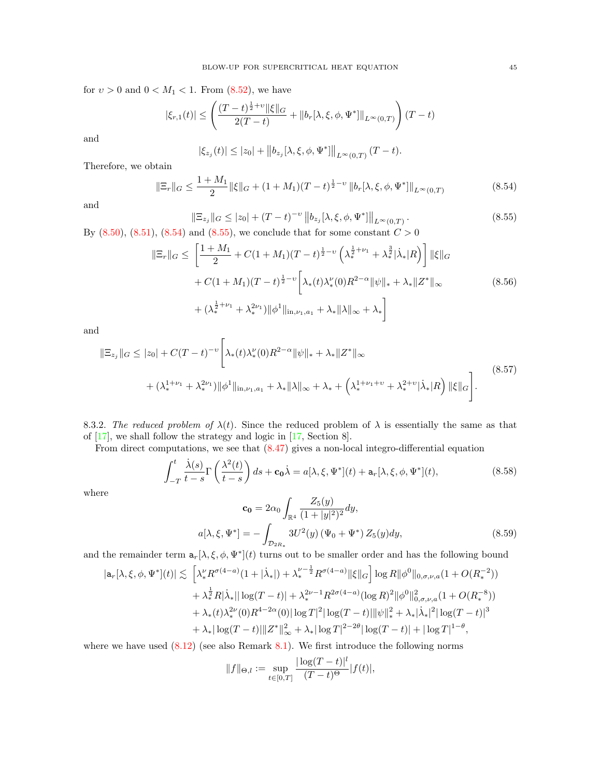for  $v > 0$  and  $0 < M_1 < 1$ . From  $(8.52)$ , we have

$$
|\xi_{r,1}(t)| \le \left(\frac{(T-t)^{\frac{1}{2}+v} \|\xi\|_G}{2(T-t)} + \|b_r[\lambda, \xi, \phi, \Psi^*]\|_{L^{\infty}(0,T)}\right)(T-t)
$$

and

$$
|\xi_{z_j}(t)| \leq |z_0| + ||b_{z_j}[\lambda, \xi, \phi, \Psi^*||_{L^{\infty}(0,T)} (T-t).
$$

Therefore, we obtain

<span id="page-44-1"></span>
$$
\|\Xi_r\|_G \le \frac{1+M_1}{2} \|\xi\|_G + (1+M_1)(T-t)^{\frac{1}{2}-\nu} \|b_r[\lambda, \xi, \phi, \Psi^*]\|_{L^\infty(0,T)}\tag{8.54}
$$

and

<span id="page-44-2"></span>
$$
\|\Xi_{z_j}\|_G \le |z_0| + (T - t)^{-\upsilon} \|b_{z_j}[\lambda, \xi, \phi, \Psi^*]\|_{L^{\infty}(0,T)}.
$$
\n(8.55)

By  $(8.50), (8.51), (8.54)$  $(8.50), (8.51), (8.54)$  $(8.50), (8.51), (8.54)$  $(8.50), (8.51), (8.54)$  and  $(8.55),$  we conclude that for some constant  $C > 0$ 

<span id="page-44-5"></span>
$$
\|\Xi_r\|_G \le \left[\frac{1+M_1}{2} + C(1+M_1)(T-t)^{\frac{1}{2}-\nu} \left(\lambda_*^{\frac{1}{2}+\nu_1} + \lambda_*^{\frac{3}{2}}|\lambda_*|R\right)\right] \|\xi\|_G
$$
  
+  $C(1+M_1)(T-t)^{\frac{1}{2}-\nu} \left[\lambda_*(t)\lambda_*^{\nu}(0)R^{2-\alpha} \|\psi\|_* + \lambda_* \|Z^*\|_{\infty} + (\lambda_*^{\frac{1}{2}+\nu_1} + \lambda_*^{\nu_1}) \|\phi^1\|_{\text{in},\nu_1,a_1} + \lambda_* \|\lambda\|_{\infty} + \lambda_*\right]$  (8.56)

and

<span id="page-44-6"></span>
$$
\|\Xi_{z_j}\|_G \le |z_0| + C(T-t)^{-\nu} \Bigg[ \lambda_*(t) \lambda_*^{\nu}(0) R^{2-\alpha} \|\psi\|_* + \lambda_* \|Z^*\|_{\infty} + (\lambda_*^{1+\nu_1} + \lambda_*^{2\nu_1}) \|\phi^1\|_{\text{in},\nu_1,a_1} + \lambda_* \|\lambda\|_{\infty} + \lambda_* + \left(\lambda_*^{1+\nu_1+\nu} + \lambda_*^{2+\nu} |\dot{\lambda}_*| R\right) \|\xi\|_G \Bigg].
$$
\n(8.57)

<span id="page-44-0"></span>8.3.2. The reduced problem of  $\lambda(t)$ . Since the reduced problem of  $\lambda$  is essentially the same as that of [\[17\]](#page-61-24), we shall follow the strategy and logic in [\[17,](#page-61-24) Section 8].

From direct computations, we see that [\(8.47\)](#page-42-3) gives a non-local integro-differential equation

<span id="page-44-3"></span>
$$
\int_{-T}^{t} \frac{\dot{\lambda}(s)}{t-s} \Gamma\left(\frac{\lambda^2(t)}{t-s}\right) ds + \mathbf{c_0} \dot{\lambda} = a[\lambda, \xi, \Psi^*](t) + \mathbf{a}_r[\lambda, \xi, \phi, \Psi^*](t),\tag{8.58}
$$

where

<span id="page-44-4"></span>
$$
\mathbf{c_0} = 2\alpha_0 \int_{\mathbb{R}^4} \frac{Z_5(y)}{(1+|y|^2)^2} dy,
$$
  
\n
$$
a[\lambda, \xi, \Psi^*] = -\int_{\mathcal{D}_{2R_*}} 3U^2(y) \left(\Psi_0 + \Psi^*\right) Z_5(y) dy,
$$
\n(8.59)

and the remainder term  $a_r[\lambda, \xi, \phi, \Psi^*](t)$  turns out to be smaller order and has the following bound

$$
|\mathbf{a}_{r}[\lambda,\xi,\phi,\Psi^{*}](t)| \lesssim \left[\lambda_{*}^{\nu}R^{\sigma(4-a)}(1+|\dot{\lambda}_{*}|) + \lambda_{*}^{\nu-\frac{1}{2}}R^{\sigma(4-a)}\|\xi\|_{G}\right] \log R \|\phi^{0}\|_{0,\sigma,\nu,a}(1+O(R_{*}^{-2}))
$$
  
+  $\lambda_{*}^{\frac{1}{2}}R|\dot{\lambda}_{*}||\log(T-t)| + \lambda_{*}^{2\nu-1}R^{2\sigma(4-a)}(\log R)^{2}\|\phi^{0}\|_{0,\sigma,\nu,a}^{2}(1+O(R_{*}^{-8}))$   
+  $\lambda_{*}(t)\lambda_{*}^{2\nu}(0)R^{4-2\alpha}(0)|\log T|^{2}|\log(T-t)||\psi\|_{*}^{2} + \lambda_{*}|\dot{\lambda}_{*}|^{2}|\log(T-t)|^{3}$   
+  $\lambda_{*}|\log(T-t)||Z^{*}||_{\infty}^{2} + \lambda_{*}|\log T|^{2-2\theta}|\log(T-t)| + |\log T|^{1-\theta},$ 

where we have used  $(8.12)$  (see also Remark [8.1\)](#page-34-0). We first introduce the following norms

$$
||f||_{\Theta,l} := \sup_{t \in [0,T]} \frac{|\log(T-t)|^l}{(T-t)^{\Theta}} |f(t)|,
$$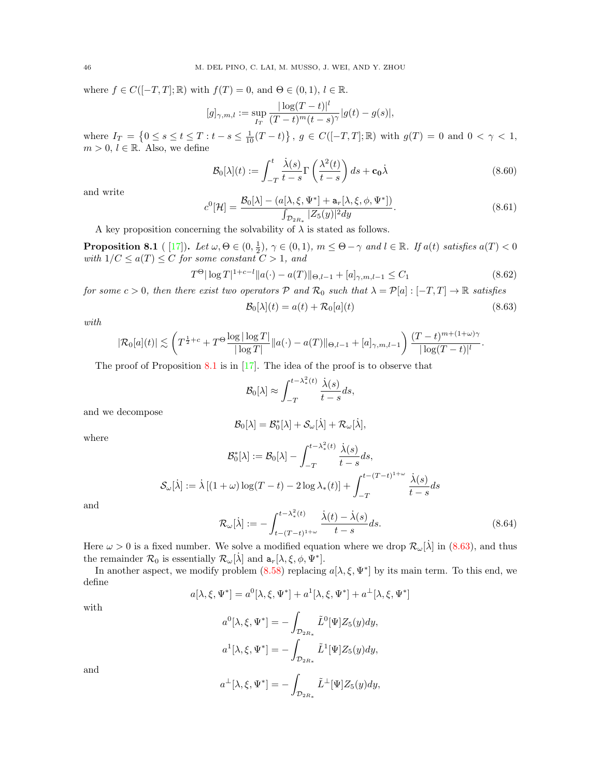where  $f \in C([-T, T]; \mathbb{R})$  with  $f(T) = 0$ , and  $\Theta \in (0, 1)$ ,  $l \in \mathbb{R}$ .

$$
[g]_{\gamma,m,l} := \sup_{I_T} \frac{|\log(T-t)|^l}{(T-t)^m(t-s)^{\gamma}} |g(t) - g(s)|,
$$

where  $I_T = \{0 \le s \le t \le T : t - s \le \frac{1}{10}(T-t)\}, g \in C([-T,T];\mathbb{R})$  with  $g(T) = 0$  and  $0 < \gamma < 1$ ,  $m > 0, l \in \mathbb{R}$ . Also, we define

<span id="page-45-3"></span>
$$
\mathcal{B}_0[\lambda](t) := \int_{-T}^t \frac{\dot{\lambda}(s)}{t - s} \Gamma\left(\frac{\lambda^2(t)}{t - s}\right) ds + \mathbf{c}_0 \dot{\lambda}
$$
\n(8.60)

and write

<span id="page-45-2"></span>
$$
c^{0}[\mathcal{H}] = \frac{\mathcal{B}_{0}[\lambda] - (a[\lambda, \xi, \Psi^*] + \mathbf{a}_r[\lambda, \xi, \phi, \Psi^*])}{\int_{\mathcal{D}_{2R_*}} |Z_5(y)|^2 dy}.
$$
\n(8.61)

A key proposition concerning the solvability of  $\lambda$  is stated as follows.

<span id="page-45-0"></span>**Proposition 8.1** ([17]). Let  $\omega, \Theta \in (0, \frac{1}{2})$ ,  $\gamma \in (0, 1)$ ,  $m \leq \Theta - \gamma$  and  $l \in \mathbb{R}$ . If  $a(t)$  satisfies  $a(T) < 0$ with  $1/C \leq a(T) \leq C$  for some constant  $C > 1$ , and

<span id="page-45-4"></span>
$$
T^{\Theta} |\log T|^{1+c-l} ||a(\cdot) - a(T)||_{\Theta, l-1} + [a]_{\gamma, m, l-1} \le C_1
$$
\n(8.62)

for some  $c > 0$ , then there exist two operators  $P$  and  $\mathcal{R}_0$  such that  $\lambda = P[a] : [-T, T] \to \mathbb{R}$  satisfies

<span id="page-45-1"></span>
$$
\mathcal{B}_0[\lambda](t) = a(t) + \mathcal{R}_0[a](t) \tag{8.63}
$$

with

$$
|\mathcal{R}_0[a](t)| \lesssim \left( T^{\frac{1}{2}+c} + T^{\Theta} \frac{\log |\log T|}{|\log T|} \|a(\cdot) - a(T)\|_{\Theta, l-1} + [a]_{\gamma, m, l-1} \right) \frac{(T-t)^{m+(1+\omega)\gamma}}{|\log (T-t)|^l}.
$$

The proof of Proposition [8.1](#page-45-0) is in [\[17\]](#page-61-24). The idea of the proof is to observe that

$$
\mathcal{B}_0[\lambda] \approx \int_{-T}^{t - \lambda_*^2(t)} \frac{\dot{\lambda}(s)}{t - s} ds,
$$

and we decompose

$$
\mathcal{B}_0[\lambda] = \mathcal{B}_0^*[\lambda] + \mathcal{S}_{\omega}[\dot{\lambda}] + \mathcal{R}_{\omega}[\dot{\lambda}],
$$

where

$$
\mathcal{B}_0^*[\lambda] := \mathcal{B}_0[\lambda] - \int_{-T}^{t - \lambda_*^2(t)} \frac{\dot{\lambda}(s)}{t - s} ds,
$$
  

$$
\mathcal{S}_{\omega}[\lambda] := \lambda \left[ (1 + \omega) \log(T - t) - 2 \log \lambda_*(t) \right] + \int_{-T}^{t - (T - t)^{1 + \omega}} \frac{\dot{\lambda}(s)}{t - s} ds
$$
  

$$
\mathcal{D}[\lambda] := \int_{-T}^{t - \lambda_*^2(t)} \frac{\dot{\lambda}(t) - \dot{\lambda}(s)}{s} ds.
$$

and

<span id="page-45-5"></span>
$$
\mathcal{R}_{\omega}[\dot{\lambda}] := -\int_{t-(T-t)^{1+\omega}}^{t-\lambda_*^2(t)} \frac{\dot{\lambda}(t) - \dot{\lambda}(s)}{t-s} ds.
$$
\n(8.64)

Here  $\omega > 0$  is a fixed number. We solve a modified equation where we drop  $\mathcal{R}_{\omega}[\dot{\lambda}]$  in [\(8.63\)](#page-45-1), and thus the remainder  $\mathcal{R}_0$  is essentially  $\mathcal{R}_{\omega}[\lambda]$  and  $a_r[\lambda, \xi, \phi, \Psi^*]$ .

In another aspect, we modify problem  $(8.58)$  replacing  $a[\lambda, \xi, \Psi^*]$  by its main term. To this end, we define

$$
a[\lambda, \xi, \Psi^*] = a^0[\lambda, \xi, \Psi^*] + a^1[\lambda, \xi, \Psi^*] + a^{\perp}[\lambda, \xi, \Psi^*]
$$

with

$$
a^0[\lambda, \xi, \Psi^*] = -\int_{\mathcal{D}_{2R_*}} \tilde{L}^0[\Psi] Z_5(y) dy,
$$
  

$$
a^1[\lambda, \xi, \Psi^*] = -\int_{\mathcal{D}_{2R_*}} \tilde{L}^1[\Psi] Z_5(y) dy,
$$

and

$$
a^{\perp}[\lambda,\xi,\Psi^*] = -\int_{\mathcal{D}_{2R_*}} \tilde{L}^{\perp}[\Psi] Z_5(y) dy,
$$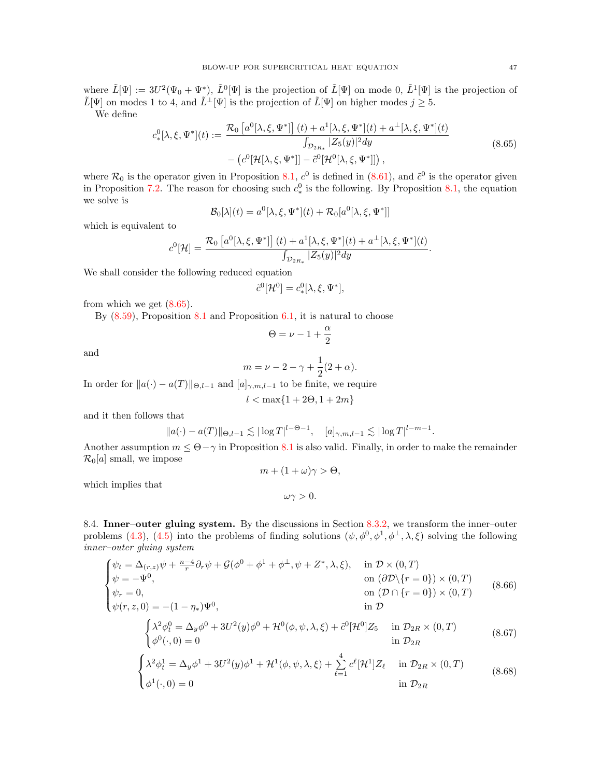where  $\tilde{L}[\Psi] := 3U^2(\Psi_0 + \Psi^*)$ ,  $\tilde{L}^0[\Psi]$  is the projection of  $\tilde{L}[\Psi]$  on mode 0,  $\tilde{L}^1[\Psi]$  is the projection of  $\tilde{L}[\Psi]$  on modes 1 to 4, and  $\tilde{L}^{\perp}[\Psi]$  is the projection of  $\tilde{L}[\Psi]$  on higher modes  $j \geq 5$ .

We define

<span id="page-46-1"></span>
$$
c_*^0[\lambda, \xi, \Psi^*](t) := \frac{\mathcal{R}_0\left[a^0[\lambda, \xi, \Psi^*]\right](t) + a^1[\lambda, \xi, \Psi^*](t) + a^\perp[\lambda, \xi, \Psi^*](t)}{\int_{\mathcal{D}_{2R_*}} |Z_5(y)|^2 dy} - (c^0[\mathcal{H}[\lambda, \xi, \Psi^*]] - \tilde{c}^0[\mathcal{H}^0[\lambda, \xi, \Psi^*]]),
$$
\n(8.65)

where  $\mathcal{R}_0$  is the operator given in Proposition [8.1,](#page-45-0)  $c^0$  is defined in [\(8.61\)](#page-45-2), and  $\tilde{c}^0$  is the operator given in Proposition [7.2.](#page-22-1) The reason for choosing such  $c_*^0$  is the following. By Proposition [8.1,](#page-45-0) the equation we solve is

$$
\mathcal{B}_0[\lambda](t) = a^0[\lambda, \xi, \Psi^*](t) + \mathcal{R}_0[a^0[\lambda, \xi, \Psi^*]]
$$

which is equivalent to

$$
c^{0}[\mathcal{H}] = \frac{\mathcal{R}_{0}\left[a^{0}[\lambda,\xi,\Psi^{*}]\right](t) + a^{1}[\lambda,\xi,\Psi^{*}](t) + a^{\perp}[\lambda,\xi,\Psi^{*}](t)}{\int_{\mathcal{D}_{2R_{*}}} |Z_{5}(y)|^{2} dy}.
$$

We shall consider the following reduced equation

$$
\tilde{c}^0[\mathcal{H}^0] = c_*^0[\lambda, \xi, \Psi^*],
$$

from which we get [\(8.65\)](#page-46-1).

By  $(8.59)$ , Proposition  $8.1$  and Proposition [6.1,](#page-18-4) it is natural to choose

$$
\Theta=\nu-1+\frac{\alpha}{2}
$$

and

$$
m = \nu - 2 - \gamma + \frac{1}{2}(2 + \alpha).
$$

In order for  $||a(\cdot) - a(T)||_{\Theta, l-1}$  and  $[a]_{\gamma,m,l-1}$  to be finite, we require

$$
l<\max\{1+2\Theta,1+2m\}
$$

and it then follows that

$$
\|a(\cdot) - a(T)\|_{\Theta, l-1} \lesssim |\log T|^{l-\Theta-1}, \quad [a]_{\gamma,m,l-1} \lesssim |\log T|^{l-m-1}.
$$

Another assumption  $m \leq \Theta - \gamma$  in Proposition [8.1](#page-45-0) is also valid. Finally, in order to make the remainder  $\mathcal{R}_0[a]$  small, we impose  $m + (1 + \omega)\gamma > \Theta$ ,

 $\omega\gamma > 0.$ 

which implies that

<span id="page-46-0"></span>8.4. Inner–outer gluing system. By the discussions in Section [8.3.2,](#page-44-0) we transform the inner–outer problems [\(4.3\)](#page-13-3), [\(4.5\)](#page-13-2) into the problems of finding solutions  $(\psi, \phi^0, \phi^1, \phi^{\perp}, \lambda, \xi)$  solving the following inner–outer gluing system

<span id="page-46-2"></span>
$$
\begin{cases}\n\psi_t = \Delta_{(r,z)}\psi + \frac{n-4}{r}\partial_r\psi + \mathcal{G}(\phi^0 + \phi^1 + \phi^\perp, \psi + Z^*, \lambda, \xi), & \text{in } \mathcal{D} \times (0, T) \\
\psi = -\Psi^0, & \text{on } (\partial \mathcal{D} \setminus \{r = 0\}) \times (0, T) \\
\psi_r = 0, & \text{on } (\mathcal{D} \cap \{r = 0\}) \times (0, T) \\
\psi(r,z,0) = -(1 - \eta_*)\Psi^0, & \text{in } \mathcal{D} \\
\int \lambda^2 \phi_t^0 = \Delta_y \phi^0 + 3U^2(y)\phi^0 + \mathcal{H}^0(\phi, \psi, \lambda, \xi) + \tilde{c}^0[\mathcal{H}^0]Z_5 & \text{in } \mathcal{D}_{2R} \times (0, T)\n\end{cases}
$$
\n(8.66)

<span id="page-46-3"></span>
$$
\begin{cases}\n\lambda^2 \phi_t^1 = y \phi + 3U^2(y) \phi + 7L(\phi, \psi, \nu, \lambda, \zeta) + 5 \left[ L_1 L_3 \right] & \text{in } \mathcal{D}_{2R} \\
\phi^0(\cdot, 0) = 0 & \text{in } \mathcal{D}_{2R}\n\end{cases}
$$
\n
$$
\begin{cases}\n\lambda^2 \phi_t^1 = \Delta_y \phi^1 + 3U^2(y) \phi^1 + \mathcal{H}^1(\phi, \psi, \lambda, \zeta) + \sum_{\rho=1}^4 c^{\ell} [\mathcal{H}^1] Z_{\ell} & \text{in } \mathcal{D}_{2R} \times (0, T) \\
\text{(8.68)}\n\end{cases}
$$

<span id="page-46-4"></span>
$$
\begin{cases} \n\gamma_{\tau} + \frac{1}{2} \int_{\mathcal{F}} \gamma_{\tau} + \frac{1}{2} \int_{\mathcal{F}} \gamma_{\tau} + \frac{1}{2} \int_{\mathcal{F}} \gamma_{\tau} + \frac{1}{2} \int_{\mathcal{F}} \gamma_{\tau} + \frac{1}{2} \int_{\mathcal{F}} \gamma_{\tau} + \frac{1}{2} \int_{\mathcal{F}} \gamma_{\tau} + \frac{1}{2} \int_{\mathcal{F}} \gamma_{\tau} + \frac{1}{2} \int_{\mathcal{F}} \gamma_{\tau} + \frac{1}{2} \int_{\mathcal{F}} \gamma_{\tau} + \frac{1}{2} \int_{\mathcal{F}} \gamma_{\tau} + \frac{1}{2} \int_{\mathcal{F}} \gamma_{\tau} + \frac{1}{2} \int_{\mathcal{F}} \gamma_{\tau} + \frac{1}{2} \int_{\mathcal{F}} \gamma_{\tau} + \frac{1}{2} \int_{\mathcal{F}} \gamma_{\tau} + \frac{1}{2} \int_{\mathcal{F}} \gamma_{\tau} + \frac{1}{2} \int_{\mathcal{F}} \gamma_{\tau} + \frac{1}{2} \int_{\mathcal{F}} \gamma_{\tau} + \frac{1}{2} \int_{\mathcal{F}} \gamma_{\tau} + \frac{1}{2} \int_{\mathcal{F}} \gamma_{\tau} + \frac{1}{2} \int_{\mathcal{F}} \gamma_{\tau} + \frac{1}{2} \int_{\mathcal{F}} \gamma_{\tau} + \frac{1}{2} \int_{\mathcal{F}} \gamma_{\tau} + \frac{1}{2} \int_{\mathcal{F}} \gamma_{\tau} + \frac{1}{2} \int_{\mathcal{F}} \gamma_{\tau} + \frac{1}{2} \int_{\mathcal{F}} \gamma_{\tau} + \frac{1}{2} \int_{\mathcal{F}} \gamma_{\tau} + \frac{1}{2} \int_{\mathcal{F}} \gamma_{\tau} + \frac{1}{2} \int_{\mathcal{F}} \gamma_{\tau} + \frac{1}{2} \int_{\mathcal{F}} \gamma_{\tau} + \frac{1}{2} \int_{\mathcal{F}} \gamma_{\tau} + \frac{1}{2} \int_{\mathcal{F}} \gamma_{\tau} + \frac{1}{2} \int_{\mathcal{F}} \gamma_{\tau} + \frac{1}{2} \int_{
$$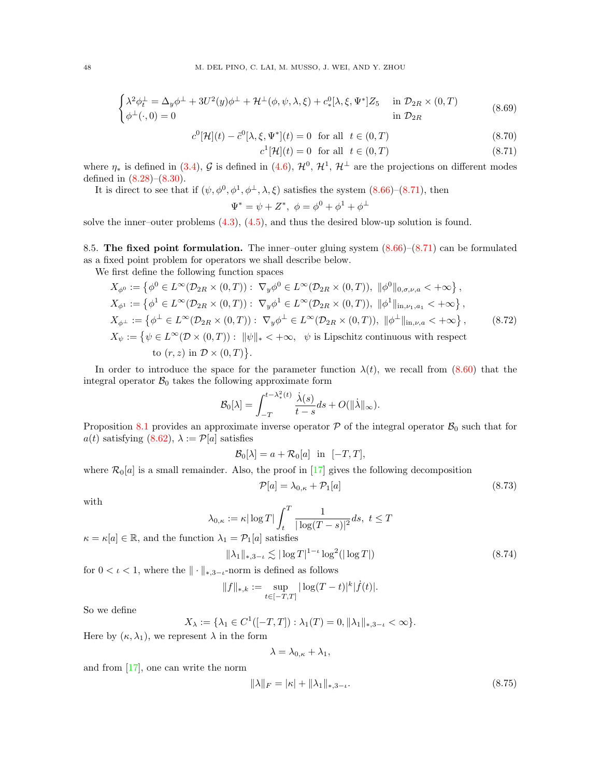<span id="page-47-4"></span>
$$
\begin{cases} \lambda^2 \phi_t^{\perp} = \Delta_y \phi^{\perp} + 3U^2(y)\phi^{\perp} + \mathcal{H}^{\perp}(\phi, \psi, \lambda, \xi) + c_*^0[\lambda, \xi, \Psi^*] Z_5 & \text{in } \mathcal{D}_{2R} \times (0, T) \\ \phi^{\perp}(\cdot, 0) = 0 & \text{in } \mathcal{D}_{2R} \end{cases}
$$
 (8.69)

<span id="page-47-3"></span>
$$
c^{0}[\mathcal{H}](t) - \tilde{c}^{0}[\lambda, \xi, \Psi^{*}](t) = 0 \quad \text{for all} \quad t \in (0, T)
$$
\n
$$
(8.70)
$$

 $c^1[\mathcal{H}](t) = 0$  for all  $t \in (0, T)$  (8.71)

where  $\eta_*$  is defined in [\(3.4\)](#page-9-6), G is defined in [\(4.6\)](#page-13-1),  $\mathcal{H}^0$ ,  $\mathcal{H}^1$ ,  $\mathcal{H}^\perp$  are the projections on different modes defined in [\(8.28\)](#page-38-2)–[\(8.30\)](#page-38-3).

It is direct to see that if  $(\psi, \phi^0, \phi^1, \phi^{\perp}, \lambda, \xi)$  satisfies the system  $(8.66)-(8.71)$  $(8.66)-(8.71)$ , then

$$
\Psi^* = \psi + Z^*, \ \phi = \phi^0 + \phi^1 + \phi^\perp
$$

solve the inner–outer problems [\(4.3\)](#page-13-3), [\(4.5\)](#page-13-2), and thus the desired blow-up solution is found.

<span id="page-47-0"></span>8.5. The fixed point formulation. The inner–outer gluing system [\(8.66\)](#page-46-2)–[\(8.71\)](#page-47-3) can be formulated as a fixed point problem for operators we shall describe below.

We first define the following function spaces

<span id="page-47-2"></span>
$$
X_{\phi^0} := \left\{ \phi^0 \in L^{\infty}(\mathcal{D}_{2R} \times (0,T)) : \nabla_y \phi^0 \in L^{\infty}(\mathcal{D}_{2R} \times (0,T)), \|\phi^0\|_{0,\sigma,\nu,a} < +\infty \right\},
$$
  
\n
$$
X_{\phi^1} := \left\{ \phi^1 \in L^{\infty}(\mathcal{D}_{2R} \times (0,T)) : \nabla_y \phi^1 \in L^{\infty}(\mathcal{D}_{2R} \times (0,T)), \|\phi^1\|_{\text{in},\nu_1,a_1} < +\infty \right\},
$$
  
\n
$$
X_{\phi^\perp} := \left\{ \phi^\perp \in L^{\infty}(\mathcal{D}_{2R} \times (0,T)) : \nabla_y \phi^\perp \in L^{\infty}(\mathcal{D}_{2R} \times (0,T)), \|\phi^\perp\|_{\text{in},\nu,a} < +\infty \right\},
$$
  
\n
$$
X_{\psi} := \left\{ \psi \in L^{\infty}(\mathcal{D} \times (0,T)) : \|\psi\|_{*} < +\infty, \quad \psi \text{ is Lipschitz continuous with respect to } (\tau, z) \text{ in } \mathcal{D} \times (0,T) \right\}.
$$
  
\n(8.72)

In order to introduce the space for the parameter function  $\lambda(t)$ , we recall from [\(8.60\)](#page-45-3) that the integral operator  $\mathcal{B}_0$  takes the following approximate form

$$
\mathcal{B}_0[\lambda] = \int_{-T}^{t-\lambda_*^2(t)} \frac{\dot{\lambda}(s)}{t-s} ds + O(||\dot{\lambda}||_{\infty}).
$$

Proposition [8.1](#page-45-0) provides an approximate inverse operator  $P$  of the integral operator  $B_0$  such that for  $a(t)$  satisfying  $(8.62)$ ,  $\lambda := \mathcal{P}[a]$  satisfies

$$
\mathcal{B}_0[\lambda] = a + \mathcal{R}_0[a] \quad \text{in} \quad [-T, T],
$$

where  $\mathcal{R}_0[a]$  is a small remainder. Also, the proof in [\[17\]](#page-61-24) gives the following decomposition

<span id="page-47-5"></span>
$$
\mathcal{P}[a] = \lambda_{0,\kappa} + \mathcal{P}_1[a] \tag{8.73}
$$

with

$$
\lambda_{0,\kappa} := \kappa |\log T| \int_t^T \frac{1}{|\log(T-s)|^2} ds, \ t \le T
$$

 $\kappa = \kappa[a] \in \mathbb{R}$ , and the function  $\lambda_1 = \mathcal{P}_1[a]$  satisfies

<span id="page-47-6"></span>
$$
\|\lambda_1\|_{*,3-\iota} \lesssim |\log T|^{1-\iota} \log^2(|\log T|) \tag{8.74}
$$

for  $0 < \iota < 1$ , where the  $\|\cdot\|_{*,3-\iota}$ -norm is defined as follows

$$
||f||_{*,k} := \sup_{t \in [-T,T]} |\log(T-t)|^k |\dot{f}(t)|.
$$

So we define

$$
X_{\lambda} := \{\lambda_1 \in C^1([-T,T]) : \lambda_1(T) = 0, \|\lambda_1\|_{*,3-\iota} < \infty\}.
$$

Here by  $(\kappa, \lambda_1)$ , we represent  $\lambda$  in the form

$$
\lambda = \lambda_{0,\kappa} + \lambda_1,
$$

and from [\[17\]](#page-61-24), one can write the norm

<span id="page-47-1"></span>
$$
\|\lambda\|_F = |\kappa| + \|\lambda_1\|_{*,3-\iota}.\tag{8.75}
$$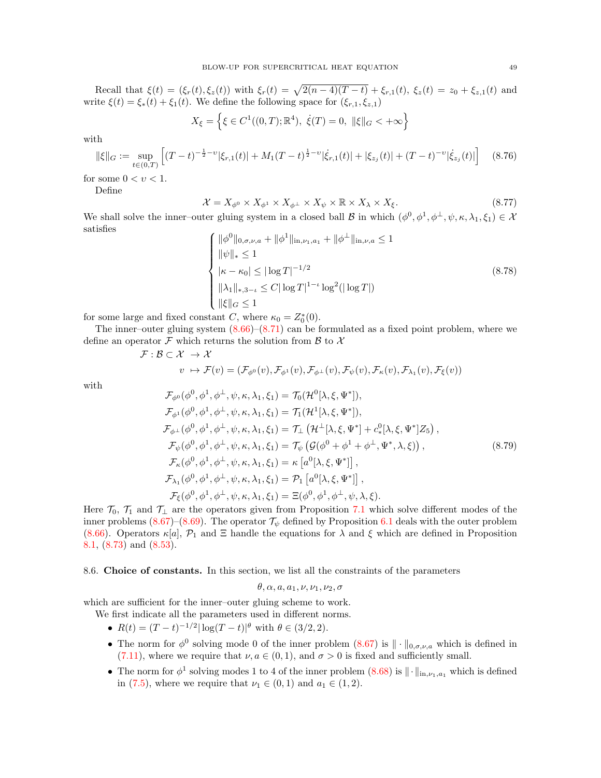Recall that  $\xi(t) = (\xi_r(t), \xi_z(t))$  with  $\xi_r(t) = \sqrt{2(n-4)(T-t)} + \xi_{r,1}(t), \xi_z(t) = z_0 + \xi_{z,1}(t)$  and write  $\xi(t) = \xi_*(t) + \xi_1(t)$ . We define the following space for  $(\xi_{r,1}, \xi_{z,1})$ 

$$
X_{\xi} = \left\{ \xi \in C^1((0, T); \mathbb{R}^4), \ \dot{\xi}(T) = 0, \ \|\xi\|_G < +\infty \right\}
$$

with

<span id="page-48-2"></span>
$$
\|\xi\|_{G} := \sup_{t \in (0,T)} \left[ (T-t)^{-\frac{1}{2}-\nu} |\xi_{r,1}(t)| + M_1 (T-t)^{\frac{1}{2}-\nu} |\dot{\xi}_{r,1}(t)| + |\xi_{z_j}(t)| + (T-t)^{-\nu} |\dot{\xi}_{z_j}(t)| \right] \tag{8.76}
$$

for some  $0 < v < 1$ .

Define

<span id="page-48-1"></span>
$$
\mathcal{X} = X_{\phi^0} \times X_{\phi^1} \times X_{\phi^\perp} \times X_{\psi} \times \mathbb{R} \times X_{\lambda} \times X_{\xi}.
$$
 (8.77)

We shall solve the inner–outer gluing system in a closed ball  $\mathcal B$  in which  $(\phi^0, \phi^1, \phi^{\perp}, \psi, \kappa, \lambda_1, \xi_1) \in \mathcal X$ satisfies

<span id="page-48-4"></span>
$$
\begin{cases}\n\|\phi^0\|_{0,\sigma,\nu,a} + \|\phi^1\|_{\text{in},\nu_1,a_1} + \|\phi^\perp\|_{\text{in},\nu,a} \le 1 \\
\|\psi\|_* \le 1 \\
|\kappa - \kappa_0| \le |\log T|^{-1/2} \\
\|\lambda_1\|_{*,3-\iota} \le C|\log T|^{1-\iota}\log^2(|\log T|) \\
\|\xi\|_G \le 1\n\end{cases} \tag{8.78}
$$

for some large and fixed constant C, where  $\kappa_0 = Z_0^*(0)$ .

 $\mathcal{F}: \mathcal{B}$ 

The inner–outer gluing system  $(8.66)$ – $(8.71)$  can be formulated as a fixed point problem, where we define an operator  $\mathcal F$  which returns the solution from  $\mathcal B$  to  $\mathcal X$ 

$$
\begin{aligned} \subset \mathcal{X} &\to \mathcal{X} \\ v &\mapsto \mathcal{F}(v) = (\mathcal{F}_{\phi^0}(v), \mathcal{F}_{\phi^1}(v), \mathcal{F}_{\phi^\perp}(v), \mathcal{F}_{\psi}(v), \mathcal{F}_{\kappa}(v), \mathcal{F}_{\lambda_1}(v), \mathcal{F}_{\xi}(v)) \end{aligned}
$$

with

<span id="page-48-3"></span>
$$
\mathcal{F}_{\phi^{0}}(\phi^{0}, \phi^{1}, \phi^{\perp}, \psi, \kappa, \lambda_{1}, \xi_{1}) = \mathcal{T}_{0}(\mathcal{H}^{0}[\lambda, \xi, \Psi^{*}]), \n\mathcal{F}_{\phi^{1}}(\phi^{0}, \phi^{1}, \phi^{\perp}, \psi, \kappa, \lambda_{1}, \xi_{1}) = \mathcal{T}_{1}(\mathcal{H}^{1}[\lambda, \xi, \Psi^{*}]), \n\mathcal{F}_{\phi^{\perp}}(\phi^{0}, \phi^{1}, \phi^{\perp}, \psi, \kappa, \lambda_{1}, \xi_{1}) = \mathcal{T}_{\perp}(\mathcal{H}^{\perp}[\lambda, \xi, \Psi^{*}] + c_{*}^{0}[\lambda, \xi, \Psi^{*}]Z_{5}), \n\mathcal{F}_{\psi}(\phi^{0}, \phi^{1}, \phi^{\perp}, \psi, \kappa, \lambda_{1}, \xi_{1}) = \mathcal{T}_{\psi}(\mathcal{G}(\phi^{0} + \phi^{1} + \phi^{\perp}, \Psi^{*}, \lambda, \xi)), \n\mathcal{F}_{\kappa}(\phi^{0}, \phi^{1}, \phi^{\perp}, \psi, \kappa, \lambda_{1}, \xi_{1}) = \kappa [a^{0}[\lambda, \xi, \Psi^{*}]], \n\mathcal{F}_{\lambda_{1}}(\phi^{0}, \phi^{1}, \phi^{\perp}, \psi, \kappa, \lambda_{1}, \xi_{1}) = \mathcal{P}_{1} [a^{0}[\lambda, \xi, \Psi^{*}]], \n\mathcal{F}_{\xi}(\phi^{0}, \phi^{1}, \phi^{\perp}, \psi, \kappa, \lambda_{1}, \xi_{1}) = \Xi(\phi^{0}, \phi^{1}, \phi^{\perp}, \psi, \lambda, \xi).
$$
\n(8.79)

Here  $\mathcal{T}_0$ ,  $\mathcal{T}_1$  and  $\mathcal{T}_\perp$  are the operators given from Proposition [7.1](#page-21-0) which solve different modes of the inner problems [\(8.67\)](#page-46-3)–[\(8.69\)](#page-47-4). The operator  $\mathcal{T}_{\psi}$  defined by Proposition [6.1](#page-18-4) deals with the outer problem [\(8.66\)](#page-46-2). Operators  $\kappa[a], \mathcal{P}_1$  and  $\Xi$  handle the equations for  $\lambda$  and  $\xi$  which are defined in Proposition [8.1,](#page-45-0) [\(8.73\)](#page-47-5) and [\(8.53\)](#page-43-3).

<span id="page-48-0"></span>8.6. Choice of constants. In this section, we list all the constraints of the parameters

$$
\theta, \alpha, a, a_1, \nu, \nu_1, \nu_2, \sigma
$$

which are sufficient for the inner–outer gluing scheme to work.

- We first indicate all the parameters used in different norms.
	- $R(t) = (T t)^{-1/2} |\log(T t)|^{\theta}$  with  $\theta \in (3/2, 2)$ .
	- The norm for  $\phi^0$  solving mode 0 of the inner problem  $(8.67)$  is  $\|\cdot\|_{0,\sigma,\nu,a}$  which is defined in [\(7.11\)](#page-22-6), where we require that  $\nu, a \in (0,1)$ , and  $\sigma > 0$  is fixed and sufficiently small.
	- The norm for  $\phi^1$  solving modes 1 to 4 of the inner problem  $(8.68)$  is  $\|\cdot\|_{\text{in},\nu_1,a_1}$  which is defined in [\(7.5\)](#page-21-1), where we require that  $\nu_1 \in (0,1)$  and  $a_1 \in (1,2)$ .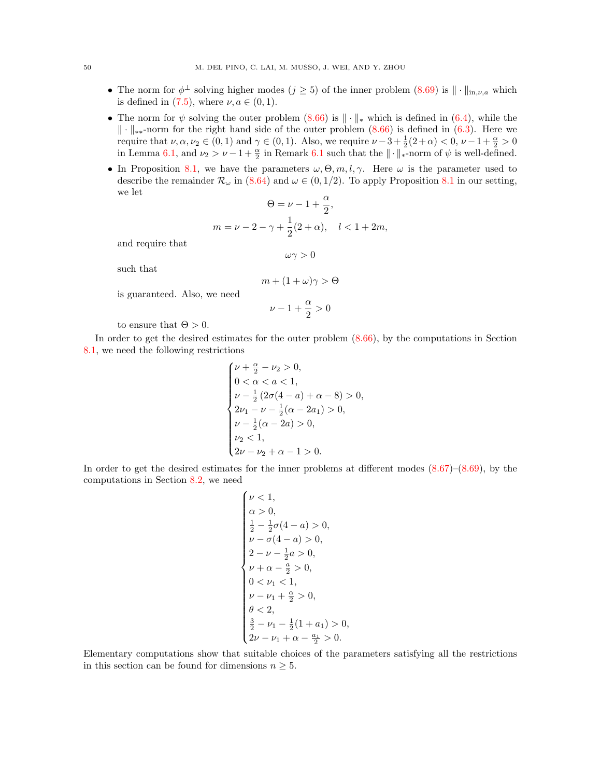- The norm for  $\phi^{\perp}$  solving higher modes  $(j \geq 5)$  of the inner problem  $(8.69)$  is  $\|\cdot\|_{\text{in},\nu,a}$  which is defined in [\(7.5\)](#page-21-1), where  $\nu, a \in (0, 1)$ .
- The norm for  $\psi$  solving the outer problem [\(8.66\)](#page-46-2) is  $\|\cdot\|_*$  which is defined in [\(6.4\)](#page-18-1), while the k · k∗∗-norm for the right hand side of the outer problem [\(8.66\)](#page-46-2) is defined in [\(6.3\)](#page-18-2). Here we require that  $\nu, \alpha, \nu_2 \in (0, 1)$  and  $\gamma \in (0, 1)$ . Also, we require  $\nu - 3 + \frac{1}{2}(2 + \alpha) < 0, \nu - 1 + \frac{\alpha}{2} > 0$ in Lemma [6.1,](#page-18-6) and  $\nu_2 > \nu - 1 + \frac{\alpha}{2}$  in Remark [6.1](#page-20-5) such that the  $\|\cdot\|_*$ -norm of  $\psi$  is well-defined.
- In Proposition [8.1,](#page-45-0) we have the parameters  $\omega, \Theta, m, l, \gamma$ . Here  $\omega$  is the parameter used to describe the remainder  $\mathcal{R}_{\omega}$  in [\(8.64\)](#page-45-5) and  $\omega \in (0, 1/2)$ . To apply Proposition [8.1](#page-45-0) in our setting, we let

$$
\Theta=\nu-1+\frac{\alpha}{2},
$$
  

$$
m=\nu-2-\gamma+\frac{1}{2}(2+\alpha), \quad l<1+2m,
$$

and require that

 $\omega\gamma>0$ 

such that

$$
m + (1 + \omega)\gamma > \Theta
$$

is guaranteed. Also, we need

$$
\nu-1+\frac{\alpha}{2}>0
$$

to ensure that  $\Theta > 0$ .

In order to get the desired estimates for the outer problem [\(8.66\)](#page-46-2), by the computations in Section [8.1,](#page-30-1) we need the following restrictions

$$
\begin{cases} \nu+\frac{\alpha}{2}-\nu_2>0, \\ 0<\alpha< a<1, \\ \nu-\frac{1}{2}\left(2\sigma(4-a)+\alpha-8\right)>0, \\ 2\nu_1-\nu-\frac{1}{2}(\alpha-2a_1)>0, \\ \nu-\frac{1}{2}(\alpha-2a)>0, \\ \nu_2<1, \\ 2\nu-\nu_2+\alpha-1>0. \end{cases}
$$

In order to get the desired estimates for the inner problems at different modes  $(8.67)$ – $(8.69)$ , by the computations in Section [8.2,](#page-37-0) we need

$$
\begin{cases} \nu < 1, \\ \alpha > 0, \\ \frac{1}{2} - \frac{1}{2}\sigma(4 - a) > 0, \\ \nu - \sigma(4 - a) > 0, \\ 2 - \nu - \frac{1}{2}a > 0, \\ \nu + \alpha - \frac{a}{2} > 0, \\ 0 < \nu_1 < 1, \\ \nu - \nu_1 + \frac{\alpha}{2} > 0, \\ \theta < 2, \\ \frac{3}{2} - \nu_1 - \frac{1}{2}(1 + a_1) > 0, \\ 2\nu - \nu_1 + \alpha - \frac{a_1}{2} > 0. \end{cases}
$$

Elementary computations show that suitable choices of the parameters satisfying all the restrictions in this section can be found for dimensions  $n \geq 5$ .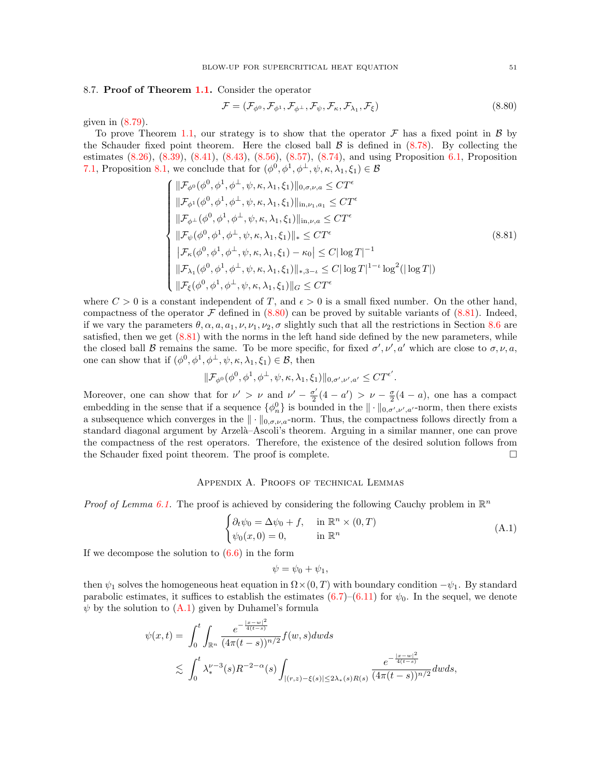## <span id="page-50-0"></span>8.7. Proof of Theorem [1.1.](#page-3-0) Consider the operator

<span id="page-50-2"></span>
$$
\mathcal{F} = (\mathcal{F}_{\phi^0}, \mathcal{F}_{\phi^1}, \mathcal{F}_{\phi^\perp}, \mathcal{F}_{\psi}, \mathcal{F}_{\kappa}, \mathcal{F}_{\lambda_1}, \mathcal{F}_{\xi})
$$
\n(8.80)

given in  $(8.79)$ .

To prove Theorem [1.1,](#page-3-0) our strategy is to show that the operator  $\mathcal F$  has a fixed point in  $\mathcal B$  by the Schauder fixed point theorem. Here the closed ball  $\beta$  is defined in [\(8.78\)](#page-48-4). By collecting the estimates [\(8.26\)](#page-37-4), [\(8.39\)](#page-40-1), [\(8.41\)](#page-41-1), [\(8.43\)](#page-41-2), [\(8.56\)](#page-44-5), [\(8.57\)](#page-44-6), [\(8.74\)](#page-47-6), and using Proposition [6.1,](#page-18-4) Proposition [7.1,](#page-21-0) Proposition [8.1,](#page-45-0) we conclude that for  $(\phi^0, \phi^1, \phi^{\perp}, \psi, \kappa, \lambda_1, \xi_1) \in \mathcal{B}$ 

<span id="page-50-3"></span>
$$
\begin{cases}\n||\mathcal{F}_{\phi^{0}}(\phi^{0}, \phi^{1}, \phi^{\perp}, \psi, \kappa, \lambda_{1}, \xi_{1})||_{0, \sigma, \nu, a} \leq C T^{\epsilon} \\
||\mathcal{F}_{\phi^{1}}(\phi^{0}, \phi^{1}, \phi^{\perp}, \psi, \kappa, \lambda_{1}, \xi_{1})||_{\text{in}, \nu_{1}, a_{1}} \leq C T^{\epsilon} \\
||\mathcal{F}_{\phi^{\perp}}(\phi^{0}, \phi^{1}, \phi^{\perp}, \psi, \kappa, \lambda_{1}, \xi_{1})||_{\text{in}, \nu, a} \leq C T^{\epsilon} \\
||\mathcal{F}_{\psi}(\phi^{0}, \phi^{1}, \phi^{\perp}, \psi, \kappa, \lambda_{1}, \xi_{1})||_{*} \leq C T^{\epsilon} \\
|\mathcal{F}_{\kappa}(\phi^{0}, \phi^{1}, \phi^{\perp}, \psi, \kappa, \lambda_{1}, \xi_{1}) - \kappa_{0}| \leq C |\log T|^{-1} \\
||\mathcal{F}_{\lambda_{1}}(\phi^{0}, \phi^{1}, \phi^{\perp}, \psi, \kappa, \lambda_{1}, \xi_{1})||_{*, 3-\iota} \leq C |\log T|^{1-\iota} \log^{2}(|\log T|) \\
||\mathcal{F}_{\xi}(\phi^{0}, \phi^{1}, \phi^{\perp}, \psi, \kappa, \lambda_{1}, \xi_{1})||_{\kappa, 3-\iota} \leq C T^{\epsilon}\n\end{cases} (8.81)
$$

where  $C > 0$  is a constant independent of T, and  $\epsilon > 0$  is a small fixed number. On the other hand, compactness of the operator  $\mathcal F$  defined in [\(8.80\)](#page-50-2) can be proved by suitable variants of [\(8.81\)](#page-50-3). Indeed, if we vary the parameters  $\theta$ ,  $\alpha$ ,  $a$ ,  $a_1$ ,  $\nu$ ,  $\nu_1$ ,  $\nu_2$ ,  $\sigma$  slightly such that all the restrictions in Section [8.6](#page-48-0) are satisfied, then we get [\(8.81\)](#page-50-3) with the norms in the left hand side defined by the new parameters, while the closed ball B remains the same. To be more specific, for fixed  $\sigma', \nu', a'$  which are close to  $\sigma, \nu, a$ , one can show that if  $(\phi^0, \phi^1, \phi^{\perp}, \psi, \kappa, \lambda_1, \xi_1) \in \mathcal{B}$ , then

$$
\|\mathcal{F}_{\phi^0}(\phi^0,\phi^1,\phi^\perp,\psi,\kappa,\lambda_1,\xi_1)\|_{0,\sigma',\nu',a'}\leq C T^{\epsilon'}.
$$

Moreover, one can show that for  $\nu' > \nu$  and  $\nu' - \frac{\sigma'}{2}$  $\frac{\sigma'}{2}(4-a') > \nu - \frac{\sigma}{2}(4-a)$ , one has a compact embedding in the sense that if a sequence  $\{\phi_n^0\}$  is bounded in the  $\|\cdot\|_{0,\sigma',\nu',a'}$ -norm, then there exists a subsequence which converges in the  $\|\cdot\|_{0,\sigma,\nu,a}$ -norm. Thus, the compactness follows directly from a standard diagonal argument by Arzelà–Ascoli's theorem. Arguing in a similar manner, one can prove the compactness of the rest operators. Therefore, the existence of the desired solution follows from the Schauder fixed point theorem. The proof is complete.

### Appendix A. Proofs of technical Lemmas

<span id="page-50-1"></span>*Proof of Lemma 6.1*. The proof is achieved by considering the following Cauchy problem in  $\mathbb{R}^n$ 

<span id="page-50-4"></span>
$$
\begin{cases} \partial_t \psi_0 = \Delta \psi_0 + f, & \text{in } \mathbb{R}^n \times (0, T) \\ \psi_0(x, 0) = 0, & \text{in } \mathbb{R}^n \end{cases}
$$
 (A.1)

If we decompose the solution to  $(6.6)$  in the form

$$
\psi = \psi_0 + \psi_1,
$$

then  $\psi_1$  solves the homogeneous heat equation in  $\Omega \times (0,T)$  with boundary condition  $-\psi_1$ . By standard parabolic estimates, it suffices to establish the estimates  $(6.7)$ – $(6.11)$  for  $\psi_0$ . In the sequel, we denote  $\psi$  by the solution to  $(A.1)$  given by Duhamel's formula

$$
\begin{split} \psi(x,t) &= \int_0^t \int_{\mathbb{R}^n} \frac{e^{-\frac{|x-w|^2}{4(t-s)}}}{(4\pi(t-s))^{n/2}} f(w,s) dw ds \\ &\lesssim \int_0^t \lambda_*^{\nu-3}(s) R^{-2-\alpha}(s) \int_{|(r,z)-\xi(s)| \le 2\lambda_*(s) R(s)} \frac{e^{-\frac{|x-w|^2}{4(t-s)}}}{(4\pi(t-s))^{n/2}} dw ds, \end{split}
$$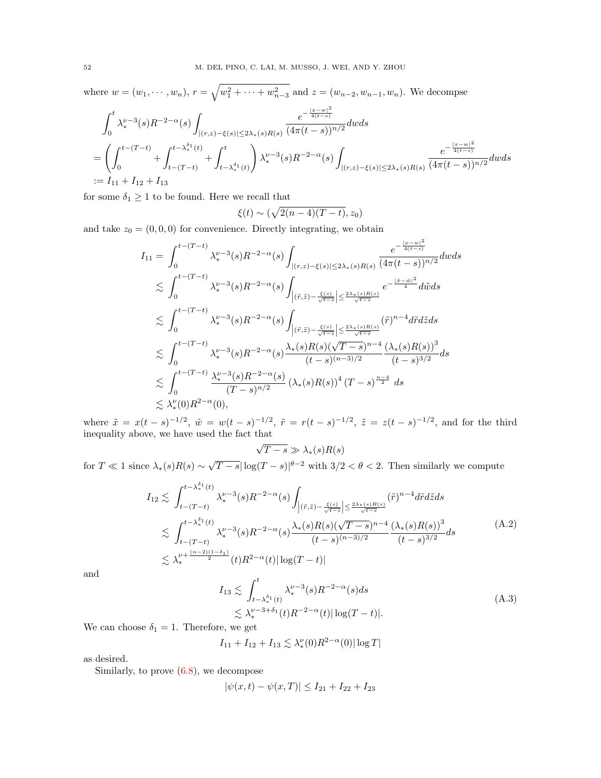where  $w = (w_1, \dots, w_n)$ ,  $r = \sqrt{w_1^2 + \dots + w_{n-3}^2}$  and  $z = (w_{n-2}, w_{n-1}, w_n)$ . We decompse

$$
\int_0^t \lambda_*^{\nu-3}(s) R^{-2-\alpha}(s) \int_{|(r,z)-\xi(s)| \le 2\lambda_*(s)R(s)} \frac{e^{-\frac{|x-w|^2}{4(t-s)}}}{(4\pi(t-s))^{n/2}} dw ds
$$
\n
$$
= \left(\int_0^{t-(T-t)} + \int_{t-(T-t)}^{t-\lambda_*^{\delta_1}(t)} + \int_{t-\lambda_*^{\delta_1}(t)}^t \right) \lambda_*^{\nu-3}(s) R^{-2-\alpha}(s) \int_{|(r,z)-\xi(s)| \le 2\lambda_*(s)R(s)} \frac{e^{-\frac{|x-w|^2}{4(t-s)}}}{(4\pi(t-s))^{n/2}} dw ds
$$
\n
$$
:= I_{11} + I_{12} + I_{13}
$$

for some  $\delta_1 \geq 1$  to be found. Here we recall that

$$
\xi(t) \sim (\sqrt{2(n-4)(T-t)}, z_0)
$$

and take  $z_0 = (0, 0, 0)$  for convenience. Directly integrating, we obtain

$$
I_{11} = \int_{0}^{t-(T-t)} \lambda_{*}^{\nu-3}(s) R^{-2-\alpha}(s) \int_{|(r,z)-\xi(s)| \leq 2\lambda_{*}(s)R(s)} \frac{e^{-\frac{|x-w|^{2}}{4(t-s)}}}{(4\pi(t-s))^{n/2}} dw ds
$$
  
\n
$$
\lesssim \int_{0}^{t-(T-t)} \lambda_{*}^{\nu-3}(s) R^{-2-\alpha}(s) \int_{|(\tilde{r},\tilde{z})-\frac{\xi(s)}{\sqrt{t-s}}| \leq \frac{2\lambda_{*}(s)R(s)}{\sqrt{t-s}}} e^{-\frac{|\tilde{x}-\tilde{w}|^{2}}{4}} d\tilde{w} ds
$$
  
\n
$$
\lesssim \int_{0}^{t-(T-t)} \lambda_{*}^{\nu-3}(s) R^{-2-\alpha}(s) \int_{|(\tilde{r},\tilde{z})-\frac{\xi(s)}{\sqrt{t-s}}| \leq \frac{2\lambda_{*}(s)R(s)}{\sqrt{t-s}}} (\tilde{r})^{n-4} d\tilde{r} d\tilde{z} ds
$$
  
\n
$$
\lesssim \int_{0}^{t-(T-t)} \lambda_{*}^{\nu-3}(s) R^{-2-\alpha}(s) \frac{\lambda_{*}(s)R(s)(\sqrt{T-s})^{n-4}}{(t-s)^{(n-3)/2}} \frac{(\lambda_{*}(s)R(s))^{3}}{(t-s)^{3/2}} ds
$$
  
\n
$$
\lesssim \int_{0}^{t-(T-t)} \frac{\lambda_{*}^{\nu-3}(s)R^{-2-\alpha}(s)}{(T-s)^{n/2}} (\lambda_{*}(s)R(s))^{4} (T-s)^{\frac{n-4}{2}} ds
$$
  
\n
$$
\lesssim \lambda_{*}^{\nu}(0)R^{2-\alpha}(0),
$$

where  $\tilde{x} = x(t-s)^{-1/2}$ ,  $\tilde{w} = w(t-s)^{-1/2}$ ,  $\tilde{r} = r(t-s)^{-1/2}$ ,  $\tilde{z} = z(t-s)^{-1/2}$ , and for the third inequality above, we have used the fact that  $\overline{a}$ 

$$
\sqrt{T-s} \gg \lambda_*(s)R(s)
$$

for  $T \ll 1$  since  $\lambda_*(s)R(s) \sim$ √  $\overline{T-s}|\log(T-s)|^{\theta-2}$  with  $3/2 < \theta < 2$ . Then similarly we compute

<span id="page-51-0"></span>
$$
I_{12} \lesssim \int_{t-(T-t)}^{t-\lambda_*^{\delta_1}(t)} \lambda_*^{\nu-3}(s) R^{-2-\alpha}(s) \int_{\left|(\tilde{r},\tilde{z})-\frac{\xi(s)}{\sqrt{t-s}}\right| \le \frac{2\lambda_*(s)R(s)}{\sqrt{t-s}}} (\tilde{r})^{n-4} d\tilde{r} d\tilde{z} ds
$$
  

$$
\lesssim \int_{t-(T-t)}^{t-\lambda_*^{\delta_1}(t)} \lambda_*^{\nu-3}(s) R^{-2-\alpha}(s) \frac{\lambda_*(s)R(s)(\sqrt{T-s})^{n-4}}{(t-s)^{(n-3)/2}} \frac{(\lambda_*(s)R(s))^3}{(t-s)^{3/2}} ds
$$
  

$$
\lesssim \lambda_*^{\nu+\frac{(n-2)(1-\delta_1)}{2}}(t) R^{2-\alpha}(t) |\log(T-t)|
$$
 (A.2)

and

<span id="page-51-1"></span>
$$
I_{13} \lesssim \int_{t-\lambda_*^{\delta_1}(t)}^{t} \lambda_*^{\nu-3}(s) R^{-2-\alpha}(s) ds
$$
  
 
$$
\lesssim \lambda_*^{\nu-3+\delta_1}(t) R^{-2-\alpha}(t) |\log(T-t)|.
$$
 (A.3)

We can choose  $\delta_1 = 1$ . Therefore, we get

$$
I_{11} + I_{12} + I_{13} \lesssim \lambda_*^{\nu}(0) R^{2-\alpha}(0) |\log T|
$$

as desired.

Similarly, to prove [\(6.8\)](#page-19-4), we decompose

$$
|\psi(x,t) - \psi(x,T)| \le I_{21} + I_{22} + I_{23}
$$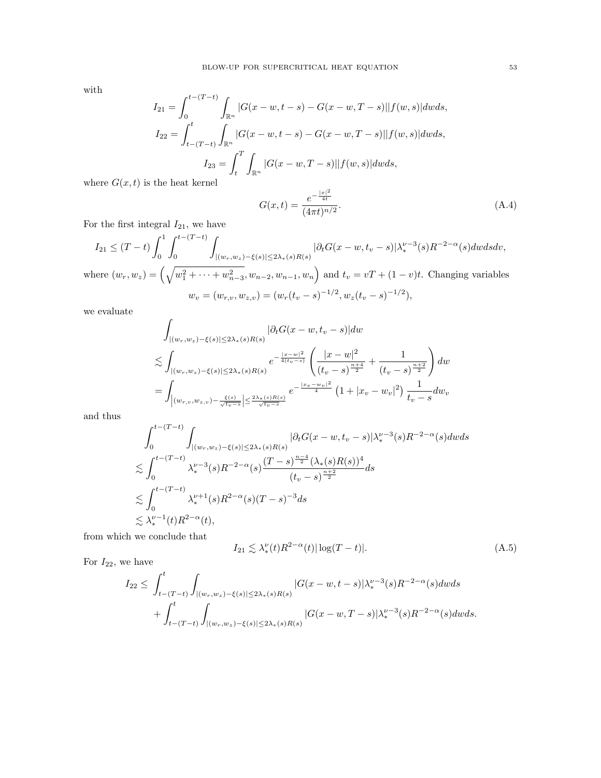with

$$
I_{21} = \int_0^{t-(T-t)} \int_{\mathbb{R}^n} |G(x-w, t-s) - G(x-w, T-s)| |f(w, s)| dw ds,
$$
  
\n
$$
I_{22} = \int_{t-(T-t)}^t \int_{\mathbb{R}^n} |G(x-w, t-s) - G(x-w, T-s)| |f(w, s)| dw ds,
$$
  
\n
$$
I_{23} = \int_t^T \int_{\mathbb{R}^n} |G(x-w, T-s)| |f(w, s)| dw ds,
$$
  
\nthe heat kernel

where  $G(x, t)$  is the heat kernel

<span id="page-52-1"></span>
$$
G(x,t) = \frac{e^{-\frac{|x|^2}{4t}}}{(4\pi t)^{n/2}}.
$$
\n(A.4)

For the first integral  $I_{21}$ , we have

$$
I_{21} \le (T-t) \int_0^1 \int_0^{t-(T-t)} \int_{|(w_r, w_z) - \xi(s)| \le 2\lambda_*(s)R(s)} |\partial_t G(x - w, t_v - s)| \lambda_*^{\nu-3}(s) R^{-2-\alpha}(s) dw ds dv,
$$
  
where  $(w_r, w_z) = \left(\sqrt{w_1^2 + \dots + w_{n-3}^2}, w_{n-2}, w_{n-1}, w_n\right)$  and  $t_v = vT + (1-v)t$ . Changing variables  

$$
w_v = (w_{r,v}, w_{z,v}) = (w_r(t_v - s)^{-1/2}, w_z(t_v - s)^{-1/2}),
$$

we evaluate

$$
\int_{|(w_r, w_z) - \xi(s)| \le 2\lambda_*(s)R(s)} |\partial_t G(x - w, t_v - s)| dw
$$
\n
$$
\lesssim \int_{|(w_r, w_z) - \xi(s)| \le 2\lambda_*(s)R(s)} e^{-\frac{|x - w|^2}{4(t_v - s)}} \left( \frac{|x - w|^2}{(t_v - s)^{\frac{n+4}{2}}} + \frac{1}{(t_v - s)^{\frac{n+2}{2}}} \right) dw
$$
\n
$$
= \int_{|(w_{r,v}, w_{z,v}) - \frac{\xi(s)}{\sqrt{t_v - s}}| \le \frac{2\lambda_*(s)R(s)}{\sqrt{t_v - s}}} e^{-\frac{|x_v - w_v|^2}{4}} \left( 1 + |x_v - w_v|^2 \right) \frac{1}{t_v - s} dw_v
$$

and thus

$$
\int_0^{t-(T-t)} \int_{|(w_r, w_z)-\xi(s)| \le 2\lambda_*(s)R(s)} |\partial_t G(x-w, t_v - s)| \lambda_*^{\nu-3}(s) R^{-2-\alpha}(s) dw ds
$$
  

$$
\lesssim \int_0^{t-(T-t)} \lambda_*^{\nu-3}(s) R^{-2-\alpha}(s) \frac{(T-s)^{\frac{n-4}{2}}(\lambda_*(s)R(s))^4}{(t_v - s)^{\frac{n+2}{2}}} ds
$$
  

$$
\lesssim \int_0^{t-(T-t)} \lambda_*^{\nu+1}(s) R^{2-\alpha}(s) (T-s)^{-3} ds
$$
  

$$
\lesssim \lambda_*^{\nu-1}(t) R^{2-\alpha}(t),
$$

from which we conclude that

<span id="page-52-0"></span>
$$
I_{21} \lesssim \lambda_*^{\nu}(t) R^{2-\alpha}(t) |\log(T-t)|. \tag{A.5}
$$

For  $I_{22}$ , we have

$$
I_{22} \leq \int_{t-(T-t)}^{t} \int_{|(w_r, w_z) - \xi(s)| \leq 2\lambda_*(s)R(s)} |G(x-w, t-s)| \lambda_*^{\nu-3}(s)R^{-2-\alpha}(s) dw ds
$$
  
+ 
$$
\int_{t-(T-t)}^{t} \int_{|(w_r, w_z) - \xi(s)| \leq 2\lambda_*(s)R(s)} |G(x-w, T-s)| \lambda_*^{\nu-3}(s)R^{-2-\alpha}(s) dw ds.
$$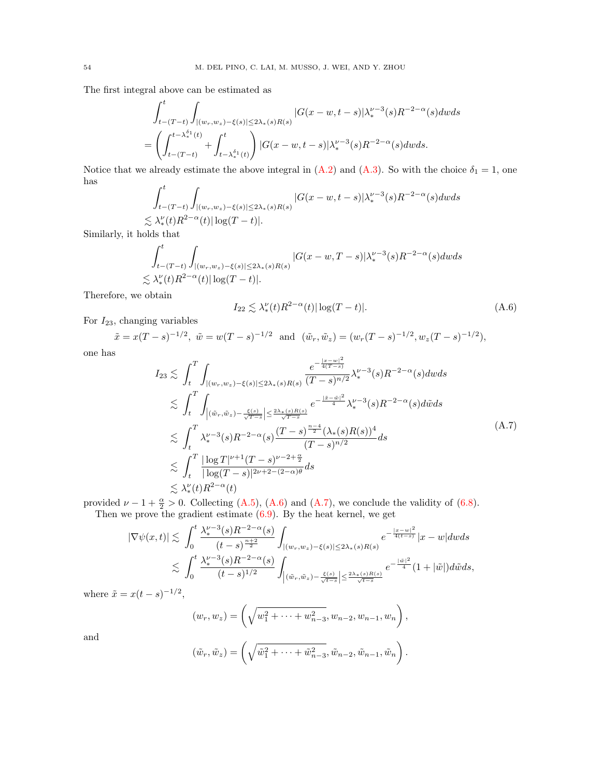The first integral above can be estimated as

$$
\int_{t-(T-t)}^{t} \int_{|(w_r, w_z)-\xi(s)| \le 2\lambda_*(s)R(s)} |G(x-w, t-s)| \lambda_*^{\nu-3}(s)R^{-2-\alpha}(s) dw ds
$$
  
= 
$$
\left(\int_{t-(T-t)}^{t-\lambda_*^{\delta_1}(t)} + \int_{t-\lambda_*^{\delta_1}(t)}^{t} \right) |G(x-w, t-s)| \lambda_*^{\nu-3}(s)R^{-2-\alpha}(s) dw ds.
$$

Notice that we already estimate the above integral in  $(A.2)$  and  $(A.3)$ . So with the choice  $\delta_1 = 1$ , one has  $rt$ 

$$
\int_{t-(T-t)}^t \int_{|(w_r,w_z)-\xi(s)|\leq 2\lambda_*(s)R(s)} |G(x-w,t-s)| \lambda_*^{\nu-3}(s)R^{-2-\alpha}(s) dw ds
$$
  

$$
\lesssim \lambda_*^{\nu}(t)R^{2-\alpha}(t)|\log(T-t)|.
$$

Similarly, it holds that

$$
\int_{t-(T-t)}^t \int_{|(w_r,w_z)-\xi(s)|\leq 2\lambda_*(s)R(s)} |G(x-w,T-s)|\lambda_*^{\nu-3}(s)R^{-2-\alpha}(s)dwds
$$
  

$$
\lesssim \lambda_*^{\nu}(t)R^{2-\alpha}(t)|\log(T-t)|.
$$

Therefore, we obtain

<span id="page-53-0"></span>
$$
I_{22} \lesssim \lambda_*^{\nu}(t) R^{2-\alpha}(t) |\log(T-t)|. \tag{A.6}
$$

For  $I_{23}$ , changing variables

 $\tilde{x} = x(T-s)^{-1/2}, \ \tilde{w} = w(T-s)^{-1/2} \ \text{ and } \ (\tilde{w}_r, \tilde{w}_z) = (w_r(T-s)^{-1/2}, w_z(T-s)^{-1/2}),$ 

one has

<span id="page-53-1"></span>
$$
I_{23} \lesssim \int_{t}^{T} \int_{|(w_{r},w_{z})-\xi(s)|\leq 2\lambda_{*}(s)R(s)} \frac{e^{-\frac{|x-w|^{2}}{4(T-s)}}}{(T-s)^{n/2}} \lambda_{*}^{\nu-3}(s)R^{-2-\alpha}(s)d\omega ds
$$
  
\n
$$
\lesssim \int_{t}^{T} \int_{|(\tilde{w}_{r},\tilde{w}_{z})-\frac{\xi(s)}{\sqrt{T-s}}| \leq \frac{2\lambda_{*}(s)R(s)}{\sqrt{T-s}}} e^{-\frac{|\tilde{x}-\tilde{w}|^{2}}{4}} \lambda_{*}^{\nu-3}(s)R^{-2-\alpha}(s)d\tilde{w}ds
$$
  
\n
$$
\lesssim \int_{t}^{T} \lambda_{*}^{\nu-3}(s)R^{-2-\alpha}(s) \frac{(T-s)^{\frac{n-4}{2}}(\lambda_{*}(s)R(s))^{4}}{(T-s)^{n/2}}ds
$$
  
\n
$$
\lesssim \int_{t}^{T} \frac{|\log T|^{\nu+1}(T-s)^{\nu-2+\frac{\alpha}{2}}}{|\log(T-s)|^{2\nu+2-(2-\alpha)\theta}}ds
$$
  
\n
$$
\lesssim \lambda_{*}^{\nu}(t)R^{2-\alpha}(t)
$$

provided  $\nu - 1 + \frac{\alpha}{2} > 0$ . Collecting [\(A.5\)](#page-52-0), [\(A.6\)](#page-53-0) and [\(A.7\)](#page-53-1), we conclude the validity of [\(6.8\)](#page-19-4). Then we prove the gradient estimate  $(6.9)$ . By the heat kernel, we get

$$
\begin{aligned} |\nabla \psi(x,t)|&\lesssim \int_0^t\frac{\lambda_\ast^{\nu-3}(s)R^{-2-\alpha}(s)}{(t-s)^{\frac{n+2}{2}}}\int_{|(w_r,w_z)-\xi(s)|\leq 2\lambda_\ast(s)R(s)}e^{-\frac{|x-w|^2}{4(t-s)}}|x-w|dwds\\ &\lesssim \int_0^t\frac{\lambda_\ast^{\nu-3}(s)R^{-2-\alpha}(s)}{(t-s)^{1/2}}\int_{|(\tilde w_r,\tilde w_z)-\frac{\xi(s)}{\sqrt{t-s}}| \leq \frac{2\lambda_\ast(s)R(s)}{\sqrt{t-s}}}e^{-\frac{|\tilde w|^2}{4}}(1+|\tilde w|)d\tilde wds, \end{aligned}
$$

where  $\tilde{x} = x(t-s)^{-1/2}$ ,

$$
(w_r, w_z) = \left(\sqrt{w_1^2 + \dots + w_{n-3}^2}, w_{n-2}, w_{n-1}, w_n\right),
$$

and

$$
(\tilde{w}_r, \tilde{w}_z) = \left(\sqrt{\tilde{w}_1^2 + \cdots + \tilde{w}_{n-3}^2}, \tilde{w}_{n-2}, \tilde{w}_{n-1}, \tilde{w}_n\right).
$$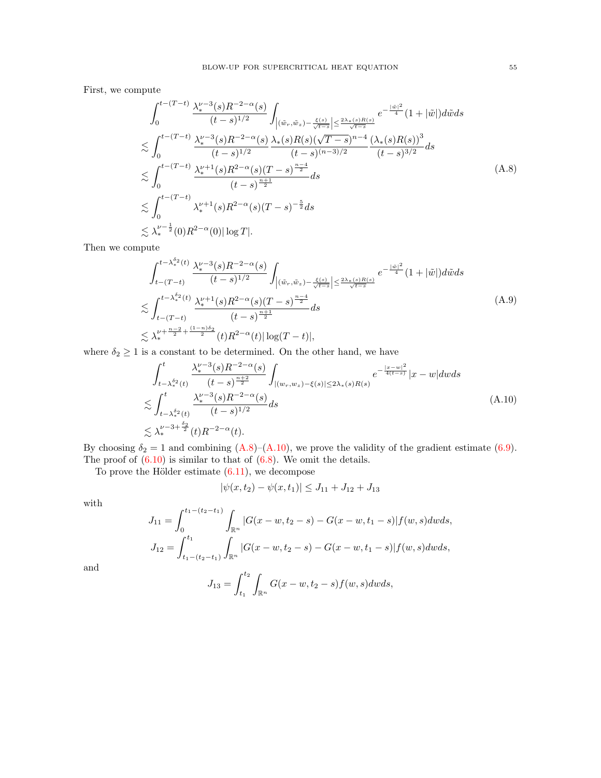First, we compute

<span id="page-54-0"></span>
$$
\int_{0}^{t-(T-t)} \frac{\lambda_{*}^{\nu-3}(s)R^{-2-\alpha}(s)}{(t-s)^{1/2}} \int_{\left|(\tilde{w}_{r},\tilde{w}_{z})-\frac{\xi(s)}{\sqrt{t-s}}\right| \leq \frac{2\lambda_{*}(s)R(s)}{\sqrt{t-s}}} e^{-\frac{|\tilde{w}|^{2}}{4}} (1+|\tilde{w}|) d\tilde{w} ds
$$
  

$$
\lesssim \int_{0}^{t-(T-t)} \frac{\lambda_{*}^{\nu-3}(s)R^{-2-\alpha}(s)}{(t-s)^{1/2}} \frac{\lambda_{*}(s)R(s)(\sqrt{T-s})^{n-4}}{(t-s)^{(n-3)/2}} \frac{(\lambda_{*}(s)R(s))^{3}}{(t-s)^{3/2}} ds
$$
  

$$
\lesssim \int_{0}^{t-(T-t)} \frac{\lambda_{*}^{\nu+1}(s)R^{2-\alpha}(s)(T-s)^{\frac{n-4}{2}}}{(t-s)^{\frac{n+1}{2}}} ds
$$
  

$$
\lesssim \int_{0}^{t-(T-t)} \lambda_{*}^{\nu+1}(s)R^{2-\alpha}(s)(T-s)^{-\frac{5}{2}} ds
$$
  

$$
\lesssim \lambda_{*}^{\nu-\frac{1}{2}}(0)R^{2-\alpha}(0) |\log T|.
$$
 (A.8)

Then we compute

$$
\int_{t-(T-t)}^{t-\lambda_*^{\delta_2}(t)} \frac{\lambda_*^{\nu-3}(s)R^{-2-\alpha}(s)}{(t-s)^{1/2}} \int_{\left|(\tilde{w}_r,\tilde{w}_z) - \frac{\xi(s)}{\sqrt{t-s}}\right| \le \frac{2\lambda_*(s)R(s)}{\sqrt{t-s}}} e^{-\frac{|\tilde{w}|^2}{4}} (1+|\tilde{w}|)d\tilde{w}ds
$$
  

$$
\lesssim \int_{t-(T-t)}^{t-\lambda_*^{\delta_2}(t)} \frac{\lambda_*^{\nu+1}(s)R^{2-\alpha}(s)(T-s)^{\frac{n-4}{2}}}{(t-s)^{\frac{n+1}{2}}} ds
$$
  

$$
\lesssim \lambda_*^{\nu+\frac{n-2}{2}+\frac{(1-n)\delta_2}{2}}(t)R^{2-\alpha}(t)|\log(T-t)|,
$$
 (A.9)

where  $\delta_2 \geq 1$  is a constant to be determined. On the other hand, we have

<span id="page-54-1"></span>
$$
\int_{t-\lambda_*^{\delta_2}(t)}^{t} \frac{\lambda_*^{\nu-3}(s)R^{-2-\alpha}(s)}{(t-s)^{\frac{n+2}{2}}} \int_{|(w_r, w_z)-\xi(s)| \le 2\lambda_*(s)R(s)} e^{-\frac{|x-w|^2}{4(t-s)}} |x-w| \, dw \, ds
$$
\n
$$
\lesssim \int_{t-\lambda_*^{\delta_2}(t)}^{t} \frac{\lambda_*^{\nu-3}(s)R^{-2-\alpha}(s)}{(t-s)^{1/2}} ds
$$
\n
$$
\lesssim \lambda_*^{\nu-3+\frac{\delta_2}{2}}(t)R^{-2-\alpha}(t).
$$
\n(A.10)

By choosing  $\delta_2 = 1$  and combining  $(A.8)$ – $(A.10)$ , we prove the validity of the gradient estimate [\(6.9\)](#page-19-5). The proof of  $(6.10)$  is similar to that of  $(6.8)$ . We omit the details.

To prove the Hölder estimate  $(6.11)$ , we decompose

$$
|\psi(x,t_2) - \psi(x,t_1)| \le J_{11} + J_{12} + J_{13}
$$

with

$$
J_{11} = \int_0^{t_1 - (t_2 - t_1)} \int_{\mathbb{R}^n} |G(x - w, t_2 - s) - G(x - w, t_1 - s)| f(w, s) dw ds,
$$
  

$$
J_{12} = \int_{t_1 - (t_2 - t_1)}^{t_1} \int_{\mathbb{R}^n} |G(x - w, t_2 - s) - G(x - w, t_1 - s)| f(w, s) dw ds,
$$

and

$$
J_{13} = \int_{t_1}^{t_2} \int_{\mathbb{R}^n} G(x - w, t_2 - s) f(w, s) dw ds,
$$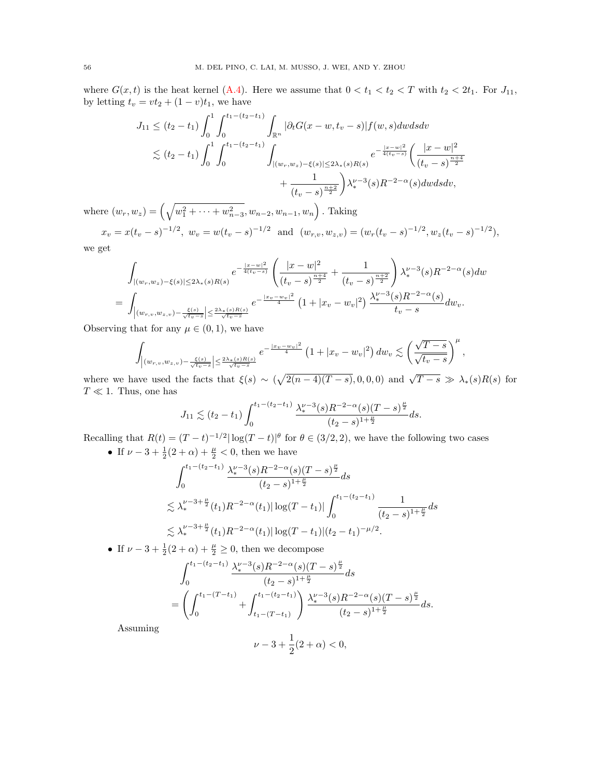where  $G(x, t)$  is the heat kernel [\(A.4\)](#page-52-1). Here we assume that  $0 < t_1 < t_2 < T$  with  $t_2 < 2t_1$ . For  $J_{11}$ , by letting  $t_v = vt_2 + (1 - v)t_1$ , we have

$$
J_{11} \leq (t_2 - t_1) \int_0^1 \int_0^{t_1 - (t_2 - t_1)} \int_{\mathbb{R}^n} |\partial_t G(x - w, t_v - s)| f(w, s) dw ds dv
$$
  
\$\lesssim (t\_2 - t\_1) \int\_0^1 \int\_0^{t\_1 - (t\_2 - t\_1)} \int\_{|(w\_r, w\_z) - \xi(s)| \leq 2\lambda\_\*(s) R(s)} e^{-\frac{|x - w|^2}{4(t\_v - s)}} \left( \frac{|x - w|^2}{(t\_v - s)^{\frac{n+4}{2}}} + \frac{1}{(t\_v - s)^{\frac{n+2}{2}}} \right) \lambda\_\*^{\nu - 3}(s) R^{-2 - \alpha}(s) dw ds dv,

where  $(w_r, w_z) = \left(\sqrt{w_1^2 + \cdots + w_{n-3}^2}, w_{n-2}, w_{n-1}, w_n\right)$ . Taking

$$
x_v = x(t_v - s)^{-1/2}
$$
,  $w_v = w(t_v - s)^{-1/2}$  and  $(w_{r,v}, w_{z,v}) = (w_r(t_v - s)^{-1/2}, w_z(t_v - s)^{-1/2})$ ,  
get

we g $\epsilon$ 

$$
\int_{|(w_r, w_z) - \xi(s)| \le 2\lambda_*(s)R(s)} e^{-\frac{|x-w|^2}{4(t_v - s)}} \left( \frac{|x-w|^2}{(t_v - s)^{\frac{n+4}{2}}} + \frac{1}{(t_v - s)^{\frac{n+2}{2}}} \right) \lambda_*^{\nu-3}(s)R^{-2-\alpha}(s)dw
$$
\n
$$
= \int_{|(w_{r,v}, w_{z,v}) - \frac{\xi(s)}{\sqrt{t_v - s}} \le \frac{2\lambda_*(s)R(s)}{\sqrt{t_v - s}} e^{-\frac{|x_v - w_v|^2}{4}} \left( 1 + |x_v - w_v|^2 \right) \frac{\lambda_*^{\nu-3}(s)R^{-2-\alpha}(s)}{t_v - s} dw_v.
$$

Observing that for any  $\mu \in (0,1)$ , we have

$$
\int_{\left|(w_{r,v},w_{z,v})-\frac{\xi(s)}{\sqrt{t_v-s}}\right| \leq \frac{2\lambda_{*}(s)R(s)}{\sqrt{t_v-s}}} e^{-\frac{|x_v-w_v|^2}{4}} \left(1+|x_v-w_v|^2\right) dw_v \lesssim \left(\frac{\sqrt{T-s}}{\sqrt{t_v-s}}\right)^{\mu},
$$

where we have used the facts that  $\xi(s) \sim (\sqrt{2(n-4)(T-s)}, 0, 0, 0)$  and  $\sqrt{T-s} \gg \lambda_*(s)R(s)$  for  $T \ll 1$ . Thus, one has

$$
J_{11} \lesssim (t_2 - t_1) \int_0^{t_1 - (t_2 - t_1)} \frac{\lambda_*^{\nu - 3}(s) R^{-2 - \alpha}(s) (T - s)^{\frac{\mu}{2}}}{(t_2 - s)^{1 + \frac{\mu}{2}}} ds.
$$

Recalling that  $R(t) = (T - t)^{-1/2} |\log(T - t)|^{\theta}$  for  $\theta \in (3/2, 2)$ , we have the following two cases • If  $\nu - 3 + \frac{1}{2}(2 + \alpha) + \frac{\mu}{2} < 0$ , then we have

$$
\int_0^{t_1 - (t_2 - t_1)} \frac{\lambda_*^{\nu - 3}(s) R^{-2 - \alpha}(s) (T - s)^{\frac{\mu}{2}}}{(t_2 - s)^{1 + \frac{\mu}{2}}} ds
$$
  
\$\lesssim \lambda\_\*^{\nu - 3 + \frac{\mu}{2}}(t\_1) R^{-2 - \alpha}(t\_1) |\log(T - t\_1)| \int\_0^{t\_1 - (t\_2 - t\_1)} \frac{1}{(t\_2 - s)^{1 + \frac{\mu}{2}}} ds\$  
\$\lesssim \lambda\_\*^{\nu - 3 + \frac{\mu}{2}}(t\_1) R^{-2 - \alpha}(t\_1) |\log(T - t\_1)| (t\_2 - t\_1)^{-\mu/2}.

• If  $\nu - 3 + \frac{1}{2}(2 + \alpha) + \frac{\mu}{2} \ge 0$ , then we decompose

$$
\int_0^{t_1 - (t_2 - t_1)} \frac{\lambda_*^{\nu - 3}(s) R^{-2 - \alpha}(s) (T - s)^{\frac{\mu}{2}}}{(t_2 - s)^{1 + \frac{\mu}{2}}} ds
$$
\n
$$
= \left( \int_0^{t_1 - (T - t_1)} + \int_{t_1 - (T - t_1)}^{t_1 - (t_2 - t_1)} \right) \frac{\lambda_*^{\nu - 3}(s) R^{-2 - \alpha}(s) (T - s)^{\frac{\mu}{2}}}{(t_2 - s)^{1 + \frac{\mu}{2}}} ds.
$$

Assuming

$$
\nu - 3 + \frac{1}{2}(2 + \alpha) < 0,
$$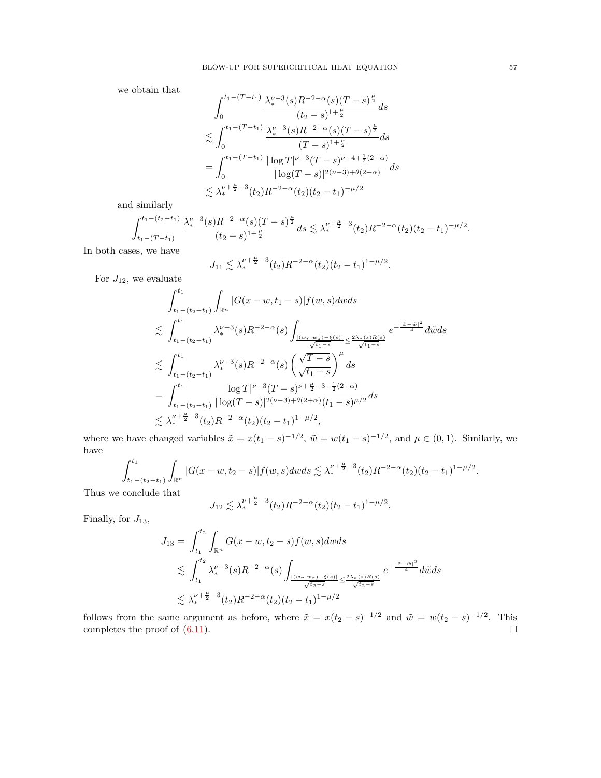we obtain that

$$
\int_{0}^{t_{1}-(T-t_{1})} \frac{\lambda_{*}^{\nu-3}(s)R^{-2-\alpha}(s)(T-s)^{\frac{\mu}{2}}}{(t_{2}-s)^{1+\frac{\mu}{2}}} ds
$$
  

$$
\lesssim \int_{0}^{t_{1}-(T-t_{1})} \frac{\lambda_{*}^{\nu-3}(s)R^{-2-\alpha}(s)(T-s)^{\frac{\mu}{2}}}{(T-s)^{1+\frac{\mu}{2}}} ds
$$
  

$$
= \int_{0}^{t_{1}-(T-t_{1})} \frac{|\log T|^{\nu-3}(T-s)^{\nu-4+\frac{1}{2}(2+\alpha)}}{|\log (T-s)|^{2(\nu-3)+\theta(2+\alpha)}} ds
$$
  

$$
\lesssim \lambda_{*}^{\nu+\frac{\mu}{2}-3}(t_{2})R^{-2-\alpha}(t_{2})(t_{2}-t_{1})^{-\mu/2}
$$

and similarly

$$
\int_{t_1-(T-t_1)}^{t_1-(t_2-t_1)}\frac{\lambda_*^{\nu-3}(s)R^{-2-\alpha}(s)(T-s)^{\frac{\mu}{2}}}{(t_2-s)^{1+\frac{\mu}{2}}}ds\lesssim \lambda_*^{\nu+\frac{\mu}{2}-3}(t_2)R^{-2-\alpha}(t_2)(t_2-t_1)^{-\mu/2}.
$$

In both cases, we have

$$
J_{11} \lesssim \lambda_*^{\nu + \frac{\mu}{2} - 3}(t_2)R^{-2-\alpha}(t_2)(t_2 - t_1)^{1-\mu/2}.
$$

For  $J_{12}$ , we evaluate

$$
\int_{t_1-(t_2-t_1)}^{t_1} \int_{\mathbb{R}^n} |G(x-w,t_1-s)| f(w,s) dw ds
$$
\n
$$
\lesssim \int_{t_1-(t_2-t_1)}^{t_1} \lambda_*^{\nu-3}(s) R^{-2-\alpha}(s) \int_{\frac{|\langle w_r, w_z\rangle - \xi(s)|}{\sqrt{t_1-s}}} \leq \frac{2\lambda_* (s) R(s)}{\sqrt{t_1-s}} e^{-\frac{|\tilde{x}-\tilde{w}|^2}{4}} d\tilde{w} ds
$$
\n
$$
\lesssim \int_{t_1-(t_2-t_1)}^{t_1} \lambda_*^{\nu-3}(s) R^{-2-\alpha}(s) \left(\frac{\sqrt{T-s}}{\sqrt{t_1-s}}\right)^{\mu} ds
$$
\n
$$
= \int_{t_1-(t_2-t_1)}^{t_1} \frac{|\log T|^{\nu-3}(T-s)^{\nu+\frac{\mu}{2}-3+\frac{1}{2}(2+\alpha)}}{|\log(T-s)|^{2(\nu-3)+\theta(2+\alpha)}(t_1-s)^{\mu/2}} ds
$$
\n
$$
\lesssim \lambda_*^{\nu+\frac{\mu}{2}-3}(t_2) R^{-2-\alpha}(t_2) (t_2-t_1)^{1-\mu/2},
$$

where we have changed variables  $\tilde{x} = x(t_1 - s)^{-1/2}$ ,  $\tilde{w} = w(t_1 - s)^{-1/2}$ , and  $\mu \in (0, 1)$ . Similarly, we have

$$
\int_{t_1-(t_2-t_1)}^{t_1}\int_{\mathbb{R}^n} |G(x-w,t_2-s)|f(w,s)dwds \lesssim \lambda_*^{\nu+\frac{\mu}{2}-3}(t_2)R^{-2-\alpha}(t_2)(t_2-t_1)^{1-\mu/2}.
$$

Thus we conclude that

$$
J_{12} \lesssim \lambda_{*}^{\nu + \frac{\mu}{2} - 3}(t_2)R^{-2-\alpha}(t_2)(t_2 - t_1)^{1-\mu/2}.
$$

Finally, for  $J_{13}$ ,

$$
J_{13} = \int_{t_1}^{t_2} \int_{\mathbb{R}^n} G(x - w, t_2 - s) f(w, s) dw ds
$$
  
\n
$$
\lesssim \int_{t_1}^{t_2} \lambda_*^{\nu - 3}(s) R^{-2 - \alpha}(s) \int_{\frac{|\langle w_r, w_z \rangle - \xi(s)|}{\sqrt{t_2 - s}}} \leq \frac{2\lambda_* (s) R(s)}{\sqrt{t_2 - s}} e^{-\frac{|\tilde{x} - \tilde{w}|^2}{4}} d\tilde{w} ds
$$
  
\n
$$
\lesssim \lambda_*^{\nu + \frac{\mu}{2} - 3}(t_2) R^{-2 - \alpha}(t_2) (t_2 - t_1)^{1 - \mu/2}
$$

follows from the same argument as before, where  $\tilde{x} = x(t_2 - s)^{-1/2}$  and  $\tilde{w} = w(t_2 - s)^{-1/2}$ . This completes the proof of  $(6.11)$ .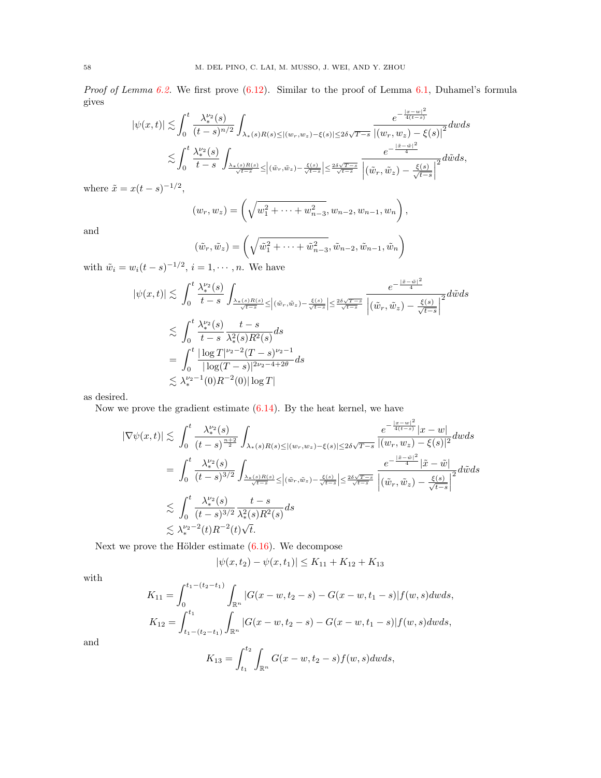Proof of Lemma [6.2.](#page-19-0) We first prove  $(6.12)$ . Similar to the proof of Lemma [6.1,](#page-18-6) Duhamel's formula gives  $\overline{a}$ 

$$
|\psi(x,t)| \lesssim \int_0^t \frac{\lambda_*^{\nu_2}(s)}{(t-s)^{n/2}} \int_{\lambda_* (s)R(s) \le |(w_r, w_z) - \xi(s)| \le 2\delta \sqrt{T-s}} \frac{e^{-\frac{|x-w|^2}{4(t-s)}}}{|(w_r, w_z) - \xi(s)|^2} dw ds
$$
  

$$
\lesssim \int_0^t \frac{\lambda_*^{\nu_2}(s)}{t-s} \int_{\frac{\lambda_* (s)R(s)}{\sqrt{t-s}} \le |(\tilde{w}_r, \tilde{w}_z) - \frac{\xi(s)}{\sqrt{t-s}}| \le \frac{2\delta \sqrt{T-s}}{\sqrt{t-s}}} \frac{e^{-\frac{|\tilde{x}-\tilde{w}|^2}{4}}}{\left| (\tilde{w}_r, \tilde{w}_z) - \frac{\xi(s)}{\sqrt{t-s}} \right|^2} d\tilde{w} ds,
$$

where  $\tilde{x} = x(t-s)^{-1/2}$ ,

$$
(w_r, w_z) = \left(\sqrt{w_1^2 + \dots + w_{n-3}^2}, w_{n-2}, w_{n-1}, w_n\right),
$$

and

$$
(\tilde{w}_r, \tilde{w}_z) = \left(\sqrt{\tilde{w}_1^2 + \dots + \tilde{w}_{n-3}^2}, \tilde{w}_{n-2}, \tilde{w}_{n-1}, \tilde{w}_n\right)
$$
  
= 1,  $\dots$  We have

 $e^{-\frac{|\tilde{x}-\tilde{w}|^2}{4}}$ 

with 
$$
\tilde{w}_i = w_i(t-s)^{-1/2}
$$
,  $i = 1, \dots, n$ . We have  

$$
|\psi(x,t)| \lesssim \int_0^t \frac{\lambda_*^{\nu_2}(s)}{t-s} \int_{\lambda_*(s)R(s) > |(\tilde{w}_i - \tilde{w}_i) - \xi(s)| > 2t}
$$

$$
|b(x,t)| \lesssim \int_0^{\frac{C_*}{t-s}} \int_{\frac{\lambda_*(s)R(s)}{\sqrt{t-s}}} \frac{\left| \left( \tilde{w}_r, \tilde{w}_z \right) - \frac{\xi(s)}{\sqrt{t-s}} \right| \le \frac{2\delta \sqrt{T-s}}{\sqrt{t-s}}} \frac{d\tilde{w} ds}{\left| \left( \tilde{w}_r, \tilde{w}_z \right) - \frac{\xi(s)}{\sqrt{t-s}} \right|^2} d\tilde{w} ds
$$
  

$$
\lesssim \int_0^t \frac{\lambda_*^{\nu_2}(s)}{t-s} \frac{t-s}{\lambda_*^2(s)R^2(s)} ds
$$
  

$$
= \int_0^t \frac{|\log T|^{\nu_2 - 2} (T-s)^{\nu_2 - 1}}{|\log (T-s)|^{2\nu_2 - 4 + 2\theta}} ds
$$
  

$$
\lesssim \lambda_*^{\nu_2 - 1}(0) R^{-2}(0) |\log T|
$$

as desired.

Now we prove the gradient estimate  $(6.14)$ . By the heat kernel, we have

$$
\begin{split} |\nabla \psi(x,t)|&\lesssim \int_0^t \frac{\lambda_*^{\nu_2}(s)}{(t-s)^{\frac{n+2}{2}}}\int_{\lambda_*(s)R(s)\leq |(w_r,w_z)-\xi(s)|\leq 2\delta\sqrt{T-s}}\frac{e^{-\frac{|x-w|^2}{4(t-s)}}|x-w|}{|(w_r,w_z)-\xi(s)|^2}dwds\\ &=\int_0^t \frac{\lambda_*^{\nu_2}(s)}{(t-s)^{3/2}}\int_{\frac{\lambda_*(s)R(s)}{\sqrt{t-s}}\leq |(\tilde{w}_r,\tilde{w}_z)-\frac{\xi(s)}{\sqrt{t-s}}}\frac{e^{-\frac{|\tilde{x}-\tilde{w}|^2}{4}}|\tilde{x}-\tilde{w}|}{\left|(\tilde{w}_r,\tilde{w}_z)-\frac{\xi(s)}{\sqrt{t-s}}\right|^2}d\tilde{w}ds\\ &\lesssim \int_0^t \frac{\lambda_*^{\nu_2}(s)}{(t-s)^{3/2}}\frac{t-s}{\lambda_*^2(s)R^2(s)}ds\\ &\lesssim \lambda_*^{\nu_2-2}(t)R^{-2}(t)\sqrt{t}. \end{split}
$$

Next we prove the Hölder estimate  $(6.16)$ . We decompose

$$
|\psi(x, t_2) - \psi(x, t_1)| \le K_{11} + K_{12} + K_{13}
$$

with

$$
K_{11} = \int_0^{t_1 - (t_2 - t_1)} \int_{\mathbb{R}^n} |G(x - w, t_2 - s) - G(x - w, t_1 - s)| f(w, s) dw ds,
$$
  
\n
$$
K_{12} = \int_{t_1 - (t_2 - t_1)}^{t_1} \int_{\mathbb{R}^n} |G(x - w, t_2 - s) - G(x - w, t_1 - s)| f(w, s) dw ds,
$$

and

$$
K_{13} = \int_{t_1}^{t_2} \int_{\mathbb{R}^n} G(x - w, t_2 - s) f(w, s) dw ds,
$$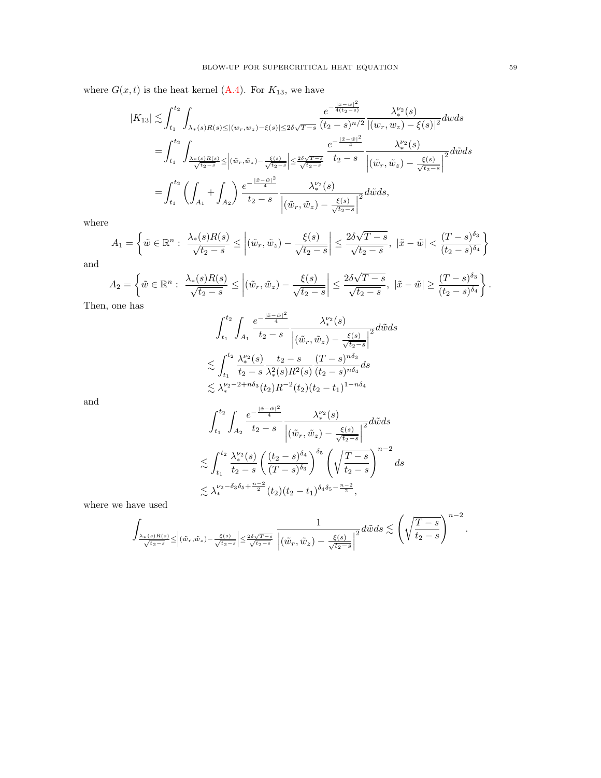where  $G(x, t)$  is the heat kernel [\(A.4\)](#page-52-1). For  $K_{13}$ , we have

$$
|K_{13}| \lesssim \int_{t_1}^{t_2} \int_{\lambda_*(s)R(s) \le |(w_r, w_z) - \xi(s)| \le 2\delta\sqrt{T-s}} \frac{e^{-\frac{|x-w|^2}{4(t_2 - s)}}}{(t_2 - s)^{n/2}} \frac{\lambda_*^{\nu_2}(s)}{|(w_r, w_z) - \xi(s)|^2} dw ds
$$
  
\n
$$
= \int_{t_1}^{t_2} \int_{\frac{\lambda_*(s)R(s)}{\sqrt{t_2 - s}} \le |\tilde{w}_r, \tilde{w}_z| - \frac{\xi(s)}{\sqrt{t_2 - s}}| \le \frac{2\delta\sqrt{T-s}}{\sqrt{t_2 - s}}} \frac{e^{-\frac{|\tilde{x} - \tilde{w}|^2}{4}}}{t_2 - s} \frac{\lambda_*^{\nu_2}(s)}{|(\tilde{w}_r, \tilde{w}_z) - \frac{\xi(s)}{\sqrt{t_2 - s}}|^2} d\tilde{w} ds
$$
  
\n
$$
= \int_{t_1}^{t_2} \left( \int_{A_1} + \int_{A_2} \right) \frac{e^{-\frac{|\tilde{x} - \tilde{w}|^2}{4}}}{t_2 - s} \frac{\lambda_*^{\nu_2}(s)}{|(\tilde{w}_r, \tilde{w}_z) - \frac{\xi(s)}{\sqrt{t_2 - s}}|^2} d\tilde{w} ds,
$$

where

$$
A_1 = \left\{ \tilde{w} \in \mathbb{R}^n : \frac{\lambda_*(s)R(s)}{\sqrt{t_2 - s}} \le \left| (\tilde{w}_r, \tilde{w}_z) - \frac{\xi(s)}{\sqrt{t_2 - s}} \right| \le \frac{2\delta\sqrt{T - s}}{\sqrt{t_2 - s}}, \ |\tilde{x} - \tilde{w}| < \frac{(T - s)^{\delta_3}}{(t_2 - s)^{\delta_4}} \right\}
$$

and

$$
A_2 = \left\{ \tilde{w} \in \mathbb{R}^n : \left| \frac{\lambda_*(s)R(s)}{\sqrt{t_2 - s}} \le \left| (\tilde{w}_r, \tilde{w}_z) - \frac{\xi(s)}{\sqrt{t_2 - s}} \right| \le \frac{2\delta\sqrt{T - s}}{\sqrt{t_2 - s}}, \ |\tilde{x} - \tilde{w}| \ge \frac{(T - s)^{\delta_3}}{(t_2 - s)^{\delta_4}} \right\}.
$$

Then, one has

$$
\begin{aligned} &\int_{t_1}^{t_2}\int_{A_1}\frac{e^{-\frac{|\tilde{x}-\tilde{w}|^2}{4}}}{t_2-s}\frac{\lambda_*^{\nu_2}(s)}{\left|(\tilde{w}_r,\tilde{w}_z)-\frac{\xi(s)}{\sqrt{t_2-s}}\right|^2}d\tilde{w}ds\\ \lesssim &\int_{t_1}^{t_2}\frac{\lambda_*^{\nu_2}(s)}{t_2-s}\frac{t_2-s}{\lambda_*^2(s)R^2(s)}\frac{(T-s)^{n\delta_3}}{(t_2-s)^{n\delta_4}}ds\\ \lesssim &\lambda_*^{\nu_2-2+n\delta_3}(t_2)R^{-2}(t_2)(t_2-t_1)^{1-n\delta_4} \end{aligned}
$$

and

$$
\begin{split} & \int_{t_1}^{t_2} \int_{A_2} \frac{e^{-\frac{|\tilde{x}-\tilde{w}|^2}{4}}}{t_2-s} \frac{\lambda_*^{\nu_2}(s)}{\left|(\tilde{w}_r,\tilde{w}_z) - \frac{\xi(s)}{\sqrt{t_2-s}}\right|^2} d\tilde{w} ds \\ & \lesssim \int_{t_1}^{t_2} \frac{\lambda_*^{\nu_2}(s)}{t_2-s} \left(\frac{(t_2-s)^{\delta_4}}{(T-s)^{\delta_3}}\right)^{\delta_5} \left(\sqrt{\frac{T-s}{t_2-s}}\right)^{n-2} ds \\ & \lesssim \lambda_*^{\nu_2-\delta_3\delta_5+\frac{n-2}{2}}(t_2) (t_2-t_1)^{\delta_4\delta_5-\frac{n-2}{2}}, \end{split}
$$

where we have used

$$
\int_{\frac{\lambda_*(s)R(s)}{\sqrt{t_2-s}}\leq \left|(\tilde w_r,\tilde w_z)-\frac{\xi(s)}{\sqrt{t_2-s}}\right|\leq \frac{2\delta\sqrt{T-s}}{\sqrt{t_2-s}}}\frac{1}{\left|(\tilde w_r,\tilde w_z)-\frac{\xi(s)}{\sqrt{t_2-s}}\right|^2}d\tilde wds\lesssim \left(\sqrt{\frac{T-s}{t_2-s}}\right)^{n-2}.
$$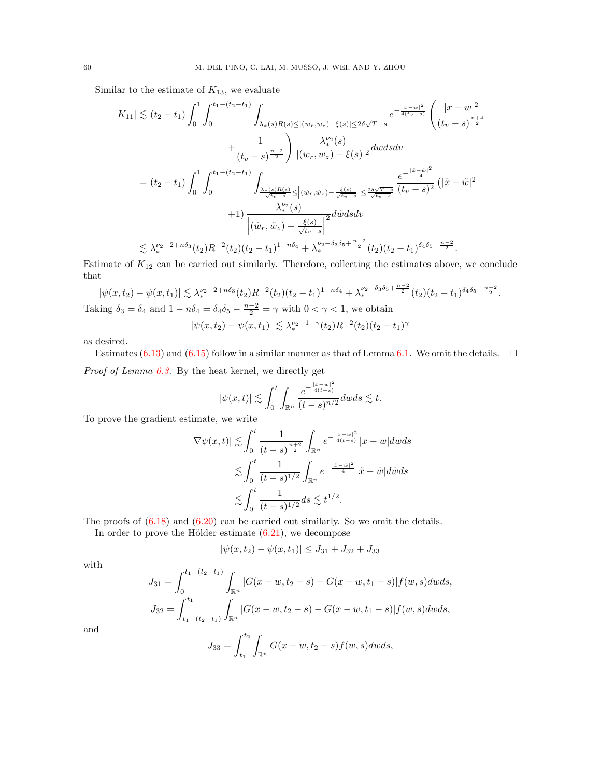Similar to the estimate of  $K_{13}$ , we evaluate

$$
|K_{11}| \lesssim (t_2 - t_1) \int_0^1 \int_0^{t_1 - (t_2 - t_1)} \int_{\lambda_*(s)R(s) \le |(w_r, w_z) - \xi(s)| \le 2\delta\sqrt{T-s}} \left( \frac{|x - w|^2}{(t_v - s)^{\frac{n+4}{2}}} \right) \frac{\lambda_*^{v_2}(s)}{(t_v - s)^{\frac{n+4}{2}}} + \frac{1}{(t_v - s)^{\frac{n+2}{2}}} \int \frac{\lambda_*^{v_2}(s)}{|(w_r, w_z) - \xi(s)|^2} dw ds dv
$$
  
\n
$$
= (t_2 - t_1) \int_0^1 \int_0^{t_1 - (t_2 - t_1)} \int_{\frac{\lambda_*(s)R(s)}{\sqrt{t_v - s}} \le |(\tilde{w}_r, \tilde{w}_z) - \frac{\xi(s)}{\sqrt{t_v - s}}| \le \frac{2\delta\sqrt{T-s}}{\sqrt{t_v - s}}} \frac{e^{-\frac{|\tilde{x} - \tilde{w}|^2}{4}}}{(t_v - s)^2} (|\tilde{x} - \tilde{w}|^2 + 1) \frac{\lambda_*^{v_2}(s)}{|(\tilde{w}_r, \tilde{w}_z) - \frac{\xi(s)}{\sqrt{t_v - s}}|^2} d\tilde{w} ds dv
$$
  
\n
$$
\le \lambda_*^{v_2 - 2 + n\delta_3}(t_2) R^{-2}(t_2) (t_2 - t_1)^{1 - n\delta_4} + \lambda_*^{v_2 - \delta_3\delta_5 + \frac{n-2}{2}}(t_2) (t_2 - t_1)^{\delta_4\delta_5 - \frac{n-2}{2}}.
$$

Estimate of  $K_{12}$  can be carried out similarly. Therefore, collecting the estimates above, we conclude that  $n-2$ 

$$
|\psi(x,t_2) - \psi(x,t_1)| \lesssim \lambda_*^{\nu_2 - 2 + n\delta_3}(t_2)R^{-2}(t_2)(t_2 - t_1)^{1 - n\delta_4} + \lambda_*^{\nu_2 - \delta_3 \delta_5 + \frac{n-2}{2}}(t_2)(t_2 - t_1)^{\delta_4 \delta_5 - \frac{n-2}{2}}.
$$
  
Taking  $\delta_3 = \delta_4$  and  $1 - n\delta_4 = \delta_4 \delta_5 - \frac{n-2}{2} = \gamma$  with  $0 < \gamma < 1$ , we obtain  

$$
|\psi(x,t_2) - \psi(x,t_1)| \lesssim \lambda_*^{\nu_2 - 1 - \gamma}(t_2)R^{-2}(t_2)(t_2 - t_1)^{\gamma}
$$

as desired.

Estimates [\(6.13\)](#page-19-10) and [\(6.15\)](#page-19-11) follow in a similar manner as that of Lemma [6.1.](#page-18-6) We omit the details.  $\square$ Proof of Lemma [6.3.](#page-19-1) By the heat kernel, we directly get

$$
|\psi(x,t)| \lesssim \int_0^t \int_{\mathbb{R}^n} \frac{e^{-\frac{|x-w|^2}{4(t-s)}}}{(t-s)^{n/2}} dw ds \lesssim t.
$$

To prove the gradient estimate, we write

$$
\begin{split} |\nabla \psi(x,t)|&\lesssim \int_0^t \frac{1}{(t-s)^{\frac{n+2}{2}}}\int_{\mathbb{R}^n}e^{-\frac{|x-w|^2}{4(t-s)}}|x-w|dwds\\ &\lesssim \int_0^t \frac{1}{(t-s)^{1/2}}\int_{\mathbb{R}^n}e^{-\frac{|\tilde{x}-\tilde{w}|^2}{4}}|\tilde{x}-\tilde{w}|d\tilde{w}ds\\ &\lesssim \int_0^t \frac{1}{(t-s)^{1/2}}ds\lesssim t^{1/2}. \end{split}
$$

The proofs of [\(6.18\)](#page-19-12) and [\(6.20\)](#page-19-13) can be carried out similarly. So we omit the details.

In order to prove the Hölder estimate  $(6.21)$ , we decompose

$$
|\psi(x,t_2) - \psi(x,t_1)| \le J_{31} + J_{32} + J_{33}
$$

with

$$
J_{31} = \int_0^{t_1 - (t_2 - t_1)} \int_{\mathbb{R}^n} |G(x - w, t_2 - s) - G(x - w, t_1 - s)| f(w, s) dw ds,
$$
  

$$
J_{32} = \int_{t_1 - (t_2 - t_1)}^{t_1} \int_{\mathbb{R}^n} |G(x - w, t_2 - s) - G(x - w, t_1 - s)| f(w, s) dw ds,
$$

and

$$
J_{33} = \int_{t_1}^{t_2} \int_{\mathbb{R}^n} G(x - w, t_2 - s) f(w, s) dw ds,
$$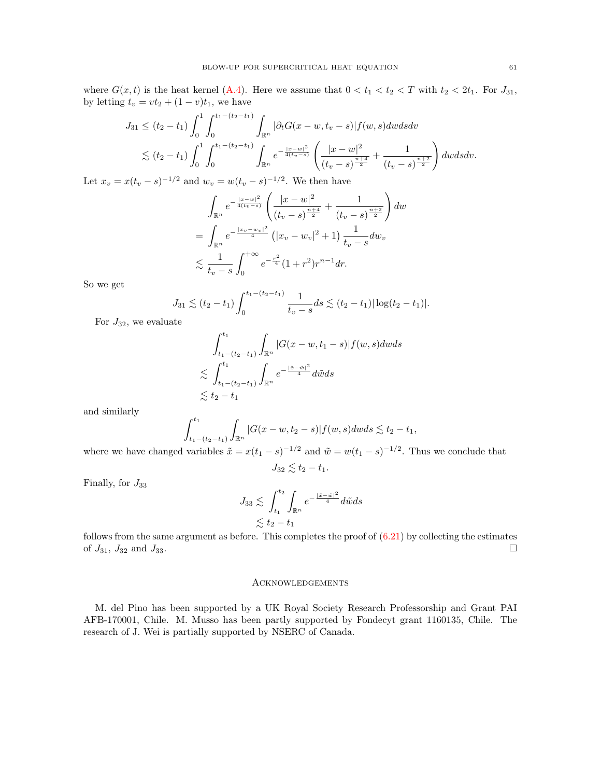where  $G(x, t)$  is the heat kernel [\(A.4\)](#page-52-1). Here we assume that  $0 < t_1 < t_2 < T$  with  $t_2 < 2t_1$ . For  $J_{31}$ , by letting  $t_v = vt_2 + (1 - v)t_1$ , we have

$$
J_{31} \leq (t_2 - t_1) \int_0^1 \int_0^{t_1 - (t_2 - t_1)} \int_{\mathbb{R}^n} |\partial_t G(x - w, t_v - s)| f(w, s) dw ds dv
$$
  
\$\lesssim (t\_2 - t\_1) \int\_0^1 \int\_0^{t\_1 - (t\_2 - t\_1)} \int\_{\mathbb{R}^n} e^{-\frac{|x - w|^2}{4(t\_v - s)}} \left( \frac{|x - w|^2}{(t\_v - s)^{\frac{n+4}{2}}} + \frac{1}{(t\_v - s)^{\frac{n+2}{2}}} \right) dw ds dv.\$

Let  $x_v = x(t_v - s)^{-1/2}$  and  $w_v = w(t_v - s)^{-1/2}$ . We then have

$$
\int_{\mathbb{R}^n} e^{-\frac{|x-w|^2}{4(t_v-s)}} \left( \frac{|x-w|^2}{(t_v-s)^{\frac{n+4}{2}}} + \frac{1}{(t_v-s)^{\frac{n+2}{2}}} \right) dw
$$
\n
$$
= \int_{\mathbb{R}^n} e^{-\frac{|x_v - w_v|^2}{4}} \left( |x_v - w_v|^2 + 1 \right) \frac{1}{t_v-s} dw_v
$$
\n
$$
\lesssim \frac{1}{t_v-s} \int_0^{+\infty} e^{-\frac{r^2}{4}} (1+r^2) r^{n-1} dr.
$$

So we get

$$
J_{31} \lesssim (t_2 - t_1) \int_0^{t_1 - (t_2 - t_1)} \frac{1}{t_v - s} ds \lesssim (t_2 - t_1) |\log(t_2 - t_1)|.
$$

For  $J_{32}$ , we evaluate

$$
\int_{t_1-(t_2-t_1)}^{t_1} \int_{\mathbb{R}^n} |G(x-w,t_1-s)| f(w,s) dw ds
$$
  
\$\lesssim \int\_{t\_1-(t\_2-t\_1)}^{t\_1} \int\_{\mathbb{R}^n} e^{-\frac{|\tilde{x}-\tilde{w}|^2}{4}} d\tilde{w} ds\$  
\$\lesssim t\_2-t\_1\$

and similarly

$$
\int_{t_1-(t_2-t_1)}^{t_1} \int_{\mathbb{R}^n} |G(x-w, t_2-s)| f(w, s) dw ds \lesssim t_2 - t_1,
$$

where we have changed variables  $\tilde{x} = x(t_1 - s)^{-1/2}$  and  $\tilde{w} = w(t_1 - s)^{-1/2}$ . Thus we conclude that  $J_{32} \lesssim t_2 - t_1.$ 

Finally, for  $J_{33}$ 

$$
J_{33} \lesssim \int_{t_1}^{t_2} \int_{\mathbb{R}^n} e^{-\frac{|\tilde{x} - \tilde{w}|^2}{4}} d\tilde{w} ds
$$
  

$$
\lesssim t_2 - t_1
$$

follows from the same argument as before. This completes the proof of  $(6.21)$  by collecting the estimates of  $J_{31}$ ,  $J_{32}$  and  $J_{33}$ .

#### <span id="page-60-0"></span>Acknowledgements

M. del Pino has been supported by a UK Royal Society Research Professorship and Grant PAI AFB-170001, Chile. M. Musso has been partly supported by Fondecyt grant 1160135, Chile. The research of J. Wei is partially supported by NSERC of Canada.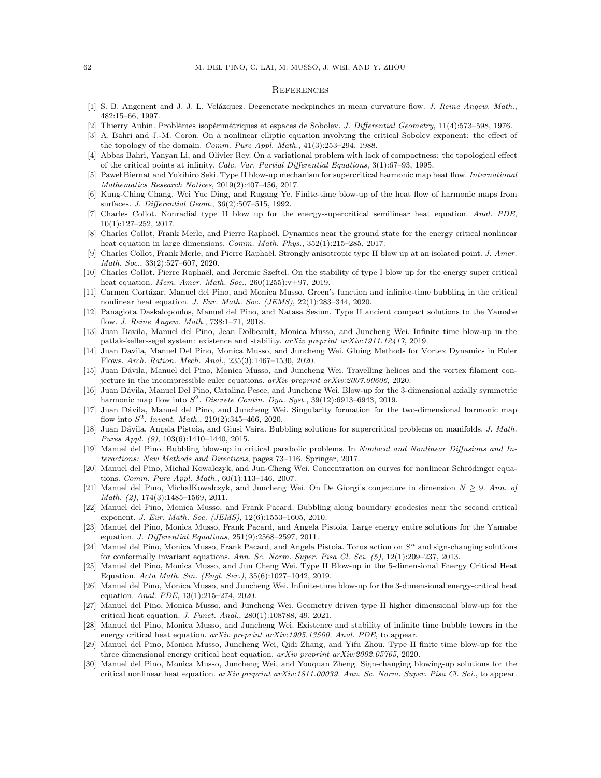#### <span id="page-61-0"></span>**REFERENCES**

- <span id="page-61-15"></span>[1] S. B. Angenent and J. J. L. Velázquez. Degenerate neckpinches in mean curvature flow. J. Reine Angew. Math., 482:15–66, 1997.
- <span id="page-61-27"></span>[2] Thierry Aubin. Problèmes isopérimétriques et espaces de Sobolev. J. Differential Geometry, 11(4):573-598, 1976.
- <span id="page-61-7"></span>[3] A. Bahri and J.-M. Coron. On a nonlinear elliptic equation involving the critical Sobolev exponent: the effect of the topology of the domain. Comm. Pure Appl. Math., 41(3):253–294, 1988.
- <span id="page-61-8"></span>[4] Abbas Bahri, Yanyan Li, and Olivier Rey. On a variational problem with lack of compactness: the topological effect of the critical points at infinity. Calc. Var. Partial Differential Equations, 3(1):67–93, 1995.
- <span id="page-61-16"></span>[5] Pawel Biernat and Yukihiro Seki. Type II blow-up mechanism for supercritical harmonic map heat flow. *International* Mathematics Research Notices, 2019(2):407–456, 2017.
- <span id="page-61-17"></span>[6] Kung-Ching Chang, Wei Yue Ding, and Rugang Ye. Finite-time blow-up of the heat flow of harmonic maps from surfaces. J. Differential Geom., 36(2):507–515, 1992.
- <span id="page-61-13"></span>[7] Charles Collot. Nonradial type II blow up for the energy-supercritical semilinear heat equation. Anal. PDE, 10(1):127–252, 2017.
- <span id="page-61-3"></span>[8] Charles Collot, Frank Merle, and Pierre Raphaël. Dynamics near the ground state for the energy critical nonlinear heat equation in large dimensions. Comm. Math. Phys., 352(1):215–285, 2017.
- <span id="page-61-1"></span>[9] Charles Collot, Frank Merle, and Pierre Raphaël. Strongly anisotropic type II blow up at an isolated point. J. Amer. Math. Soc., 33(2):527–607, 2020.
- <span id="page-61-2"></span>[10] Charles Collot, Pierre Raphaël, and Jeremie Szeftel. On the stability of type I blow up for the energy super critical heat equation. *Mem. Amer. Math. Soc.*, 260(1255):v+97, 2019.
- <span id="page-61-6"></span>[11] Carmen Cortázar, Manuel del Pino, and Monica Musso. Green's function and infinite-time bubbling in the critical nonlinear heat equation. J. Eur. Math. Soc. (JEMS), 22(1):283–344, 2020.
- <span id="page-61-18"></span>[12] Panagiota Daskalopoulos, Manuel del Pino, and Natasa Sesum. Type II ancient compact solutions to the Yamabe flow. J. Reine Angew. Math., 738:1–71, 2018.
- [13] Juan Davila, Manuel del Pino, Jean Dolbeault, Monica Musso, and Juncheng Wei. Infinite time blow-up in the patlak-keller-segel system: existence and stability. arXiv preprint arXiv:1911.12417, 2019.
- [14] Juan Davila, Manuel Del Pino, Monica Musso, and Juncheng Wei. Gluing Methods for Vortex Dynamics in Euler Flows. Arch. Ration. Mech. Anal., 235(3):1467–1530, 2020.
- <span id="page-61-23"></span>[15] Juan Dávila, Manuel del Pino, Monica Musso, and Juncheng Wei. Travelling helices and the vortex filament conjecture in the incompressible euler equations. arXiv preprint arXiv:2007.00606, 2020.
- <span id="page-61-19"></span>[16] Juan Dávila, Manuel Del Pino, Catalina Pesce, and Juncheng Wei. Blow-up for the 3-dimensional axially symmetric harmonic map flow into  $S^2$ . Discrete Contin. Dyn. Syst., 39(12):6913-6943, 2019.
- <span id="page-61-24"></span>[17] Juan Dávila, Manuel del Pino, and Juncheng Wei. Singularity formation for the two-dimensional harmonic map flow into  $S^2$ . Invent. Math., 219(2):345-466, 2020.
- <span id="page-61-22"></span>[18] Juan Dávila, Angela Pistoia, and Giusi Vaira. Bubbling solutions for supercritical problems on manifolds. J. Math. Pures Appl. (9), 103(6):1410–1440, 2015.
- <span id="page-61-26"></span>[19] Manuel del Pino. Bubbling blow-up in critical parabolic problems. In Nonlocal and Nonlinear Diffusions and Interactions: New Methods and Directions, pages 73–116. Springer, 2017.
- <span id="page-61-20"></span>[20] Manuel del Pino, Michal Kowalczyk, and Jun-Cheng Wei. Concentration on curves for nonlinear Schrödinger equations. Comm. Pure Appl. Math., 60(1):113–146, 2007.
- [21] Manuel del Pino, Michał Kowalczyk, and Juncheng Wei. On De Giorgi's conjecture in dimension  $N > 9$ . Ann. of Math. (2), 174(3):1485–1569, 2011.
- <span id="page-61-21"></span>[22] Manuel del Pino, Monica Musso, and Frank Pacard. Bubbling along boundary geodesics near the second critical exponent. J. Eur. Math. Soc. (JEMS), 12(6):1553-1605, 2010.
- <span id="page-61-11"></span>[23] Manuel del Pino, Monica Musso, Frank Pacard, and Angela Pistoia. Large energy entire solutions for the Yamabe equation. J. Differential Equations, 251(9):2568–2597, 2011.
- <span id="page-61-12"></span>[24] Manuel del Pino, Monica Musso, Frank Pacard, and Angela Pistoia. Torus action on  $S<sup>n</sup>$  and sign-changing solutions for conformally invariant equations. Ann. Sc. Norm. Super. Pisa Cl. Sci. (5), 12(1):209–237, 2013.
- <span id="page-61-4"></span>[25] Manuel del Pino, Monica Musso, and Jun Cheng Wei. Type II Blow-up in the 5-dimensional Energy Critical Heat Equation. Acta Math. Sin. (Engl. Ser.), 35(6):1027–1042, 2019.
- <span id="page-61-9"></span>[26] Manuel del Pino, Monica Musso, and Juncheng Wei. Infinite-time blow-up for the 3-dimensional energy-critical heat equation. Anal. PDE, 13(1):215–274, 2020.
- <span id="page-61-14"></span>[27] Manuel del Pino, Monica Musso, and Juncheng Wei. Geometry driven type II higher dimensional blow-up for the critical heat equation. J. Funct. Anal., 280(1):108788, 49, 2021.
- <span id="page-61-25"></span>[28] Manuel del Pino, Monica Musso, and Juncheng Wei. Existence and stability of infinite time bubble towers in the energy critical heat equation. arXiv preprint arXiv:1905.13500. Anal. PDE, to appear.
- <span id="page-61-5"></span>[29] Manuel del Pino, Monica Musso, Juncheng Wei, Qidi Zhang, and Yifu Zhou. Type II finite time blow-up for the three dimensional energy critical heat equation.  $arXiv$  preprint  $arXiv:2002.05765$ , 2020.
- <span id="page-61-10"></span>[30] Manuel del Pino, Monica Musso, Juncheng Wei, and Youquan Zheng. Sign-changing blowing-up solutions for the critical nonlinear heat equation. arXiv preprint arXiv:1811.00039. Ann. Sc. Norm. Super. Pisa Cl. Sci., to appear.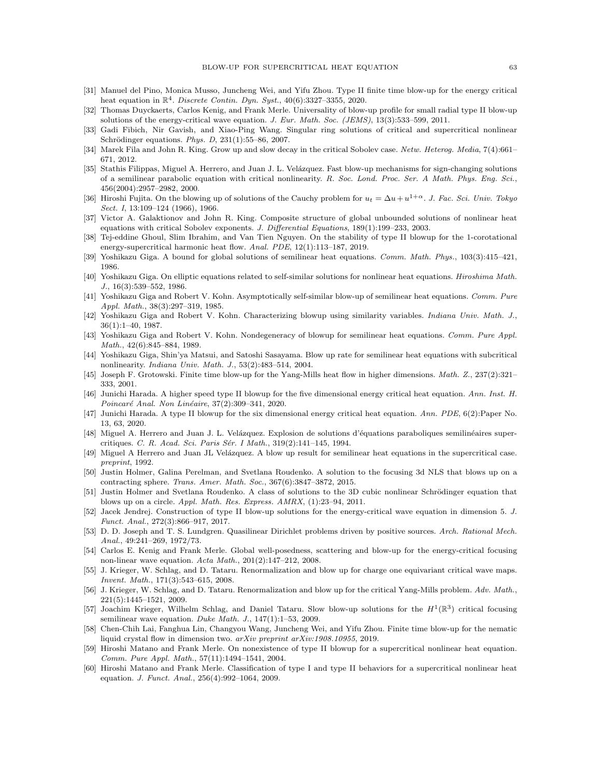- <span id="page-62-6"></span>[31] Manuel del Pino, Monica Musso, Juncheng Wei, and Yifu Zhou. Type II finite time blow-up for the energy critical heat equation in  $\mathbb{R}^4$ . Discrete Contin. Dyn. Syst., 40(6):3327-3355, 2020.
- <span id="page-62-14"></span>[32] Thomas Duyckaerts, Carlos Kenig, and Frank Merle. Universality of blow-up profile for small radial type II blow-up solutions of the energy-critical wave equation. J. Eur. Math. Soc. (JEMS), 13(3):533–599, 2011.
- <span id="page-62-22"></span>[33] Gadi Fibich, Nir Gavish, and Xiao-Ping Wang. Singular ring solutions of critical and supercritical nonlinear Schrödinger equations. Phys. D,  $231(1):55-86$ ,  $2007$ .
- <span id="page-62-9"></span>[34] Marek Fila and John R. King. Grow up and slow decay in the critical Sobolev case. Netw. Heterog. Media, 7(4):661– 671, 2012.
- <span id="page-62-5"></span>[35] Stathis Filippas, Miguel A. Herrero, and Juan J. L. Velázquez. Fast blow-up mechanisms for sign-changing solutions of a semilinear parabolic equation with critical nonlinearity. R. Soc. Lond. Proc. Ser. A Math. Phys. Eng. Sci., 456(2004):2957–2982, 2000.
- <span id="page-62-0"></span>[36] Hiroshi Fujita. On the blowing up of solutions of the Cauchy problem for  $u_t = \Delta u + u^{1+\alpha}$ . J. Fac. Sci. Univ. Tokyo Sect. I, 13:109–124 (1966), 1966.
- <span id="page-62-15"></span>[37] Victor A. Galaktionov and John R. King. Composite structure of global unbounded solutions of nonlinear heat equations with critical Sobolev exponents. J. Differential Equations, 189(1):199–233, 2003.
- <span id="page-62-16"></span>[38] Tej-eddine Ghoul, Slim Ibrahim, and Van Tien Nguyen. On the stability of type II blowup for the 1-corotational energy-supercritical harmonic heat flow. Anal. PDE, 12(1):113–187, 2019.
- <span id="page-62-1"></span>[39] Yoshikazu Giga. A bound for global solutions of semilinear heat equations. Comm. Math. Phys., 103(3):415–421, 1986.
- [40] Yoshikazu Giga. On elliptic equations related to self-similar solutions for nonlinear heat equations. Hiroshima Math.  $J., 16(3): 539 - 552, 1986.$
- <span id="page-62-4"></span>[41] Yoshikazu Giga and Robert V. Kohn. Asymptotically self-similar blow-up of semilinear heat equations. Comm. Pure Appl. Math., 38(3):297–319, 1985.
- [42] Yoshikazu Giga and Robert V. Kohn. Characterizing blowup using similarity variables. Indiana Univ. Math. J., 36(1):1–40, 1987.
- [43] Yoshikazu Giga and Robert V. Kohn. Nondegeneracy of blowup for semilinear heat equations. Comm. Pure Appl. Math., 42(6):845–884, 1989.
- <span id="page-62-2"></span>[44] Yoshikazu Giga, Shin'ya Matsui, and Satoshi Sasayama. Blow up rate for semilinear heat equations with subcritical nonlinearity. Indiana Univ. Math. J., 53(2):483–514, 2004.
- <span id="page-62-17"></span>[45] Joseph F. Grotowski. Finite time blow-up for the Yang-Mills heat flow in higher dimensions. Math. Z., 237(2):321– 333, 2001.
- <span id="page-62-7"></span>[46] Junichi Harada. A higher speed type II blowup for the five dimensional energy critical heat equation. Ann. Inst. H. Poincaré Anal. Non Linéaire, 37(2):309-341, 2020.
- <span id="page-62-8"></span>[47] Junichi Harada. A type II blowup for the six dimensional energy critical heat equation. Ann. PDE, 6(2):Paper No. 13, 63, 2020.
- <span id="page-62-10"></span>[48] Miguel A. Herrero and Juan J. L. Velázquez. Explosion de solutions d'équations paraboliques semilinéaires supercritiques. C. R. Acad. Sci. Paris Sér. I Math., 319(2):141-145, 1994.
- <span id="page-62-11"></span>[49] Miguel A Herrero and Juan JL Velázquez. A blow up result for semilinear heat equations in the supercritical case. preprint, 1992.
- <span id="page-62-21"></span>[50] Justin Holmer, Galina Perelman, and Svetlana Roudenko. A solution to the focusing 3d NLS that blows up on a contracting sphere. Trans. Amer. Math. Soc., 367(6):3847–3872, 2015.
- <span id="page-62-23"></span>[51] Justin Holmer and Svetlana Roudenko. A class of solutions to the 3D cubic nonlinear Schrödinger equation that blows up on a circle. Appl. Math. Res. Express. AMRX, (1):23–94, 2011.
- <span id="page-62-18"></span>[52] Jacek Jendrej. Construction of type II blow-up solutions for the energy-critical wave equation in dimension 5. J. Funct. Anal., 272(3):866–917, 2017.
- <span id="page-62-12"></span>[53] D. D. Joseph and T. S. Lundgren. Quasilinear Dirichlet problems driven by positive sources. Arch. Rational Mech. Anal., 49:241–269, 1972/73.
- <span id="page-62-19"></span>[54] Carlos E. Kenig and Frank Merle. Global well-posedness, scattering and blow-up for the energy-critical focusing non-linear wave equation. Acta Math., 201(2):147–212, 2008.
- [55] J. Krieger, W. Schlag, and D. Tataru. Renormalization and blow up for charge one equivariant critical wave maps. Invent. Math., 171(3):543–615, 2008.
- [56] J. Krieger, W. Schlag, and D. Tataru. Renormalization and blow up for the critical Yang-Mills problem. Adv. Math., 221(5):1445–1521, 2009.
- <span id="page-62-20"></span>[57] Joachim Krieger, Wilhelm Schlag, and Daniel Tataru. Slow blow-up solutions for the  $H^1(\mathbb{R}^3)$  critical focusing semilinear wave equation. Duke Math. J.,  $147(1):1-53$ , 2009.
- <span id="page-62-24"></span>[58] Chen-Chih Lai, Fanghua Lin, Changyou Wang, Juncheng Wei, and Yifu Zhou. Finite time blow-up for the nematic liquid crystal flow in dimension two. arXiv preprint arXiv:1908.10955, 2019.
- <span id="page-62-3"></span>[59] Hiroshi Matano and Frank Merle. On nonexistence of type II blowup for a supercritical nonlinear heat equation. Comm. Pure Appl. Math., 57(11):1494–1541, 2004.
- <span id="page-62-13"></span>[60] Hiroshi Matano and Frank Merle. Classification of type I and type II behaviors for a supercritical nonlinear heat equation. J. Funct. Anal., 256(4):992–1064, 2009.